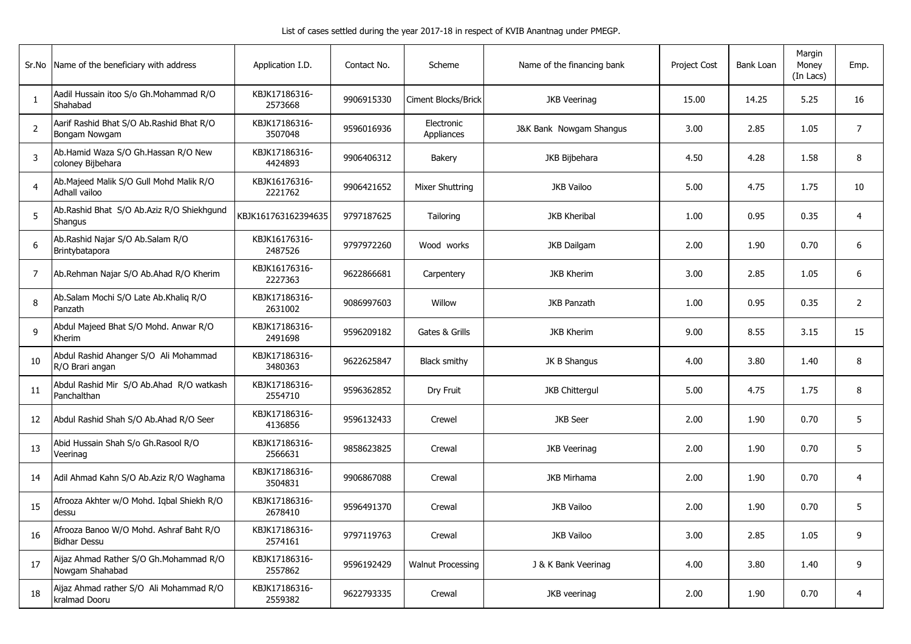| Sr.No          | Name of the beneficiary with address                           | Application I.D.         | Contact No. | Scheme                   | Name of the financing bank | <b>Project Cost</b> | <b>Bank Loan</b> | Margin<br>Money<br>(In Lacs) | Emp.           |
|----------------|----------------------------------------------------------------|--------------------------|-------------|--------------------------|----------------------------|---------------------|------------------|------------------------------|----------------|
| 1              | Aadil Hussain itoo S/o Gh.Mohammad R/O<br>Shahabad             | KBJK17186316-<br>2573668 | 9906915330  | Ciment Blocks/Brick      | <b>JKB Veerinag</b>        | 15.00               | 14.25            | 5.25                         | 16             |
| $\overline{2}$ | Aarif Rashid Bhat S/O Ab.Rashid Bhat R/O<br>Bongam Nowgam      | KBJK17186316-<br>3507048 | 9596016936  | Electronic<br>Appliances | J&K Bank Nowgam Shangus    | 3.00                | 2.85             | 1.05                         | $\overline{7}$ |
| $\overline{3}$ | Ab.Hamid Waza S/O Gh.Hassan R/O New<br>coloney Bijbehara       | KBJK17186316-<br>4424893 | 9906406312  | Bakery                   | JKB Bijbehara              | 4.50                | 4.28             | 1.58                         | 8              |
| $\overline{4}$ | Ab.Majeed Malik S/O Gull Mohd Malik R/O<br>Adhall vailoo       | KBJK16176316-<br>2221762 | 9906421652  | Mixer Shuttring          | JKB Vailoo                 | 5.00                | 4.75             | 1.75                         | 10             |
| 5              | Ab.Rashid Bhat S/O Ab.Aziz R/O Shiekhgund<br>Shangus           | KBJK161763162394635      | 9797187625  | Tailoring                | <b>JKB Kheribal</b>        | 1.00                | 0.95             | 0.35                         | $\overline{4}$ |
| 6              | Ab.Rashid Najar S/O Ab.Salam R/O<br>Brintybatapora             | KBJK16176316-<br>2487526 | 9797972260  | Wood works               | <b>JKB Dailgam</b>         | 2.00                | 1.90             | 0.70                         | 6              |
| $\overline{7}$ | Ab.Rehman Najar S/O Ab.Ahad R/O Kherim                         | KBJK16176316-<br>2227363 | 9622866681  | Carpentery               | <b>JKB Kherim</b>          | 3.00                | 2.85             | 1.05                         | 6              |
| 8              | Ab.Salam Mochi S/O Late Ab.Khaliq R/O<br>Panzath               | KBJK17186316-<br>2631002 | 9086997603  | Willow                   | <b>JKB Panzath</b>         | 1.00                | 0.95             | 0.35                         | $\overline{2}$ |
| $\mathsf{q}$   | Abdul Majeed Bhat S/O Mohd. Anwar R/O<br>Kherim                | KBJK17186316-<br>2491698 | 9596209182  | Gates & Grills           | <b>JKB Kherim</b>          | 9.00                | 8.55             | 3.15                         | 15             |
| 10             | Abdul Rashid Ahanger S/O Ali Mohammad<br>R/O Brari angan       | KBJK17186316-<br>3480363 | 9622625847  | <b>Black smithy</b>      | JK B Shangus               | 4.00                | 3.80             | 1.40                         | 8              |
| 11             | Abdul Rashid Mir S/O Ab.Ahad R/O watkash<br>Panchalthan        | KBJK17186316-<br>2554710 | 9596362852  | Dry Fruit                | <b>JKB Chittergul</b>      | 5.00                | 4.75             | 1.75                         | 8              |
| 12             | Abdul Rashid Shah S/O Ab.Ahad R/O Seer                         | KBJK17186316-<br>4136856 | 9596132433  | Crewel                   | <b>JKB</b> Seer            | 2.00                | 1.90             | 0.70                         | 5              |
| 13             | Abid Hussain Shah S/o Gh.Rasool R/O<br>Veerinag                | KBJK17186316-<br>2566631 | 9858623825  | Crewal                   | <b>JKB Veerinag</b>        | 2.00                | 1.90             | 0.70                         | 5              |
| 14             | Adil Ahmad Kahn S/O Ab.Aziz R/O Waghama                        | KBJK17186316-<br>3504831 | 9906867088  | Crewal                   | <b>JKB Mirhama</b>         | 2.00                | 1.90             | 0.70                         | $\overline{4}$ |
| 15             | Afrooza Akhter w/O Mohd. Iqbal Shiekh R/O<br>dessu             | KBJK17186316-<br>2678410 | 9596491370  | Crewal                   | <b>JKB Vailoo</b>          | 2.00                | 1.90             | 0.70                         | 5              |
| 16             | Afrooza Banoo W/O Mohd. Ashraf Baht R/O<br><b>Bidhar Dessu</b> | KBJK17186316-<br>2574161 | 9797119763  | Crewal                   | <b>JKB Vailoo</b>          | 3.00                | 2.85             | 1.05                         | 9              |
| 17             | Aijaz Ahmad Rather S/O Gh.Mohammad R/O<br>Nowgam Shahabad      | KBJK17186316-<br>2557862 | 9596192429  | <b>Walnut Processing</b> | J & K Bank Veerinag        | 4.00                | 3.80             | 1.40                         | 9              |
| 18             | Aijaz Ahmad rather S/O Ali Mohammad R/O<br>kralmad Dooru       | KBJK17186316-<br>2559382 | 9622793335  | Crewal                   | JKB veerinag               | 2.00                | 1.90             | 0.70                         | $\overline{4}$ |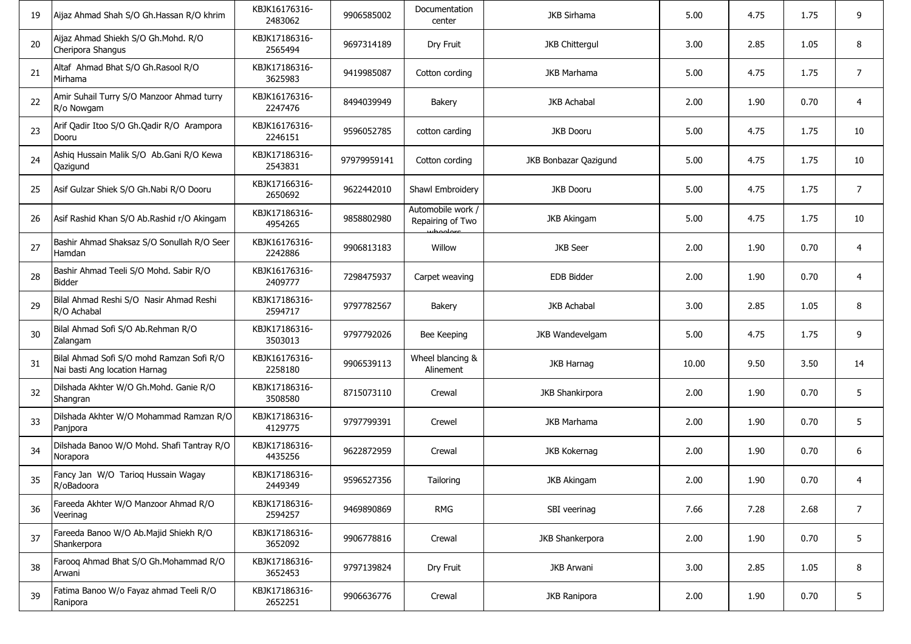| 19 | Aijaz Ahmad Shah S/O Gh.Hassan R/O khrim                                   | KBJK16176316-<br>2483062 | 9906585002  | Documentation<br>center                           | <b>JKB Sirhama</b>     | 5.00  | 4.75 | 1.75 | 9              |
|----|----------------------------------------------------------------------------|--------------------------|-------------|---------------------------------------------------|------------------------|-------|------|------|----------------|
| 20 | Aijaz Ahmad Shiekh S/O Gh.Mohd. R/O<br>Cheripora Shangus                   | KBJK17186316-<br>2565494 | 9697314189  | Dry Fruit                                         | <b>JKB Chittergul</b>  | 3.00  | 2.85 | 1.05 | 8              |
| 21 | Altaf Ahmad Bhat S/O Gh.Rasool R/O<br>Mirhama                              | KBJK17186316-<br>3625983 | 9419985087  | Cotton cording                                    | JKB Marhama            | 5.00  | 4.75 | 1.75 | $\overline{7}$ |
| 22 | Amir Suhail Turry S/O Manzoor Ahmad turry<br>R/o Nowgam                    | KBJK16176316-<br>2247476 | 8494039949  | Bakery                                            | <b>JKB Achabal</b>     | 2.00  | 1.90 | 0.70 | 4              |
| 23 | Arif Qadir Itoo S/O Gh.Qadir R/O Arampora<br>Dooru                         | KBJK16176316-<br>2246151 | 9596052785  | cotton carding                                    | <b>JKB Dooru</b>       | 5.00  | 4.75 | 1.75 | 10             |
| 24 | Ashiq Hussain Malik S/O Ab.Gani R/O Kewa<br>Qazigund                       | KBJK17186316-<br>2543831 | 97979959141 | Cotton cording                                    | JKB Bonbazar Qazigund  | 5.00  | 4.75 | 1.75 | 10             |
| 25 | Asif Gulzar Shiek S/O Gh.Nabi R/O Dooru                                    | KBJK17166316-<br>2650692 | 9622442010  | Shawl Embroidery                                  | JKB Dooru              | 5.00  | 4.75 | 1.75 | $\overline{7}$ |
| 26 | Asif Rashid Khan S/O Ab.Rashid r/O Akingam                                 | KBJK17186316-<br>4954265 | 9858802980  | Automobile work /<br>Repairing of Two<br>whoolorg | <b>JKB Akingam</b>     | 5.00  | 4.75 | 1.75 | 10             |
| 27 | Bashir Ahmad Shaksaz S/O Sonullah R/O Seer<br>Hamdan                       | KBJK16176316-<br>2242886 | 9906813183  | Willow                                            | <b>JKB</b> Seer        | 2.00  | 1.90 | 0.70 | 4              |
| 28 | Bashir Ahmad Teeli S/O Mohd. Sabir R/O<br>Bidder                           | KBJK16176316-<br>2409777 | 7298475937  | Carpet weaving                                    | EDB Bidder             | 2.00  | 1.90 | 0.70 | 4              |
| 29 | Bilal Ahmad Reshi S/O Nasir Ahmad Reshi<br>R/O Achabal                     | KBJK17186316-<br>2594717 | 9797782567  | Bakery                                            | <b>JKB Achabal</b>     | 3.00  | 2.85 | 1.05 | 8              |
| 30 | Bilal Ahmad Sofi S/O Ab.Rehman R/O<br>Zalangam                             | KBJK17186316-<br>3503013 | 9797792026  | Bee Keeping                                       | JKB Wandevelgam        | 5.00  | 4.75 | 1.75 | 9              |
| 31 | Bilal Ahmad Sofi S/O mohd Ramzan Sofi R/O<br>Nai basti Ang location Harnag | KBJK16176316-<br>2258180 | 9906539113  | Wheel blancing &<br>Alinement                     | <b>JKB Harnag</b>      | 10.00 | 9.50 | 3.50 | 14             |
| 32 | Dilshada Akhter W/O Gh.Mohd. Ganie R/O<br>Shangran                         | KBJK17186316-<br>3508580 | 8715073110  | Crewal                                            | <b>JKB Shankirpora</b> | 2.00  | 1.90 | 0.70 | 5              |
| 33 | Dilshada Akhter W/O Mohammad Ramzan R/O<br>Panjpora                        | KBJK17186316-<br>4129775 | 9797799391  | Crewel                                            | JKB Marhama            | 2.00  | 1.90 | 0.70 | 5              |
| 34 | Dilshada Banoo W/O Mohd. Shafi Tantray R/O<br>Norapora                     | KBJK17186316-<br>4435256 | 9622872959  | Crewal                                            | JKB Kokernag           | 2.00  | 1.90 | 0.70 | 6              |
| 35 | Fancy Jan W/O Tarioq Hussain Wagay<br>R/oBadoora                           | KBJK17186316-<br>2449349 | 9596527356  | Tailoring                                         | <b>JKB Akingam</b>     | 2.00  | 1.90 | 0.70 | 4              |
| 36 | Fareeda Akhter W/O Manzoor Ahmad R/O<br>Veerinag                           | KBJK17186316-<br>2594257 | 9469890869  | <b>RMG</b>                                        | SBI veerinag           | 7.66  | 7.28 | 2.68 | $\overline{7}$ |
| 37 | Fareeda Banoo W/O Ab.Majid Shiekh R/O<br>Shankerpora                       | KBJK17186316-<br>3652092 | 9906778816  | Crewal                                            | JKB Shankerpora        | 2.00  | 1.90 | 0.70 | 5              |
| 38 | Farooq Ahmad Bhat S/O Gh.Mohammad R/O<br>Arwani                            | KBJK17186316-<br>3652453 | 9797139824  | Dry Fruit                                         | <b>JKB Arwani</b>      | 3.00  | 2.85 | 1.05 | 8              |
| 39 | Fatima Banoo W/o Fayaz ahmad Teeli R/O<br>Ranipora                         | KBJK17186316-<br>2652251 | 9906636776  | Crewal                                            | JKB Ranipora           | 2.00  | 1.90 | 0.70 | 5              |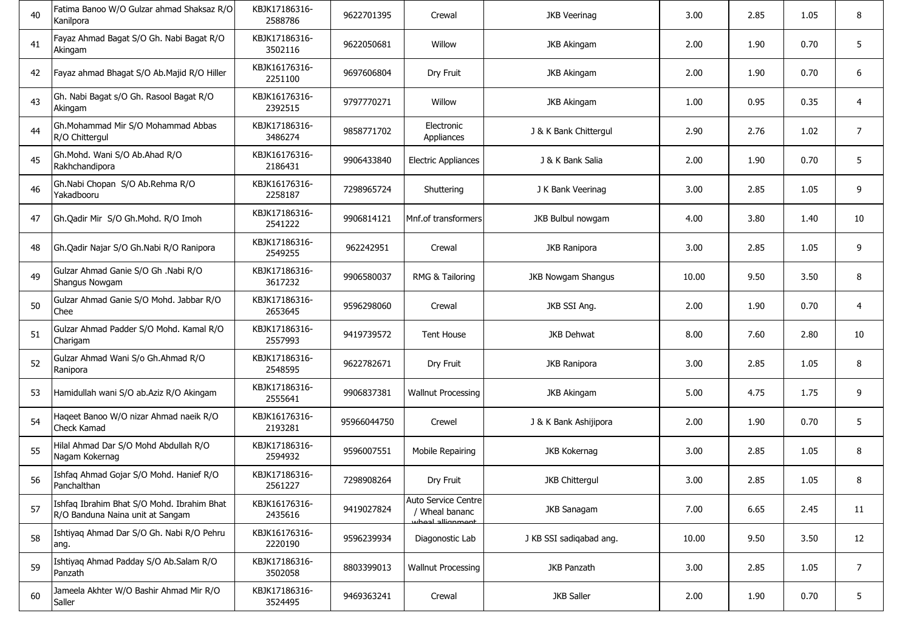| 40 | Fatima Banoo W/O Gulzar ahmad Shaksaz R/O<br>Kanilpora                         | KBJK17186316-<br>2588786 | 9622701395  | Crewal                                                    | <b>JKB Veerinag</b>     | 3.00  | 2.85 | 1.05 | 8              |
|----|--------------------------------------------------------------------------------|--------------------------|-------------|-----------------------------------------------------------|-------------------------|-------|------|------|----------------|
| 41 | Fayaz Ahmad Bagat S/O Gh. Nabi Bagat R/O<br>Akingam                            | KBJK17186316-<br>3502116 | 9622050681  | Willow                                                    | <b>JKB Akingam</b>      | 2.00  | 1.90 | 0.70 | 5              |
| 42 | Fayaz ahmad Bhagat S/O Ab.Majid R/O Hiller                                     | KBJK16176316-<br>2251100 | 9697606804  | Dry Fruit                                                 | <b>JKB Akingam</b>      | 2.00  | 1.90 | 0.70 | 6              |
| 43 | Gh. Nabi Bagat s/O Gh. Rasool Bagat R/O<br>Akingam                             | KBJK16176316-<br>2392515 | 9797770271  | Willow                                                    | <b>JKB Akingam</b>      | 1.00  | 0.95 | 0.35 | 4              |
| 44 | Gh.Mohammad Mir S/O Mohammad Abbas<br>R/O Chittergul                           | KBJK17186316-<br>3486274 | 9858771702  | Electronic<br>Appliances                                  | J & K Bank Chittergul   | 2.90  | 2.76 | 1.02 | $\overline{7}$ |
| 45 | Gh.Mohd. Wani S/O Ab.Ahad R/O<br>Rakhchandipora                                | KBJK16176316-<br>2186431 | 9906433840  | <b>Electric Appliances</b>                                | J & K Bank Salia        | 2.00  | 1.90 | 0.70 | 5              |
| 46 | Gh.Nabi Chopan S/O Ab.Rehma R/O<br>Yakadbooru                                  | KBJK16176316-<br>2258187 | 7298965724  | Shuttering                                                | J K Bank Veerinag       | 3.00  | 2.85 | 1.05 | 9              |
| 47 | Gh.Qadir Mir S/O Gh.Mohd. R/O Imoh                                             | KBJK17186316-<br>2541222 | 9906814121  | Mnf.of transformers                                       | JKB Bulbul nowgam       | 4.00  | 3.80 | 1.40 | 10             |
| 48 | Gh.Qadir Najar S/O Gh.Nabi R/O Ranipora                                        | KBJK17186316-<br>2549255 | 962242951   | Crewal                                                    | <b>JKB Ranipora</b>     | 3.00  | 2.85 | 1.05 | 9              |
| 49 | Gulzar Ahmad Ganie S/O Gh .Nabi R/O<br>Shangus Nowgam                          | KBJK17186316-<br>3617232 | 9906580037  | RMG & Tailoring                                           | JKB Nowgam Shangus      | 10.00 | 9.50 | 3.50 | 8              |
| 50 | Gulzar Ahmad Ganie S/O Mohd. Jabbar R/O<br>Chee                                | KBJK17186316-<br>2653645 | 9596298060  | Crewal                                                    | JKB SSI Ang.            | 2.00  | 1.90 | 0.70 | $\overline{4}$ |
| 51 | Gulzar Ahmad Padder S/O Mohd. Kamal R/O<br>Charigam                            | KBJK17186316-<br>2557993 | 9419739572  | <b>Tent House</b>                                         | <b>JKB Dehwat</b>       | 8.00  | 7.60 | 2.80 | 10             |
| 52 | Gulzar Ahmad Wani S/o Gh.Ahmad R/O<br>Ranipora                                 | KBJK17186316-<br>2548595 | 9622782671  | Dry Fruit                                                 | <b>JKB Ranipora</b>     | 3.00  | 2.85 | 1.05 | 8              |
| 53 | Hamidullah wani S/O ab.Aziz R/O Akingam                                        | KBJK17186316-<br>2555641 | 9906837381  | Wallnut Processing                                        | <b>JKB Akingam</b>      | 5.00  | 4.75 | 1.75 | 9              |
| 54 | Haqeet Banoo W/O nizar Ahmad naeik R/O<br>Check Kamad                          | KBJK16176316-<br>2193281 | 95966044750 | Crewel                                                    | J & K Bank Ashijipora   | 2.00  | 1.90 | 0.70 | 5              |
| 55 | Hilal Ahmad Dar S/O Mohd Abdullah R/O<br>Nagam Kokernag                        | KBJK17186316-<br>2594932 | 9596007551  | Mobile Repairing                                          | JKB Kokernag            | 3.00  | 2.85 | 1.05 | 8              |
| 56 | Ishfaq Ahmad Gojar S/O Mohd. Hanief R/O<br>Panchalthan                         | KBJK17186316-<br>2561227 | 7298908264  | Dry Fruit                                                 | <b>JKB Chittergul</b>   | 3.00  | 2.85 | 1.05 | 8              |
| 57 | Ishfaq Ibrahim Bhat S/O Mohd. Ibrahim Bhat<br>R/O Banduna Naina unit at Sangam | KBJK16176316-<br>2435616 | 9419027824  | Auto Service Centre<br>/ Wheal bananc<br>whoal allianmont | <b>JKB Sanagam</b>      | 7.00  | 6.65 | 2.45 | 11             |
| 58 | Ishtiyaq Ahmad Dar S/O Gh. Nabi R/O Pehru<br>ang.                              | KBJK16176316-<br>2220190 | 9596239934  | Diagonostic Lab                                           | J KB SSI sadigabad ang. | 10.00 | 9.50 | 3.50 | 12             |
| 59 | Ishtiyaq Ahmad Padday S/O Ab.Salam R/O<br>Panzath                              | KBJK17186316-<br>3502058 | 8803399013  | <b>Wallnut Processing</b>                                 | JKB Panzath             | 3.00  | 2.85 | 1.05 | $\overline{7}$ |
| 60 | Jameela Akhter W/O Bashir Ahmad Mir R/O<br>Saller                              | KBJK17186316-<br>3524495 | 9469363241  | Crewal                                                    | <b>JKB Saller</b>       | 2.00  | 1.90 | 0.70 | 5              |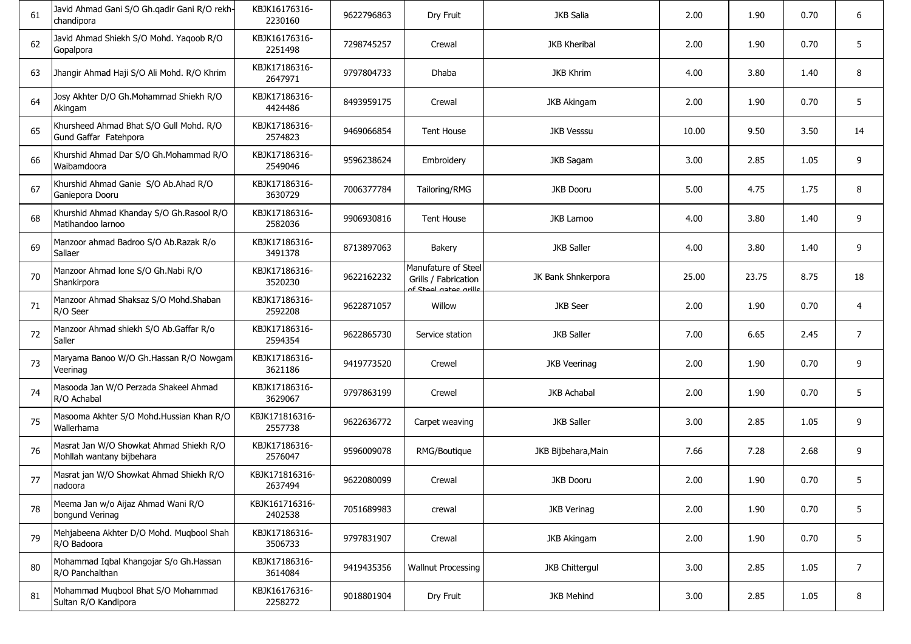| 61 | Javid Ahmad Gani S/O Gh.qadir Gani R/O rekh-<br>chandipora           | KBJK16176316-<br>2230160  | 9622796863 | Dry Fruit                                                            | JKB Salia             | 2.00  | 1.90  | 0.70 | 6              |
|----|----------------------------------------------------------------------|---------------------------|------------|----------------------------------------------------------------------|-----------------------|-------|-------|------|----------------|
| 62 | Javid Ahmad Shiekh S/O Mohd. Yaqoob R/O<br>Gopalpora                 | KBJK16176316-<br>2251498  | 7298745257 | Crewal                                                               | <b>JKB Kheribal</b>   | 2.00  | 1.90  | 0.70 | 5              |
| 63 | Jhangir Ahmad Haji S/O Ali Mohd. R/O Khrim                           | KBJK17186316-<br>2647971  | 9797804733 | Dhaba                                                                | <b>JKB Khrim</b>      | 4.00  | 3.80  | 1.40 | 8              |
| 64 | Josy Akhter D/O Gh. Mohammad Shiekh R/O<br>Akingam                   | KBJK17186316-<br>4424486  | 8493959175 | Crewal                                                               | <b>JKB Akingam</b>    | 2.00  | 1.90  | 0.70 | 5              |
| 65 | Khursheed Ahmad Bhat S/O Gull Mohd. R/O<br>Gund Gaffar Fatehpora     | KBJK17186316-<br>2574823  | 9469066854 | <b>Tent House</b>                                                    | <b>JKB Vesssu</b>     | 10.00 | 9.50  | 3.50 | 14             |
| 66 | Khurshid Ahmad Dar S/O Gh.Mohammad R/O<br>Waibamdoora                | KBJK17186316-<br>2549046  | 9596238624 | Embroidery                                                           | JKB Sagam             | 3.00  | 2.85  | 1.05 | 9              |
| 67 | Khurshid Ahmad Ganie S/O Ab.Ahad R/O<br>Ganiepora Dooru              | KBJK17186316-<br>3630729  | 7006377784 | Tailoring/RMG                                                        | <b>JKB Dooru</b>      | 5.00  | 4.75  | 1.75 | 8              |
| 68 | Khurshid Ahmad Khanday S/O Gh.Rasool R/O<br>Matihandoo larnoo        | KBJK17186316-<br>2582036  | 9906930816 | <b>Tent House</b>                                                    | <b>JKB Larnoo</b>     | 4.00  | 3.80  | 1.40 | 9              |
| 69 | Manzoor ahmad Badroo S/O Ab.Razak R/o<br>Sallaer                     | KBJK17186316-<br>3491378  | 8713897063 | <b>Bakery</b>                                                        | <b>JKB Saller</b>     | 4.00  | 3.80  | 1.40 | 9              |
| 70 | Manzoor Ahmad Ione S/O Gh.Nabi R/O<br>Shankirpora                    | KBJK17186316-<br>3520230  | 9622162232 | Manufature of Steel<br>Grills / Fabrication<br>of Stool astes arille | JK Bank Shnkerpora    | 25.00 | 23.75 | 8.75 | 18             |
| 71 | Manzoor Ahmad Shaksaz S/O Mohd.Shaban<br>R/O Seer                    | KBJK17186316-<br>2592208  | 9622871057 | Willow                                                               | <b>JKB</b> Seer       | 2.00  | 1.90  | 0.70 | 4              |
| 72 | Manzoor Ahmad shiekh S/O Ab.Gaffar R/o<br>Saller                     | KBJK17186316-<br>2594354  | 9622865730 | Service station                                                      | <b>JKB Saller</b>     | 7.00  | 6.65  | 2.45 | 7              |
| 73 | Maryama Banoo W/O Gh.Hassan R/O Nowgam<br>Veerinag                   | KBJK17186316-<br>3621186  | 9419773520 | Crewel                                                               | <b>JKB Veerinag</b>   | 2.00  | 1.90  | 0.70 | 9              |
| 74 | Masooda Jan W/O Perzada Shakeel Ahmad<br>R/O Achabal                 | KBJK17186316-<br>3629067  | 9797863199 | Crewel                                                               | <b>JKB Achabal</b>    | 2.00  | 1.90  | 0.70 | 5              |
| 75 | Masooma Akhter S/O Mohd.Hussian Khan R/O<br>Wallerhama               | KBJK171816316-<br>2557738 | 9622636772 | Carpet weaving                                                       | <b>JKB Saller</b>     | 3.00  | 2.85  | 1.05 | 9              |
| 76 | Masrat Jan W/O Showkat Ahmad Shiekh R/O<br>Mohllah wantany bijbehara | KBJK17186316-<br>2576047  | 9596009078 | RMG/Boutique                                                         | JKB Bijbehara, Main   | 7.66  | 7.28  | 2.68 | 9              |
| 77 | Masrat jan W/O Showkat Ahmad Shiekh R/O<br>nadoora                   | KBJK171816316-<br>2637494 | 9622080099 | Crewal                                                               | <b>JKB Dooru</b>      | 2.00  | 1.90  | 0.70 | 5              |
| 78 | Meema Jan w/o Aijaz Ahmad Wani R/O<br>bongund Verinag                | KBJK161716316-<br>2402538 | 7051689983 | crewal                                                               | <b>JKB Verinag</b>    | 2.00  | 1.90  | 0.70 | 5              |
| 79 | Mehjabeena Akhter D/O Mohd. Muqbool Shah<br>R/O Badoora              | KBJK17186316-<br>3506733  | 9797831907 | Crewal                                                               | <b>JKB Akingam</b>    | 2.00  | 1.90  | 0.70 | 5              |
| 80 | Mohammad Iqbal Khangojar S/o Gh.Hassan<br>R/O Panchalthan            | KBJK17186316-<br>3614084  | 9419435356 | <b>Wallnut Processing</b>                                            | <b>JKB Chittergul</b> | 3.00  | 2.85  | 1.05 | $\overline{7}$ |
| 81 | Mohammad Muqbool Bhat S/O Mohammad<br>Sultan R/O Kandipora           | KBJK16176316-<br>2258272  | 9018801904 | Dry Fruit                                                            | JKB Mehind            | 3.00  | 2.85  | 1.05 | 8              |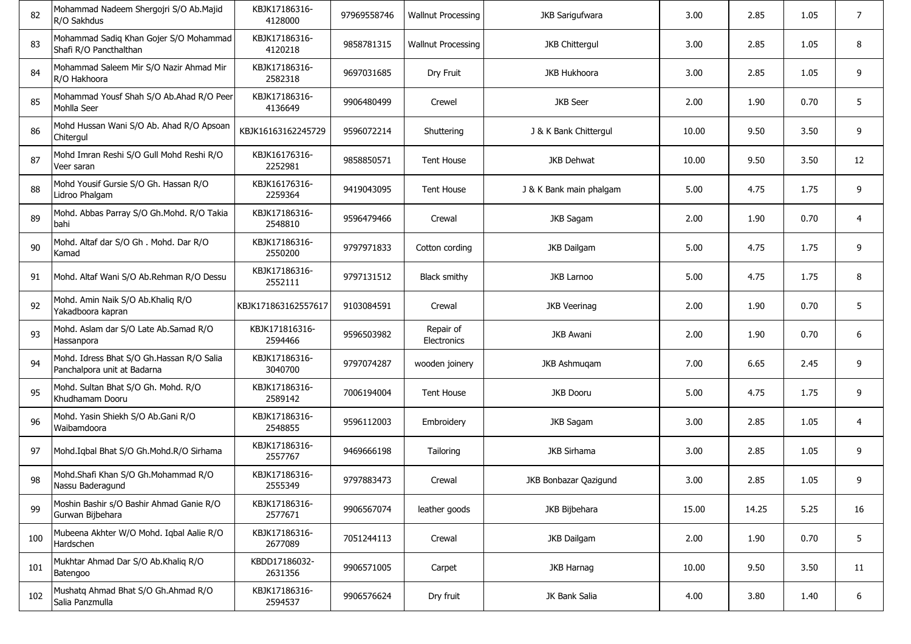| 82  | Mohammad Nadeem Shergojri S/O Ab.Majid<br>R/O Sakhdus                    | KBJK17186316-<br>4128000  | 97969558746 | <b>Wallnut Processing</b>       | <b>JKB Sarigufwara</b>  | 3.00  | 2.85  | 1.05 | 7              |
|-----|--------------------------------------------------------------------------|---------------------------|-------------|---------------------------------|-------------------------|-------|-------|------|----------------|
| 83  | Mohammad Sadig Khan Gojer S/O Mohammad<br>Shafi R/O Pancthalthan         | KBJK17186316-<br>4120218  | 9858781315  | <b>Wallnut Processing</b>       | <b>JKB Chittergul</b>   | 3.00  | 2.85  | 1.05 | 8              |
| 84  | Mohammad Saleem Mir S/O Nazir Ahmad Mir<br>R/O Hakhoora                  | KBJK17186316-<br>2582318  | 9697031685  | Dry Fruit                       | <b>JKB Hukhoora</b>     | 3.00  | 2.85  | 1.05 | 9              |
| 85  | Mohammad Yousf Shah S/O Ab.Ahad R/O Peer<br>Mohlla Seer                  | KBJK17186316-<br>4136649  | 9906480499  | Crewel                          | <b>JKB</b> Seer         | 2.00  | 1.90  | 0.70 | 5              |
| 86  | Mohd Hussan Wani S/O Ab. Ahad R/O Apsoan<br>Chitergul                    | KBJK16163162245729        | 9596072214  | Shuttering                      | J & K Bank Chittergul   | 10.00 | 9.50  | 3.50 | 9              |
| 87  | Mohd Imran Reshi S/O Gull Mohd Reshi R/O<br>Veer saran                   | KBJK16176316-<br>2252981  | 9858850571  | <b>Tent House</b>               | JKB Dehwat              | 10.00 | 9.50  | 3.50 | 12             |
| 88  | Mohd Yousif Gursie S/O Gh. Hassan R/O<br>Lidroo Phalgam                  | KBJK16176316-<br>2259364  | 9419043095  | <b>Tent House</b>               | J & K Bank main phalgam | 5.00  | 4.75  | 1.75 | 9              |
| 89  | Mohd. Abbas Parray S/O Gh.Mohd. R/O Takia<br>bahi                        | KBJK17186316-<br>2548810  | 9596479466  | Crewal                          | JKB Sagam               | 2.00  | 1.90  | 0.70 | $\overline{4}$ |
| 90  | Mohd. Altaf dar S/O Gh. Mohd. Dar R/O<br>Kamad                           | KBJK17186316-<br>2550200  | 9797971833  | Cotton cording                  | <b>JKB Dailgam</b>      | 5.00  | 4.75  | 1.75 | 9              |
| 91  | Mohd. Altaf Wani S/O Ab.Rehman R/O Dessu                                 | KBJK17186316-<br>2552111  | 9797131512  | Black smithy                    | <b>JKB Larnoo</b>       | 5.00  | 4.75  | 1.75 | 8              |
| 92  | Mohd. Amin Naik S/O Ab.Khaliq R/O<br>Yakadboora kapran                   | KBJK171863162557617       | 9103084591  | Crewal                          | <b>JKB Veerinag</b>     | 2.00  | 1.90  | 0.70 | 5              |
| 93  | Mohd. Aslam dar S/O Late Ab.Samad R/O<br>Hassanpora                      | KBJK171816316-<br>2594466 | 9596503982  | Repair of<br><b>Electronics</b> | <b>JKB Awani</b>        | 2.00  | 1.90  | 0.70 | 6              |
| 94  | Mohd. Idress Bhat S/O Gh.Hassan R/O Salia<br>Panchalpora unit at Badarna | KBJK17186316-<br>3040700  | 9797074287  | wooden joinery                  | JKB Ashmugam            | 7.00  | 6.65  | 2.45 | 9              |
| 95  | Mohd. Sultan Bhat S/O Gh. Mohd. R/O<br>Khudhamam Dooru                   | KBJK17186316-<br>2589142  | 7006194004  | <b>Tent House</b>               | <b>JKB Dooru</b>        | 5.00  | 4.75  | 1.75 | 9              |
| 96  | Mohd. Yasin Shiekh S/O Ab.Gani R/O<br>Waibamdoora                        | KBJK17186316-<br>2548855  | 9596112003  | Embroidery                      | <b>JKB Sagam</b>        | 3.00  | 2.85  | 1.05 | $\overline{4}$ |
| 97  | Mohd.Iqbal Bhat S/O Gh.Mohd.R/O Sirhama                                  | KBJK17186316-<br>2557767  | 9469666198  | Tailoring                       | <b>JKB Sirhama</b>      | 3.00  | 2.85  | 1.05 | 9              |
| 98  | Mohd.Shafi Khan S/O Gh.Mohammad R/O<br>Nassu Baderagund                  | KBJK17186316-<br>2555349  | 9797883473  | Crewal                          | JKB Bonbazar Qazigund   | 3.00  | 2.85  | 1.05 | 9              |
| 99  | Moshin Bashir s/O Bashir Ahmad Ganie R/O<br>Gurwan Bijbehara             | KBJK17186316-<br>2577671  | 9906567074  | leather goods                   | JKB Bijbehara           | 15.00 | 14.25 | 5.25 | 16             |
| 100 | Mubeena Akhter W/O Mohd. Iqbal Aalie R/O<br>Hardschen                    | KBJK17186316-<br>2677089  | 7051244113  | Crewal                          | JKB Dailgam             | 2.00  | 1.90  | 0.70 | 5              |
| 101 | Mukhtar Ahmad Dar S/O Ab.Khaliq R/O<br>Batengoo                          | KBDD17186032-<br>2631356  | 9906571005  | Carpet                          | JKB Harnag              | 10.00 | 9.50  | 3.50 | 11             |
| 102 | Mushatq Ahmad Bhat S/O Gh.Ahmad R/O<br>Salia Panzmulla                   | KBJK17186316-<br>2594537  | 9906576624  | Dry fruit                       | JK Bank Salia           | 4.00  | 3.80  | 1.40 | 6              |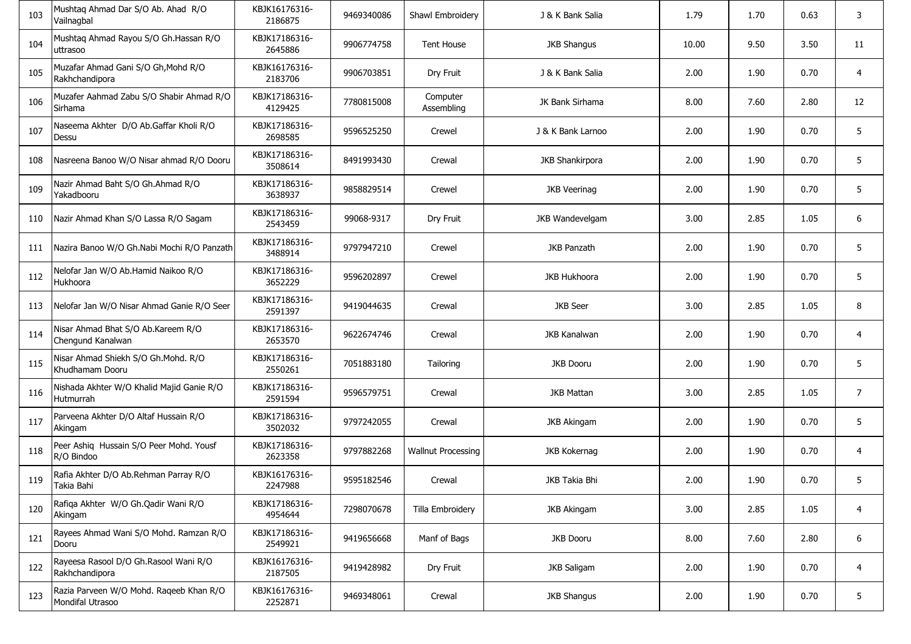| 103 | Mushtaq Ahmad Dar S/O Ab. Ahad R/O<br>Vailnagbal            | KBJK16176316-<br>2186875 | 9469340086 | Shawl Embroidery          | J & K Bank Salia       | 1.79  | 1.70 | 0.63 | 3  |
|-----|-------------------------------------------------------------|--------------------------|------------|---------------------------|------------------------|-------|------|------|----|
| 104 | Mushtaq Ahmad Rayou S/O Gh.Hassan R/O<br>uttrasoo           | KBJK17186316-<br>2645886 | 9906774758 | <b>Tent House</b>         | <b>JKB Shangus</b>     | 10.00 | 9.50 | 3.50 | 11 |
| 105 | Muzafar Ahmad Gani S/O Gh, Mohd R/O<br>Rakhchandipora       | KBJK16176316-<br>2183706 | 9906703851 | Dry Fruit                 | J & K Bank Salia       | 2.00  | 1.90 | 0.70 | 4  |
| 106 | Muzafer Aahmad Zabu S/O Shabir Ahmad R/O<br>Sirhama         | KBJK17186316-<br>4129425 | 7780815008 | Computer<br>Assembling    | JK Bank Sirhama        | 8.00  | 7.60 | 2.80 | 12 |
| 107 | Naseema Akhter D/O Ab.Gaffar Kholi R/O<br>Dessu             | KBJK17186316-<br>2698585 | 9596525250 | Crewel                    | J & K Bank Larnoo      | 2.00  | 1.90 | 0.70 | 5  |
| 108 | Nasreena Banoo W/O Nisar ahmad R/O Dooru                    | KBJK17186316-<br>3508614 | 8491993430 | Crewal                    | <b>JKB Shankirpora</b> | 2.00  | 1.90 | 0.70 | 5  |
| 109 | Nazir Ahmad Baht S/O Gh.Ahmad R/O<br>Yakadbooru             | KBJK17186316-<br>3638937 | 9858829514 | Crewel                    | <b>JKB Veerinag</b>    | 2.00  | 1.90 | 0.70 | 5  |
| 110 | Nazir Ahmad Khan S/O Lassa R/O Sagam                        | KBJK17186316-<br>2543459 | 99068-9317 | Dry Fruit                 | JKB Wandevelgam        | 3.00  | 2.85 | 1.05 | 6  |
| 111 | Nazira Banoo W/O Gh.Nabi Mochi R/O Panzath                  | KBJK17186316-<br>3488914 | 9797947210 | Crewel                    | <b>JKB Panzath</b>     | 2.00  | 1.90 | 0.70 | 5  |
| 112 | Nelofar Jan W/O Ab.Hamid Naikoo R/O<br>Hukhoora             | KBJK17186316-<br>3652229 | 9596202897 | Crewel                    | <b>JKB Hukhoora</b>    | 2.00  | 1.90 | 0.70 | 5  |
| 113 | Nelofar Jan W/O Nisar Ahmad Ganie R/O Seer                  | KBJK17186316-<br>2591397 | 9419044635 | Crewal                    | <b>JKB</b> Seer        | 3.00  | 2.85 | 1.05 | 8  |
| 114 | Nisar Ahmad Bhat S/O Ab.Kareem R/O<br>Chengund Kanalwan     | KBJK17186316-<br>2653570 | 9622674746 | Crewal                    | <b>JKB Kanalwan</b>    | 2.00  | 1.90 | 0.70 | 4  |
| 115 | Nisar Ahmad Shiekh S/O Gh. Mohd. R/O<br>Khudhamam Dooru     | KBJK17186316-<br>2550261 | 7051883180 | Tailoring                 | <b>JKB Dooru</b>       | 2.00  | 1.90 | 0.70 | 5  |
| 116 | Nishada Akhter W/O Khalid Majid Ganie R/O<br>Hutmurrah      | KBJK17186316-<br>2591594 | 9596579751 | Crewal                    | <b>JKB Mattan</b>      | 3.00  | 2.85 | 1.05 | 7  |
| 117 | Parveena Akhter D/O Altaf Hussain R/O<br>Akingam            | KBJK17186316-<br>3502032 | 9797242055 | Crewal                    | <b>JKB Akingam</b>     | 2.00  | 1.90 | 0.70 | 5  |
| 118 | Peer Ashiq Hussain S/O Peer Mohd. Yousf<br>R/O Bindoo       | KBJK17186316-<br>2623358 | 9797882268 | <b>Wallnut Processing</b> | JKB Kokernag           | 2.00  | 1.90 | 0.70 | 4  |
| 119 | Rafia Akhter D/O Ab.Rehman Parray R/O<br>Takia Bahi         | KBJK16176316-<br>2247988 | 9595182546 | Crewal                    | JKB Takia Bhi          | 2.00  | 1.90 | 0.70 | 5  |
| 120 | Rafiqa Akhter W/O Gh.Qadir Wani R/O<br>Akingam              | KBJK17186316-<br>4954644 | 7298070678 | Tilla Embroidery          | <b>JKB Akingam</b>     | 3.00  | 2.85 | 1.05 | 4  |
| 121 | Rayees Ahmad Wani S/O Mohd. Ramzan R/O<br>Dooru             | KBJK17186316-<br>2549921 | 9419656668 | Manf of Bags              | <b>JKB Dooru</b>       | 8.00  | 7.60 | 2.80 | 6  |
| 122 | Rayeesa Rasool D/O Gh.Rasool Wani R/O<br>Rakhchandipora     | KBJK16176316-<br>2187505 | 9419428982 | Dry Fruit                 | <b>JKB Saligam</b>     | 2.00  | 1.90 | 0.70 | 4  |
| 123 | Razia Parveen W/O Mohd. Rageeb Khan R/O<br>Mondifal Utrasoo | KBJK16176316-<br>2252871 | 9469348061 | Crewal                    | <b>JKB Shangus</b>     | 2.00  | 1.90 | 0.70 | 5  |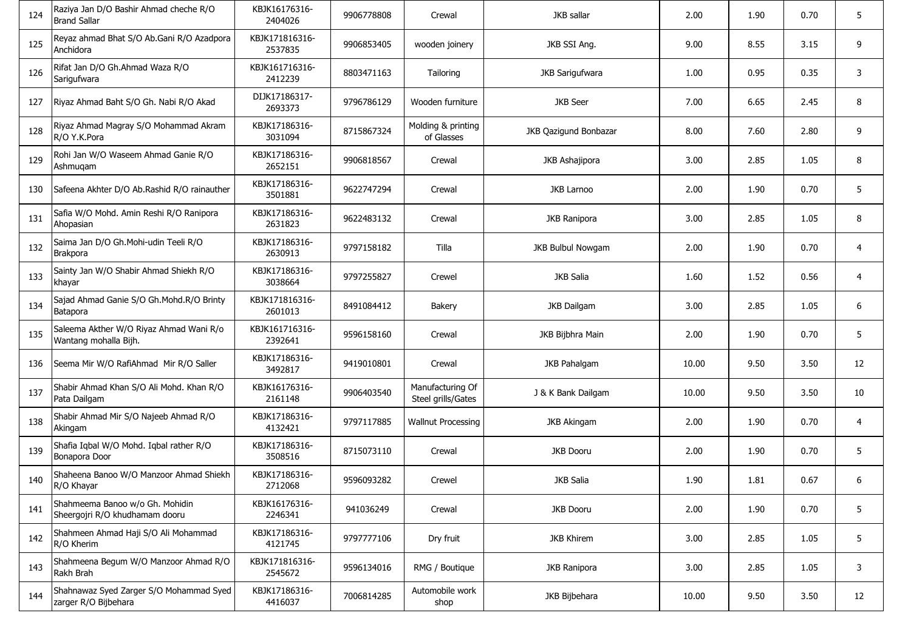| 124 | Raziya Jan D/O Bashir Ahmad cheche R/O<br><b>Brand Sallar</b>     | KBJK16176316-<br>2404026  | 9906778808 | Crewal                                 | JKB sallar               | 2.00  | 1.90 | 0.70 | 5  |
|-----|-------------------------------------------------------------------|---------------------------|------------|----------------------------------------|--------------------------|-------|------|------|----|
| 125 | Reyaz ahmad Bhat S/O Ab.Gani R/O Azadpora<br>Anchidora            | KBJK171816316-<br>2537835 | 9906853405 | wooden joinery                         | JKB SSI Ang.             | 9.00  | 8.55 | 3.15 | 9  |
| 126 | Rifat Jan D/O Gh.Ahmad Waza R/O<br>Sarigufwara                    | KBJK161716316-<br>2412239 | 8803471163 | Tailoring                              | <b>JKB Sarigufwara</b>   | 1.00  | 0.95 | 0.35 | 3  |
| 127 | Riyaz Ahmad Baht S/O Gh. Nabi R/O Akad                            | DIJK17186317-<br>2693373  | 9796786129 | Wooden furniture                       | <b>JKB</b> Seer          | 7.00  | 6.65 | 2.45 | 8  |
| 128 | Riyaz Ahmad Magray S/O Mohammad Akram<br>R/O Y.K.Pora             | KBJK17186316-<br>3031094  | 8715867324 | Molding & printing<br>of Glasses       | JKB Qazigund Bonbazar    | 8.00  | 7.60 | 2.80 | 9  |
| 129 | Rohi Jan W/O Waseem Ahmad Ganie R/O<br>Ashmugam                   | KBJK17186316-<br>2652151  | 9906818567 | Crewal                                 | JKB Ashajipora           | 3.00  | 2.85 | 1.05 | 8  |
| 130 | Safeena Akhter D/O Ab.Rashid R/O rainauther                       | KBJK17186316-<br>3501881  | 9622747294 | Crewal                                 | <b>JKB Larnoo</b>        | 2.00  | 1.90 | 0.70 | 5  |
| 131 | Safia W/O Mohd. Amin Reshi R/O Ranipora<br>Ahopasian              | KBJK17186316-<br>2631823  | 9622483132 | Crewal                                 | <b>JKB Ranipora</b>      | 3.00  | 2.85 | 1.05 | 8  |
| 132 | Saima Jan D/O Gh.Mohi-udin Teeli R/O<br><b>Brakpora</b>           | KBJK17186316-<br>2630913  | 9797158182 | Tilla                                  | <b>JKB Bulbul Nowgam</b> | 2.00  | 1.90 | 0.70 | 4  |
| 133 | Sainty Jan W/O Shabir Ahmad Shiekh R/O<br>khayar                  | KBJK17186316-<br>3038664  | 9797255827 | Crewel                                 | JKB Salia                | 1.60  | 1.52 | 0.56 | 4  |
| 134 | Sajad Ahmad Ganie S/O Gh.Mohd.R/O Brinty<br>Batapora              | KBJK171816316-<br>2601013 | 8491084412 | <b>Bakery</b>                          | <b>JKB Dailgam</b>       | 3.00  | 2.85 | 1.05 | 6  |
| 135 | Saleema Akther W/O Riyaz Ahmad Wani R/o<br>Wantang mohalla Bijh.  | KBJK161716316-<br>2392641 | 9596158160 | Crewal                                 | JKB Bijbhra Main         | 2.00  | 1.90 | 0.70 | 5  |
| 136 | Seema Mir W/O RafiAhmad Mir R/O Saller                            | KBJK17186316-<br>3492817  | 9419010801 | Crewal                                 | <b>JKB Pahalgam</b>      | 10.00 | 9.50 | 3.50 | 12 |
| 137 | Shabir Ahmad Khan S/O Ali Mohd. Khan R/O<br>Pata Dailgam          | KBJK16176316-<br>2161148  | 9906403540 | Manufacturing Of<br>Steel grills/Gates | J & K Bank Dailgam       | 10.00 | 9.50 | 3.50 | 10 |
| 138 | Shabir Ahmad Mir S/O Najeeb Ahmad R/O<br>Akingam                  | KBJK17186316-<br>4132421  | 9797117885 | <b>Wallnut Processing</b>              | <b>JKB Akingam</b>       | 2.00  | 1.90 | 0.70 | 4  |
| 139 | Shafia Iqbal W/O Mohd. Iqbal rather R/O<br>Bonapora Door          | KBJK17186316-<br>3508516  | 8715073110 | Crewal                                 | <b>JKB Dooru</b>         | 2.00  | 1.90 | 0.70 | 5  |
| 140 | Shaheena Banoo W/O Manzoor Ahmad Shiekh<br>R/O Khayar             | KBJK17186316-<br>2712068  | 9596093282 | Crewel                                 | JKB Salia                | 1.90  | 1.81 | 0.67 | 6  |
| 141 | Shahmeema Banoo w/o Gh. Mohidin<br>Sheergojri R/O khudhamam dooru | KBJK16176316-<br>2246341  | 941036249  | Crewal                                 | <b>JKB Dooru</b>         | 2.00  | 1.90 | 0.70 | 5  |
| 142 | Shahmeen Ahmad Haji S/O Ali Mohammad<br>R/O Kherim                | KBJK17186316-<br>4121745  | 9797777106 | Dry fruit                              | <b>JKB Khirem</b>        | 3.00  | 2.85 | 1.05 | 5  |
| 143 | Shahmeena Begum W/O Manzoor Ahmad R/O<br>Rakh Brah                | KBJK171816316-<br>2545672 | 9596134016 | RMG / Boutique                         | JKB Ranipora             | 3.00  | 2.85 | 1.05 | 3  |
| 144 | Shahnawaz Syed Zarger S/O Mohammad Syed<br>zarger R/O Bijbehara   | KBJK17186316-<br>4416037  | 7006814285 | Automobile work<br>shop                | JKB Bijbehara            | 10.00 | 9.50 | 3.50 | 12 |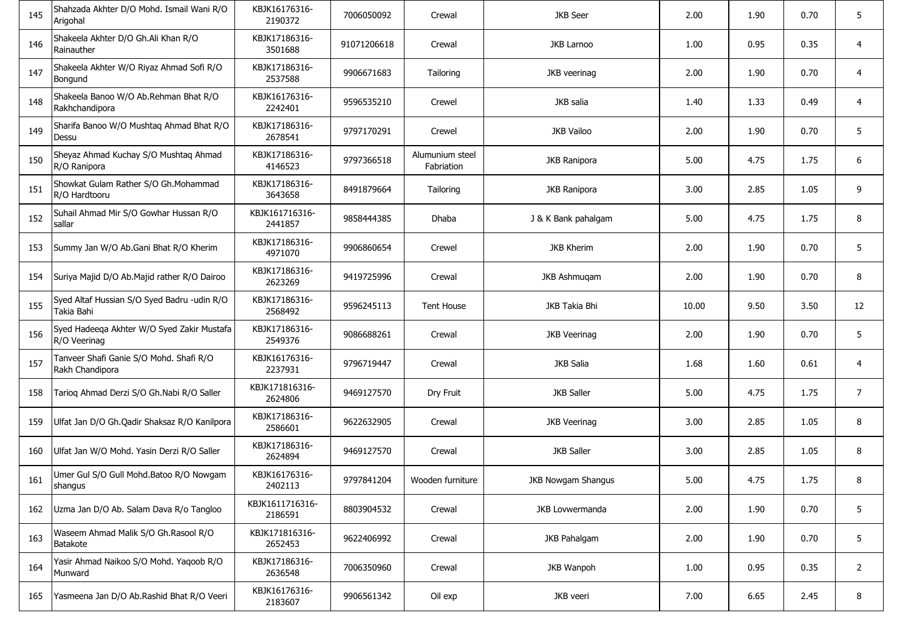| 145 | Shahzada Akhter D/O Mohd. Ismail Wani R/O<br>Arigohal      | KBJK16176316-<br>2190372   | 7006050092  | Crewal                        | <b>JKB</b> Seer           | 2.00  | 1.90 | 0.70 | 5              |
|-----|------------------------------------------------------------|----------------------------|-------------|-------------------------------|---------------------------|-------|------|------|----------------|
| 146 | Shakeela Akhter D/O Gh.Ali Khan R/O<br>Rainauther          | KBJK17186316-<br>3501688   | 91071206618 | Crewal                        | <b>JKB Larnoo</b>         | 1.00  | 0.95 | 0.35 | 4              |
| 147 | Shakeela Akhter W/O Riyaz Ahmad Sofi R/O<br>Bongund        | KBJK17186316-<br>2537588   | 9906671683  | Tailoring                     | JKB veerinag              | 2.00  | 1.90 | 0.70 | 4              |
| 148 | Shakeela Banoo W/O Ab.Rehman Bhat R/O<br>Rakhchandipora    | KBJK16176316-<br>2242401   | 9596535210  | Crewel                        | JKB salia                 | 1.40  | 1.33 | 0.49 | 4              |
| 149 | Sharifa Banoo W/O Mushtaq Ahmad Bhat R/O<br>Dessu          | KBJK17186316-<br>2678541   | 9797170291  | Crewel                        | <b>JKB Vailoo</b>         | 2.00  | 1.90 | 0.70 | 5              |
| 150 | Sheyaz Ahmad Kuchay S/O Mushtaq Ahmad<br>R/O Ranipora      | KBJK17186316-<br>4146523   | 9797366518  | Alumunium steel<br>Fabriation | <b>JKB Ranipora</b>       | 5.00  | 4.75 | 1.75 | 6              |
| 151 | Showkat Gulam Rather S/O Gh.Mohammad<br>R/O Hardtooru      | KBJK17186316-<br>3643658   | 8491879664  | Tailoring                     | <b>JKB Ranipora</b>       | 3.00  | 2.85 | 1.05 | 9              |
| 152 | Suhail Ahmad Mir S/O Gowhar Hussan R/O<br>sallar           | KBJK161716316-<br>2441857  | 9858444385  | Dhaba                         | J & K Bank pahalgam       | 5.00  | 4.75 | 1.75 | 8              |
| 153 | Summy Jan W/O Ab.Gani Bhat R/O Kherim                      | KBJK17186316-<br>4971070   | 9906860654  | Crewel                        | <b>JKB Kherim</b>         | 2.00  | 1.90 | 0.70 | 5              |
| 154 | Suriya Majid D/O Ab.Majid rather R/O Dairoo                | KBJK17186316-<br>2623269   | 9419725996  | Crewal                        | JKB Ashmugam              | 2.00  | 1.90 | 0.70 | 8              |
| 155 | Syed Altaf Hussian S/O Syed Badru -udin R/O<br>Takia Bahi  | KBJK17186316-<br>2568492   | 9596245113  | <b>Tent House</b>             | JKB Takia Bhi             | 10.00 | 9.50 | 3.50 | 12             |
| 156 | Syed Hadeeqa Akhter W/O Syed Zakir Mustafa<br>R/O Veerinag | KBJK17186316-<br>2549376   | 9086688261  | Crewal                        | <b>JKB Veerinag</b>       | 2.00  | 1.90 | 0.70 | 5              |
| 157 | Tanveer Shafi Ganie S/O Mohd. Shafi R/O<br>Rakh Chandipora | KBJK16176316-<br>2237931   | 9796719447  | Crewal                        | JKB Salia                 | 1.68  | 1.60 | 0.61 | 4              |
| 158 | Tarioq Ahmad Derzi S/O Gh.Nabi R/O Saller                  | KBJK171816316-<br>2624806  | 9469127570  | Dry Fruit                     | <b>JKB Saller</b>         | 5.00  | 4.75 | 1.75 | $\overline{7}$ |
| 159 | Ulfat Jan D/O Gh.Qadir Shaksaz R/O Kanilpora               | KBJK17186316-<br>2586601   | 9622632905  | Crewal                        | <b>JKB Veerinag</b>       | 3.00  | 2.85 | 1.05 | 8              |
| 160 | Ulfat Jan W/O Mohd. Yasin Derzi R/O Saller                 | KBJK17186316-<br>2624894   | 9469127570  | Crewal                        | <b>JKB Saller</b>         | 3.00  | 2.85 | 1.05 | 8              |
| 161 | Umer Gul S/O Gull Mohd.Batoo R/O Nowgam<br>shangus         | KBJK16176316-<br>2402113   | 9797841204  | Wooden furniture              | <b>JKB Nowgam Shangus</b> | 5.00  | 4.75 | 1.75 | 8              |
| 162 | Uzma Jan D/O Ab. Salam Dava R/o Tangloo                    | KBJK1611716316-<br>2186591 | 8803904532  | Crewal                        | JKB Lovwermanda           | 2.00  | 1.90 | 0.70 | 5              |
| 163 | Waseem Ahmad Malik S/O Gh.Rasool R/O<br><b>Batakote</b>    | KBJK171816316-<br>2652453  | 9622406992  | Crewal                        | JKB Pahalgam              | 2.00  | 1.90 | 0.70 | 5              |
| 164 | Yasir Ahmad Naikoo S/O Mohd. Yaqoob R/O<br>Munward         | KBJK17186316-<br>2636548   | 7006350960  | Crewal                        | JKB Wanpoh                | 1.00  | 0.95 | 0.35 | $\overline{2}$ |
| 165 | Yasmeena Jan D/O Ab.Rashid Bhat R/O Veeri                  | KBJK16176316-<br>2183607   | 9906561342  | Oil exp                       | JKB veeri                 | 7.00  | 6.65 | 2.45 | 8              |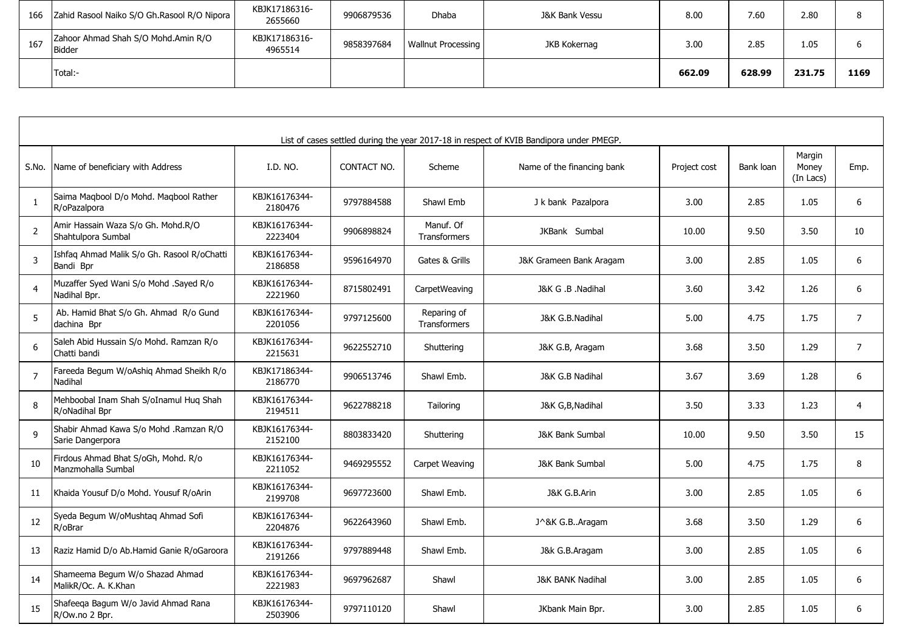| 166 | Zahid Rasool Naiko S/O Gh.Rasool R/O Nipora   | KBJK17186316-<br>2655660 | 9906879536 | <b>Dhaba</b>              | J&K Bank Vessu | 8.00   | 7.60   | 2.80   |      |
|-----|-----------------------------------------------|--------------------------|------------|---------------------------|----------------|--------|--------|--------|------|
| 167 | Zahoor Ahmad Shah S/O Mohd.Amin R/O<br>Bidder | KBJK17186316-<br>4965514 | 9858397684 | <b>Wallnut Processing</b> | JKB Kokernag   | 3.00   | 2.85   | 1.05   |      |
|     | Total:-                                       |                          |            |                           |                | 662.09 | 628.99 | 231.75 | 1169 |

|                |                                                            |                          |             |                                    | List of cases settled during the year 2017-18 in respect of KVIB Bandipora under PMEGP. |              |           |                              |                |
|----------------|------------------------------------------------------------|--------------------------|-------------|------------------------------------|-----------------------------------------------------------------------------------------|--------------|-----------|------------------------------|----------------|
| S.No.          | Name of beneficiary with Address                           | I.D. NO.                 | CONTACT NO. | Scheme                             | Name of the financing bank                                                              | Project cost | Bank loan | Margin<br>Money<br>(In Lacs) | Emp.           |
| 1              | Saima Magbool D/o Mohd. Magbool Rather<br>R/oPazalpora     | KBJK16176344-<br>2180476 | 9797884588  | Shawl Emb                          | J k bank Pazalpora                                                                      | 3.00         | 2.85      | 1.05                         | 6              |
| $\overline{2}$ | Amir Hassain Waza S/o Gh. Mohd.R/O<br>Shahtulpora Sumbal   | KBJK16176344-<br>2223404 | 9906898824  | Manuf. Of<br><b>Transformers</b>   | JKBank Sumbal                                                                           | 10.00        | 9.50      | 3.50                         | 10             |
| $\overline{3}$ | Ishfaq Ahmad Malik S/o Gh. Rasool R/oChatti<br>Bandi Bpr   | KBJK16176344-<br>2186858 | 9596164970  | Gates & Grills                     | J&K Grameen Bank Aragam                                                                 | 3.00         | 2.85      | 1.05                         | 6              |
| $\overline{4}$ | Muzaffer Syed Wani S/o Mohd .Sayed R/o<br>Nadihal Bpr.     | KBJK16176344-<br>2221960 | 8715802491  | CarpetWeaving                      | J&K G .B .Nadihal                                                                       | 3.60         | 3.42      | 1.26                         | 6              |
| 5              | Ab. Hamid Bhat S/o Gh. Ahmad R/o Gund<br>dachina Bpr       | KBJK16176344-<br>2201056 | 9797125600  | Reparing of<br><b>Transformers</b> | J&K G.B.Nadihal                                                                         | 5.00         | 4.75      | 1.75                         | $\overline{7}$ |
| 6              | Saleh Abid Hussain S/o Mohd. Ramzan R/o<br>Chatti bandi    | KBJK16176344-<br>2215631 | 9622552710  | Shuttering                         | J&K G.B, Aragam                                                                         | 3.68         | 3.50      | 1.29                         | $\overline{7}$ |
| $\overline{7}$ | Fareeda Begum W/oAshiq Ahmad Sheikh R/o<br>Nadihal         | KBJK17186344-<br>2186770 | 9906513746  | Shawl Emb.                         | J&K G.B Nadihal                                                                         | 3.67         | 3.69      | 1.28                         | 6              |
| 8              | Mehboobal Inam Shah S/oInamul Huq Shah<br>R/oNadihal Bpr   | KBJK16176344-<br>2194511 | 9622788218  | Tailoring                          | J&K G,B,Nadihal                                                                         | 3.50         | 3.33      | 1.23                         | 4              |
| 9              | Shabir Ahmad Kawa S/o Mohd .Ramzan R/O<br>Sarie Dangerpora | KBJK16176344-<br>2152100 | 8803833420  | Shuttering                         | <b>J&amp;K Bank Sumbal</b>                                                              | 10.00        | 9.50      | 3.50                         | 15             |
| 10             | Firdous Ahmad Bhat S/oGh, Mohd. R/o<br>Manzmohalla Sumbal  | KBJK16176344-<br>2211052 | 9469295552  | Carpet Weaving                     | <b>J&amp;K Bank Sumbal</b>                                                              | 5.00         | 4.75      | 1.75                         | 8              |
| 11             | Khaida Yousuf D/o Mohd. Yousuf R/oArin                     | KBJK16176344-<br>2199708 | 9697723600  | Shawl Emb.                         | J&K G.B.Arin                                                                            | 3.00         | 2.85      | 1.05                         | 6              |
| 12             | Syeda Begum W/oMushtaq Ahmad Sofi<br>R/oBrar               | KBJK16176344-<br>2204876 | 9622643960  | Shawl Emb.                         | J^&K G.BAragam                                                                          | 3.68         | 3.50      | 1.29                         | 6              |
| 13             | Raziz Hamid D/o Ab.Hamid Ganie R/oGaroora                  | KBJK16176344-<br>2191266 | 9797889448  | Shawl Emb.                         | J&k G.B.Aragam                                                                          | 3.00         | 2.85      | 1.05                         | 6              |
| 14             | Shameema Begum W/o Shazad Ahmad<br>MalikR/Oc. A. K.Khan    | KBJK16176344-<br>2221983 | 9697962687  | Shawl                              | <b>J&amp;K BANK Nadihal</b>                                                             | 3.00         | 2.85      | 1.05                         | 6              |
| 15             | Shafeeqa Bagum W/o Javid Ahmad Rana<br>R/Ow.no 2 Bpr.      | KBJK16176344-<br>2503906 | 9797110120  | Shawl                              | JKbank Main Bpr.                                                                        | 3.00         | 2.85      | 1.05                         | 6              |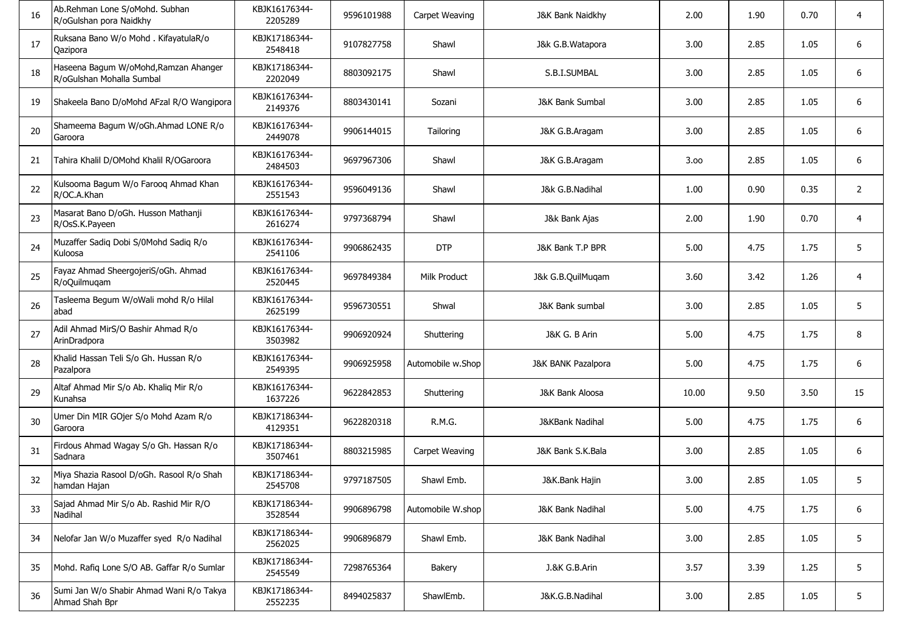| 16 | Ab.Rehman Lone S/oMohd. Subhan<br>R/oGulshan pora Naidkhy          | KBJK16176344-<br>2205289 | 9596101988 | Carpet Weaving    | J&K Bank Naidkhy              | 2.00  | 1.90 | 0.70 | 4              |
|----|--------------------------------------------------------------------|--------------------------|------------|-------------------|-------------------------------|-------|------|------|----------------|
| 17 | Ruksana Bano W/o Mohd. KifayatulaR/o<br>Qazipora                   | KBJK17186344-<br>2548418 | 9107827758 | Shawl             | J&k G.B.Watapora              | 3.00  | 2.85 | 1.05 | 6              |
| 18 | Haseena Bagum W/oMohd, Ramzan Ahanger<br>R/oGulshan Mohalla Sumbal | KBJK17186344-<br>2202049 | 8803092175 | Shawl             | S.B.I.SUMBAL                  | 3.00  | 2.85 | 1.05 | 6              |
| 19 | Shakeela Bano D/oMohd AFzal R/O Wangipora                          | KBJK16176344-<br>2149376 | 8803430141 | Sozani            | <b>J&amp;K Bank Sumbal</b>    | 3.00  | 2.85 | 1.05 | 6              |
| 20 | Shameema Bagum W/oGh.Ahmad LONE R/o<br>Garoora                     | KBJK16176344-<br>2449078 | 9906144015 | Tailoring         | J&K G.B.Aragam                | 3.00  | 2.85 | 1.05 | 6              |
| 21 | Tahira Khalil D/OMohd Khalil R/OGaroora                            | KBJK16176344-<br>2484503 | 9697967306 | Shawl             | J&K G.B.Aragam                | 3.00  | 2.85 | 1.05 | 6              |
| 22 | Kulsooma Bagum W/o Farooq Ahmad Khan<br>R/OC.A.Khan                | KBJK16176344-<br>2551543 | 9596049136 | Shawl             | J&k G.B.Nadihal               | 1.00  | 0.90 | 0.35 | $\overline{2}$ |
| 23 | Masarat Bano D/oGh. Husson Mathanji<br>R/OsS.K.Payeen              | KBJK16176344-<br>2616274 | 9797368794 | Shawl             | J&k Bank Ajas                 | 2.00  | 1.90 | 0.70 | 4              |
| 24 | Muzaffer Sadiq Dobi S/0Mohd Sadiq R/o<br>Kuloosa                   | KBJK16176344-<br>2541106 | 9906862435 | <b>DTP</b>        | J&K Bank T.P BPR              | 5.00  | 4.75 | 1.75 | 5              |
| 25 | Fayaz Ahmad SheergojeriS/oGh. Ahmad<br>R/oQuilmuqam                | KBJK16176344-<br>2520445 | 9697849384 | Milk Product      | J&k G.B.QuilMuqam             | 3.60  | 3.42 | 1.26 | 4              |
| 26 | Tasleema Begum W/oWali mohd R/o Hilal<br>abad                      | KBJK16176344-<br>2625199 | 9596730551 | Shwal             | J&K Bank sumbal               | 3.00  | 2.85 | 1.05 | 5              |
| 27 | Adil Ahmad MirS/O Bashir Ahmad R/o<br>ArinDradpora                 | KBJK16176344-<br>3503982 | 9906920924 | Shuttering        | J&K G. B Arin                 | 5.00  | 4.75 | 1.75 | 8              |
| 28 | Khalid Hassan Teli S/o Gh. Hussan R/o<br>Pazalpora                 | KBJK16176344-<br>2549395 | 9906925958 | Automobile w.Shop | <b>J&amp;K BANK Pazalpora</b> | 5.00  | 4.75 | 1.75 | 6              |
| 29 | Altaf Ahmad Mir S/o Ab. Khaliq Mir R/o<br>Kunahsa                  | KBJK16176344-<br>1637226 | 9622842853 | Shuttering        | J&K Bank Aloosa               | 10.00 | 9.50 | 3.50 | 15             |
| 30 | Umer Din MIR GOjer S/o Mohd Azam R/o<br>Garoora                    | KBJK17186344-<br>4129351 | 9622820318 | R.M.G.            | J&KBank Nadihal               | 5.00  | 4.75 | 1.75 | 6              |
| 31 | Firdous Ahmad Wagay S/o Gh. Hassan R/o<br>Sadnara                  | KBJK17186344-<br>3507461 | 8803215985 | Carpet Weaving    | J&K Bank S.K.Bala             | 3.00  | 2.85 | 1.05 | 6              |
| 32 | Miya Shazia Rasool D/oGh. Rasool R/o Shah<br>hamdan Hajan          | KBJK17186344-<br>2545708 | 9797187505 | Shawl Emb.        | J&K.Bank Hajin                | 3.00  | 2.85 | 1.05 | 5              |
| 33 | Sajad Ahmad Mir S/o Ab. Rashid Mir R/O<br>Nadihal                  | KBJK17186344-<br>3528544 | 9906896798 | Automobile W.shop | J&K Bank Nadihal              | 5.00  | 4.75 | 1.75 | 6              |
| 34 | Nelofar Jan W/o Muzaffer syed R/o Nadihal                          | KBJK17186344-<br>2562025 | 9906896879 | Shawl Emb.        | <b>J&amp;K Bank Nadihal</b>   | 3.00  | 2.85 | 1.05 | 5              |
| 35 | Mohd. Rafig Lone S/O AB. Gaffar R/o Sumlar                         | KBJK17186344-<br>2545549 | 7298765364 | Bakery            | J.&K G.B.Arin                 | 3.57  | 3.39 | 1.25 | 5              |
| 36 | Sumi Jan W/o Shabir Ahmad Wani R/o Takya<br>Ahmad Shah Bpr         | KBJK17186344-<br>2552235 | 8494025837 | ShawlEmb.         | J&K.G.B.Nadihal               | 3.00  | 2.85 | 1.05 | 5              |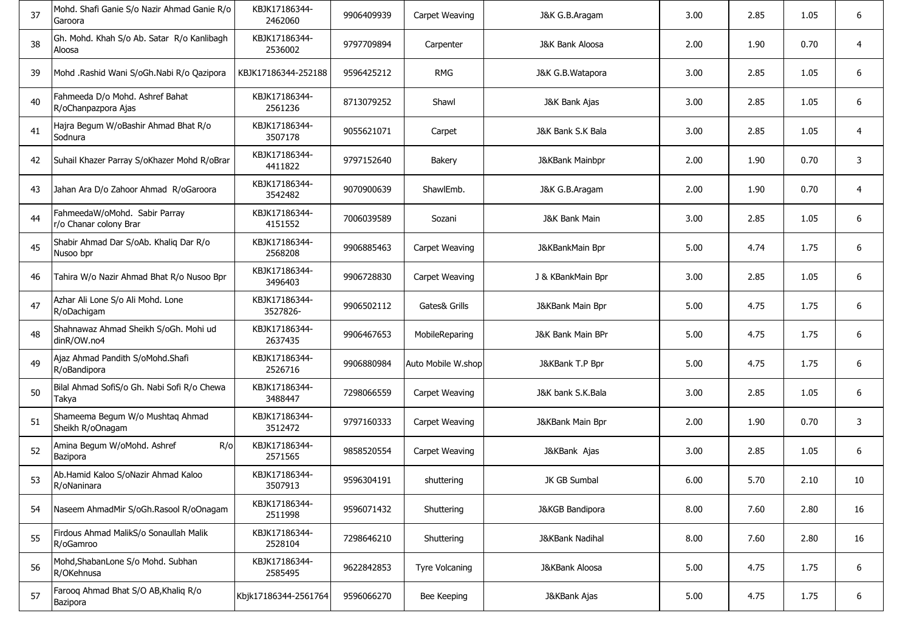| 37 | Mohd. Shafi Ganie S/o Nazir Ahmad Ganie R/o<br>Garoora   | KBJK17186344-<br>2462060  | 9906409939 | Carpet Weaving        | J&K G.B.Aragam           | 3.00 | 2.85 | 1.05 | 6  |
|----|----------------------------------------------------------|---------------------------|------------|-----------------------|--------------------------|------|------|------|----|
| 38 | Gh. Mohd. Khah S/o Ab. Satar R/o Kanlibagh<br>Aloosa     | KBJK17186344-<br>2536002  | 9797709894 | Carpenter             | J&K Bank Aloosa          | 2.00 | 1.90 | 0.70 | 4  |
| 39 | Mohd .Rashid Wani S/oGh.Nabi R/o Qazipora                | KBJK17186344-252188       | 9596425212 | <b>RMG</b>            | J&K G.B.Watapora         | 3.00 | 2.85 | 1.05 | 6  |
| 40 | Fahmeeda D/o Mohd. Ashref Bahat<br>R/oChanpazpora Ajas   | KBJK17186344-<br>2561236  | 8713079252 | Shawl                 | J&K Bank Ajas            | 3.00 | 2.85 | 1.05 | 6  |
| 41 | Hajra Begum W/oBashir Ahmad Bhat R/o<br>Sodnura          | KBJK17186344-<br>3507178  | 9055621071 | Carpet                | J&K Bank S.K Bala        | 3.00 | 2.85 | 1.05 | 4  |
| 42 | Suhail Khazer Parray S/oKhazer Mohd R/oBrar              | KBJK17186344-<br>4411822  | 9797152640 | Bakery                | J&KBank Mainbpr          | 2.00 | 1.90 | 0.70 | 3  |
| 43 | Jahan Ara D/o Zahoor Ahmad R/oGaroora                    | KBJK17186344-<br>3542482  | 9070900639 | ShawlEmb.             | J&K G.B.Aragam           | 2.00 | 1.90 | 0.70 | 4  |
| 44 | FahmeedaW/oMohd. Sabir Parray<br>r/o Chanar colony Brar  | KBJK17186344-<br>4151552  | 7006039589 | Sozani                | <b>J&amp;K Bank Main</b> | 3.00 | 2.85 | 1.05 | 6  |
| 45 | Shabir Ahmad Dar S/oAb. Khaliq Dar R/o<br>Nusoo bpr      | KBJK17186344-<br>2568208  | 9906885463 | Carpet Weaving        | J&KBankMain Bpr          | 5.00 | 4.74 | 1.75 | 6  |
| 46 | Tahira W/o Nazir Ahmad Bhat R/o Nusoo Bpr                | KBJK17186344-<br>3496403  | 9906728830 | Carpet Weaving        | J & KBankMain Bpr        | 3.00 | 2.85 | 1.05 | 6  |
| 47 | Azhar Ali Lone S/o Ali Mohd. Lone<br>R/oDachigam         | KBJK17186344-<br>3527826- | 9906502112 | Gates& Grills         | J&KBank Main Bpr         | 5.00 | 4.75 | 1.75 | 6  |
| 48 | Shahnawaz Ahmad Sheikh S/oGh. Mohi ud<br>dinR/OW.no4     | KBJK17186344-<br>2637435  | 9906467653 | MobileReparing        | J&K Bank Main BPr        | 5.00 | 4.75 | 1.75 | 6  |
| 49 | Ajaz Ahmad Pandith S/oMohd.Shafi<br>R/oBandipora         | KBJK17186344-<br>2526716  | 9906880984 | Auto Mobile W.shop    | J&KBank T.P Bpr          | 5.00 | 4.75 | 1.75 | 6  |
| 50 | Bilal Ahmad SofiS/o Gh. Nabi Sofi R/o Chewa<br>Takya     | KBJK17186344-<br>3488447  | 7298066559 | Carpet Weaving        | J&K bank S.K.Bala        | 3.00 | 2.85 | 1.05 | 6  |
| 51 | Shameema Begum W/o Mushtaq Ahmad<br>Sheikh R/oOnagam     | KBJK17186344-<br>3512472  | 9797160333 | Carpet Weaving        | J&KBank Main Bpr         | 2.00 | 1.90 | 0.70 | 3  |
| 52 | Amina Begum W/oMohd. Ashref<br>$R$ / $\circ$<br>Bazipora | KBJK17186344-<br>2571565  | 9858520554 | Carpet Weaving        | J&KBank Ajas             | 3.00 | 2.85 | 1.05 | 6  |
| 53 | Ab.Hamid Kaloo S/oNazir Ahmad Kaloo<br>R/oNaninara       | KBJK17186344-<br>3507913  | 9596304191 | shuttering            | JK GB Sumbal             | 6.00 | 5.70 | 2.10 | 10 |
| 54 | Naseem AhmadMir S/oGh.Rasool R/oOnagam                   | KBJK17186344-<br>2511998  | 9596071432 | Shuttering            | J&KGB Bandipora          | 8.00 | 7.60 | 2.80 | 16 |
| 55 | Firdous Ahmad MalikS/o Sonaullah Malik<br>R/oGamroo      | KBJK17186344-<br>2528104  | 7298646210 | Shuttering            | J&KBank Nadihal          | 8.00 | 7.60 | 2.80 | 16 |
| 56 | Mohd, ShabanLone S/o Mohd. Subhan<br>R/OKehnusa          | KBJK17186344-<br>2585495  | 9622842853 | <b>Tyre Volcaning</b> | J&KBank Aloosa           | 5.00 | 4.75 | 1.75 | 6  |
| 57 | Farooq Ahmad Bhat S/O AB, Khaliq R/o<br>Bazipora         | Kbjk17186344-2561764      | 9596066270 | Bee Keeping           | J&KBank Ajas             | 5.00 | 4.75 | 1.75 | 6  |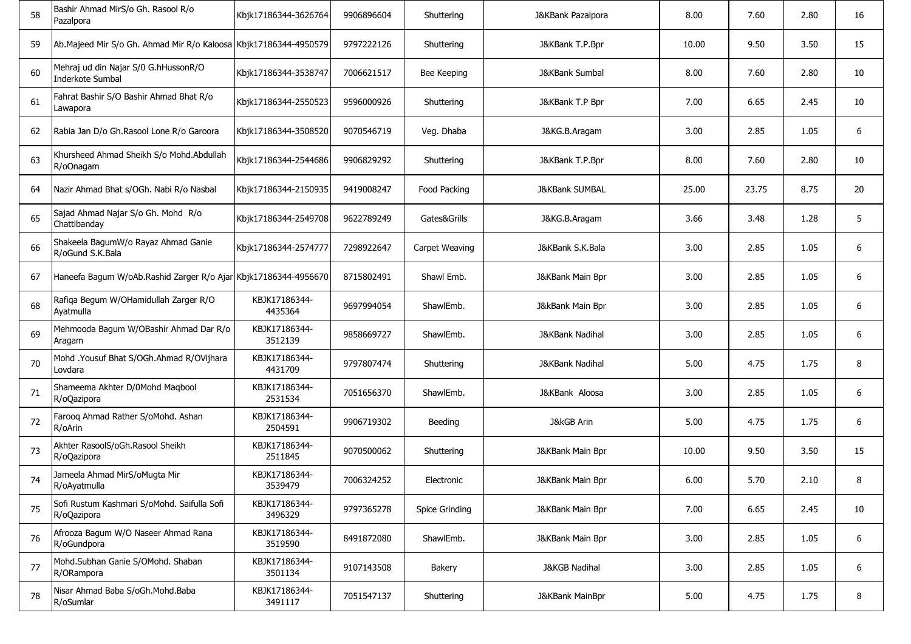| 58 | Bashir Ahmad MirS/o Gh. Rasool R/o<br>Pazalpora                  | Kbjk17186344-3626764     | 9906896604 | Shuttering     | J&KBank Pazalpora         | 8.00  | 7.60  | 2.80 | 16 |
|----|------------------------------------------------------------------|--------------------------|------------|----------------|---------------------------|-------|-------|------|----|
| 59 | Ab.Majeed Mir S/o Gh. Ahmad Mir R/o Kaloosa Kbjk17186344-4950579 |                          | 9797222126 | Shuttering     | J&KBank T.P.Bpr           | 10.00 | 9.50  | 3.50 | 15 |
| 60 | Mehraj ud din Najar S/0 G.hHussonR/O<br>Inderkote Sumbal         | Kbjk17186344-3538747     | 7006621517 | Bee Keeping    | <b>J&amp;KBank Sumbal</b> | 8.00  | 7.60  | 2.80 | 10 |
| 61 | Fahrat Bashir S/O Bashir Ahmad Bhat R/o<br>Lawapora              | Kbjk17186344-2550523     | 9596000926 | Shuttering     | J&KBank T.P Bpr           | 7.00  | 6.65  | 2.45 | 10 |
| 62 | Rabia Jan D/o Gh.Rasool Lone R/o Garoora                         | Kbjk17186344-3508520     | 9070546719 | Veg. Dhaba     | J&KG.B.Aragam             | 3.00  | 2.85  | 1.05 | 6  |
| 63 | Khursheed Ahmad Sheikh S/o Mohd.Abdullah<br>R/oOnagam            | Kbjk17186344-2544686     | 9906829292 | Shuttering     | J&KBank T.P.Bpr           | 8.00  | 7.60  | 2.80 | 10 |
| 64 | Nazir Ahmad Bhat s/OGh. Nabi R/o Nasbal                          | Kbjk17186344-2150935     | 9419008247 | Food Packing   | <b>J&amp;KBank SUMBAL</b> | 25.00 | 23.75 | 8.75 | 20 |
| 65 | Sajad Ahmad Najar S/o Gh. Mohd R/o<br>Chattibanday               | Kbjk17186344-2549708     | 9622789249 | Gates&Grills   | J&KG.B.Aragam             | 3.66  | 3.48  | 1.28 | 5  |
| 66 | Shakeela BagumW/o Rayaz Ahmad Ganie<br>R/oGund S.K.Bala          | Kbjk17186344-2574777     | 7298922647 | Carpet Weaving | J&KBank S.K.Bala          | 3.00  | 2.85  | 1.05 | 6  |
| 67 | Haneefa Bagum W/oAb.Rashid Zarger R/o Ajar Kbjk17186344-4956670  |                          | 8715802491 | Shawl Emb.     | J&KBank Main Bpr          | 3.00  | 2.85  | 1.05 | 6  |
| 68 | Rafiqa Begum W/OHamidullah Zarger R/O<br>Ayatmulla               | KBJK17186344-<br>4435364 | 9697994054 | ShawlEmb.      | J&kBank Main Bpr          | 3.00  | 2.85  | 1.05 | 6  |
| 69 | Mehmooda Bagum W/OBashir Ahmad Dar R/o<br>Aragam                 | KBJK17186344-<br>3512139 | 9858669727 | ShawlEmb.      | J&KBank Nadihal           | 3.00  | 2.85  | 1.05 | 6  |
| 70 | Mohd .Yousuf Bhat S/OGh.Ahmad R/OVijhara<br>Lovdara              | KBJK17186344-<br>4431709 | 9797807474 | Shuttering     | J&KBank Nadihal           | 5.00  | 4.75  | 1.75 | 8  |
| 71 | Shameema Akhter D/0Mohd Maqbool<br>R/oQazipora                   | KBJK17186344-<br>2531534 | 7051656370 | ShawlEmb.      | J&KBank Aloosa            | 3.00  | 2.85  | 1.05 | 6  |
| 72 | Farooq Ahmad Rather S/oMohd. Ashan<br>R/oArin                    | KBJK17186344-<br>2504591 | 9906719302 | Beeding        | <b>J&amp;kGB Arin</b>     | 5.00  | 4.75  | 1.75 | 6  |
| 73 | Akhter RasoolS/oGh.Rasool Sheikh<br>R/oQazipora                  | KBJK17186344-<br>2511845 | 9070500062 | Shuttering     | J&KBank Main Bpr          | 10.00 | 9.50  | 3.50 | 15 |
| 74 | Jameela Ahmad MirS/oMugta Mir<br>R/oAyatmulla                    | KBJK17186344-<br>3539479 | 7006324252 | Electronic     | J&KBank Main Bpr          | 6.00  | 5.70  | 2.10 | 8  |
| 75 | Sofi Rustum Kashmari S/oMohd. Saifulla Sofi<br>R/oQazipora       | KBJK17186344-<br>3496329 | 9797365278 | Spice Grinding | J&KBank Main Bpr          | 7.00  | 6.65  | 2.45 | 10 |
| 76 | Afrooza Bagum W/O Naseer Ahmad Rana<br>R/oGundpora               | KBJK17186344-<br>3519590 | 8491872080 | ShawlEmb.      | J&KBank Main Bpr          | 3.00  | 2.85  | 1.05 | 6  |
| 77 | Mohd.Subhan Ganie S/OMohd. Shaban<br>R/ORampora                  | KBJK17186344-<br>3501134 | 9107143508 | Bakery         | <b>J&amp;KGB Nadihal</b>  | 3.00  | 2.85  | 1.05 | 6  |
| 78 | Nisar Ahmad Baba S/oGh.Mohd.Baba<br>R/oSumlar                    | KBJK17186344-<br>3491117 | 7051547137 | Shuttering     | J&KBank MainBpr           | 5.00  | 4.75  | 1.75 | 8  |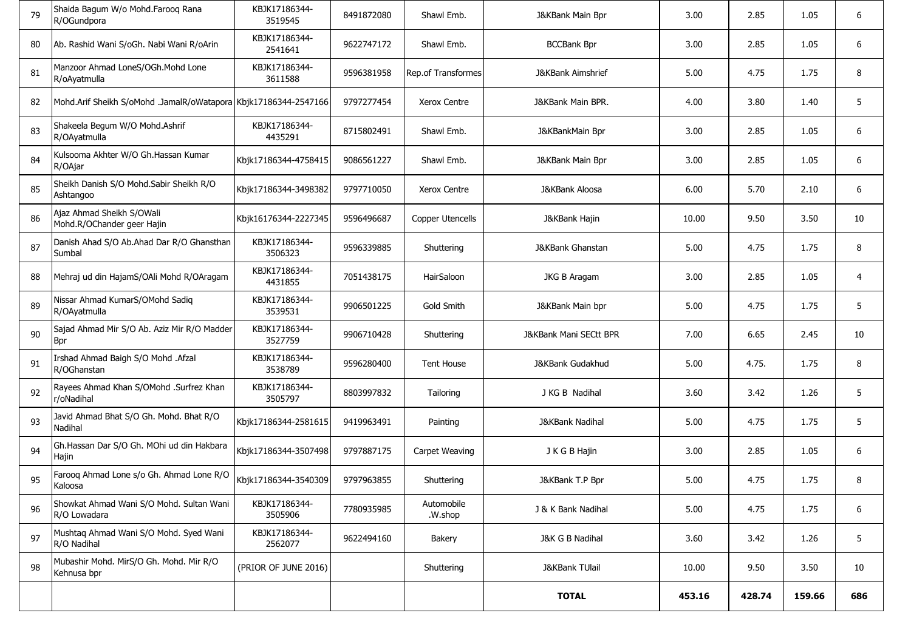| 79 | Shaida Bagum W/o Mohd.Farooq Rana<br>R/OGundpora                | KBJK17186344-<br>3519545 | 8491872080 | Shawl Emb.            | J&KBank Main Bpr             | 3.00   | 2.85   | 1.05   | 6   |
|----|-----------------------------------------------------------------|--------------------------|------------|-----------------------|------------------------------|--------|--------|--------|-----|
| 80 | Ab. Rashid Wani S/oGh. Nabi Wani R/oArin                        | KBJK17186344-<br>2541641 | 9622747172 | Shawl Emb.            | <b>BCCBank Bpr</b>           | 3.00   | 2.85   | 1.05   | 6   |
| 81 | Manzoor Ahmad LoneS/OGh.Mohd Lone<br>R/oAyatmulla               | KBJK17186344-<br>3611588 | 9596381958 | Rep.of Transformes    | <b>J&amp;KBank Aimshrief</b> | 5.00   | 4.75   | 1.75   | 8   |
| 82 | Mohd.Arif Sheikh S/oMohd .JamalR/oWatapora Kbjk17186344-2547166 |                          | 9797277454 | <b>Xerox Centre</b>   | J&KBank Main BPR.            | 4.00   | 3.80   | 1.40   | 5   |
| 83 | Shakeela Begum W/O Mohd.Ashrif<br>R/OAyatmulla                  | KBJK17186344-<br>4435291 | 8715802491 | Shawl Emb.            | J&KBankMain Bpr              | 3.00   | 2.85   | 1.05   | 6   |
| 84 | Kulsooma Akhter W/O Gh.Hassan Kumar<br>R/OAjar                  | Kbjk17186344-4758415     | 9086561227 | Shawl Emb.            | J&KBank Main Bpr             | 3.00   | 2.85   | 1.05   | 6   |
| 85 | Sheikh Danish S/O Mohd.Sabir Sheikh R/O<br>Ashtangoo            | Kbjk17186344-3498382     | 9797710050 | <b>Xerox Centre</b>   | J&KBank Aloosa               | 6.00   | 5.70   | 2.10   | 6   |
| 86 | Ajaz Ahmad Sheikh S/OWali<br>Mohd.R/OChander geer Hajin         | Kbjk16176344-2227345     | 9596496687 | Copper Utencells      | J&KBank Hajin                | 10.00  | 9.50   | 3.50   | 10  |
| 87 | Danish Ahad S/O Ab.Ahad Dar R/O Ghansthan<br>Sumbal             | KBJK17186344-<br>3506323 | 9596339885 | Shuttering            | <b>J&amp;KBank Ghanstan</b>  | 5.00   | 4.75   | 1.75   | 8   |
| 88 | Mehraj ud din HajamS/OAli Mohd R/OAragam                        | KBJK17186344-<br>4431855 | 7051438175 | HairSaloon            | JKG B Aragam                 | 3.00   | 2.85   | 1.05   | 4   |
| 89 | Nissar Ahmad KumarS/OMohd Sadiq<br>R/OAyatmulla                 | KBJK17186344-<br>3539531 | 9906501225 | Gold Smith            | J&KBank Main bpr             | 5.00   | 4.75   | 1.75   | 5   |
| 90 | Sajad Ahmad Mir S/O Ab. Aziz Mir R/O Madder<br><b>Bpr</b>       | KBJK17186344-<br>3527759 | 9906710428 | Shuttering            | J&KBank Mani SECtt BPR       | 7.00   | 6.65   | 2.45   | 10  |
| 91 | Irshad Ahmad Baigh S/O Mohd .Afzal<br>R/OGhanstan               | KBJK17186344-<br>3538789 | 9596280400 | <b>Tent House</b>     | J&KBank Gudakhud             | 5.00   | 4.75.  | 1.75   | 8   |
| 92 | Rayees Ahmad Khan S/OMohd .Surfrez Khan<br>r/oNadihal           | KBJK17186344-<br>3505797 | 8803997832 | Tailoring             | J KG B Nadihal               | 3.60   | 3.42   | 1.26   | 5   |
| 93 | Javid Ahmad Bhat S/O Gh. Mohd. Bhat R/O<br>Nadihal              | Kbjk17186344-2581615     | 9419963491 | Painting              | <b>J&amp;KBank Nadihal</b>   | 5.00   | 4.75   | 1.75   | 5   |
| 94 | Gh.Hassan Dar S/O Gh. MOhi ud din Hakbara<br>Hajin              | Kbjk17186344-3507498     | 9797887175 | Carpet Weaving        | J K G B Hajin                | 3.00   | 2.85   | 1.05   | 6   |
| 95 | Farooq Ahmad Lone s/o Gh. Ahmad Lone R/O<br>Kaloosa             | Kbjk17186344-3540309     | 9797963855 | Shuttering            | J&KBank T.P Bpr              | 5.00   | 4.75   | 1.75   | 8   |
| 96 | Showkat Ahmad Wani S/O Mohd, Sultan Wani<br>R/O Lowadara        | KBJK17186344-<br>3505906 | 7780935985 | Automobile<br>.W.shop | J & K Bank Nadihal           | 5.00   | 4.75   | 1.75   | 6   |
| 97 | Mushtaq Ahmad Wani S/O Mohd. Syed Wani<br>R/O Nadihal           | KBJK17186344-<br>2562077 | 9622494160 | Bakery                | J&K G B Nadihal              | 3.60   | 3.42   | 1.26   | 5   |
| 98 | Mubashir Mohd. MirS/O Gh. Mohd. Mir R/O<br>Kehnusa bpr          | (PRIOR OF JUNE 2016)     |            | Shuttering            | J&KBank TUlail               | 10.00  | 9.50   | 3.50   | 10  |
|    |                                                                 |                          |            |                       | <b>TOTAL</b>                 | 453.16 | 428.74 | 159.66 | 686 |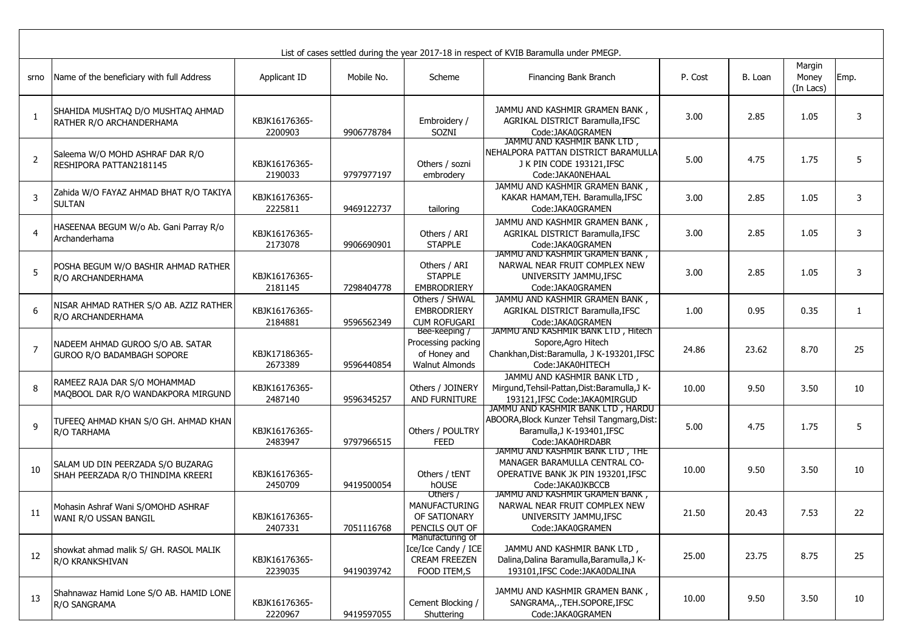|                |                                                                        |                          |            |                                                                                | List of cases settled during the year 2017-18 in respect of KVIB Baramulla under PMEGP.                                             |         |         |                              |        |
|----------------|------------------------------------------------------------------------|--------------------------|------------|--------------------------------------------------------------------------------|-------------------------------------------------------------------------------------------------------------------------------------|---------|---------|------------------------------|--------|
| srno           | Name of the beneficiary with full Address                              | Applicant ID             | Mobile No. | Scheme                                                                         | Financing Bank Branch                                                                                                               | P. Cost | B. Loan | Margin<br>Money<br>(In Lacs) | Emp.   |
| 1              | SHAHIDA MUSHTAQ D/O MUSHTAQ AHMAD<br>RATHER R/O ARCHANDERHAMA          | KBJK16176365-<br>2200903 | 9906778784 | Embroidery /<br>SOZNI                                                          | JAMMU AND KASHMIR GRAMEN BANK,<br>AGRIKAL DISTRICT Baramulla, IFSC<br>Code: JAKA0GRAMEN                                             | 3.00    | 2.85    | 1.05                         | 3      |
| $\overline{2}$ | Saleema W/O MOHD ASHRAF DAR R/O<br>RESHIPORA PATTAN2181145             | KBJK16176365-<br>2190033 | 9797977197 | Others / sozni<br>embrodery                                                    | JAMMU AND KASHMIR BANK LTD,<br>NEHALPORA PATTAN DISTRICT BARAMULLA<br>J K PIN CODE 193121, IFSC<br>Code: JAKA0NEHAAL                | 5.00    | 4.75    | 1.75                         | 5      |
| 3              | Zahida W/O FAYAZ AHMAD BHAT R/O TAKIYA<br><b>SULTAN</b>                | KBJK16176365-<br>2225811 | 9469122737 | tailoring                                                                      | JAMMU AND KASHMIR GRAMEN BANK,<br>KAKAR HAMAM, TEH. Baramulla, IFSC<br>Code: JAKA0GRAMEN                                            | 3.00    | 2.85    | 1.05                         | 3      |
| $\overline{4}$ | HASEENAA BEGUM W/o Ab. Gani Parray R/o<br>Archanderhama                | KBJK16176365-<br>2173078 | 9906690901 | Others / ARI<br><b>STAPPLE</b>                                                 | JAMMU AND KASHMIR GRAMEN BANK,<br>AGRIKAL DISTRICT Baramulla, IFSC<br>Code: JAKA0GRAMEN                                             | 3.00    | 2.85    | 1.05                         | 3      |
| 5              | POSHA BEGUM W/O BASHIR AHMAD RATHER<br>R/O ARCHANDERHAMA               | KBJK16176365-<br>2181145 | 7298404778 | Others / ARI<br><b>STAPPLE</b><br>EMBRODRIERY                                  | JAMMU AND KASHMIR GRAMEN BANK,<br>NARWAL NEAR FRUIT COMPLEX NEW<br>UNIVERSITY JAMMU, IFSC<br>Code: JAKA0GRAMEN                      | 3.00    | 2.85    | 1.05                         | 3      |
| 6              | NISAR AHMAD RATHER S/O AB. AZIZ RATHER<br>R/O ARCHANDERHAMA            | KBJK16176365-<br>2184881 | 9596562349 | Others / SHWAL<br><b>EMBRODRIERY</b><br><b>CUM ROFUGARI</b>                    | JAMMU AND KASHMIR GRAMEN BANK,<br>AGRIKAL DISTRICT Baramulla, IFSC<br>Code:JAKA0GRAMEN                                              | 1.00    | 0.95    | 0.35                         | 1      |
| $\overline{7}$ | NADEEM AHMAD GUROO S/O AB. SATAR<br>GUROO R/O BADAMBAGH SOPORE         | KBJK17186365-<br>2673389 | 9596440854 | Bee-keeping /<br>Processing packing<br>of Honey and<br><b>Walnut Almonds</b>   | JAMMU AND KASHMIR BANK LTD, Hitech<br>Sopore, Agro Hitech<br>Chankhan, Dist: Baramulla, J K-193201, IFSC<br>Code: JAKA0HITECH       | 24.86   | 23.62   | 8.70                         | 25     |
| 8              | RAMEEZ RAJA DAR S/O MOHAMMAD<br>MAQBOOL DAR R/O WANDAKPORA MIRGUND     | KBJK16176365-<br>2487140 | 9596345257 | Others / JOINERY<br>AND FURNITURE                                              | JAMMU AND KASHMIR BANK LTD,<br>Mirgund, Tehsil-Pattan, Dist: Baramulla, J K-<br>193121, IFSC Code: JAKA0MIRGUD                      | 10.00   | 9.50    | 3.50                         | 10     |
| 9              | TUFEEQ AHMAD KHAN S/O GH. AHMAD KHAN<br>R/O TARHAMA                    | KBJK16176365-<br>2483947 | 9797966515 | Others / POULTRY<br><b>FEED</b>                                                | JAMMU AND KASHMIR BANK LTD, HARDU<br>ABOORA, Block Kunzer Tehsil Tangmarg, Dist:<br>Baramulla, J K-193401, IFSC<br>Code:JAKA0HRDABR | 5.00    | 4.75    | 1.75                         | 5      |
| 10             | SALAM UD DIN PEERZADA S/O BUZARAG<br>SHAH PEERZADA R/O THINDIMA KREERI | KBJK16176365-<br>2450709 | 9419500054 | Others / tENT<br>hOUSE                                                         | JAMMU AND KASHMIR BANK LTD, THE<br>MANAGER BARAMULLA CENTRAL CO-<br>OPERATIVE BANK JK PIN 193201, IFSC<br>Code:JAKA0JKBCCB          | 10.00   | 9.50    | 3.50                         | 10     |
| 11             | Mohasin Ashraf Wani S/OMOHD ASHRAF<br>WANI R/O USSAN BANGIL            | KBJK16176365-<br>2407331 | 7051116768 | Others /<br><b>MANUFACTURING</b><br>OF SATIONARY<br>PENCILS OUT OF             | JAMMU AND KASHMIR GRAMEN BANK,<br>NARWAL NEAR FRUIT COMPLEX NEW<br>UNIVERSITY JAMMU, IFSC<br>Code: JAKA0GRAMEN                      | 21.50   | 20.43   | 7.53                         | 22     |
| 12             | showkat ahmad malik S/ GH. RASOL MALIK<br>R/O KRANKSHIVAN              | KBJK16176365-<br>2239035 | 9419039742 | Manufacturing of<br>Ice/Ice Candy / ICE<br><b>CREAM FREEZEN</b><br>FOOD ITEM,S | JAMMU AND KASHMIR BANK LTD,<br>Dalina, Dalina Baramulla, Baramulla, J K-<br>193101, IFSC Code: JAKA0DALINA                          | 25.00   | 23.75   | 8.75                         | 25     |
| 13             | Shahnawaz Hamid Lone S/O AB. HAMID LONE<br>R/O SANGRAMA                | KBJK16176365-<br>2220967 | 9419597055 | Cement Blocking /<br>Shuttering                                                | JAMMU AND KASHMIR GRAMEN BANK,<br>SANGRAMA,., TEH.SOPORE, IFSC<br>Code: JAKA0GRAMEN                                                 | 10.00   | 9.50    | 3.50                         | $10\,$ |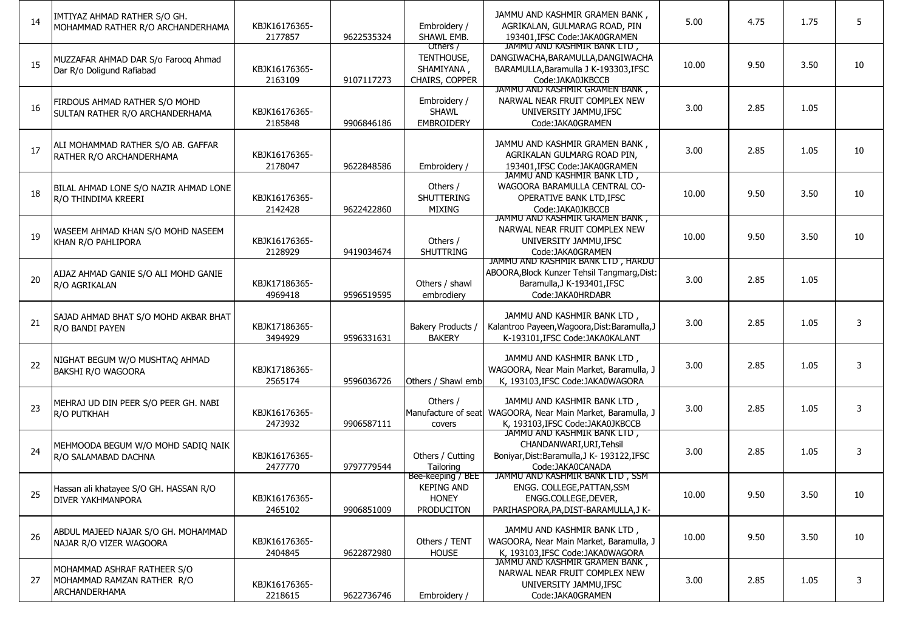| 14 | IMTIYAZ AHMAD RATHER S/O GH.<br>MOHAMMAD RATHER R/O ARCHANDERHAMA                 | KBJK16176365-<br>2177857 | 9622535324 | Embroidery /<br>SHAWL EMB.                                           | JAMMU AND KASHMIR GRAMEN BANK,<br>AGRIKALAN, GULMARAG ROAD, PIN<br>193401, IFSC Code: JAKA0GRAMEN                                   | 5.00  | 4.75 | 1.75 | 5  |
|----|-----------------------------------------------------------------------------------|--------------------------|------------|----------------------------------------------------------------------|-------------------------------------------------------------------------------------------------------------------------------------|-------|------|------|----|
| 15 | MUZZAFAR AHMAD DAR S/o Farooq Ahmad<br>Dar R/o Doligund Rafiabad                  | KBJK16176365-<br>2163109 | 9107117273 | Others /<br>TENTHOUSE,<br>SHAMIYANA,<br>CHAIRS, COPPER               | JAMMU AND KASHMIR BANK LTD,<br>DANGIWACHA, BARAMULLA, DANGIWACHA<br>BARAMULLA, Baramulla J K-193303, IFSC<br>Code:JAKA0JKBCCB       | 10.00 | 9.50 | 3.50 | 10 |
| 16 | FIRDOUS AHMAD RATHER S/O MOHD<br>SULTAN RATHER R/O ARCHANDERHAMA                  | KBJK16176365-<br>2185848 | 9906846186 | Embroidery /<br><b>SHAWL</b><br><b>EMBROIDERY</b>                    | JAMMU AND KASHMIR GRAMEN BANK,<br>NARWAL NEAR FRUIT COMPLEX NEW<br>UNIVERSITY JAMMU, IFSC<br>Code:JAKA0GRAMEN                       | 3.00  | 2.85 | 1.05 |    |
| 17 | ALI MOHAMMAD RATHER S/O AB. GAFFAR<br>RATHER R/O ARCHANDERHAMA                    | KBJK16176365-<br>2178047 | 9622848586 | Embroidery /                                                         | JAMMU AND KASHMIR GRAMEN BANK,<br>AGRIKALAN GULMARG ROAD PIN,<br>193401.IFSC Code:JAKA0GRAMEN                                       | 3.00  | 2.85 | 1.05 | 10 |
| 18 | BILAL AHMAD LONE S/O NAZIR AHMAD LONE<br>R/O THINDIMA KREERI                      | KBJK16176365-<br>2142428 | 9622422860 | Others /<br>SHUTTERING<br><b>MIXING</b>                              | JAMMU AND KASHMIR BANK LTD,<br>WAGOORA BARAMULLA CENTRAL CO-<br>OPERATIVE BANK LTD, IFSC<br>Code: JAKA0JKBCCB                       | 10.00 | 9.50 | 3.50 | 10 |
| 19 | WASEEM AHMAD KHAN S/O MOHD NASEEM<br>KHAN R/O PAHLIPORA                           | KBJK16176365-<br>2128929 | 9419034674 | Others /<br><b>SHUTTRING</b>                                         | JAMMU AND KASHMIR GRAMEN BANK,<br>NARWAL NEAR FRUIT COMPLEX NEW<br>UNIVERSITY JAMMU, IFSC<br>Code:JAKA0GRAMEN                       | 10.00 | 9.50 | 3.50 | 10 |
| 20 | AIJAZ AHMAD GANIE S/O ALI MOHD GANIE<br>R/O AGRIKALAN                             | KBJK17186365-<br>4969418 | 9596519595 | Others / shawl<br>embrodiery                                         | JAMMU AND KASHMIR BANK LID, HARDU<br>ABOORA, Block Kunzer Tehsil Tangmarg, Dist:<br>Baramulla, J K-193401, IFSC<br>Code:JAKA0HRDABR | 3.00  | 2.85 | 1.05 |    |
| 21 | SAJAD AHMAD BHAT S/O MOHD AKBAR BHAT<br>R/O BANDI PAYEN                           | KBJK17186365-<br>3494929 | 9596331631 | Bakery Products /<br><b>BAKERY</b>                                   | JAMMU AND KASHMIR BANK LTD<br>Kalantroo Payeen, Wagoora, Dist: Baramulla, J<br>K-193101.IFSC Code:JAKA0KALANT                       | 3.00  | 2.85 | 1.05 | 3  |
| 22 | NIGHAT BEGUM W/O MUSHTAQ AHMAD<br>BAKSHI R/O WAGOORA                              | KBJK17186365-<br>2565174 | 9596036726 | Others / Shawl emb                                                   | JAMMU AND KASHMIR BANK LTD,<br>WAGOORA, Near Main Market, Baramulla, J<br>K, 193103, IFSC Code: JAKA0WAGORA                         | 3.00  | 2.85 | 1.05 | 3  |
| 23 | MEHRAJ UD DIN PEER S/O PEER GH. NABI<br>R/O PUTKHAH                               | KBJK16176365-<br>2473932 | 9906587111 | Others /<br>covers                                                   | JAMMU AND KASHMIR BANK LTD,<br>Manufacture of seat   WAGOORA, Near Main Market, Baramulla, J<br>K, 193103, IFSC Code: JAKA0JKBCCB   | 3.00  | 2.85 | 1.05 | 3  |
| 24 | MEHMOODA BEGUM W/O MOHD SADIQ NAIK<br>R/O SALAMABAD DACHNA                        | KBJK16176365-<br>2477770 | 9797779544 | Others / Cutting<br>Tailoring                                        | JAMMU AND KASHMIR BANK LID,<br>CHANDANWARI, URI, Tehsil<br>Boniyar, Dist: Baramulla, J K- 193122, IFSC<br>Code:JAKA0CANADA          | 3.00  | 2.85 | 1.05 | 3  |
| 25 | Hassan ali khatayee S/O GH. HASSAN R/O<br><b>DIVER YAKHMANPORA</b>                | KBJK16176365-<br>2465102 | 9906851009 | Bee-keeping / BEE<br><b>KEPING AND</b><br><b>HONEY</b><br>PRODUCITON | JAMMU AND KASHMIR BANK LID, SSM<br>ENGG. COLLEGE, PATTAN, SSM<br>ENGG.COLLEGE.DEVER.<br>PARIHASPORA, PA, DIST-BARAMULLA, JK-        | 10.00 | 9.50 | 3.50 | 10 |
| 26 | ABDUL MAJEED NAJAR S/O GH. MOHAMMAD<br>NAJAR R/O VIZER WAGOORA                    | KBJK16176365-<br>2404845 | 9622872980 | Others / TENT<br><b>HOUSE</b>                                        | JAMMU AND KASHMIR BANK LTD,<br>WAGOORA, Near Main Market, Baramulla, J<br>K, 193103, IFSC Code: JAKA0WAGORA                         | 10.00 | 9.50 | 3.50 | 10 |
| 27 | MOHAMMAD ASHRAF RATHEER S/O<br>MOHAMMAD RAMZAN RATHER R/O<br><b>ARCHANDERHAMA</b> | KBJK16176365-<br>2218615 | 9622736746 | Embroidery /                                                         | JAMMU AND KASHMIR GRAMEN BANK,<br>NARWAL NEAR FRUIT COMPLEX NEW<br>UNIVERSITY JAMMU, IFSC<br>Code: JAKA0GRAMEN                      | 3.00  | 2.85 | 1.05 | 3  |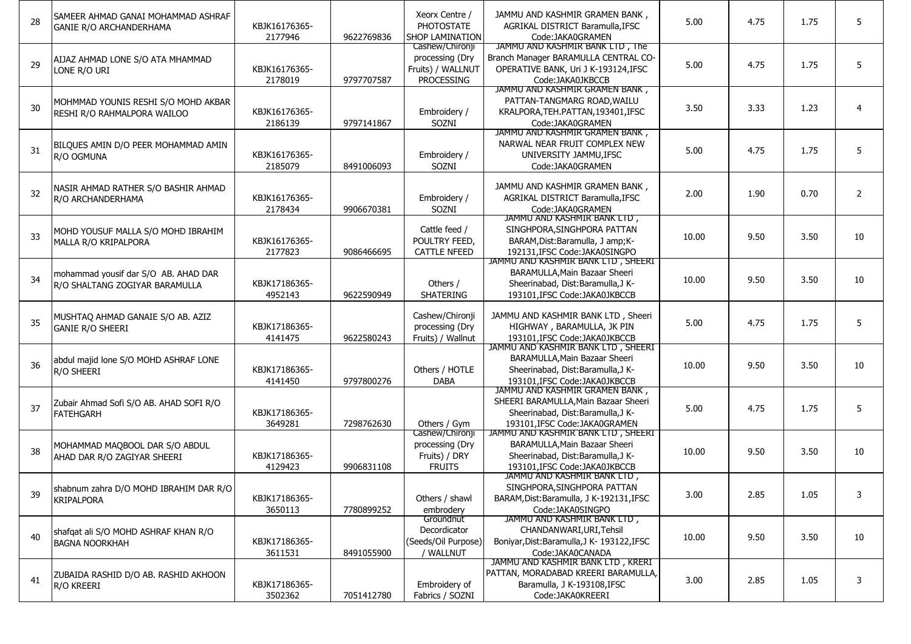| 28 | SAMEER AHMAD GANAI MOHAMMAD ASHRAF<br><b>GANIE R/O ARCHANDERHAMA</b>   | KBJK16176365-<br>2177946 | 9622769836 | Xeorx Centre /<br><b>PHOTOSTATE</b><br><b>SHOP LAMINATION</b>                | JAMMU AND KASHMIR GRAMEN BANK,<br>AGRIKAL DISTRICT Baramulla, IFSC<br>Code:JAKA0GRAMEN                                                       | 5.00  | 4.75 | 1.75 | 5              |
|----|------------------------------------------------------------------------|--------------------------|------------|------------------------------------------------------------------------------|----------------------------------------------------------------------------------------------------------------------------------------------|-------|------|------|----------------|
| 29 | AIJAZ AHMAD LONE S/O ATA MHAMMAD<br>LONE R/O URI                       | KBJK16176365-<br>2178019 | 9797707587 | Cashew/Chironji<br>processing (Dry<br>Fruits) / WALLNUT<br><b>PROCESSING</b> | JAMMU AND KASHMIR BANK LTD, The<br>Branch Manager BARAMULLA CENTRAL CO-<br>OPERATIVE BANK, Uri J K-193124, IFSC<br>Code:JAKA0JKBCCB          | 5.00  | 4.75 | 1.75 | 5              |
| 30 | MOHMMAD YOUNIS RESHI S/O MOHD AKBAR<br>RESHI R/O RAHMALPORA WAILOO     | KBJK16176365-<br>2186139 | 9797141867 | Embroidery /<br>SOZNI                                                        | JAMMU AND KASHMIR GRAMEN BANK,<br>PATTAN-TANGMARG ROAD, WAILU<br>KRALPORA, TEH. PATTAN, 193401, IFSC<br>Code: JAKA0GRAMEN                    | 3.50  | 3.33 | 1.23 | $\overline{4}$ |
| 31 | BILQUES AMIN D/O PEER MOHAMMAD AMIN<br>R/O OGMUNA                      | KBJK16176365-<br>2185079 | 8491006093 | Embroidery /<br>SOZNI                                                        | JAMMU AND KASHMIR GRAMEN BANK,<br>NARWAL NEAR FRUIT COMPLEX NEW<br>UNIVERSITY JAMMU, IFSC<br>Code:JAKA0GRAMEN                                | 5.00  | 4.75 | 1.75 | 5              |
| 32 | NASIR AHMAD RATHER S/O BASHIR AHMAD<br>R/O ARCHANDERHAMA               | KBJK16176365-<br>2178434 | 9906670381 | Embroidery /<br>SOZNI                                                        | JAMMU AND KASHMIR GRAMEN BANK,<br>AGRIKAL DISTRICT Baramulla, IFSC<br>Code:JAKA0GRAMEN                                                       | 2.00  | 1.90 | 0.70 | $\overline{2}$ |
| 33 | MOHD YOUSUF MALLA S/O MOHD IBRAHIM<br>MALLA R/O KRIPALPORA             | KBJK16176365-<br>2177823 | 9086466695 | Cattle feed /<br>POULTRY FEED,<br><b>CATTLE NFEED</b>                        | JAMMU AND KASHMIR BANK LID,<br>SINGHPORA, SINGHPORA PATTAN<br>BARAM, Dist: Baramulla, J amp; K-<br>192131, IFSC Code: JAKA0SINGPO            | 10.00 | 9.50 | 3.50 | 10             |
| 34 | mohammad yousif dar S/O AB. AHAD DAR<br>R/O SHALTANG ZOGIYAR BARAMULLA | KBJK17186365-<br>4952143 | 9622590949 | Others /<br><b>SHATERING</b>                                                 | JAMMU AND KASHMIR BANK LID, SHEERI<br>BARAMULLA, Main Bazaar Sheeri<br>Sheerinabad, Dist:Baramulla,J K-<br>193101, IFSC Code: JAKA0JKBCCB    | 10.00 | 9.50 | 3.50 | 10             |
| 35 | MUSHTAQ AHMAD GANAIE S/O AB. AZIZ<br><b>GANIE R/O SHEERI</b>           | KBJK17186365-<br>4141475 | 9622580243 | Cashew/Chironji<br>processing (Dry<br>Fruits) / Wallnut                      | JAMMU AND KASHMIR BANK LTD, Sheeri<br>HIGHWAY, BARAMULLA, JK PIN<br>193101, IFSC Code: JAKA0JKBCCB                                           | 5.00  | 4.75 | 1.75 | 5              |
| 36 | abdul majid lone S/O MOHD ASHRAF LONE<br>R/O SHEERI                    | KBJK17186365-<br>4141450 | 9797800276 | Others / HOTLE<br><b>DABA</b>                                                | JAMMU AND KASHMIR BANK LTD, SHEERI<br>BARAMULLA, Main Bazaar Sheeri<br>Sheerinabad, Dist:Baramulla,J K-<br>193101.IFSC Code: JAKA0JKBCCB     | 10.00 | 9.50 | 3.50 | 10             |
| 37 | Zubair Ahmad Sofi S/O AB. AHAD SOFI R/O<br><b>FATEHGARH</b>            | KBJK17186365-<br>3649281 | 7298762630 | Others / Gym                                                                 | JAMMU AND KASHMIR GRAMEN BANK,<br>SHEERI BARAMULLA, Main Bazaar Sheeri<br>Sheerinabad, Dist:Baramulla,J K-<br>193101, IFSC Code: JAKA0GRAMEN | 5.00  | 4.75 | 1.75 | 5              |
| 38 | MOHAMMAD MAQBOOL DAR S/O ABDUL<br>AHAD DAR R/O ZAGIYAR SHEERI          | KBJK17186365-<br>4129423 | 9906831108 | Cashew/Chironji<br>processing (Dry<br>Fruits) / DRY<br><b>FRUITS</b>         | JAMMU AND KASHMIR BANK LTD, SHEERI<br>BARAMULLA, Main Bazaar Sheeri<br>Sheerinabad, Dist:Baramulla,J K-<br>193101.IFSC Code:JAKA0JKBCCB      | 10.00 | 9.50 | 3.50 | 10             |
| 39 | shabnum zahra D/O MOHD IBRAHIM DAR R/O<br><b>KRIPALPORA</b>            | KBJK17186365-<br>3650113 | 7780899252 | Others / shawl<br>embrodery                                                  | JAMMU AND KASHMIR BANK LTD,<br>SINGHPORA, SINGHPORA PATTAN<br>BARAM, Dist: Baramulla, J K-192131, IFSC<br>Code:JAKA0SINGPO                   | 3.00  | 2.85 | 1.05 | 3              |
| 40 | shafqat ali S/O MOHD ASHRAF KHAN R/O<br><b>BAGNA NOORKHAH</b>          | KBJK17186365-<br>3611531 | 8491055900 | Groundnut<br>Decordicator<br>(Seeds/Oil Purpose)<br>/ WALLNUT                | JAMMU AND KASHMIR BANK LTD,<br>CHANDANWARI, URI, Tehsil<br>Boniyar, Dist: Baramulla, J K- 193122, IFSC<br>Code:JAKA0CANADA                   | 10.00 | 9.50 | 3.50 | 10             |
| 41 | ZUBAIDA RASHID D/O AB. RASHID AKHOON<br>R/O KREERI                     | KBJK17186365-<br>3502362 | 7051412780 | Embroidery of<br>Fabrics / SOZNI                                             | JAMMU AND KASHMIR BANK LTD, KRERI<br>PATTAN, MORADABAD KREERI BARAMULLA,<br>Baramulla, J K-193108, IFSC<br>Code: JAKA0KREERI                 | 3.00  | 2.85 | 1.05 | 3              |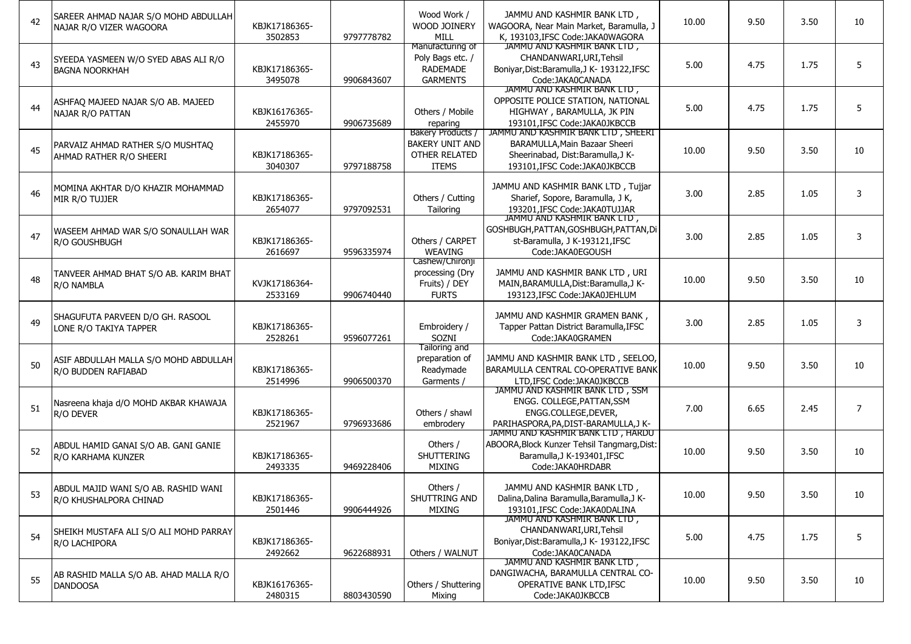| 42 | SAREER AHMAD NAJAR S/O MOHD ABDULLAH<br>NAJAR R/O VIZER WAGOORA | KBJK17186365-<br>3502853 | 9797778782 | Wood Work /<br>WOOD JOINERY<br>MILL                                          | JAMMU AND KASHMIR BANK LTD,<br>WAGOORA, Near Main Market, Baramulla, J<br>K, 193103, IFSC Code: JAKA0WAGORA                               | 10.00 | 9.50 | 3.50 | 10             |
|----|-----------------------------------------------------------------|--------------------------|------------|------------------------------------------------------------------------------|-------------------------------------------------------------------------------------------------------------------------------------------|-------|------|------|----------------|
| 43 | SYEEDA YASMEEN W/O SYED ABAS ALI R/O<br><b>BAGNA NOORKHAH</b>   | KBJK17186365-<br>3495078 | 9906843607 | Manufacturing of<br>Poly Bags etc. /<br><b>RADEMADE</b><br><b>GARMENTS</b>   | JAMMU AND KASHMIR BANK LTD,<br>CHANDANWARI, URI, Tehsil<br>Boniyar, Dist: Baramulla, J K- 193122, IFSC<br>Code:JAKA0CANADA                | 5.00  | 4.75 | 1.75 | 5              |
| 44 | ASHFAQ MAJEED NAJAR S/O AB. MAJEED<br>NAJAR R/O PATTAN          | KBJK16176365-<br>2455970 | 9906735689 | Others / Mobile<br>reparing                                                  | JAMMU AND KASHMIR BANK LTD,<br>OPPOSITE POLICE STATION, NATIONAL<br>HIGHWAY, BARAMULLA, JK PIN<br>193101.IFSC Code:JAKA0JKBCCB            | 5.00  | 4.75 | 1.75 | 5              |
| 45 | PARVAIZ AHMAD RATHER S/O MUSHTAQ<br>AHMAD RATHER R/O SHEERI     | KBJK17186365-<br>3040307 | 9797188758 | Bakery Products /<br><b>BAKERY UNIT AND</b><br>OTHER RELATED<br><b>ITEMS</b> | JAMMU AND KASHMIR BANK LTD, SHEERI<br>BARAMULLA, Main Bazaar Sheeri<br>Sheerinabad, Dist:Baramulla,J K-<br>193101, IFSC Code: JAKA0JKBCCB | 10.00 | 9.50 | 3.50 | 10             |
| 46 | MOMINA AKHTAR D/O KHAZIR MOHAMMAD<br>MIR R/O TUJJER             | KBJK17186365-<br>2654077 | 9797092531 | Others / Cutting<br>Tailoring                                                | JAMMU AND KASHMIR BANK LTD, Tujjar<br>Sharief, Sopore, Baramulla, J K,<br>193201.IFSC Code:JAKA0TUJJAR                                    | 3.00  | 2.85 | 1.05 | 3              |
| 47 | WASEEM AHMAD WAR S/O SONAULLAH WAR<br>R/O GOUSHBUGH             | KBJK17186365-<br>2616697 | 9596335974 | Others / CARPET<br><b>WEAVING</b>                                            | JAMMU AND KASHMIR BANK LID,<br>GOSHBUGH, PATTAN, GOSHBUGH, PATTAN, Di<br>st-Baramulla, J K-193121, IFSC<br>Code:JAKA0EGOUSH               | 3.00  | 2.85 | 1.05 | 3              |
| 48 | TANVEER AHMAD BHAT S/O AB. KARIM BHAT<br>R/O NAMBLA             | KVJK17186364-<br>2533169 | 9906740440 | Cashew/Chironji<br>processing (Dry<br>Fruits) / DEY<br><b>FURTS</b>          | JAMMU AND KASHMIR BANK LTD, URI<br>MAIN, BARAMULLA, Dist: Baramulla, J K-<br>193123.IFSC Code:JAKA0JEHLUM                                 | 10.00 | 9.50 | 3.50 | 10             |
| 49 | SHAGUFUTA PARVEEN D/O GH. RASOOL<br>LONE R/O TAKIYA TAPPER      | KBJK17186365-<br>2528261 | 9596077261 | Embroidery /<br>SOZNI                                                        | JAMMU AND KASHMIR GRAMEN BANK,<br>Tapper Pattan District Baramulla, IFSC<br>Code: JAKA0GRAMEN                                             | 3.00  | 2.85 | 1.05 | 3              |
| 50 | ASIF ABDULLAH MALLA S/O MOHD ABDULLAH<br>R/O BUDDEN RAFIABAD    | KBJK17186365-<br>2514996 | 9906500370 | Tailoring and<br>preparation of<br>Readymade<br>Garments /                   | JAMMU AND KASHMIR BANK LTD, SEELOO,<br>BARAMULLA CENTRAL CO-OPERATIVE BANK<br>LTD.IFSC Code: JAKA0JKBCCB                                  | 10.00 | 9.50 | 3.50 | 10             |
| 51 | Nasreena khaja d/O MOHD AKBAR KHAWAJA<br>R/O DEVER              | KBJK17186365-<br>2521967 | 9796933686 | Others / shawl<br>embrodery                                                  | JAMMU AND KASHMIR BANK LID, SSM<br>ENGG. COLLEGE, PATTAN, SSM<br>ENGG.COLLEGE, DEVER,<br>PARIHASPORA, PA, DIST-BARAMULLA, JK-             | 7.00  | 6.65 | 2.45 | $\overline{7}$ |
| 52 | ABDUL HAMID GANAI S/O AB. GANI GANIE<br>R/O KARHAMA KUNZER      | KBJK17186365-<br>2493335 | 9469228406 | Others /<br><b>SHUTTERING</b><br><b>MIXING</b>                               | JAMMU AND KASHMIR BANK LTD, HARDU<br>ABOORA, Block Kunzer Tehsil Tangmarg, Dist:<br>Baramulla, J K-193401, IFSC<br>Code:JAKA0HRDABR       | 10.00 | 9.50 | 3.50 | 10             |
| 53 | ABDUL MAJID WANI S/O AB. RASHID WANI<br>R/O KHUSHALPORA CHINAD  | KBJK17186365-<br>2501446 | 9906444926 | Others /<br>SHUTTRING AND<br>MIXING                                          | JAMMU AND KASHMIR BANK LTD,<br>Dalina, Dalina Baramulla, Baramulla, J K-<br>193101, IFSC Code: JAKA0DALINA                                | 10.00 | 9.50 | 3.50 | 10             |
| 54 | ISHEIKH MUSTAFA ALI S/O ALI MOHD PARRAY<br>R/O LACHIPORA        | KBJK17186365-<br>2492662 | 9622688931 | Others / WALNUT                                                              | JAMMU AND KASHMIR BANK LTD,<br>CHANDANWARI, URI, Tehsil<br>Boniyar, Dist: Baramulla, J K- 193122, IFSC<br>Code:JAKA0CANADA                | 5.00  | 4.75 | 1.75 | 5              |
| 55 | AB RASHID MALLA S/O AB. AHAD MALLA R/O<br><b>DANDOOSA</b>       | KBJK16176365-<br>2480315 | 8803430590 | Others / Shuttering<br>Mixing                                                | JAMMU AND KASHMIR BANK LTD,<br>DANGIWACHA, BARAMULLA CENTRAL CO-<br>OPERATIVE BANK LTD, IFSC<br>Code: JAKA0JKBCCB                         | 10.00 | 9.50 | 3.50 | 10             |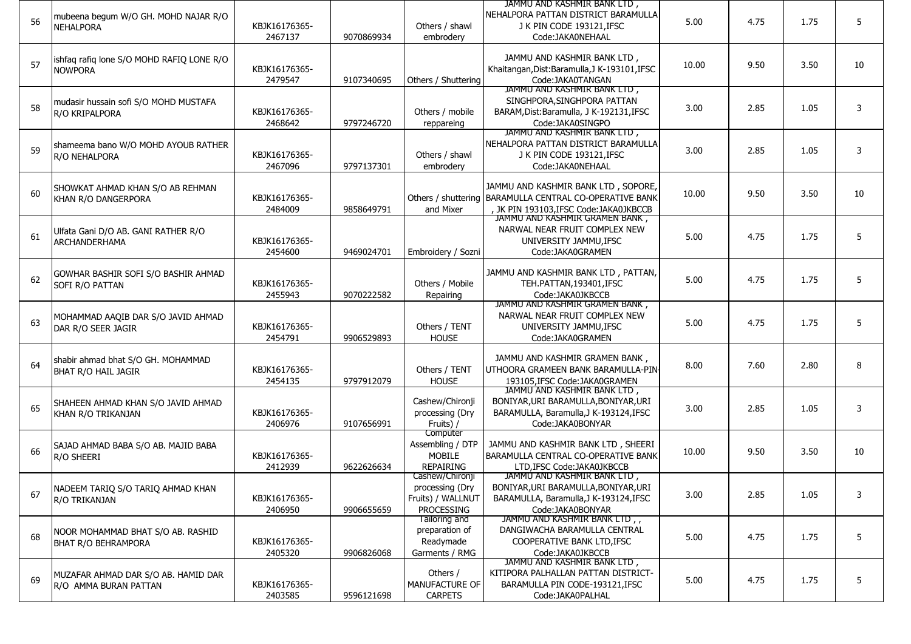| 56 | mubeena begum W/O GH. MOHD NAJAR R/O<br><b>NEHALPORA</b>         | KBJK16176365-<br>2467137 | 9070869934 | Others / shawl<br>embrodery                                                  | JAMMU AND KASHMIR BANK LTD,<br>NEHALPORA PATTAN DISTRICT BARAMULLA<br>J K PIN CODE 193121, IFSC<br>Code: JAKA0NEHAAL                        | 5.00  | 4.75 | 1.75 | 5  |
|----|------------------------------------------------------------------|--------------------------|------------|------------------------------------------------------------------------------|---------------------------------------------------------------------------------------------------------------------------------------------|-------|------|------|----|
| 57 | ishfaq rafiq lone S/O MOHD RAFIQ LONE R/O<br><b>NOWPORA</b>      | KBJK16176365-<br>2479547 | 9107340695 | Others / Shuttering                                                          | JAMMU AND KASHMIR BANK LTD,<br>Khaitangan, Dist: Baramulla, J K-193101, IFSC<br>Code:JAKA0TANGAN                                            | 10.00 | 9.50 | 3.50 | 10 |
| 58 | mudasir hussain sofi S/O MOHD MUSTAFA<br>R/O KRIPALPORA          | KBJK16176365-<br>2468642 | 9797246720 | Others / mobile<br>reppareing                                                | JAMMU AND KASHMIR BANK LTD,<br>SINGHPORA, SINGHPORA PATTAN<br>BARAM, Dist: Baramulla, J K-192131, IFSC<br>Code:JAKA0SINGPO                  | 3.00  | 2.85 | 1.05 | 3  |
| 59 | shameema bano W/O MOHD AYOUB RATHER<br>R/O NEHALPORA             | KBJK16176365-<br>2467096 | 9797137301 | Others / shawl<br>embrodery                                                  | JAMMU AND KASHMIR BANK LTD,<br>NEHALPORA PATTAN DISTRICT BARAMULLA<br>J K PIN CODE 193121, IFSC<br>Code: JAKA0NEHAAL                        | 3.00  | 2.85 | 1.05 | 3  |
| 60 | SHOWKAT AHMAD KHAN S/O AB REHMAN<br>KHAN R/O DANGERPORA          | KBJK16176365-<br>2484009 | 9858649791 | and Mixer                                                                    | JAMMU AND KASHMIR BANK LTD, SOPORE,<br>Others / shuttering   BARAMULLA CENTRAL CO-OPERATIVE BANK<br>, JK PIN 193103, IFSC Code: JAKA0JKBCCB | 10.00 | 9.50 | 3.50 | 10 |
| 61 | Ulfata Gani D/O AB. GANI RATHER R/O<br><b>ARCHANDERHAMA</b>      | KBJK16176365-<br>2454600 | 9469024701 | Embroidery / Sozni                                                           | JAMMU AND KASHMIR GRAMEN BANK,<br>NARWAL NEAR FRUIT COMPLEX NEW<br>UNIVERSITY JAMMU, IFSC<br>Code: JAKA0GRAMEN                              | 5.00  | 4.75 | 1.75 | 5  |
| 62 | GOWHAR BASHIR SOFI S/O BASHIR AHMAD<br><b>SOFI R/O PATTAN</b>    | KBJK16176365-<br>2455943 | 9070222582 | Others / Mobile<br>Repairing                                                 | JAMMU AND KASHMIR BANK LTD, PATTAN,<br>TEH.PATTAN, 193401, IFSC<br>Code: JAKA0JKBCCB                                                        | 5.00  | 4.75 | 1.75 | 5  |
| 63 | MOHAMMAD AAQIB DAR S/O JAVID AHMAD<br>DAR R/O SEER JAGIR         | KBJK16176365-<br>2454791 | 9906529893 | Others / TENT<br><b>HOUSE</b>                                                | JAMMU AND KASHMIR GRAMEN BANK,<br>NARWAL NEAR FRUIT COMPLEX NEW<br>UNIVERSITY JAMMU, IFSC<br>Code: JAKA0GRAMEN                              | 5.00  | 4.75 | 1.75 | 5  |
| 64 | shabir ahmad bhat S/O GH. MOHAMMAD<br><b>BHAT R/O HAIL JAGIR</b> | KBJK16176365-<br>2454135 | 9797912079 | Others / TENT<br><b>HOUSE</b>                                                | JAMMU AND KASHMIR GRAMEN BANK,<br>UTHOORA GRAMEEN BANK BARAMULLA-PIN-<br>193105, IFSC Code: JAKA0GRAMEN                                     | 8.00  | 7.60 | 2.80 | 8  |
| 65 | SHAHEEN AHMAD KHAN S/O JAVID AHMAD<br>KHAN R/O TRIKANJAN         | KBJK16176365-<br>2406976 | 9107656991 | Cashew/Chironji<br>processing (Dry<br>Fruits) /                              | JAMMU AND KASHMIR BANK LTD,<br>BONIYAR, URI BARAMULLA, BONIYAR, URI<br>BARAMULLA, Baramulla, J K-193124, IFSC<br>Code:JAKA0BONYAR           | 3.00  | 2.85 | 1.05 | 3  |
| 66 | SAJAD AHMAD BABA S/O AB. MAJID BABA<br>R/O SHEERI                | KBJK16176365-<br>2412939 | 9622626634 | Computer<br>Assembling / DTP<br><b>MOBILE</b><br><b>REPAIRING</b>            | JAMMU AND KASHMIR BANK LTD, SHEERI<br>BARAMULLA CENTRAL CO-OPERATIVE BANK<br>LTD.IFSC Code: JAKA0JKBCCB                                     | 10.00 | 9.50 | 3.50 | 10 |
| 67 | NADEEM TARIQ S/O TARIQ AHMAD KHAN<br>R/O TRIKANJAN               | KBJK16176365-<br>2406950 | 9906655659 | Cashew/Chironji<br>processing (Dry<br>Fruits) / WALLNUT<br><b>PROCESSING</b> | JAMMU AND KASHMIR BANK LID,<br>BONIYAR, URI BARAMULLA, BONIYAR, URI<br>BARAMULLA, Baramulla, J K-193124, IFSC<br>Code:JAKA0BONYAR           | 3.00  | 2.85 | 1.05 | 3  |
| 68 | NOOR MOHAMMAD BHAT S/O AB. RASHID<br><b>BHAT R/O BEHRAMPORA</b>  | KBJK16176365-<br>2405320 | 9906826068 | Tailoring and<br>preparation of<br>Readymade<br>Garments / RMG               | JAMMU AND KASHMIR BANK LTD,,<br>DANGIWACHA BARAMULLA CENTRAL<br>COOPERATIVE BANK LTD, IFSC<br>Code: JAKA0JKBCCB                             | 5.00  | 4.75 | 1.75 | 5  |
| 69 | MUZAFAR AHMAD DAR S/O AB. HAMID DAR<br>R/O AMMA BURAN PATTAN     | KBJK16176365-<br>2403585 | 9596121698 | Others /<br>MANUFACTURE OF<br><b>CARPETS</b>                                 | JAMMU AND KASHMIR BANK LTD,<br>KITIPORA PALHALLAN PATTAN DISTRICT-<br>BARAMULLA PIN CODE-193121.IFSC<br>Code: JAKA0PALHAL                   | 5.00  | 4.75 | 1.75 | 5  |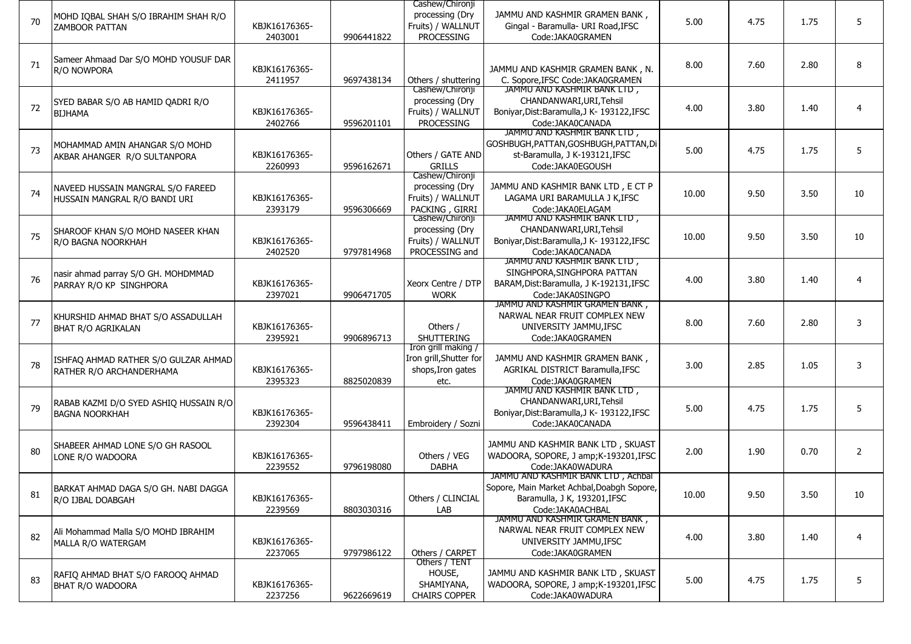|    |                                        |               |            | Cashew/Chironji                        |                                                                  |       |      |      |                |
|----|----------------------------------------|---------------|------------|----------------------------------------|------------------------------------------------------------------|-------|------|------|----------------|
| 70 | MOHD IQBAL SHAH S/O IBRAHIM SHAH R/O   |               |            | processing (Dry                        | JAMMU AND KASHMIR GRAMEN BANK,                                   | 5.00  | 4.75 | 1.75 | 5              |
|    | <b>ZAMBOOR PATTAN</b>                  | KBJK16176365- |            | Fruits) / WALLNUT                      | Gingal - Baramulla- URI Road, IFSC                               |       |      |      |                |
|    |                                        | 2403001       | 9906441822 | PROCESSING                             | Code:JAKA0GRAMEN                                                 |       |      |      |                |
|    |                                        |               |            |                                        |                                                                  |       |      |      |                |
| 71 | Sameer Ahmaad Dar S/O MOHD YOUSUF DAR  |               |            |                                        |                                                                  | 8.00  | 7.60 | 2.80 | 8              |
|    | R/O NOWPORA                            | KBJK16176365- |            |                                        | JAMMU AND KASHMIR GRAMEN BANK, N.                                |       |      |      |                |
|    |                                        | 2411957       | 9697438134 | Others / shuttering<br>Cashew/Chironji | C. Sopore, IFSC Code: JAKA0GRAMEN<br>JAMMU AND KASHMIR BANK LTD, |       |      |      |                |
|    |                                        |               |            | processing (Dry                        | CHANDANWARI, URI, Tehsil                                         |       |      |      |                |
| 72 | SYED BABAR S/O AB HAMID QADRI R/O      | KBJK16176365- |            | Fruits) / WALLNUT                      | Boniyar, Dist: Baramulla, J K- 193122, IFSC                      | 4.00  | 3.80 | 1.40 | $\overline{4}$ |
|    | <b>BIJHAMA</b>                         | 2402766       | 9596201101 | PROCESSING                             | Code:JAKA0CANADA                                                 |       |      |      |                |
|    |                                        |               |            |                                        | JAMMU AND KASHMIR BANK LTD,                                      |       |      |      |                |
|    | MOHAMMAD AMIN AHANGAR S/O MOHD         |               |            |                                        | GOSHBUGH, PATTAN, GOSHBUGH, PATTAN, Di                           |       |      |      |                |
| 73 | AKBAR AHANGER R/O SULTANPORA           | KBJK16176365- |            | Others / GATE AND                      | st-Baramulla, J K-193121, IFSC                                   | 5.00  | 4.75 | 1.75 | 5              |
|    |                                        | 2260993       | 9596162671 | <b>GRILLS</b>                          | Code:JAKA0EGOUSH                                                 |       |      |      |                |
|    |                                        |               |            | Cashew/Chironji                        |                                                                  |       |      |      |                |
|    | NAVEED HUSSAIN MANGRAL S/O FAREED      |               |            | processing (Dry                        | JAMMU AND KASHMIR BANK LTD, E CT P                               |       |      |      |                |
| 74 | HUSSAIN MANGRAL R/O BANDI URI          | KBJK16176365- |            | Fruits) / WALLNUT                      | LAGAMA URI BARAMULLA J K, IFSC                                   | 10.00 | 9.50 | 3.50 | 10             |
|    |                                        | 2393179       | 9596306669 | PACKING, GIRRI                         | Code:JAKA0ELAGAM                                                 |       |      |      |                |
|    |                                        |               |            | Cashew/Chironji                        | JAMMU AND KASHMIR BANK LTD,                                      |       |      |      |                |
| 75 | SHAROOF KHAN S/O MOHD NASEER KHAN      |               |            | processing (Dry                        | CHANDANWARI, URI, Tehsil                                         | 10.00 | 9.50 | 3.50 | 10             |
|    | R/O BAGNA NOORKHAH                     | KBJK16176365- |            | Fruits) / WALLNUT                      | Boniyar, Dist: Baramulla, J K- 193122, IFSC                      |       |      |      |                |
|    |                                        | 2402520       | 9797814968 | PROCESSING and                         | Code:JAKA0CANADA                                                 |       |      |      |                |
|    |                                        |               |            |                                        | JAMMU AND KASHMIR BANK LTD,                                      |       |      |      |                |
| 76 | nasir ahmad parray S/O GH. MOHDMMAD    |               |            |                                        | SINGHPORA, SINGHPORA PATTAN                                      | 4.00  | 3.80 | 1.40 | $\overline{4}$ |
|    | PARRAY R/O KP SINGHPORA                | KBJK16176365- |            | Xeorx Centre / DTP                     | BARAM, Dist: Baramulla, J K-192131, IFSC                         |       |      |      |                |
|    |                                        | 2397021       | 9906471705 | <b>WORK</b>                            | Code:JAKA0SINGPO<br>JAMMU AND KASHMIR GRAMEN BANK,               |       |      |      |                |
|    |                                        |               |            |                                        | NARWAL NEAR FRUIT COMPLEX NEW                                    |       |      |      |                |
| 77 | KHURSHID AHMAD BHAT S/O ASSADULLAH     | KBJK16176365- |            | Others /                               | UNIVERSITY JAMMU, IFSC                                           | 8.00  | 7.60 | 2.80 | 3              |
|    | <b>BHAT R/O AGRIKALAN</b>              | 2395921       | 9906896713 | <b>SHUTTERING</b>                      | Code: JAKA0GRAMEN                                                |       |      |      |                |
|    |                                        |               |            | Iron grill making /                    |                                                                  |       |      |      |                |
|    | ISHFAQ AHMAD RATHER S/O GULZAR AHMAD   |               |            | Iron grill, Shutter for                | JAMMU AND KASHMIR GRAMEN BANK,                                   |       |      |      |                |
| 78 | RATHER R/O ARCHANDERHAMA               | KBJK16176365- |            | shops, Iron gates                      | AGRIKAL DISTRICT Baramulla, IFSC                                 | 3.00  | 2.85 | 1.05 | 3              |
|    |                                        | 2395323       | 8825020839 | etc.                                   | Code: JAKA0GRAMEN                                                |       |      |      |                |
|    |                                        |               |            |                                        | JAMMU AND KASHMIR BANK LID,                                      |       |      |      |                |
|    | RABAB KAZMI D/O SYED ASHIQ HUSSAIN R/O |               |            |                                        | CHANDANWARI, URI, Tehsil                                         |       |      |      |                |
| 79 | <b>BAGNA NOORKHAH</b>                  | KBJK16176365- |            |                                        | Boniyar, Dist: Baramulla, J K- 193122, IFSC                      | 5.00  | 4.75 | 1.75 | 5              |
|    |                                        | 2392304       | 9596438411 | Embroidery / Sozni                     | Code:JAKA0CANADA                                                 |       |      |      |                |
|    |                                        |               |            |                                        |                                                                  |       |      |      |                |
| 80 | SHABEER AHMAD LONE S/O GH RASOOL       |               |            |                                        | JAMMU AND KASHMIR BANK LTD, SKUAST                               | 2.00  | 1.90 | 0.70 | 2              |
|    | LONE R/O WADOORA                       | KBJK16176365- |            | Others / VEG                           | WADOORA, SOPORE, J amp;K-193201,IFSC                             |       |      |      |                |
|    |                                        | 2239552       | 9796198080 | <b>DABHA</b>                           | Code: JAKA0WADURA<br>JAMMU AND KASHMIR BANK LID, Achbal          |       |      |      |                |
|    |                                        |               |            |                                        | Sopore, Main Market Achbal, Doabgh Sopore,                       |       |      |      |                |
| 81 | BARKAT AHMAD DAGA S/O GH. NABI DAGGA   | KBJK16176365- |            | Others / CLINCIAL                      | Baramulla, J K, 193201, IFSC                                     | 10.00 | 9.50 | 3.50 | 10             |
|    | R/O IJBAL DOABGAH                      | 2239569       | 8803030316 | LAB                                    | Code: JAKA0ACHBAL                                                |       |      |      |                |
|    |                                        |               |            |                                        | JAMMU AND KASHMIR GRAMEN BANK,                                   |       |      |      |                |
|    | Ali Mohammad Malla S/O MOHD IBRAHIM    |               |            |                                        | NARWAL NEAR FRUIT COMPLEX NEW                                    |       |      |      |                |
| 82 | MALLA R/O WATERGAM                     | KBJK16176365- |            |                                        | UNIVERSITY JAMMU, IFSC                                           | 4.00  | 3.80 | 1.40 | 4              |
|    |                                        | 2237065       | 9797986122 | Others / CARPET                        | Code:JAKA0GRAMEN                                                 |       |      |      |                |
|    |                                        |               |            | Others / TENT                          |                                                                  |       |      |      |                |
|    | RAFIQ AHMAD BHAT S/O FAROOQ AHMAD      |               |            | HOUSE,                                 | JAMMU AND KASHMIR BANK LTD, SKUAST                               |       |      |      |                |
| 83 | <b>BHAT R/O WADOORA</b>                | KBJK16176365- |            | SHAMIYANA,                             | WADOORA, SOPORE, J amp;K-193201,IFSC                             | 5.00  | 4.75 | 1.75 | 5              |
|    |                                        | 2237256       | 9622669619 | <b>CHAIRS COPPER</b>                   | Code:JAKA0WADURA                                                 |       |      |      |                |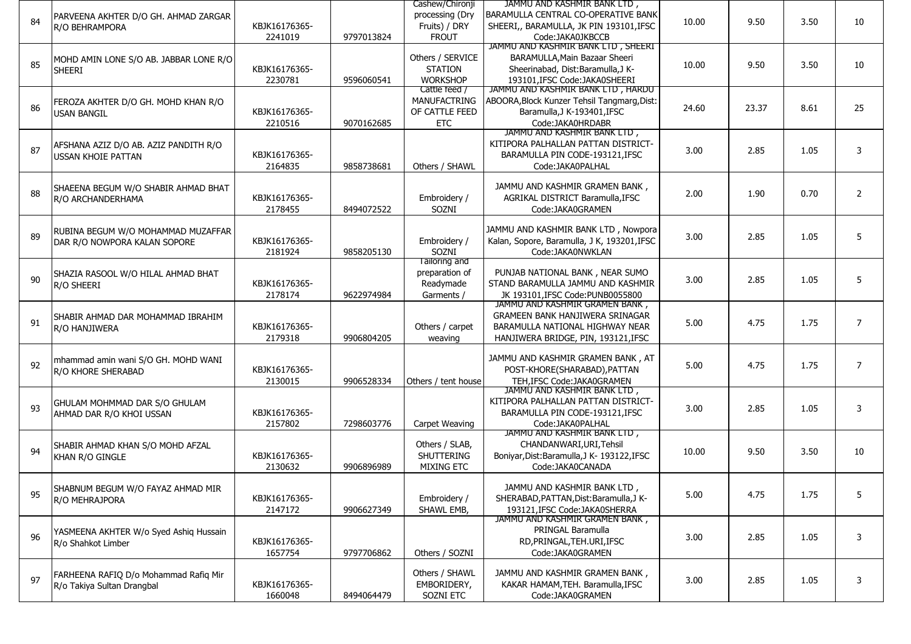|    |                                                                     |               |            | Cashew/Chironji     | JAMMU AND KASHMIR BANK LTD,                                      |       |       |      |                |
|----|---------------------------------------------------------------------|---------------|------------|---------------------|------------------------------------------------------------------|-------|-------|------|----------------|
|    | PARVEENA AKHTER D/O GH. AHMAD ZARGAR                                |               |            | processing (Dry     | BARAMULLA CENTRAL CO-OPERATIVE BANK                              |       |       |      |                |
| 84 | R/O BEHRAMPORA                                                      | KBJK16176365- |            | Fruits) / DRY       | SHEERI,, BARAMULLA, JK PIN 193101, IFSC                          | 10.00 | 9.50  | 3.50 | 10             |
|    |                                                                     | 2241019       | 9797013824 | <b>FROUT</b>        | Code: JAKA0JKBCCB                                                |       |       |      |                |
|    |                                                                     |               |            |                     | JAMMU AND KASHMIR BANK LTD, SHEERI                               |       |       |      |                |
|    | MOHD AMIN LONE S/O AB. JABBAR LONE R/O                              |               |            | Others / SERVICE    | BARAMULLA, Main Bazaar Sheeri                                    |       |       |      |                |
| 85 | <b>SHEERI</b>                                                       | KBJK16176365- |            | <b>STATION</b>      | Sheerinabad, Dist:Baramulla,J K-                                 | 10.00 | 9.50  | 3.50 | 10             |
|    |                                                                     | 2230781       | 9596060541 | <b>WORKSHOP</b>     | 193101, IFSC Code: JAKA0SHEERI                                   |       |       |      |                |
|    |                                                                     |               |            | Cattle feed /       | JAMMU AND KASHMIR BANK LTD, HARDU                                |       |       |      |                |
|    | FEROZA AKHTER D/O GH. MOHD KHAN R/O                                 |               |            | <b>MANUFACTRING</b> | ABOORA, Block Kunzer Tehsil Tangmarg, Dist:                      |       |       |      |                |
| 86 | <b>USAN BANGIL</b>                                                  | KBJK16176365- |            | OF CATTLE FEED      | Baramulla, J K-193401, IFSC                                      | 24.60 | 23.37 | 8.61 | 25             |
|    |                                                                     | 2210516       | 9070162685 | <b>ETC</b>          | Code:JAKA0HRDABR                                                 |       |       |      |                |
|    |                                                                     |               |            |                     | JAMMU AND KASHMIR BANK LTD,                                      |       |       |      |                |
|    | AFSHANA AZIZ D/O AB. AZIZ PANDITH R/O                               |               |            |                     | KITIPORA PALHALLAN PATTAN DISTRICT-                              |       |       |      |                |
| 87 | <b>USSAN KHOIE PATTAN</b>                                           | KBJK16176365- |            |                     | BARAMULLA PIN CODE-193121, IFSC                                  | 3.00  | 2.85  | 1.05 | 3              |
|    |                                                                     | 2164835       | 9858738681 | Others / SHAWL      | Code: JAKA0PALHAL                                                |       |       |      |                |
|    |                                                                     |               |            |                     |                                                                  |       |       |      |                |
|    | SHAEENA BEGUM W/O SHABIR AHMAD BHAT                                 |               |            |                     | JAMMU AND KASHMIR GRAMEN BANK,                                   |       |       |      |                |
| 88 | R/O ARCHANDERHAMA                                                   | KBJK16176365- |            | Embroidery /        | AGRIKAL DISTRICT Baramulla, IFSC                                 | 2.00  | 1.90  | 0.70 | $\overline{2}$ |
|    |                                                                     | 2178455       | 8494072522 | SOZNI               | Code:JAKA0GRAMEN                                                 |       |       |      |                |
|    |                                                                     |               |            |                     |                                                                  |       |       |      |                |
| 89 | RUBINA BEGUM W/O MOHAMMAD MUZAFFAR                                  |               |            |                     | JAMMU AND KASHMIR BANK LTD, Nowpora                              |       |       |      | 5              |
|    | DAR R/O NOWPORA KALAN SOPORE                                        | KBJK16176365- |            | Embroidery /        | Kalan, Sopore, Baramulla, J K, 193201,IFSC                       | 3.00  | 2.85  | 1.05 |                |
|    |                                                                     | 2181924       | 9858205130 | SOZNI               | Code:JAKA0NWKLAN                                                 |       |       |      |                |
|    |                                                                     |               |            | Tailoring and       |                                                                  |       |       |      |                |
| 90 | SHAZIA RASOOL W/O HILAL AHMAD BHAT                                  |               |            | preparation of      | PUNJAB NATIONAL BANK, NEAR SUMO                                  | 3.00  | 2.85  | 1.05 | 5              |
|    | R/O SHEERI                                                          | KBJK16176365- |            | Readymade           | STAND BARAMULLA JAMMU AND KASHMIR                                |       |       |      |                |
|    |                                                                     | 2178174       | 9622974984 | Garments /          | JK 193101, IFSC Code: PUNB0055800                                |       |       |      |                |
|    |                                                                     |               |            |                     | JAMMU AND KASHMIR GRAMEN BANK,                                   |       |       |      |                |
| 91 | SHABIR AHMAD DAR MOHAMMAD IBRAHIM                                   |               |            |                     | <b>GRAMEEN BANK HANJIWERA SRINAGAR</b>                           | 5.00  | 4.75  | 1.75 | 7              |
|    | R/O HANJIWERA                                                       | KBJK16176365- |            | Others / carpet     | BARAMULLA NATIONAL HIGHWAY NEAR                                  |       |       |      |                |
|    |                                                                     | 2179318       | 9906804205 | weaving             | HANJIWERA BRIDGE, PIN, 193121, IFSC                              |       |       |      |                |
|    |                                                                     |               |            |                     |                                                                  |       |       |      |                |
| 92 | mhammad amin wani S/O GH. MOHD WANI                                 |               |            |                     | JAMMU AND KASHMIR GRAMEN BANK, AT                                | 5.00  | 4.75  | 1.75 | $\overline{7}$ |
|    | R/O KHORE SHERABAD                                                  | KBJK16176365- |            |                     | POST-KHORE(SHARABAD), PATTAN                                     |       |       |      |                |
|    |                                                                     | 2130015       | 9906528334 | Others / tent house | TEH, IFSC Code: JAKA0GRAMEN                                      |       |       |      |                |
|    |                                                                     |               |            |                     | JAMMU AND KASHMIR BANK LID,                                      |       |       |      |                |
| 93 | GHULAM MOHMMAD DAR S/O GHULAM                                       |               |            |                     | KITIPORA PALHALLAN PATTAN DISTRICT-                              | 3.00  | 2.85  | 1.05 | 3              |
|    | AHMAD DAR R/O KHOI USSAN                                            | KBJK16176365- |            |                     | BARAMULLA PIN CODE-193121, IFSC                                  |       |       |      |                |
|    |                                                                     | 2157802       | 7298603776 | Carpet Weaving      | Code: JAKA0PALHAL<br>JAMMU AND KASHMIR BANK LTD,                 |       |       |      |                |
|    |                                                                     |               |            |                     |                                                                  |       |       |      |                |
| 94 | SHABIR AHMAD KHAN S/O MOHD AFZAL                                    |               |            | Others / SLAB,      | CHANDANWARI, URI, Tehsil                                         | 10.00 | 9.50  | 3.50 | 10             |
|    | KHAN R/O GINGLE                                                     | KBJK16176365- |            | SHUTTERING          | Boniyar, Dist: Baramulla, J K- 193122, IFSC                      |       |       |      |                |
|    |                                                                     | 2130632       | 9906896989 | <b>MIXING ETC</b>   | Code:JAKA0CANADA                                                 |       |       |      |                |
|    |                                                                     |               |            |                     | JAMMU AND KASHMIR BANK LTD,                                      |       |       |      |                |
| 95 | SHABNUM BEGUM W/O FAYAZ AHMAD MIR                                   |               |            |                     |                                                                  | 5.00  | 4.75  | 1.75 | 5              |
|    | R/O MEHRAJPORA                                                      | KBJK16176365- |            | Embroidery /        | SHERABAD, PATTAN, Dist: Baramulla, JK-                           |       |       |      |                |
|    |                                                                     | 2147172       | 9906627349 | SHAWL EMB,          | 193121, IFSC Code: JAKA0SHERRA<br>JAMMU AND KASHMIR GRAMEN BANK, |       |       |      |                |
|    |                                                                     |               |            |                     | PRINGAL Baramulla                                                |       |       |      |                |
| 96 | YASMEENA AKHTER W/o Syed Ashiq Hussain                              | KBJK16176365- |            |                     | RD, PRINGAL, TEH. URI, IFSC                                      | 3.00  | 2.85  | 1.05 | 3              |
|    | R/o Shahkot Limber                                                  |               |            |                     |                                                                  |       |       |      |                |
|    |                                                                     | 1657754       | 9797706862 | Others / SOZNI      | Code:JAKA0GRAMEN                                                 |       |       |      |                |
|    |                                                                     |               |            | Others / SHAWL      | JAMMU AND KASHMIR GRAMEN BANK,                                   |       |       |      |                |
| 97 | FARHEENA RAFIQ D/o Mohammad Rafiq Mir<br>R/o Takiya Sultan Drangbal | KBJK16176365- |            | EMBORIDERY,         | KAKAR HAMAM, TEH. Baramulla, IFSC                                | 3.00  | 2.85  | 1.05 | 3              |
|    |                                                                     | 1660048       | 8494064479 | SOZNI ETC           | Code:JAKA0GRAMEN                                                 |       |       |      |                |
|    |                                                                     |               |            |                     |                                                                  |       |       |      |                |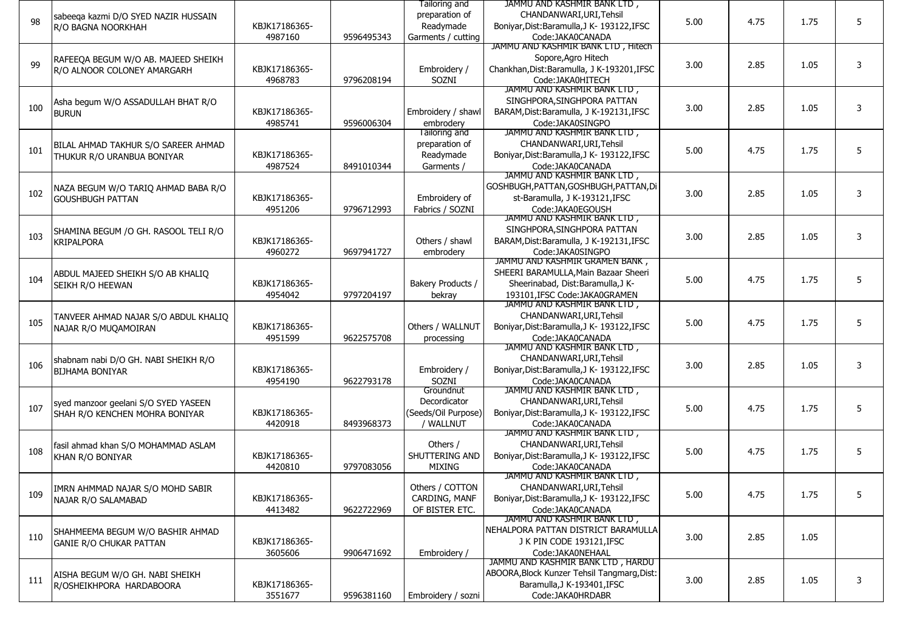|     |                                       |               |            | Tailoring and       | JAMMU AND KASHMIR BANK LTD,                     |      |      |      |   |
|-----|---------------------------------------|---------------|------------|---------------------|-------------------------------------------------|------|------|------|---|
|     | sabeeqa kazmi D/O SYED NAZIR HUSSAIN  |               |            | preparation of      | CHANDANWARI, URI, Tehsil                        |      |      |      |   |
| 98  | R/O BAGNA NOORKHAH                    | KBJK17186365- |            | Readymade           | Boniyar, Dist: Baramulla, J K- 193122, IFSC     | 5.00 | 4.75 | 1.75 | 5 |
|     |                                       | 4987160       | 9596495343 | Garments / cutting  | Code:JAKA0CANADA                                |      |      |      |   |
|     |                                       |               |            |                     | JAMMU AND KASHMIR BANK LTD, Hitech              |      |      |      |   |
|     | RAFEEQA BEGUM W/O AB. MAJEED SHEIKH   |               |            |                     | Sopore, Agro Hitech                             |      |      |      |   |
| 99  | R/O ALNOOR COLONEY AMARGARH           | KBJK17186365- |            | Embroidery /        | Chankhan, Dist: Baramulla, J K-193201, IFSC     | 3.00 | 2.85 | 1.05 | 3 |
|     |                                       | 4968783       | 9796208194 | SOZNI               | Code: JAKA0HITECH                               |      |      |      |   |
|     |                                       |               |            |                     | JAMMU AND KASHMIR BANK LTD,                     |      |      |      |   |
| 100 | Asha begum W/O ASSADULLAH BHAT R/O    |               |            |                     | SINGHPORA, SINGHPORA PATTAN                     | 3.00 | 2.85 | 1.05 | 3 |
|     | <b>BURUN</b>                          | KBJK17186365- |            | Embroidery / shawl  | BARAM, Dist: Baramulla, J K-192131, IFSC        |      |      |      |   |
|     |                                       | 4985741       | 9596006304 | embrodery           | Code:JAKA0SINGPO                                |      |      |      |   |
|     |                                       |               |            | Tailoring and       | JAMMU AND KASHMIR BANK LTD,                     |      |      |      |   |
| 101 | BILAL AHMAD TAKHUR S/O SAREER AHMAD   |               |            | preparation of      | CHANDANWARI, URI, Tehsil                        | 5.00 | 4.75 | 1.75 | 5 |
|     | THUKUR R/O URANBUA BONIYAR            | KBJK17186365- |            | Readymade           | Boniyar, Dist: Baramulla, J K- 193122, IFSC     |      |      |      |   |
|     |                                       | 4987524       | 8491010344 | Garments /          | Code:JAKA0CANADA                                |      |      |      |   |
|     |                                       |               |            |                     | JAMMU AND KASHMIR BANK LTD,                     |      |      |      |   |
| 102 | NAZA BEGUM W/O TARIQ AHMAD BABA R/O   |               |            |                     | GOSHBUGH, PATTAN, GOSHBUGH, PATTAN, Di          | 3.00 | 2.85 | 1.05 | 3 |
|     | <b>GOUSHBUGH PATTAN</b>               | KBJK17186365- |            | Embroidery of       | st-Baramulla, J K-193121, IFSC                  |      |      |      |   |
|     |                                       | 4951206       | 9796712993 | Fabrics / SOZNI     | Code:JAKA0EGOUSH<br>JAMMU AND KASHMIR BANK LID, |      |      |      |   |
|     |                                       |               |            |                     | SINGHPORA, SINGHPORA PATTAN                     |      |      |      |   |
| 103 | SHAMINA BEGUM / O GH. RASOOL TELI R/O | KBJK17186365- |            | Others / shawl      | BARAM, Dist: Baramulla, J K-192131, IFSC        | 3.00 | 2.85 | 1.05 | 3 |
|     | <b>KRIPALPORA</b>                     | 4960272       | 9697941727 | embrodery           | Code:JAKA0SINGPO                                |      |      |      |   |
|     |                                       |               |            |                     | JAMMU AND KASHMIR GRAMEN BANK,                  |      |      |      |   |
|     | ABDUL MAJEED SHEIKH S/O AB KHALIQ     |               |            |                     | SHEERI BARAMULLA, Main Bazaar Sheeri            |      |      |      |   |
| 104 | SEIKH R/O HEEWAN                      | KBJK17186365- |            | Bakery Products /   | Sheerinabad, Dist:Baramulla,J K-                | 5.00 | 4.75 | 1.75 | 5 |
|     |                                       | 4954042       | 9797204197 | bekray              | 193101, IFSC Code: JAKA0GRAMEN                  |      |      |      |   |
|     |                                       |               |            |                     | JAMMU AND KASHMIR BANK LTD,                     |      |      |      |   |
|     | TANVEER AHMAD NAJAR S/O ABDUL KHALIQ  |               |            |                     | CHANDANWARI, URI, Tehsil                        |      |      |      |   |
| 105 | NAJAR R/O MUQAMOIRAN                  | KBJK17186365- |            | Others / WALLNUT    | Boniyar, Dist: Baramulla, J K- 193122, IFSC     | 5.00 | 4.75 | 1.75 | 5 |
|     |                                       | 4951599       | 9622575708 | processing          | Code:JAKA0CANADA                                |      |      |      |   |
|     |                                       |               |            |                     | JAMMU AND KASHMIR BANK LTD,                     |      |      |      |   |
|     | shabnam nabi D/O GH. NABI SHEIKH R/O  |               |            |                     | CHANDANWARI, URI, Tehsil                        |      |      |      |   |
| 106 | <b>BIJHAMA BONIYAR</b>                | KBJK17186365- |            | Embroidery /        | Boniyar, Dist: Baramulla, J K- 193122, IFSC     | 3.00 | 2.85 | 1.05 | 3 |
|     |                                       | 4954190       | 9622793178 | SOZNI               | Code:JAKA0CANADA                                |      |      |      |   |
|     |                                       |               |            | Groundnut           | JAMMU AND KASHMIR BANK LID,                     |      |      |      |   |
| 107 | syed manzoor geelani S/O SYED YASEEN  |               |            | Decordicator        | CHANDANWARI, URI, Tehsil                        | 5.00 | 4.75 | 1.75 | 5 |
|     | SHAH R/O KENCHEN MOHRA BONIYAR        | KBJK17186365- |            | (Seeds/Oil Purpose) | Boniyar, Dist: Baramulla, J K- 193122, IFSC     |      |      |      |   |
|     |                                       | 4420918       | 8493968373 | / WALLNUT           | Code:JAKA0CANADA                                |      |      |      |   |
|     |                                       |               |            |                     | JAMMU AND KASHMIR BANK LID.                     |      |      |      |   |
| 108 | fasil ahmad khan S/O MOHAMMAD ASLAM   |               |            | Others /            | CHANDANWARI, URI, Tehsil                        | 5.00 | 4.75 | 1.75 | 5 |
|     | KHAN R/O BONIYAR                      | KBJK17186365- |            | SHUTTERING AND      | Boniyar, Dist: Baramulla, J K- 193122, IFSC     |      |      |      |   |
|     |                                       | 4420810       | 9797083056 | <b>MIXING</b>       | Code:JAKA0CANADA<br>JAMMU AND KASHMIR BANK LTD, |      |      |      |   |
|     |                                       |               |            | Others / COTTON     | CHANDANWARI, URI, Tehsil                        |      |      |      |   |
| 109 | IMRN AHMMAD NAJAR S/O MOHD SABIR      | KBJK17186365- |            | CARDING, MANF       | Boniyar, Dist: Baramulla, J K- 193122, IFSC     | 5.00 | 4.75 | 1.75 | 5 |
|     | NAJAR R/O SALAMABAD                   | 4413482       | 9622722969 | OF BISTER ETC.      | Code:JAKA0CANADA                                |      |      |      |   |
|     |                                       |               |            |                     | JAMMU AND KASHMIR BANK LTD,                     |      |      |      |   |
|     | SHAHMEEMA BEGUM W/O BASHIR AHMAD      |               |            |                     | NEHALPORA PATTAN DISTRICT BARAMULLA             |      |      |      |   |
| 110 | <b>GANIE R/O CHUKAR PATTAN</b>        | KBJK17186365- |            |                     | J K PIN CODE 193121, IFSC                       | 3.00 | 2.85 | 1.05 |   |
|     |                                       | 3605606       | 9906471692 | Embroidery /        | Code:JAKA0NEHAAL                                |      |      |      |   |
|     |                                       |               |            |                     | JAMMU AND KASHMIR BANK LTD, HARDU               |      |      |      |   |
|     | AISHA BEGUM W/O GH. NABI SHEIKH       |               |            |                     | ABOORA, Block Kunzer Tehsil Tangmarg, Dist:     |      |      |      |   |
| 111 | R/OSHEIKHPORA HARDABOORA              | KBJK17186365- |            |                     | Baramulla, J K-193401, IFSC                     | 3.00 | 2.85 | 1.05 | 3 |
|     |                                       | 3551677       | 9596381160 | Embroidery / sozni  | Code:JAKA0HRDABR                                |      |      |      |   |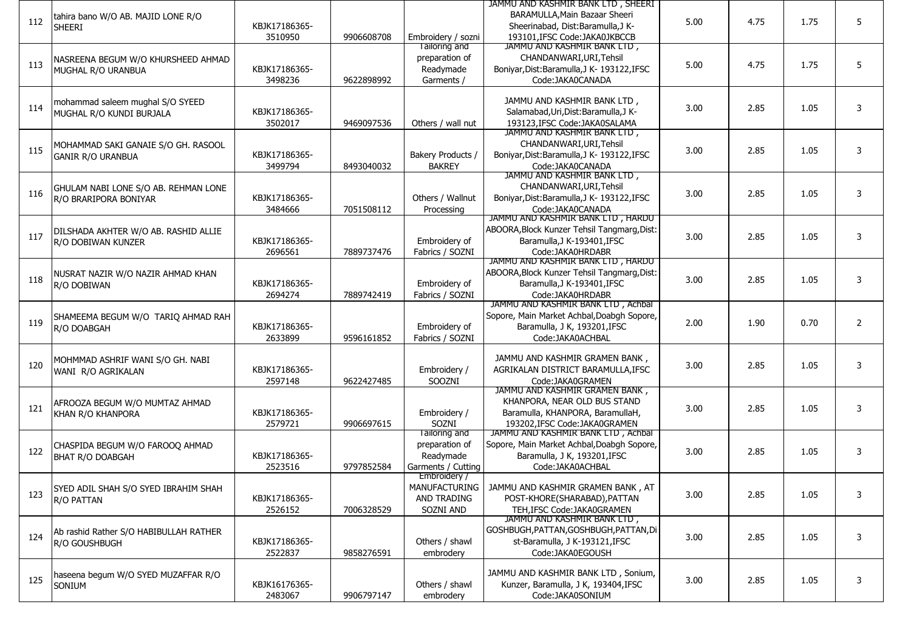| 112 | tahira bano W/O AB. MAJID LONE R/O<br><b>SHEERI</b>             | KBJK17186365-<br>3510950 | 9906608708 | Embroidery / sozni                                                 | JAMMU AND KASHMIR BANK LTD, SHEERI<br>BARAMULLA, Main Bazaar Sheeri<br>Sheerinabad, Dist:Baramulla,J K-<br>193101.IFSC Code:JAKA0JKBCCB | 5.00 | 4.75 | 1.75 | 5 |
|-----|-----------------------------------------------------------------|--------------------------|------------|--------------------------------------------------------------------|-----------------------------------------------------------------------------------------------------------------------------------------|------|------|------|---|
| 113 | NASREENA BEGUM W/O KHURSHEED AHMAD<br>MUGHAL R/O URANBUA        | KBJK17186365-<br>3498236 | 9622898992 | Tailoring and<br>preparation of<br>Readymade<br>Garments /         | JAMMU AND KASHMIR BANK LTD,<br>CHANDANWARI, URI, Tehsil<br>Boniyar, Dist: Baramulla, J K- 193122, IFSC<br>Code:JAKA0CANADA              | 5.00 | 4.75 | 1.75 | 5 |
| 114 | mohammad saleem mughal S/O SYEED<br>MUGHAL R/O KUNDI BURJALA    | KBJK17186365-<br>3502017 | 9469097536 | Others / wall nut                                                  | JAMMU AND KASHMIR BANK LTD,<br>Salamabad, Uri, Dist: Baramulla, J K-<br>193123.IFSC Code:JAKA0SALAMA                                    | 3.00 | 2.85 | 1.05 | 3 |
| 115 | MOHAMMAD SAKI GANAIE S/O GH. RASOOL<br><b>GANIR R/O URANBUA</b> | KBJK17186365-<br>3499794 | 8493040032 | Bakery Products /<br><b>BAKREY</b>                                 | JAMMU AND KASHMIR BANK LTD,<br>CHANDANWARI, URI, Tehsil<br>Boniyar, Dist: Baramulla, J K- 193122, IFSC<br>Code:JAKA0CANADA              | 3.00 | 2.85 | 1.05 | 3 |
| 116 | GHULAM NABI LONE S/O AB. REHMAN LONE<br>R/O BRARIPORA BONIYAR   | KBJK17186365-<br>3484666 | 7051508112 | Others / Wallnut<br>Processing                                     | JAMMU AND KASHMIR BANK LID,<br>CHANDANWARI, URI, Tehsil<br>Boniyar, Dist: Baramulla, J K- 193122, IFSC<br>Code:JAKA0CANADA              | 3.00 | 2.85 | 1.05 | 3 |
| 117 | DILSHADA AKHTER W/O AB. RASHID ALLIE<br>R/O DOBIWAN KUNZER      | KBJK17186365-<br>2696561 | 7889737476 | Embroidery of<br>Fabrics / SOZNI                                   | JAMMU AND KASHMIR BANK LTD, HARDU<br>ABOORA, Block Kunzer Tehsil Tangmarg, Dist:<br>Baramulla, J K-193401, IFSC<br>Code:JAKA0HRDABR     | 3.00 | 2.85 | 1.05 | 3 |
| 118 | NUSRAT NAZIR W/O NAZIR AHMAD KHAN<br>R/O DOBIWAN                | KBJK17186365-<br>2694274 | 7889742419 | Embroidery of<br>Fabrics / SOZNI                                   | JAMMU AND KASHMIR BANK LID, HARDU<br>ABOORA, Block Kunzer Tehsil Tangmarg, Dist:<br>Baramulla, J K-193401, IFSC<br>Code:JAKA0HRDABR     | 3.00 | 2.85 | 1.05 | 3 |
| 119 | SHAMEEMA BEGUM W/O TARIQ AHMAD RAH<br>R/O DOABGAH               | KBJK17186365-<br>2633899 | 9596161852 | Embroidery of<br>Fabrics / SOZNI                                   | JAMMU AND KASHMIR BANK LID, Achbal<br>Sopore, Main Market Achbal, Doabgh Sopore,<br>Baramulla, J K, 193201, IFSC<br>Code: JAKA0ACHBAL   | 2.00 | 1.90 | 0.70 | 2 |
| 120 | MOHMMAD ASHRIF WANI S/O GH. NABI<br>WANI R/O AGRIKALAN          | KBJK17186365-<br>2597148 | 9622427485 | Embroidery /<br>SOOZNI                                             | JAMMU AND KASHMIR GRAMEN BANK,<br>AGRIKALAN DISTRICT BARAMULLA, IFSC<br>Code: JAKA0GRAMEN                                               | 3.00 | 2.85 | 1.05 | 3 |
| 121 | AFROOZA BEGUM W/O MUMTAZ AHMAD<br>KHAN R/O KHANPORA             | KBJK17186365-<br>2579721 | 9906697615 | Embroidery /<br>SOZNI                                              | JAMMU AND KASHMIR GRAMEN BANK,<br>KHANPORA, NEAR OLD BUS STAND<br>Baramulla, KHANPORA, BaramullaH,<br>193202.IFSC Code:JAKA0GRAMEN      | 3.00 | 2.85 | 1.05 | 3 |
| 122 | CHASPIDA BEGUM W/O FAROOQ AHMAD<br><b>BHAT R/O DOABGAH</b>      | KBJK17186365-<br>2523516 | 9797852584 | lailoring and<br>preparation of<br>Readymade<br>Garments / Cutting | JAMMU AND KASHMIR BANK LID, Achbal<br>Sopore, Main Market Achbal, Doabgh Sopore,<br>Baramulla, J K, 193201, IFSC<br>Code: JAKA0ACHBAL   | 3.00 | 2.85 | 1.05 | 3 |
| 123 | SYED ADIL SHAH S/O SYED IBRAHIM SHAH<br>R/O PATTAN              | KBJK17186365-<br>2526152 | 7006328529 | Embroidery /<br>AND TRADING<br>SOZNI AND                           | MANUFACTURING   JAMMU AND KASHMIR GRAMEN BANK, AT<br>POST-KHORE(SHARABAD), PATTAN<br>TEH.IFSC Code: JAKA0GRAMEN                         | 3.00 | 2.85 | 1.05 | 3 |
| 124 | Ab rashid Rather S/O HABIBULLAH RATHER<br>R/O GOUSHBUGH         | KBJK17186365-<br>2522837 | 9858276591 | Others / shawl<br>embrodery                                        | JAMMU AND KASHMIR BANK LTD,<br>GOSHBUGH, PATTAN, GOSHBUGH, PATTAN, Di<br>st-Baramulla, J K-193121, IFSC<br>Code:JAKA0EGOUSH             | 3.00 | 2.85 | 1.05 | 3 |
| 125 | haseena begum W/O SYED MUZAFFAR R/O<br>SONIUM                   | KBJK16176365-<br>2483067 | 9906797147 | Others / shawl<br>embrodery                                        | JAMMU AND KASHMIR BANK LTD, Sonium,<br>Kunzer, Baramulla, J K, 193404, IFSC<br>Code:JAKA0SONIUM                                         | 3.00 | 2.85 | 1.05 | 3 |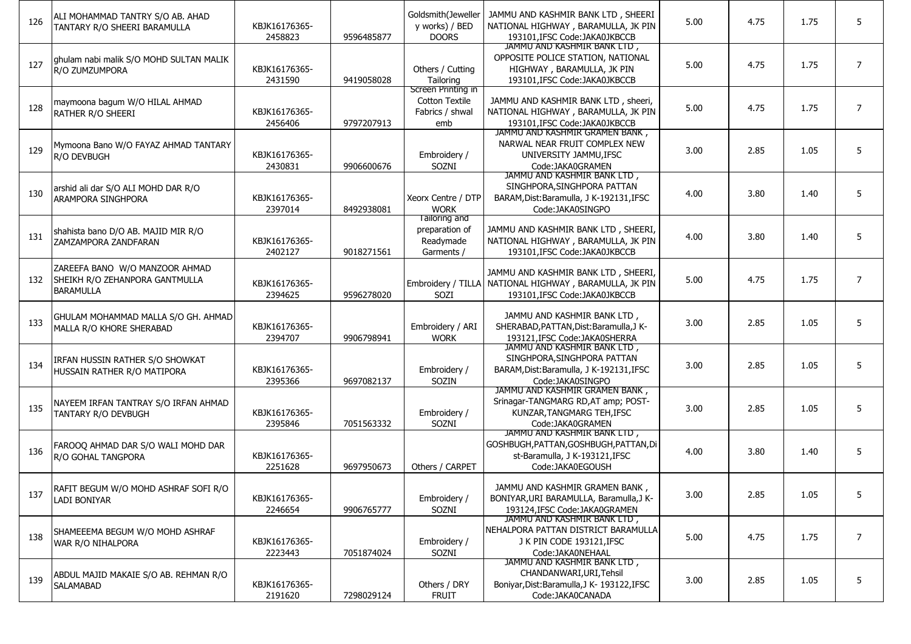| 126 | ALI MOHAMMAD TANTRY S/O AB. AHAD<br>TANTARY R/O SHEERI BARAMULLA                     | KBJK16176365-<br>2458823 | 9596485877 | Goldsmith(Jeweller<br>y works) / BED<br><b>DOORS</b>                  | JAMMU AND KASHMIR BANK LTD, SHEERI<br>NATIONAL HIGHWAY, BARAMULLA, JK PIN<br>193101, IFSC Code: JAKA0JKBCCB                      | 5.00 | 4.75 | 1.75 | 5              |
|-----|--------------------------------------------------------------------------------------|--------------------------|------------|-----------------------------------------------------------------------|----------------------------------------------------------------------------------------------------------------------------------|------|------|------|----------------|
| 127 | ghulam nabi malik S/O MOHD SULTAN MALIK<br>R/O ZUMZUMPORA                            | KBJK16176365-<br>2431590 | 9419058028 | Others / Cutting<br>Tailoring                                         | JAMMU AND KASHMIR BANK LTD,<br>OPPOSITE POLICE STATION, NATIONAL<br>HIGHWAY, BARAMULLA, JK PIN<br>193101, IFSC Code: JAKA0JKBCCB | 5.00 | 4.75 | 1.75 | $\overline{7}$ |
| 128 | maymoona bagum W/O HILAL AHMAD<br>RATHER R/O SHEERI                                  | KBJK16176365-<br>2456406 | 9797207913 | Screen Printing in<br><b>Cotton Textile</b><br>Fabrics / shwal<br>emb | JAMMU AND KASHMIR BANK LTD, sheeri,<br>NATIONAL HIGHWAY, BARAMULLA, JK PIN<br>193101, IFSC Code: JAKA0JKBCCB                     | 5.00 | 4.75 | 1.75 | $\overline{7}$ |
| 129 | Mymoona Bano W/O FAYAZ AHMAD TANTARY<br>R/O DEVBUGH                                  | KBJK16176365-<br>2430831 | 9906600676 | Embroidery /<br>SOZNI                                                 | JAMMU AND KASHMIR GRAMEN BANK,<br>NARWAL NEAR FRUIT COMPLEX NEW<br>UNIVERSITY JAMMU, IFSC<br>Code: JAKA0GRAMEN                   | 3.00 | 2.85 | 1.05 | 5              |
| 130 | arshid ali dar S/O ALI MOHD DAR R/O<br>ARAMPORA SINGHPORA                            | KBJK16176365-<br>2397014 | 8492938081 | Xeorx Centre / DTP<br><b>WORK</b>                                     | JAMMU AND KASHMIR BANK LID,<br>SINGHPORA, SINGHPORA PATTAN<br>BARAM, Dist: Baramulla, J K-192131, IFSC<br>Code:JAKA0SINGPO       | 4.00 | 3.80 | 1.40 | 5              |
| 131 | shahista bano D/O AB. MAJID MIR R/O<br>ZAMZAMPORA ZANDFARAN                          | KBJK16176365-<br>2402127 | 9018271561 | lailoring and<br>preparation of<br>Readymade<br>Garments /            | JAMMU AND KASHMIR BANK LTD, SHEERI,<br>NATIONAL HIGHWAY, BARAMULLA, JK PIN<br>193101, IFSC Code: JAKA0JKBCCB                     | 4.00 | 3.80 | 1.40 | 5              |
| 132 | ZAREEFA BANO W/O MANZOOR AHMAD<br>SHEIKH R/O ZEHANPORA GANTMULLA<br><b>BARAMULLA</b> | KBJK16176365-<br>2394625 | 9596278020 | Embroidery / TILLA<br>SOZI                                            | JAMMU AND KASHMIR BANK LTD, SHEERI.<br>NATIONAL HIGHWAY, BARAMULLA, JK PIN<br>193101.IFSC Code:JAKA0JKBCCB                       | 5.00 | 4.75 | 1.75 | $\overline{7}$ |
| 133 | GHULAM MOHAMMAD MALLA S/O GH. AHMAD<br>MALLA R/O KHORE SHERABAD                      | KBJK16176365-<br>2394707 | 9906798941 | Embroidery / ARI<br><b>WORK</b>                                       | JAMMU AND KASHMIR BANK LTD,<br>SHERABAD, PATTAN, Dist: Baramulla, J K-<br>193121.IFSC Code: JAKA0SHERRA                          | 3.00 | 2.85 | 1.05 | 5              |
| 134 | IRFAN HUSSIN RATHER S/O SHOWKAT<br>HUSSAIN RATHER R/O MATIPORA                       | KBJK16176365-<br>2395366 | 9697082137 | Embroidery /<br>SOZIN                                                 | JAMMU AND KASHMIR BANK LTD,<br>SINGHPORA, SINGHPORA PATTAN<br>BARAM, Dist: Baramulla, J K-192131, IFSC<br>Code:JAKA0SINGPO       | 3.00 | 2.85 | 1.05 | 5              |
| 135 | NAYEEM IRFAN TANTRAY S/O IRFAN AHMAD<br>TANTARY R/O DEVBUGH                          | KBJK16176365-<br>2395846 | 7051563332 | Embroidery /<br>SOZNI                                                 | JAMMU AND KASHMIR GRAMEN BANK,<br>Srinagar-TANGMARG RD, AT amp; POST-<br>KUNZAR, TANGMARG TEH, IFSC<br>Code:JAKA0GRAMEN          | 3.00 | 2.85 | 1.05 | 5              |
| 136 | FAROOQ AHMAD DAR S/O WALI MOHD DAR<br><b>R/O GOHAL TANGPORA</b>                      | KBJK16176365-<br>2251628 | 9697950673 | Others / CARPET                                                       | JAMMU AND KASHMIR BANK LID,<br>GOSHBUGH, PATTAN, GOSHBUGH, PATTAN, Di<br>st-Baramulla, J K-193121, IFSC<br>Code:JAKA0EGOUSH      | 4.00 | 3.80 | 1.40 | 5              |
| 137 | RAFIT BEGUM W/O MOHD ASHRAF SOFI R/O<br><b>LADI BONIYAR</b>                          | KBJK16176365-<br>2246654 | 9906765777 | Embroidery /<br>SOZNI                                                 | JAMMU AND KASHMIR GRAMEN BANK,<br>BONIYAR, URI BARAMULLA, Baramulla, J K-<br>193124.IFSC Code:JAKA0GRAMEN                        | 3.00 | 2.85 | 1.05 | 5              |
| 138 | SHAMEEEMA BEGUM W/O MOHD ASHRAF<br>WAR R/O NIHALPORA                                 | KBJK16176365-<br>2223443 | 7051874024 | Embroidery /<br>SOZNI                                                 | JAMMU AND KASHMIR BANK LTD,<br>NEHALPORA PATTAN DISTRICT BARAMULLA<br>J K PIN CODE 193121, IFSC<br>Code: JAKA0NEHAAL             | 5.00 | 4.75 | 1.75 | $\overline{7}$ |
| 139 | ABDUL MAJID MAKAIE S/O AB. REHMAN R/O<br>SALAMABAD                                   | KBJK16176365-<br>2191620 | 7298029124 | Others / DRY<br><b>FRUIT</b>                                          | JAMMU AND KASHMIR BANK LTD,<br>CHANDANWARI, URI, Tehsil<br>Boniyar, Dist: Baramulla, J K- 193122, IFSC<br>Code:JAKA0CANADA       | 3.00 | 2.85 | 1.05 | 5              |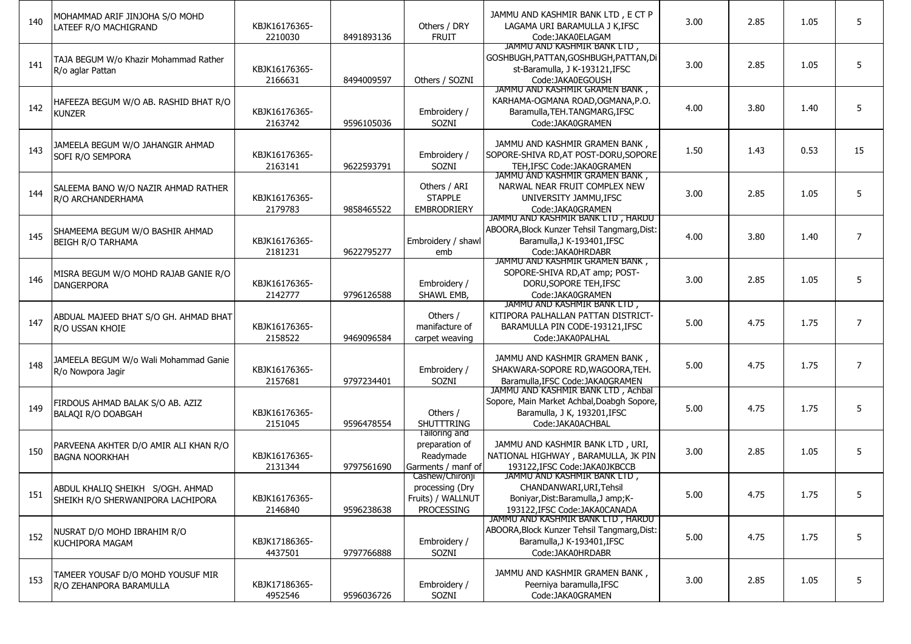| 140 | MOHAMMAD ARIF JINJOHA S/O MOHD<br>LATEEF R/O MACHIGRAND               | KBJK16176365-<br>2210030 | 8491893136 | Others / DRY<br><b>FRUIT</b>                                                 | JAMMU AND KASHMIR BANK LTD, E CT P<br>LAGAMA URI BARAMULLA J K, IFSC<br>Code:JAKA0ELAGAM                                                    | 3.00 | 2.85 | 1.05 | 5              |
|-----|-----------------------------------------------------------------------|--------------------------|------------|------------------------------------------------------------------------------|---------------------------------------------------------------------------------------------------------------------------------------------|------|------|------|----------------|
| 141 | TAJA BEGUM W/o Khazir Mohammad Rather<br>R/o aglar Pattan             | KBJK16176365-<br>2166631 | 8494009597 | Others / SOZNI                                                               | JAMMU AND KASHMIR BANK LTD,<br>GOSHBUGH, PATTAN, GOSHBUGH, PATTAN, Di<br>st-Baramulla, J K-193121, IFSC<br>Code:JAKA0EGOUSH                 | 3.00 | 2.85 | 1.05 | 5              |
| 142 | HAFEEZA BEGUM W/O AB. RASHID BHAT R/O<br><b>KUNZER</b>                | KBJK16176365-<br>2163742 | 9596105036 | Embroidery /<br>SOZNI                                                        | JAMMU AND KASHMIR GRAMEN BANK,<br>KARHAMA-OGMANA ROAD, OGMANA, P.O.<br>Baramulla, TEH. TANGMARG, IFSC<br>Code: JAKA0GRAMEN                  | 4.00 | 3.80 | 1.40 | 5              |
| 143 | JAMEELA BEGUM W/O JAHANGIR AHMAD<br>SOFI R/O SEMPORA                  | KBJK16176365-<br>2163141 | 9622593791 | Embroidery /<br>SOZNI                                                        | JAMMU AND KASHMIR GRAMEN BANK,<br>SOPORE-SHIVA RD, AT POST-DORU, SOPORE<br>TEH.IFSC Code: JAKA0GRAMEN                                       | 1.50 | 1.43 | 0.53 | 15             |
| 144 | SALEEMA BANO W/O NAZIR AHMAD RATHER<br>R/O ARCHANDERHAMA              | KBJK16176365-<br>2179783 | 9858465522 | Others / ARI<br><b>STAPPLE</b><br><b>EMBRODRIERY</b>                         | JAMMU AND KASHMIR GRAMEN BANK,<br>NARWAL NEAR FRUIT COMPLEX NEW<br>UNIVERSITY JAMMU, IFSC<br>Code:JAKA0GRAMEN                               | 3.00 | 2.85 | 1.05 | 5              |
| 145 | SHAMEEMA BEGUM W/O BASHIR AHMAD<br><b>BEIGH R/O TARHAMA</b>           | KBJK16176365-<br>2181231 | 9622795277 | Embroidery / shawl<br>emb                                                    | <u>JAMMU AND KASHMIR BANK LID , HARDU</u><br>ABOORA, Block Kunzer Tehsil Tangmarg, Dist:<br>Baramulla, J K-193401, IFSC<br>Code:JAKA0HRDABR | 4.00 | 3.80 | 1.40 | $\overline{7}$ |
| 146 | MISRA BEGUM W/O MOHD RAJAB GANIE R/O<br><b>DANGERPORA</b>             | KBJK16176365-<br>2142777 | 9796126588 | Embroidery /<br>SHAWL EMB.                                                   | JAMMU AND KASHMIR GRAMEN BANK,<br>SOPORE-SHIVA RD, AT amp; POST-<br>DORU, SOPORE TEH, IFSC<br>Code: JAKA0GRAMEN                             | 3.00 | 2.85 | 1.05 | 5              |
| 147 | ABDUAL MAJEED BHAT S/O GH. AHMAD BHAT<br>R/O USSAN KHOIE              | KBJK16176365-<br>2158522 | 9469096584 | Others /<br>manifacture of<br>carpet weaving                                 | JAMMU AND KASHMIR BANK LID,<br>KITIPORA PALHALLAN PATTAN DISTRICT-<br>BARAMULLA PIN CODE-193121, IFSC<br>Code: JAKA0PALHAL                  | 5.00 | 4.75 | 1.75 | $\overline{7}$ |
| 148 | JAMEELA BEGUM W/o Wali Mohammad Ganie<br>R/o Nowpora Jagir            | KBJK16176365-<br>2157681 | 9797234401 | Embroidery /<br>SOZNI                                                        | JAMMU AND KASHMIR GRAMEN BANK,<br>SHAKWARA-SOPORE RD, WAGOORA, TEH.<br>Baramulla, IFSC Code: JAKA0GRAMEN                                    | 5.00 | 4.75 | 1.75 | $\overline{7}$ |
| 149 | FIRDOUS AHMAD BALAK S/O AB. AZIZ<br><b>BALAQI R/O DOABGAH</b>         | KBJK16176365-<br>2151045 | 9596478554 | Others /<br><b>SHUTTTRING</b>                                                | JAMMU AND KASHMIR BANK LID, Achbal<br>Sopore, Main Market Achbal, Doabgh Sopore,<br>Baramulla, J K, 193201, IFSC<br>Code: JAKA0ACHBAL       | 5.00 | 4.75 | 1.75 | 5              |
| 150 | PARVEENA AKHTER D/O AMIR ALI KHAN R/O<br><b>BAGNA NOORKHAH</b>        | KBJK16176365-<br>2131344 | 9797561690 | lailoring and<br>preparation of<br>Readymade<br>Garments / manf of           | JAMMU AND KASHMIR BANK LTD, URI,<br>NATIONAL HIGHWAY, BARAMULLA, JK PIN<br>193122, IFSC Code: JAKA0JKBCCB                                   | 3.00 | 2.85 | 1.05 | 5              |
| 151 | ABDUL KHALIQ SHEIKH S/OGH. AHMAD<br>SHEIKH R/O SHERWANIPORA LACHIPORA | KBJK16176365-<br>2146840 | 9596238638 | Cashew/Chironji<br>processing (Dry<br>Fruits) / WALLNUT<br><b>PROCESSING</b> | JAMMU AND KASHMIR BANK LID,<br>CHANDANWARI, URI, Tehsil<br>Boniyar, Dist: Baramulla, J amp; K-<br>193122, IFSC Code: JAKA0CANADA            | 5.00 | 4.75 | 1.75 | 5              |
| 152 | NUSRAT D/O MOHD IBRAHIM R/O<br>KUCHIPORA MAGAM                        | KBJK17186365-<br>4437501 | 9797766888 | Embroidery /<br>SOZNI                                                        | JAMMU AND KASHMIR BANK LTD, HARDU<br>ABOORA, Block Kunzer Tehsil Tangmarg, Dist:<br>Baramulla, J K-193401, IFSC<br>Code:JAKA0HRDABR         | 5.00 | 4.75 | 1.75 | 5              |
| 153 | TAMEER YOUSAF D/O MOHD YOUSUF MIR<br>R/O ZEHANPORA BARAMULLA          | KBJK17186365-<br>4952546 | 9596036726 | Embroidery /<br>SOZNI                                                        | JAMMU AND KASHMIR GRAMEN BANK,<br>Peerniya baramulla, IFSC<br>Code: JAKA0GRAMEN                                                             | 3.00 | 2.85 | 1.05 | 5              |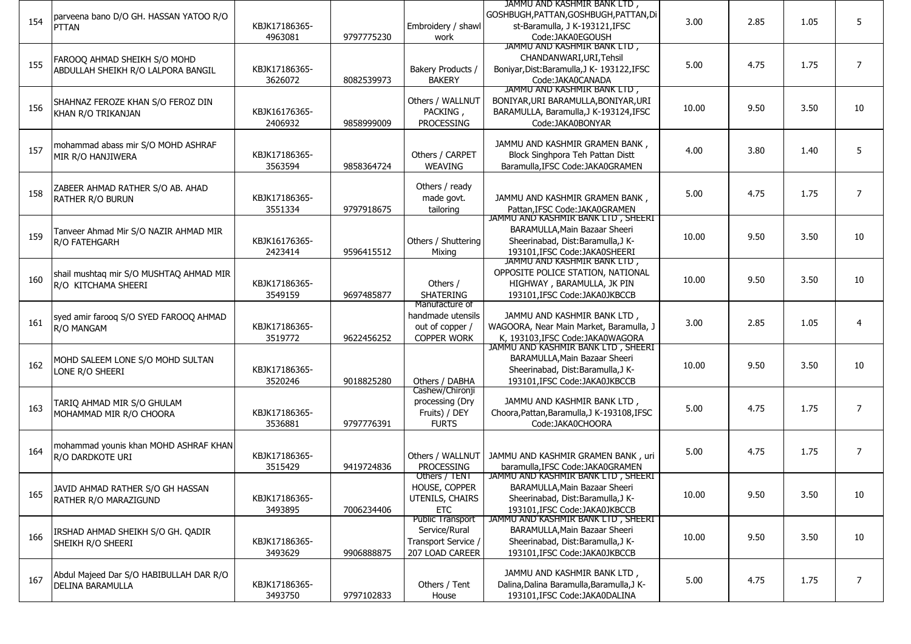| 154 | parveena bano D/O GH. HASSAN YATOO R/O<br>PTTAN                    | KBJK17186365-<br>4963081 | 9797775230 | Embroidery / shawl<br>work                                                         | JAMMU AND KASHMIR BANK LTD,<br>GOSHBUGH, PATTAN, GOSHBUGH, PATTAN, Di<br>st-Baramulla, J K-193121, IFSC<br>Code:JAKA0EGOUSH               | 3.00  | 2.85 | 1.05 | 5              |
|-----|--------------------------------------------------------------------|--------------------------|------------|------------------------------------------------------------------------------------|-------------------------------------------------------------------------------------------------------------------------------------------|-------|------|------|----------------|
| 155 | FAROOQ AHMAD SHEIKH S/O MOHD<br>ABDULLAH SHEIKH R/O LALPORA BANGIL | KBJK17186365-<br>3626072 | 8082539973 | Bakery Products /<br><b>BAKERY</b>                                                 | JAMMU AND KASHMIR BANK LTD,<br>CHANDANWARI, URI, Tehsil<br>Boniyar, Dist: Baramulla, J K- 193122, IFSC<br>Code:JAKA0CANADA                | 5.00  | 4.75 | 1.75 | $\overline{7}$ |
| 156 | SHAHNAZ FEROZE KHAN S/O FEROZ DIN<br>KHAN R/O TRIKANJAN            | KBJK16176365-<br>2406932 | 9858999009 | Others / WALLNUT<br>PACKING,<br><b>PROCESSING</b>                                  | JAMMU AND KASHMIR BANK LTD,<br>BONIYAR, URI BARAMULLA, BONIYAR, URI<br>BARAMULLA, Baramulla, J K-193124, IFSC<br>Code:JAKA0BONYAR         | 10.00 | 9.50 | 3.50 | 10             |
| 157 | mohammad abass mir S/O MOHD ASHRAF<br>MIR R/O HANJIWERA            | KBJK17186365-<br>3563594 | 9858364724 | Others / CARPET<br><b>WEAVING</b>                                                  | JAMMU AND KASHMIR GRAMEN BANK,<br>Block Singhpora Teh Pattan Distt<br>Baramulla, IFSC Code: JAKA0GRAMEN                                   | 4.00  | 3.80 | 1.40 | 5              |
| 158 | ZABEER AHMAD RATHER S/O AB. AHAD<br>RATHER R/O BURUN               | KBJK17186365-<br>3551334 | 9797918675 | Others / ready<br>made govt.<br>tailoring                                          | JAMMU AND KASHMIR GRAMEN BANK,<br>Pattan, IFSC Code: JAKA0GRAMEN                                                                          | 5.00  | 4.75 | 1.75 | $\overline{7}$ |
| 159 | Tanveer Ahmad Mir S/O NAZIR AHMAD MIR<br>R/O FATEHGARH             | KBJK16176365-<br>2423414 | 9596415512 | Others / Shuttering<br>Mixing                                                      | JAMMU AND KASHMIR BANK LID, SHEERI<br>BARAMULLA, Main Bazaar Sheeri<br>Sheerinabad, Dist:Baramulla,J K-<br>193101.IFSC Code:JAKA0SHEERI   | 10.00 | 9.50 | 3.50 | 10             |
| 160 | shail mushtaq mir S/O MUSHTAQ AHMAD MIR<br>R/O KITCHAMA SHEERI     | KBJK17186365-<br>3549159 | 9697485877 | Others /<br>SHATERING                                                              | JAMMU AND KASHMIR BANK LID,<br>OPPOSITE POLICE STATION, NATIONAL<br>HIGHWAY, BARAMULLA, JK PIN<br>193101, IFSC Code: JAKA0JKBCCB          | 10.00 | 9.50 | 3.50 | 10             |
| 161 | syed amir farooq S/O SYED FAROOQ AHMAD<br>R/O MANGAM               | KBJK17186365-<br>3519772 | 9622456252 | Manufacture of<br>handmade utensils<br>out of copper /<br><b>COPPER WORK</b>       | JAMMU AND KASHMIR BANK LTD,<br>WAGOORA, Near Main Market, Baramulla, J<br>K. 193103. IFSC Code: JAKA0WAGORA                               | 3.00  | 2.85 | 1.05 | 4              |
| 162 | MOHD SALEEM LONE S/O MOHD SULTAN<br>LONE R/O SHEERI                | KBJK17186365-<br>3520246 | 9018825280 | Others / DABHA                                                                     | JAMMU AND KASHMIR BANK LTD, SHEERI<br>BARAMULLA, Main Bazaar Sheeri<br>Sheerinabad, Dist:Baramulla,J K-<br>193101, IFSC Code: JAKA0JKBCCB | 10.00 | 9.50 | 3.50 | 10             |
| 163 | TARIQ AHMAD MIR S/O GHULAM<br>MOHAMMAD MIR R/O CHOORA              | KBJK17186365-<br>3536881 | 9797776391 | Cashew/Chironji<br>processing (Dry<br>Fruits) / DEY<br><b>FURTS</b>                | JAMMU AND KASHMIR BANK LTD,<br>Choora, Pattan, Baramulla, J K-193108, IFSC<br>Code:JAKA0CHOORA                                            | 5.00  | 4.75 | 1.75 | $\overline{7}$ |
| 164 | mohammad younis khan MOHD ASHRAF KHAN<br>R/O DARDKOTE URI          | KBJK17186365-<br>3515429 | 9419724836 | Others / WALLNUT<br><b>PROCESSING</b>                                              | JAMMU AND KASHMIR GRAMEN BANK, uri<br>baramulla, IFSC Code: JAKA0GRAMEN                                                                   | 5.00  | 4.75 | 1.75 | 7              |
| 165 | JAVID AHMAD RATHER S/O GH HASSAN<br>RATHER R/O MARAZIGUND          | KBJK17186365-<br>3493895 | 7006234406 | Others / IENI<br>HOUSE, COPPER<br>UTENILS, CHAIRS<br><b>ETC</b>                    | JAMMU AND KASHMIR BANK LID, SHEERI<br>BARAMULLA, Main Bazaar Sheeri<br>Sheerinabad, Dist:Baramulla,J K-<br>193101.IFSC Code:JAKA0JKBCCB   | 10.00 | 9.50 | 3.50 | 10             |
| 166 | IRSHAD AHMAD SHEIKH S/O GH. QADIR<br>SHEIKH R/O SHEERI             | KBJK17186365-<br>3493629 | 9906888875 | <b>Public Transport</b><br>Service/Rural<br>Transport Service /<br>207 LOAD CAREER | JAMMU AND KASHMIR BANK LTD, SHEERI<br>BARAMULLA, Main Bazaar Sheeri<br>Sheerinabad, Dist:Baramulla,J K-<br>193101, IFSC Code: JAKA0JKBCCB | 10.00 | 9.50 | 3.50 | 10             |
| 167 | Abdul Majeed Dar S/O HABIBULLAH DAR R/O<br><b>DELINA BARAMULLA</b> | KBJK17186365-<br>3493750 | 9797102833 | Others / Tent<br>House                                                             | JAMMU AND KASHMIR BANK LTD,<br>Dalina, Dalina Baramulla, Baramulla, J K-<br>193101, IFSC Code: JAKA0DALINA                                | 5.00  | 4.75 | 1.75 | $\overline{7}$ |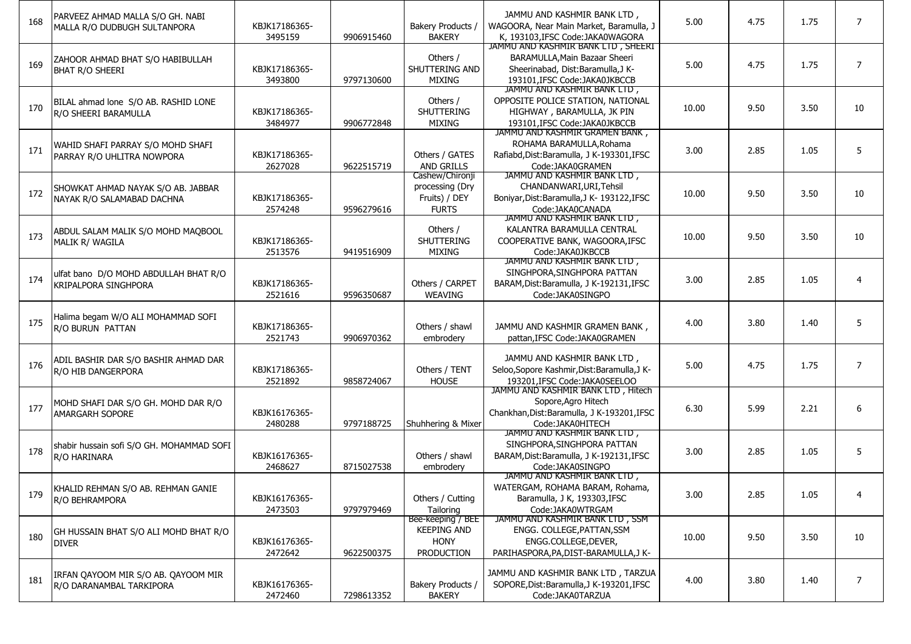| 168 | PARVEEZ AHMAD MALLA S/O GH. NABI<br>MALLA R/O DUDBUGH SULTANPORA     | KBJK17186365-<br>3495159 | 9906915460 | Bakery Products /<br><b>BAKERY</b>                                   | JAMMU AND KASHMIR BANK LTD.<br>WAGOORA, Near Main Market, Baramulla, J<br>K, 193103, IFSC Code: JAKA0WAGORA                             | 5.00  | 4.75 | 1.75 | $\overline{7}$ |
|-----|----------------------------------------------------------------------|--------------------------|------------|----------------------------------------------------------------------|-----------------------------------------------------------------------------------------------------------------------------------------|-------|------|------|----------------|
| 169 | ZAHOOR AHMAD BHAT S/O HABIBULLAH<br><b>BHAT R/O SHEERI</b>           | KBJK17186365-<br>3493800 | 9797130600 | Others /<br>SHUTTERING AND<br><b>MIXING</b>                          | JAMMU AND KASHMIR BANK LTD, SHEERI<br>BARAMULLA, Main Bazaar Sheeri<br>Sheerinabad, Dist:Baramulla,J K-<br>193101.IFSC Code:JAKA0JKBCCB | 5.00  | 4.75 | 1.75 | $\overline{7}$ |
| 170 | BILAL ahmad lone S/O AB. RASHID LONE<br>R/O SHEERI BARAMULLA         | KBJK17186365-<br>3484977 | 9906772848 | Others /<br>SHUTTERING<br><b>MIXING</b>                              | JAMMU AND KASHMIR BANK LTD,<br>OPPOSITE POLICE STATION, NATIONAL<br>HIGHWAY, BARAMULLA, JK PIN<br>193101, IFSC Code: JAKA0JKBCCB        | 10.00 | 9.50 | 3.50 | 10             |
| 171 | WAHID SHAFI PARRAY S/O MOHD SHAFI<br>PARRAY R/O UHLITRA NOWPORA      | KBJK17186365-<br>2627028 | 9622515719 | Others / GATES<br><b>AND GRILLS</b>                                  | JAMMU AND KASHMIR GRAMEN BANK,<br>ROHAMA BARAMULLA, Rohama<br>Rafiabd, Dist: Baramulla, J K-193301, IFSC<br>Code: JAKA0GRAMEN           | 3.00  | 2.85 | 1.05 | 5              |
| 172 | SHOWKAT AHMAD NAYAK S/O AB. JABBAR<br>NAYAK R/O SALAMABAD DACHNA     | KBJK17186365-<br>2574248 | 9596279616 | Cashew/Chironji<br>processing (Dry<br>Fruits) / DEY<br><b>FURTS</b>  | JAMMU AND KASHMIR BANK LID,<br>CHANDANWARI, URI, Tehsil<br>Boniyar, Dist: Baramulla, J K- 193122, IFSC<br>Code:JAKA0CANADA              | 10.00 | 9.50 | 3.50 | 10             |
| 173 | ABDUL SALAM MALIK S/O MOHD MAQBOOL<br>MALIK R/ WAGILA                | KBJK17186365-<br>2513576 | 9419516909 | Others /<br><b>SHUTTERING</b><br>MIXING                              | JAMMU AND KASHMIR BANK LID,<br>KALANTRA BARAMULLA CENTRAL<br>COOPERATIVE BANK, WAGOORA, IFSC<br>Code: JAKA0JKBCCB                       | 10.00 | 9.50 | 3.50 | 10             |
| 174 | ulfat bano D/O MOHD ABDULLAH BHAT R/O<br><b>KRIPALPORA SINGHPORA</b> | KBJK17186365-<br>2521616 | 9596350687 | Others / CARPET<br><b>WEAVING</b>                                    | JAMMU AND KASHMIR BANK LID,<br>SINGHPORA.SINGHPORA PATTAN<br>BARAM, Dist: Baramulla, J K-192131, IFSC<br>Code:JAKA0SINGPO               | 3.00  | 2.85 | 1.05 | $\overline{4}$ |
| 175 | Halima begam W/O ALI MOHAMMAD SOFI<br>R/O BURUN PATTAN               | KBJK17186365-<br>2521743 | 9906970362 | Others / shawl<br>embrodery                                          | JAMMU AND KASHMIR GRAMEN BANK,<br>pattan.IFSC Code:JAKA0GRAMEN                                                                          | 4.00  | 3.80 | 1.40 | 5              |
| 176 | ADIL BASHIR DAR S/O BASHIR AHMAD DAR<br>R/O HIB DANGERPORA           | KBJK17186365-<br>2521892 | 9858724067 | Others / TENT<br><b>HOUSE</b>                                        | JAMMU AND KASHMIR BANK LTD,<br>Seloo, Sopore Kashmir, Dist: Baramulla, J K-<br>193201, IFSC Code: JAKA0SEELOO                           | 5.00  | 4.75 | 1.75 | $\overline{7}$ |
| 177 | MOHD SHAFI DAR S/O GH. MOHD DAR R/O<br>AMARGARH SOPORE               | KBJK16176365-<br>2480288 | 9797188725 | Shuhhering & Mixer                                                   | JAMMU AND KASHMIR BANK LID, Hitech<br>Sopore, Agro Hitech<br>Chankhan, Dist: Baramulla, J K-193201, IFSC<br>Code: JAKA0HITECH           | 6.30  | 5.99 | 2.21 | 6              |
| 178 | shabir hussain sofi S/O GH. MOHAMMAD SOFI<br>R/O HARINARA            | KBJK16176365-<br>2468627 | 8715027538 | Others / shawl<br>embrodery                                          | JAMMU AND KASHMIR BANK LTD,<br>SINGHPORA, SINGHPORA PATTAN<br>BARAM, Dist: Baramulla, J K-192131, IFSC<br>Code:JAKA0SINGPO              | 3.00  | 2.85 | 1.05 | 5              |
| 179 | KHALID REHMAN S/O AB. REHMAN GANIE<br>R/O BEHRAMPORA                 | KBJK16176365-<br>2473503 | 9797979469 | Others / Cutting<br>Tailoring                                        | JAMMU AND KASHMIR BANK LID,<br>WATERGAM, ROHAMA BARAM, Rohama,<br>Baramulla, J K, 193303, IFSC<br>Code:JAKA0WTRGAM                      | 3.00  | 2.85 | 1.05 | $\overline{4}$ |
| 180 | GH HUSSAIN BHAT S/O ALI MOHD BHAT R/O<br><b>DIVER</b>                | KBJK16176365-<br>2472642 | 9622500375 | Bee-keeping / BEE<br><b>KEEPING AND</b><br><b>HONY</b><br>PRODUCTION | JAMMU AND KASHMIR BANK LTD, SSM<br>ENGG. COLLEGE, PATTAN, SSM<br>ENGG.COLLEGE, DEVER,<br>PARIHASPORA, PA, DIST-BARAMULLA, JK-           | 10.00 | 9.50 | 3.50 | 10             |
| 181 | IRFAN QAYOOM MIR S/O AB. QAYOOM MIR<br>R/O DARANAMBAL TARKIPORA      | KBJK16176365-<br>2472460 | 7298613352 | Bakery Products /<br><b>BAKERY</b>                                   | JAMMU AND KASHMIR BANK LTD, TARZUA<br>SOPORE, Dist: Baramulla, J K-193201, IFSC<br>Code: JAKA0TARZUA                                    | 4.00  | 3.80 | 1.40 | 7              |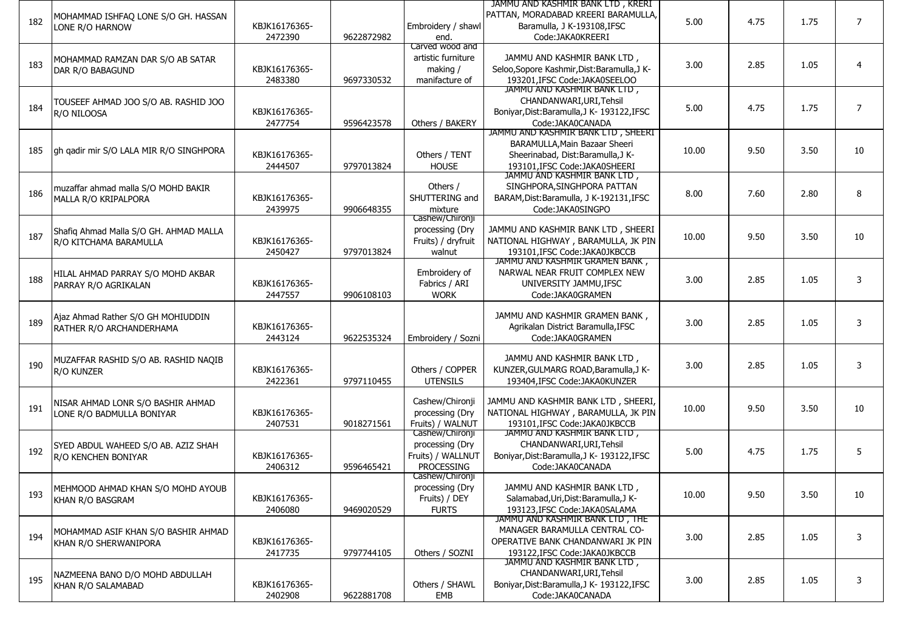|     |                                         |               |            |                    | JAMMU AND KASHMIR BANK LTD, KRERI                             |       |      |      |                |
|-----|-----------------------------------------|---------------|------------|--------------------|---------------------------------------------------------------|-------|------|------|----------------|
|     | MOHAMMAD ISHFAQ LONE S/O GH. HASSAN     |               |            |                    | PATTAN, MORADABAD KREERI BARAMULLA,                           |       |      |      |                |
| 182 | LONE R/O HARNOW                         | KBJK16176365- |            | Embroidery / shawl | Baramulla, J K-193108, IFSC                                   | 5.00  | 4.75 | 1.75 | $\overline{7}$ |
|     |                                         | 2472390       | 9622872982 | end.               | Code: JAKA0KREERI                                             |       |      |      |                |
|     |                                         |               |            | Carved wood and    |                                                               |       |      |      |                |
|     | MOHAMMAD RAMZAN DAR S/O AB SATAR        |               |            | artistic furniture | JAMMU AND KASHMIR BANK LTD,                                   |       |      |      |                |
| 183 |                                         | KBJK16176365- |            | making /           | Seloo, Sopore Kashmir, Dist: Baramulla, J K-                  | 3.00  | 2.85 | 1.05 | $\overline{4}$ |
|     | DAR R/O BABAGUND                        |               |            |                    |                                                               |       |      |      |                |
|     |                                         | 2483380       | 9697330532 | manifacture of     | 193201, IFSC Code: JAKA0SEELOO<br>JAMMU AND KASHMIR BANK LTD, |       |      |      |                |
|     |                                         |               |            |                    |                                                               |       |      |      |                |
| 184 | TOUSEEF AHMAD JOO S/O AB. RASHID JOO    |               |            |                    | CHANDANWARI, URI, Tehsil                                      | 5.00  | 4.75 | 1.75 | $\overline{7}$ |
|     | R/O NILOOSA                             | KBJK16176365- |            |                    | Boniyar, Dist: Baramulla, J K- 193122, IFSC                   |       |      |      |                |
|     |                                         | 2477754       | 9596423578 | Others / BAKERY    | Code:JAKA0CANADA                                              |       |      |      |                |
|     |                                         |               |            |                    | JAMMU AND KASHMIR BANK LTD, SHEERI                            |       |      |      |                |
|     |                                         |               |            |                    | BARAMULLA, Main Bazaar Sheeri                                 |       |      |      |                |
| 185 | gh gadir mir S/O LALA MIR R/O SINGHPORA | KBJK16176365- |            | Others / TENT      | Sheerinabad, Dist:Baramulla,J K-                              | 10.00 | 9.50 | 3.50 | 10             |
|     |                                         | 2444507       | 9797013824 | <b>HOUSE</b>       | 193101.IFSC Code:JAKA0SHEERI                                  |       |      |      |                |
|     |                                         |               |            |                    | JAMMU AND KASHMIR BANK LID,                                   |       |      |      |                |
|     |                                         |               |            | Others /           | SINGHPORA, SINGHPORA PATTAN                                   |       |      |      |                |
| 186 | muzaffar ahmad malla S/O MOHD BAKIR     |               |            |                    |                                                               | 8.00  | 7.60 | 2.80 | 8              |
|     | MALLA R/O KRIPALPORA                    | KBJK16176365- |            | SHUTTERING and     | BARAM, Dist: Baramulla, J K-192131, IFSC                      |       |      |      |                |
|     |                                         | 2439975       | 9906648355 | mixture            | Code:JAKA0SINGPO                                              |       |      |      |                |
|     |                                         |               |            | Cashew/Chironji    |                                                               |       |      |      |                |
| 187 | Shafiq Ahmad Malla S/O GH. AHMAD MALLA  |               |            | processing (Dry    | JAMMU AND KASHMIR BANK LTD, SHEERI                            | 10.00 | 9.50 | 3.50 | 10             |
|     | R/O KITCHAMA BARAMULLA                  | KBJK16176365- |            | Fruits) / dryfruit | NATIONAL HIGHWAY, BARAMULLA, JK PIN                           |       |      |      |                |
|     |                                         | 2450427       | 9797013824 | walnut             | 193101.IFSC Code:JAKA0JKBCCB                                  |       |      |      |                |
|     |                                         |               |            |                    | JAMMU AND KASHMIR GRAMEN BANK,                                |       |      |      |                |
|     | HILAL AHMAD PARRAY S/O MOHD AKBAR       |               |            | Embroidery of      | NARWAL NEAR FRUIT COMPLEX NEW                                 |       |      |      |                |
| 188 | PARRAY R/O AGRIKALAN                    | KBJK16176365- |            | Fabrics / ARI      | UNIVERSITY JAMMU, IFSC                                        | 3.00  | 2.85 | 1.05 | 3              |
|     |                                         | 2447557       | 9906108103 | <b>WORK</b>        | Code: JAKA0GRAMEN                                             |       |      |      |                |
|     |                                         |               |            |                    |                                                               |       |      |      |                |
|     |                                         |               |            |                    | JAMMU AND KASHMIR GRAMEN BANK,                                |       |      |      |                |
| 189 | Ajaz Ahmad Rather S/O GH MOHIUDDIN      | KBJK16176365- |            |                    | Agrikalan District Baramulla, IFSC                            | 3.00  | 2.85 | 1.05 | 3              |
|     | RATHER R/O ARCHANDERHAMA                |               |            |                    |                                                               |       |      |      |                |
|     |                                         | 2443124       | 9622535324 | Embroidery / Sozni | Code:JAKA0GRAMEN                                              |       |      |      |                |
|     |                                         |               |            |                    |                                                               |       |      |      |                |
| 190 | MUZAFFAR RASHID S/O AB. RASHID NAQIB    |               |            |                    | JAMMU AND KASHMIR BANK LTD,                                   | 3.00  | 2.85 | 1.05 | 3              |
|     | R/O KUNZER                              | KBJK16176365- |            | Others / COPPER    | KUNZER, GULMARG ROAD, Baramulla, J K-                         |       |      |      |                |
|     |                                         | 2422361       | 9797110455 | <b>UTENSILS</b>    | 193404, IFSC Code: JAKA0KUNZER                                |       |      |      |                |
|     |                                         |               |            |                    |                                                               |       |      |      |                |
| 191 | NISAR AHMAD LONR S/O BASHIR AHMAD       |               |            | Cashew/Chironji    | JAMMU AND KASHMIR BANK LTD, SHEERI,                           | 10.00 | 9.50 | 3.50 | 10             |
|     | LONE R/O BADMULLA BONIYAR               | KBJK16176365- |            | processing (Dry    | NATIONAL HIGHWAY, BARAMULLA, JK PIN                           |       |      |      |                |
|     |                                         | 2407531       | 9018271561 | Fruits) / WALNUT   | 193101, IFSC Code: JAKA0JKBCCB                                |       |      |      |                |
|     |                                         |               |            | Cashew/Chironji    | JAMMU AND KASHMIR BANK LID,                                   |       |      |      |                |
|     | SYED ABDUL WAHEED S/O AB. AZIZ SHAH     |               |            | processing (Dry    | CHANDANWARI, URI, Tehsil                                      |       |      |      |                |
| 192 | R/O KENCHEN BONIYAR                     | KBJK16176365- |            | Fruits) / WALLNUT  | Boniyar, Dist: Baramulla, J K- 193122, IFSC                   | 5.00  | 4.75 | 1.75 | 5              |
|     |                                         | 2406312       | 9596465421 | PROCESSING         | Code:JAKA0CANADA                                              |       |      |      |                |
|     |                                         |               |            | Cashew/Chironji    |                                                               |       |      |      |                |
|     |                                         |               |            | processing (Dry    | JAMMU AND KASHMIR BANK LTD,                                   |       |      |      |                |
| 193 | MEHMOOD AHMAD KHAN S/O MOHD AYOUB       |               |            |                    |                                                               | 10.00 | 9.50 | 3.50 | 10             |
|     | KHAN R/O BASGRAM                        | KBJK16176365- |            | Fruits) / DEY      | Salamabad, Uri, Dist: Baramulla, J K-                         |       |      |      |                |
|     |                                         | 2406080       | 9469020529 | <b>FURTS</b>       | 193123. IFSC Code: JAKA0SALAMA                                |       |      |      |                |
|     |                                         |               |            |                    | JAMMU AND KASHMIR BANK LTD, THE                               |       |      |      |                |
| 194 | MOHAMMAD ASIF KHAN S/O BASHIR AHMAD     |               |            |                    | MANAGER BARAMULLA CENTRAL CO-                                 | 3.00  | 2.85 | 1.05 | 3              |
|     | KHAN R/O SHERWANIPORA                   | KBJK16176365- |            |                    | OPERATIVE BANK CHANDANWARI JK PIN                             |       |      |      |                |
|     |                                         | 2417735       | 9797744105 | Others / SOZNI     | 193122.IFSC Code:JAKA0JKBCCB                                  |       |      |      |                |
|     |                                         |               |            |                    | JAMMU AND KASHMIR BANK LTD,                                   |       |      |      |                |
|     | NAZMEENA BANO D/O MOHD ABDULLAH         |               |            |                    | CHANDANWARI, URI, Tehsil                                      |       |      |      |                |
| 195 | KHAN R/O SALAMABAD                      | KBJK16176365- |            | Others / SHAWL     | Boniyar, Dist: Baramulla, J K- 193122, IFSC                   | 3.00  | 2.85 | 1.05 | 3              |
|     |                                         | 2402908       | 9622881708 | EMB                | Code:JAKA0CANADA                                              |       |      |      |                |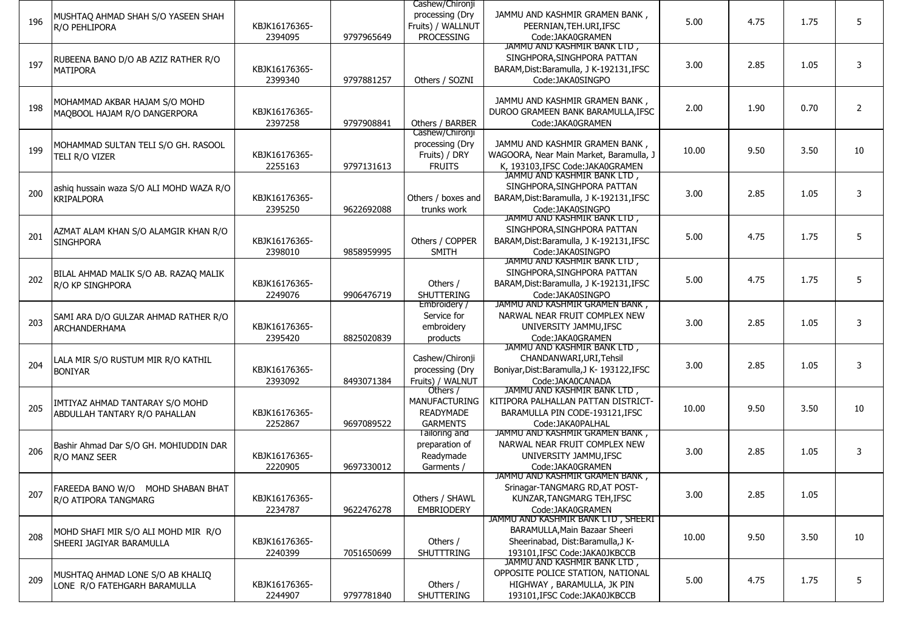|     |                                                               |               |            | Cashew/Chironji<br>processing (Dry | JAMMU AND KASHMIR GRAMEN BANK,                                          |       |      |      |                |
|-----|---------------------------------------------------------------|---------------|------------|------------------------------------|-------------------------------------------------------------------------|-------|------|------|----------------|
| 196 | MUSHTAQ AHMAD SHAH S/O YASEEN SHAH<br>R/O PEHLIPORA           | KBJK16176365- |            | Fruits) / WALLNUT                  | PEERNIAN, TEH. URI, IFSC                                                | 5.00  | 4.75 | 1.75 | 5              |
|     |                                                               | 2394095       | 9797965649 | PROCESSING                         | Code:JAKA0GRAMEN                                                        |       |      |      |                |
|     |                                                               |               |            |                                    | JAMMU AND KASHMIR BANK LTD,                                             |       |      |      |                |
| 197 | RUBEENA BANO D/O AB AZIZ RATHER R/O                           |               |            |                                    | SINGHPORA, SINGHPORA PATTAN                                             | 3.00  | 2.85 | 1.05 | 3              |
|     | <b>MATIPORA</b>                                               | KBJK16176365- |            |                                    | BARAM, Dist: Baramulla, J K-192131, IFSC                                |       |      |      |                |
|     |                                                               | 2399340       | 9797881257 | Others / SOZNI                     | Code:JAKA0SINGPO                                                        |       |      |      |                |
|     |                                                               |               |            |                                    | JAMMU AND KASHMIR GRAMEN BANK,                                          |       |      |      |                |
| 198 | MOHAMMAD AKBAR HAJAM S/O MOHD<br>MAQBOOL HAJAM R/O DANGERPORA | KBJK16176365- |            |                                    | DUROO GRAMEEN BANK BARAMULLA, IFSC                                      | 2.00  | 1.90 | 0.70 | $\overline{2}$ |
|     |                                                               | 2397258       | 9797908841 | Others / BARBER                    | Code: JAKA0GRAMEN                                                       |       |      |      |                |
|     |                                                               |               |            | Cashew/Chironji                    |                                                                         |       |      |      |                |
| 199 | MOHAMMAD SULTAN TELI S/O GH. RASOOL                           |               |            | processing (Dry                    | JAMMU AND KASHMIR GRAMEN BANK,                                          |       | 9.50 | 3.50 | 10             |
|     | TELI R/O VIZER                                                | KBJK16176365- |            | Fruits) / DRY                      | WAGOORA, Near Main Market, Baramulla, J                                 | 10.00 |      |      |                |
|     |                                                               | 2255163       | 9797131613 | <b>FRUITS</b>                      | K. 193103. IFSC Code: JAKA0GRAMEN                                       |       |      |      |                |
|     |                                                               |               |            |                                    | JAMMU AND KASHMIR BANK LTD,<br>SINGHPORA, SINGHPORA PATTAN              |       |      |      |                |
| 200 | ashiq hussain waza S/O ALI MOHD WAZA R/O<br><b>KRIPALPORA</b> | KBJK16176365- |            | Others / boxes and                 | BARAM, Dist: Baramulla, J K-192131, IFSC                                | 3.00  | 2.85 | 1.05 | 3              |
|     |                                                               | 2395250       | 9622692088 | trunks work                        | Code:JAKA0SINGPO                                                        |       |      |      |                |
|     |                                                               |               |            |                                    | JAMMU AND KASHMIR BANK LID,                                             |       |      |      |                |
|     | AZMAT ALAM KHAN S/O ALAMGIR KHAN R/O                          |               |            |                                    | SINGHPORA, SINGHPORA PATTAN                                             |       |      |      |                |
| 201 | <b>SINGHPORA</b>                                              | KBJK16176365- |            | Others / COPPER                    | BARAM, Dist: Baramulla, J K-192131, IFSC                                | 5.00  | 4.75 | 1.75 | 5              |
|     |                                                               | 2398010       | 9858959995 | <b>SMITH</b>                       | Code: JAKA0SINGPO                                                       |       |      |      |                |
|     |                                                               |               |            |                                    | JAMMU AND KASHMIR BANK LID,                                             |       |      |      |                |
| 202 | BILAL AHMAD MALIK S/O AB. RAZAQ MALIK                         | KBJK16176365- |            |                                    | SINGHPORA, SINGHPORA PATTAN<br>BARAM, Dist: Baramulla, J K-192131, IFSC | 5.00  | 4.75 | 1.75 | 5              |
|     | R/O KP SINGHPORA                                              | 2249076       | 9906476719 | Others /<br><b>SHUTTERING</b>      | Code:JAKA0SINGPO                                                        |       |      |      |                |
|     |                                                               |               |            | Embroidery /                       | JAMMU AND KASHMIR GRAMEN BANK,                                          |       |      |      |                |
|     | SAMI ARA D/O GULZAR AHMAD RATHER R/O                          |               |            | Service for                        | NARWAL NEAR FRUIT COMPLEX NEW                                           |       |      |      |                |
| 203 | <b>ARCHANDERHAMA</b>                                          | KBJK16176365- |            | embroidery                         | UNIVERSITY JAMMU, IFSC                                                  | 3.00  | 2.85 | 1.05 | 3              |
|     |                                                               | 2395420       | 8825020839 | products                           | Code: JAKA0GRAMEN                                                       |       |      |      |                |
|     |                                                               |               |            |                                    | JAMMU AND KASHMIR BANK LID,                                             |       |      |      |                |
| 204 | LALA MIR S/O RUSTUM MIR R/O KATHIL                            |               |            | Cashew/Chironji                    | CHANDANWARI, URI, Tehsil                                                | 3.00  | 2.85 | 1.05 | 3              |
|     | <b>BONIYAR</b>                                                | KBJK16176365- |            | processing (Dry                    | Boniyar, Dist: Baramulla, J K- 193122, IFSC<br>Code:JAKA0CANADA         |       |      |      |                |
|     |                                                               | 2393092       | 8493071384 | Fruits) / WALNUT<br>Others /       | JAMMU AND KASHMIR BANK LID,                                             |       |      |      |                |
|     | IMTIYAZ AHMAD TANTARAY S/O MOHD                               |               |            | <b>MANUFACTURING</b>               | KITIPORA PALHALLAN PATTAN DISTRICT-                                     |       |      |      |                |
| 205 | ABDULLAH TANTARY R/O PAHALLAN                                 | KBJK16176365- |            | <b>READYMADE</b>                   | BARAMULLA PIN CODE-193121, IFSC                                         | 10.00 | 9.50 | 3.50 | 10             |
|     |                                                               | 2252867       | 9697089522 | <b>GARMENTS</b>                    | Code: JAKA0PALHAL                                                       |       |      |      |                |
|     |                                                               |               |            | lailoring and                      | JAMMU AND KASHMIR GRAMEN BANK,                                          |       |      |      |                |
| 206 | Bashir Ahmad Dar S/O GH. MOHIUDDIN DAR                        |               |            | preparation of                     | NARWAL NEAR FRUIT COMPLEX NEW                                           | 3.00  | 2.85 | 1.05 | 3              |
|     | R/O MANZ SEER                                                 | KBJK16176365- |            | Readymade                          | UNIVERSITY JAMMU, IFSC                                                  |       |      |      |                |
|     |                                                               | 2220905       | 9697330012 | Garments /                         | Code: JAKA0GRAMEN<br>JAMMU AND KASHMIR GRAMEN BANK,                     |       |      |      |                |
|     | FAREEDA BANO W/O MOHD SHABAN BHAT                             |               |            |                                    | Srinagar-TANGMARG RD, AT POST-                                          |       |      |      |                |
| 207 | R/O ATIPORA TANGMARG                                          | KBJK16176365- |            | Others / SHAWL                     | KUNZAR, TANGMARG TEH, IFSC                                              | 3.00  | 2.85 | 1.05 |                |
|     |                                                               | 2234787       | 9622476278 | <b>EMBRIODERY</b>                  | Code: JAKA0GRAMEN                                                       |       |      |      |                |
|     |                                                               |               |            |                                    | JAMMU AND KASHMIR BANK LTD, SHEERI                                      |       |      |      |                |
| 208 | MOHD SHAFI MIR S/O ALI MOHD MIR R/O                           |               |            |                                    | BARAMULLA, Main Bazaar Sheeri                                           | 10.00 | 9.50 | 3.50 | 10             |
|     | SHEERI JAGIYAR BARAMULLA                                      | KBJK16176365- |            | Others /                           | Sheerinabad, Dist:Baramulla,J K-                                        |       |      |      |                |
|     |                                                               | 2240399       | 7051650699 | SHUTTTRING                         | 193101, IFSC Code: JAKA0JKBCCB<br>JAMMU AND KASHMIR BANK LTD,           |       |      |      |                |
|     | MUSHTAQ AHMAD LONE S/O AB KHALIQ                              |               |            |                                    | OPPOSITE POLICE STATION, NATIONAL                                       |       |      |      |                |
| 209 | LONE R/O FATEHGARH BARAMULLA                                  | KBJK16176365- |            | Others /                           | HIGHWAY, BARAMULLA, JK PIN                                              | 5.00  | 4.75 | 1.75 | 5              |
|     |                                                               | 2244907       | 9797781840 | SHUTTERING                         | 193101, IFSC Code: JAKA0JKBCCB                                          |       |      |      |                |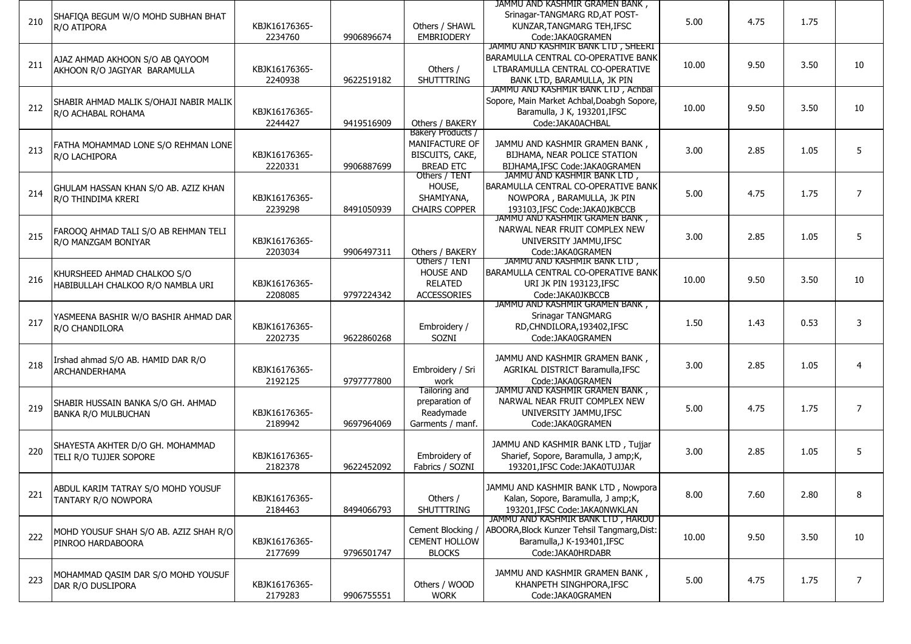|     |                                        |               |            |                      | JAMMU AND KASHMIR GRAMEN BANK,              |       |      |      |                |
|-----|----------------------------------------|---------------|------------|----------------------|---------------------------------------------|-------|------|------|----------------|
|     | SHAFIQA BEGUM W/O MOHD SUBHAN BHAT     |               |            |                      | Srinagar-TANGMARG RD, AT POST-              |       |      |      |                |
| 210 | R/O ATIPORA                            | KBJK16176365- |            | Others / SHAWL       | KUNZAR, TANGMARG TEH, IFSC                  | 5.00  | 4.75 | 1.75 |                |
|     |                                        | 2234760       | 9906896674 | <b>EMBRIODERY</b>    | Code: JAKA0GRAMEN                           |       |      |      |                |
|     |                                        |               |            |                      | JAMMU AND KASHMIR BANK LTD, SHEERI          |       |      |      |                |
|     | AJAZ AHMAD AKHOON S/O AB QAYOOM        |               |            |                      | BARAMULLA CENTRAL CO-OPERATIVE BANK         |       |      |      |                |
| 211 | AKHOON R/O JAGIYAR BARAMULLA           | KBJK16176365- |            | Others /             | LTBARAMULLA CENTRAL CO-OPERATIVE            | 10.00 | 9.50 | 3.50 | 10             |
|     |                                        | 2240938       | 9622519182 | <b>SHUTTTRING</b>    | BANK LTD, BARAMULLA, JK PIN                 |       |      |      |                |
|     |                                        |               |            |                      | JAMMU AND KASHMIR BANK LTD, Achbal          |       |      |      |                |
|     | SHABIR AHMAD MALIK S/OHAJI NABIR MALIK |               |            |                      | Sopore, Main Market Achbal, Doabgh Sopore,  |       |      |      |                |
| 212 | R/O ACHABAL ROHAMA                     | KBJK16176365- |            |                      | Baramulla, J K, 193201, IFSC                | 10.00 | 9.50 | 3.50 | 10             |
|     |                                        | 2244427       | 9419516909 | Others / BAKERY      | Code: JAKA0ACHBAL                           |       |      |      |                |
|     |                                        |               |            | Bakery Products /    |                                             |       |      |      |                |
|     | FATHA MOHAMMAD LONE S/O REHMAN LONE    |               |            | MANIFACTURE OF       | JAMMU AND KASHMIR GRAMEN BANK,              |       |      |      |                |
| 213 | R/O LACHIPORA                          | KBJK16176365- |            | BISCUITS, CAKE,      | BIJHAMA, NEAR POLICE STATION                | 3.00  | 2.85 | 1.05 | 5              |
|     |                                        | 2220331       | 9906887699 | <b>BREAD ETC</b>     | BIJHAMA.IFSC Code:JAKA0GRAMEN               |       |      |      |                |
|     |                                        |               |            | Others / IENI        | JAMMU AND KASHMIR BANK LTD,                 |       |      |      |                |
|     | GHULAM HASSAN KHAN S/O AB. AZIZ KHAN   |               |            | HOUSE,               | BARAMULLA CENTRAL CO-OPERATIVE BANK         |       |      |      |                |
| 214 | R/O THINDIMA KRERI                     | KBJK16176365- |            | SHAMIYANA,           | NOWPORA, BARAMULLA, JK PIN                  | 5.00  | 4.75 | 1.75 | $\overline{7}$ |
|     |                                        | 2239298       | 8491050939 | <b>CHAIRS COPPER</b> | 193103, IFSC Code: JAKA0JKBCCB              |       |      |      |                |
|     |                                        |               |            |                      | JAMMU AND KASHMIR GRAMEN BANK,              |       |      |      |                |
|     | FAROOQ AHMAD TALI S/O AB REHMAN TELI   |               |            |                      | NARWAL NEAR FRUIT COMPLEX NEW               |       |      |      |                |
| 215 | R/O MANZGAM BONIYAR                    | KBJK16176365- |            |                      | UNIVERSITY JAMMU, IFSC                      | 3.00  | 2.85 | 1.05 | 5              |
|     |                                        | 2203034       | 9906497311 | Others / BAKERY      | Code:JAKA0GRAMEN                            |       |      |      |                |
|     |                                        |               |            | Others / TENT        | JAMMU AND KASHMIR BANK LID,                 |       |      |      |                |
|     | KHURSHEED AHMAD CHALKOO S/O            |               |            | <b>HOUSE AND</b>     | BARAMULLA CENTRAL CO-OPERATIVE BANK         |       |      |      |                |
| 216 | HABIBULLAH CHALKOO R/O NAMBLA URI      | KBJK16176365- |            | <b>RELATED</b>       | URI JK PIN 193123, IFSC                     | 10.00 | 9.50 | 3.50 | 10             |
|     |                                        | 2208085       | 9797224342 | <b>ACCESSORIES</b>   | Code:JAKA0JKBCCB                            |       |      |      |                |
|     |                                        |               |            |                      | JAMMU AND KASHMIR GRAMEN BANK,              |       |      |      |                |
|     | YASMEENA BASHIR W/O BASHIR AHMAD DAR   |               |            |                      | Srinagar TANGMARG                           |       |      |      |                |
| 217 | R/O CHANDILORA                         | KBJK16176365- |            | Embroidery /         | RD, CHNDILORA, 193402, IFSC                 | 1.50  | 1.43 | 0.53 | 3              |
|     |                                        | 2202735       | 9622860268 | SOZNI                | Code: JAKA0GRAMEN                           |       |      |      |                |
|     |                                        |               |            |                      |                                             |       |      |      |                |
|     | Irshad ahmad S/O AB. HAMID DAR R/O     |               |            |                      | JAMMU AND KASHMIR GRAMEN BANK,              |       |      |      |                |
| 218 | ARCHANDERHAMA                          | KBJK16176365- |            | Embroidery / Sri     | AGRIKAL DISTRICT Baramulla, IFSC            | 3.00  | 2.85 | 1.05 | $\overline{4}$ |
|     |                                        | 2192125       | 9797777800 | work                 | Code: JAKA0GRAMEN                           |       |      |      |                |
|     |                                        |               |            | Tailoring and        | JAMMU AND KASHMIR GRAMEN BANK,              |       |      |      |                |
| 219 | SHABIR HUSSAIN BANKA S/O GH. AHMAD     |               |            | preparation of       | NARWAL NEAR FRUIT COMPLEX NEW               | 5.00  | 4.75 | 1.75 | $\overline{7}$ |
|     | <b>BANKA R/O MULBUCHAN</b>             | KBJK16176365- |            | Readymade            | UNIVERSITY JAMMU, IFSC                      |       |      |      |                |
|     |                                        | 2189942       | 9697964069 | Garments / manf.     | Code: JAKA0GRAMEN                           |       |      |      |                |
|     |                                        |               |            |                      |                                             |       |      |      |                |
| 220 | SHAYESTA AKHTER D/O GH. MOHAMMAD       |               |            |                      | JAMMU AND KASHMIR BANK LTD, Tujjar          | 3.00  | 2.85 | 1.05 | 5              |
|     | TELI R/O TUJJER SOPORE                 | KBJK16176365- |            | Embroidery of        | Sharief, Sopore, Baramulla, J amp;K,        |       |      |      |                |
|     |                                        | 2182378       | 9622452092 | Fabrics / SOZNI      | 193201, IFSC Code: JAKA0TUJJAR              |       |      |      |                |
|     |                                        |               |            |                      |                                             |       |      |      |                |
| 221 | ABDUL KARIM TATRAY S/O MOHD YOUSUF     |               |            |                      | JAMMU AND KASHMIR BANK LTD, Nowpora         |       |      | 2.80 | 8              |
|     | TANTARY R/O NOWPORA                    | KBJK16176365- |            | Others /             | Kalan, Sopore, Baramulla, J amp;K,          | 8.00  | 7.60 |      |                |
|     |                                        | 2184463       | 8494066793 | SHUTTTRING           | 193201.IFSC Code:JAKA0NWKLAN                |       |      |      |                |
|     |                                        |               |            |                      | JAMMU AND KASHMIR BANK LTD, HARDU           |       |      |      |                |
| 222 | MOHD YOUSUF SHAH S/O AB. AZIZ SHAH R/O |               |            | Cement Blocking /    | ABOORA, Block Kunzer Tehsil Tangmarg, Dist: | 10.00 | 9.50 | 3.50 | 10             |
|     | PINROO HARDABOORA                      | KBJK16176365- |            | <b>CEMENT HOLLOW</b> | Baramulla, J K-193401, IFSC                 |       |      |      |                |
|     |                                        | 2177699       | 9796501747 | <b>BLOCKS</b>        | Code:JAKA0HRDABR                            |       |      |      |                |
|     |                                        |               |            |                      |                                             |       |      |      |                |
| 223 | MOHAMMAD QASIM DAR S/O MOHD YOUSUF     |               |            |                      | JAMMU AND KASHMIR GRAMEN BANK,              | 5.00  | 4.75 | 1.75 | $\overline{7}$ |
|     | DAR R/O DUSLIPORA                      | KBJK16176365- |            | Others / WOOD        | KHANPETH SINGHPORA, IFSC                    |       |      |      |                |
|     |                                        | 2179283       | 9906755551 | <b>WORK</b>          | Code:JAKA0GRAMEN                            |       |      |      |                |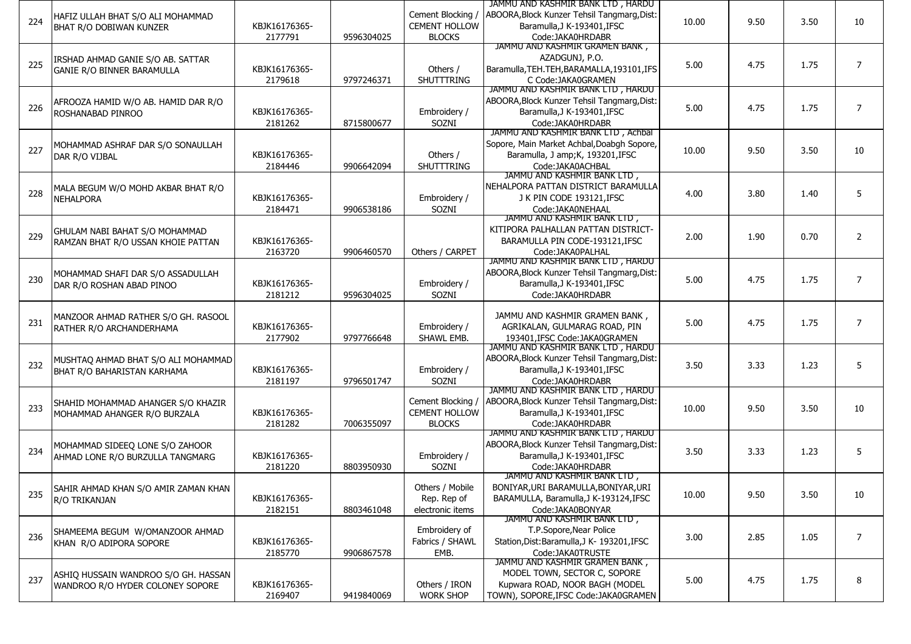|     |                                      |               |            |                      | JAMMU AND KASHMIR BANK LTD , HARDU          |       |      |      |                |
|-----|--------------------------------------|---------------|------------|----------------------|---------------------------------------------|-------|------|------|----------------|
|     | HAFIZ ULLAH BHAT S/O ALI MOHAMMAD    |               |            | Cement Blocking /    | ABOORA, Block Kunzer Tehsil Tangmarg, Dist: |       |      |      |                |
| 224 | BHAT R/O DOBIWAN KUNZER              | KBJK16176365- |            | <b>CEMENT HOLLOW</b> | Baramulla, J K-193401, IFSC                 | 10.00 | 9.50 | 3.50 | 10             |
|     |                                      | 2177791       | 9596304025 | <b>BLOCKS</b>        | Code:JAKA0HRDABR                            |       |      |      |                |
|     |                                      |               |            |                      | JAMMU AND KASHMIR GRAMEN BANK,              |       |      |      |                |
|     | IRSHAD AHMAD GANIE S/O AB. SATTAR    |               |            |                      | AZADGUNJ, P.O.                              |       |      |      |                |
| 225 | <b>GANIE R/O BINNER BARAMULLA</b>    | KBJK16176365- |            | Others /             | Baramulla, TEH. TEH, BARAMALLA, 193101, IFS | 5.00  | 4.75 | 1.75 | $\overline{7}$ |
|     |                                      | 2179618       | 9797246371 | SHUTTTRING           | C Code: JAKA0GRAMEN                         |       |      |      |                |
|     |                                      |               |            |                      | JAMMU AND KASHMIR BANK LTD, HARDU           |       |      |      |                |
|     | AFROOZA HAMID W/O AB. HAMID DAR R/O  |               |            |                      | ABOORA, Block Kunzer Tehsil Tangmarg, Dist: |       |      |      |                |
| 226 | ROSHANABAD PINROO                    | KBJK16176365- |            | Embroidery /         | Baramulla, J K-193401, IFSC                 | 5.00  | 4.75 | 1.75 | $\overline{7}$ |
|     |                                      | 2181262       | 8715800677 | SOZNI                | Code:JAKA0HRDABR                            |       |      |      |                |
|     |                                      |               |            |                      | JAMMU AND KASHMIR BANK LTD, Achbal          |       |      |      |                |
|     | MOHAMMAD ASHRAF DAR S/O SONAULLAH    |               |            |                      | Sopore, Main Market Achbal, Doabgh Sopore,  |       |      |      |                |
| 227 | DAR R/O VIJBAL                       | KBJK16176365- |            | Others /             | Baramulla, J amp;K, 193201,IFSC             | 10.00 | 9.50 | 3.50 | 10             |
|     |                                      | 2184446       | 9906642094 | SHUTTTRING           | Code: JAKA0ACHBAL                           |       |      |      |                |
|     |                                      |               |            |                      | JAMMU AND KASHMIR BANK LTD,                 |       |      |      |                |
|     | MALA BEGUM W/O MOHD AKBAR BHAT R/O   |               |            |                      | NEHALPORA PATTAN DISTRICT BARAMULLA         |       |      |      |                |
| 228 | <b>NEHALPORA</b>                     | KBJK16176365- |            | Embroidery /         | J K PIN CODE 193121, IFSC                   | 4.00  | 3.80 | 1.40 | 5              |
|     |                                      | 2184471       | 9906538186 | SOZNI                | Code: JAKA0NEHAAL                           |       |      |      |                |
|     |                                      |               |            |                      | JAMMU AND KASHMIR BANK LTD,                 |       |      |      |                |
|     | GHULAM NABI BAHAT S/O MOHAMMAD       |               |            |                      | KITIPORA PALHALLAN PATTAN DISTRICT-         |       |      |      |                |
| 229 | RAMZAN BHAT R/O USSAN KHOIE PATTAN   | KBJK16176365- |            |                      | BARAMULLA PIN CODE-193121, IFSC             | 2.00  | 1.90 | 0.70 | $\overline{2}$ |
|     |                                      | 2163720       | 9906460570 | Others / CARPET      | Code: JAKA0PALHAL                           |       |      |      |                |
|     |                                      |               |            |                      | JAMMU AND KASHMIR BANK LID, HARDU           |       |      |      |                |
|     | MOHAMMAD SHAFI DAR S/O ASSADULLAH    |               |            |                      | ABOORA, Block Kunzer Tehsil Tangmarg, Dist: |       |      |      |                |
| 230 | DAR R/O ROSHAN ABAD PINOO            | KBJK16176365- |            | Embroidery /         | Baramulla, J K-193401, IFSC                 | 5.00  | 4.75 | 1.75 | $\overline{7}$ |
|     |                                      | 2181212       | 9596304025 | SOZNI                | Code:JAKA0HRDABR                            |       |      |      |                |
|     |                                      |               |            |                      |                                             |       |      |      |                |
|     | MANZOOR AHMAD RATHER S/O GH. RASOOL  |               |            |                      | JAMMU AND KASHMIR GRAMEN BANK,              |       |      |      | $\overline{7}$ |
| 231 | RATHER R/O ARCHANDERHAMA             | KBJK16176365- |            | Embroidery /         | AGRIKALAN, GULMARAG ROAD, PIN               | 5.00  | 4.75 | 1.75 |                |
|     |                                      | 2177902       | 9797766648 | SHAWL EMB.           | 193401, IFSC Code: JAKA0GRAMEN              |       |      |      |                |
|     |                                      |               |            |                      | JAMMU AND KASHMIR BANK LID, HARDU           |       |      |      |                |
| 232 | MUSHTAO AHMAD BHAT S/O ALI MOHAMMAD  |               |            |                      | ABOORA, Block Kunzer Tehsil Tangmarg, Dist: | 3.50  | 3.33 | 1.23 | 5              |
|     | BHAT R/O BAHARISTAN KARHAMA          | KBJK16176365- |            | Embroidery /         | Baramulla, J K-193401, IFSC                 |       |      |      |                |
|     |                                      | 2181197       | 9796501747 | SOZNI                | Code:JAKA0HRDABR                            |       |      |      |                |
|     |                                      |               |            |                      | JAMMU AND KASHMIR BANK LID, HARDU           |       |      |      |                |
| 233 | SHAHID MOHAMMAD AHANGER S/O KHAZIR   |               |            | Cement Blocking /    | ABOORA, Block Kunzer Tehsil Tangmarg, Dist: | 10.00 | 9.50 | 3.50 | 10             |
|     | MOHAMMAD AHANGER R/O BURZALA         | KBJK16176365- |            | <b>CEMENT HOLLOW</b> | Baramulla, J K-193401, IFSC                 |       |      |      |                |
|     |                                      | 2181282       | 7006355097 | <b>BLOCKS</b>        | Code:JAKA0HRDABR                            |       |      |      |                |
|     |                                      |               |            |                      | JAMMU AND KASHMIR BANK LTD, HARDU           |       |      |      |                |
| 234 | MOHAMMAD SIDEEQ LONE S/O ZAHOOR      |               |            |                      | ABOORA, Block Kunzer Tehsil Tangmarg, Dist: | 3.50  | 3.33 | 1.23 | 5              |
|     | AHMAD LONE R/O BURZULLA TANGMARG     | KBJK16176365- |            | Embroidery /         | Baramulla, J K-193401, IFSC                 |       |      |      |                |
|     |                                      | 2181220       | 8803950930 | SOZNI                | Code: JAKA0HRDABR                           |       |      |      |                |
|     |                                      |               |            |                      | JAMMU AND KASHMIR BANK LID,                 |       |      |      |                |
| 235 | SAHIR AHMAD KHAN S/O AMIR ZAMAN KHAN |               |            | Others / Mobile      | BONIYAR, URI BARAMULLA, BONIYAR, URI        | 10.00 | 9.50 | 3.50 | 10             |
|     | R/O TRIKANJAN                        | KBJK16176365- |            | Rep. Rep of          | BARAMULLA, Baramulla, J K-193124, IFSC      |       |      |      |                |
|     |                                      | 2182151       | 8803461048 | electronic items     | Code:JAKA0BONYAR                            |       |      |      |                |
|     |                                      |               |            |                      | JAMMU AND KASHMIR BANK LTD,                 |       |      |      |                |
| 236 | SHAMEEMA BEGUM W/OMANZOOR AHMAD      |               |            | Embroidery of        | T.P.Sopore, Near Police                     | 3.00  | 2.85 | 1.05 | 7              |
|     | KHAN R/O ADIPORA SOPORE              | KBJK16176365- |            | Fabrics / SHAWL      | Station, Dist: Baramulla, J K- 193201, IFSC |       |      |      |                |
|     |                                      | 2185770       | 9906867578 | EMB.                 | Code: JAKA0TRUSTE                           |       |      |      |                |
|     |                                      |               |            |                      | JAMMU AND KASHMIR GRAMEN BANK,              |       |      |      |                |
| 237 | ASHIQ HUSSAIN WANDROO S/O GH. HASSAN |               |            |                      | MODEL TOWN, SECTOR C, SOPORE                | 5.00  | 4.75 | 1.75 | 8              |
|     | WANDROO R/O HYDER COLONEY SOPORE     | KBJK16176365- |            | Others / IRON        | Kupwara ROAD, NOOR BAGH (MODEL              |       |      |      |                |
|     |                                      | 2169407       | 9419840069 | <b>WORK SHOP</b>     | TOWN), SOPORE, IFSC Code: JAKA0GRAMEN       |       |      |      |                |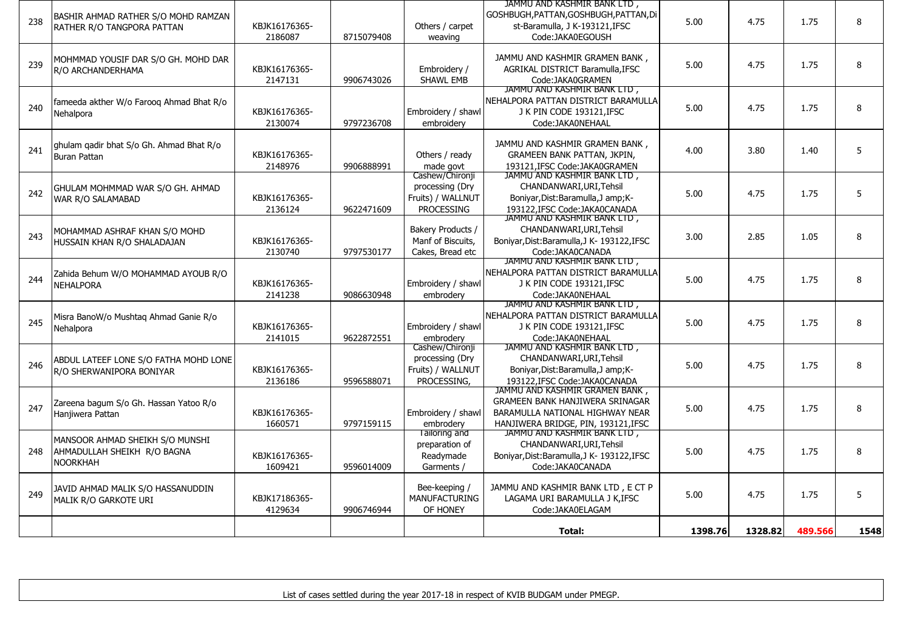|     |                                                                                   |                          |            |                                                                        | Total:                                                                                                                                             | 1398.76 | 1328.82 | 489.566 | 1548 |
|-----|-----------------------------------------------------------------------------------|--------------------------|------------|------------------------------------------------------------------------|----------------------------------------------------------------------------------------------------------------------------------------------------|---------|---------|---------|------|
| 249 | JAVID AHMAD MALIK S/O HASSANUDDIN<br>MALIK R/O GARKOTE URI                        | KBJK17186365-<br>4129634 | 9906746944 | Bee-keeping /<br><b>MANUFACTURING</b><br>OF HONEY                      | JAMMU AND KASHMIR BANK LTD, E CT P<br>LAGAMA URI BARAMULLA J K, IFSC<br>Code:JAKA0ELAGAM                                                           | 5.00    | 4.75    | 1.75    | 5    |
| 248 | MANSOOR AHMAD SHEIKH S/O MUNSHI<br>AHMADULLAH SHEIKH R/O BAGNA<br><b>NOORKHAH</b> | KBJK16176365-<br>1609421 | 9596014009 | lailoring and<br>preparation of<br>Readymade<br>Garments               | JAMMU AND KASHMIR BANK LID,<br>CHANDANWARI, URI, Tehsil<br>Boniyar, Dist: Baramulla, J K- 193122, IFSC<br>Code:JAKA0CANADA                         | 5.00    | 4.75    | 1.75    | 8    |
| 247 | Zareena bagum S/o Gh. Hassan Yatoo R/o<br>Hanjiwera Pattan                        | KBJK16176365-<br>1660571 | 9797159115 | Embroidery / shawl<br>embroderv                                        | JAMMU AND KASHMIR GRAMEN BANK,<br><b>GRAMEEN BANK HANJIWERA SRINAGAR</b><br>BARAMULLA NATIONAL HIGHWAY NEAR<br>HANJIWERA BRIDGE, PIN, 193121, IFSC | 5.00    | 4.75    | 1.75    | 8    |
| 246 | ABDUL LATEEF LONE S/O FATHA MOHD LONE<br>R/O SHERWANIPORA BONIYAR                 | KBJK16176365-<br>2136186 | 9596588071 | Cashew/Chironji<br>processing (Dry<br>Fruits) / WALLNUT<br>PROCESSING, | JAMMU AND KASHMIR BANK LTD,<br>CHANDANWARI, URI, Tehsil<br>Boniyar, Dist: Baramulla, J amp; K-<br>193122, IFSC Code: JAKA0CANADA                   | 5.00    | 4.75    | 1.75    | 8    |
| 245 | Misra BanoW/o Mushtag Ahmad Ganie R/o<br>Nehalpora                                | KBJK16176365-<br>2141015 | 9622872551 | Embroidery / shawl<br>embroderv                                        | JAMMU AND KASHMIR BANK LTD,<br>NEHALPORA PATTAN DISTRICT BARAMULLA<br>J K PIN CODE 193121, IFSC<br>Code: JAKA0NEHAAL                               | 5.00    | 4.75    | 1.75    | 8    |
| 244 | Zahida Behum W/O MOHAMMAD AYOUB R/O<br><b>NEHALPORA</b>                           | KBJK16176365-<br>2141238 | 9086630948 | Embroidery / shawl<br>embrodery                                        | JAMMU AND KASHMIR BANK LTD,<br>NEHALPORA PATTAN DISTRICT BARAMULLA<br>J K PIN CODE 193121, IFSC<br>Code: JAKA0NEHAAL                               | 5.00    | 4.75    | 1.75    | 8    |
| 243 | MOHAMMAD ASHRAF KHAN S/O MOHD<br>HUSSAIN KHAN R/O SHALADAJAN                      | KBJK16176365-<br>2130740 | 9797530177 | Bakery Products /<br>Manf of Biscuits,<br>Cakes, Bread etc             | JAMMU AND KASHMIR BANK LTD,<br>CHANDANWARI, URI, Tehsil<br>Boniyar, Dist: Baramulla, J K- 193122, IFSC<br>Code:JAKA0CANADA                         | 3.00    | 2.85    | 1.05    | 8    |
| 242 | GHULAM MOHMMAD WAR S/O GH. AHMAD<br>WAR R/O SALAMABAD                             | KBJK16176365-<br>2136124 | 9622471609 | Cashew/Chironji<br>processing (Dry<br>Fruits) / WALLNUT<br>PROCESSING  | JAMMU AND KASHMIR BANK LTD,<br>CHANDANWARI, URI, Tehsil<br>Boniyar, Dist: Baramulla, J amp; K-<br>193122, IFSC Code: JAKA0CANADA                   | 5.00    | 4.75    | 1.75    | 5    |
| 241 | ghulam gadir bhat S/o Gh. Ahmad Bhat R/o<br><b>Buran Pattan</b>                   | KBJK16176365-<br>2148976 | 9906888991 | Others / ready<br>made govt                                            | JAMMU AND KASHMIR GRAMEN BANK,<br><b>GRAMEEN BANK PATTAN, JKPIN,</b><br>193121, IFSC Code: JAKA0GRAMEN                                             | 4.00    | 3.80    | 1.40    | 5    |
| 240 | fameeda akther W/o Farooq Ahmad Bhat R/o<br>Nehalpora                             | KBJK16176365-<br>2130074 | 9797236708 | Embroidery / shawl<br>embroidery                                       | JAMMU AND KASHMIR BANK LTD,<br>NEHALPORA PATTAN DISTRICT BARAMULLA<br>J K PIN CODE 193121, IFSC<br>Code: JAKA0NEHAAL                               | 5.00    | 4.75    | 1.75    | 8    |
| 239 | MOHMMAD YOUSIF DAR S/O GH. MOHD DAR<br>R/O ARCHANDERHAMA                          | KBJK16176365-<br>2147131 | 9906743026 | Embroidery /<br>SHAWL EMB                                              | JAMMU AND KASHMIR GRAMEN BANK,<br>AGRIKAL DISTRICT Baramulla, IFSC<br>Code:JAKA0GRAMEN                                                             | 5.00    | 4.75    | 1.75    | 8    |
| 238 | BASHIR AHMAD RATHER S/O MOHD RAMZAN<br>RATHER R/O TANGPORA PATTAN                 | KBJK16176365-<br>2186087 | 8715079408 | Others / carpet<br>weaving                                             | JAMMU AND KASHMIR BANK LTD,<br>GOSHBUGH, PATTAN, GOSHBUGH, PATTAN, Di<br>st-Baramulla, J K-193121, IFSC<br>Code:JAKA0EGOUSH                        | 5.00    | 4.75    | 1.75    | 8    |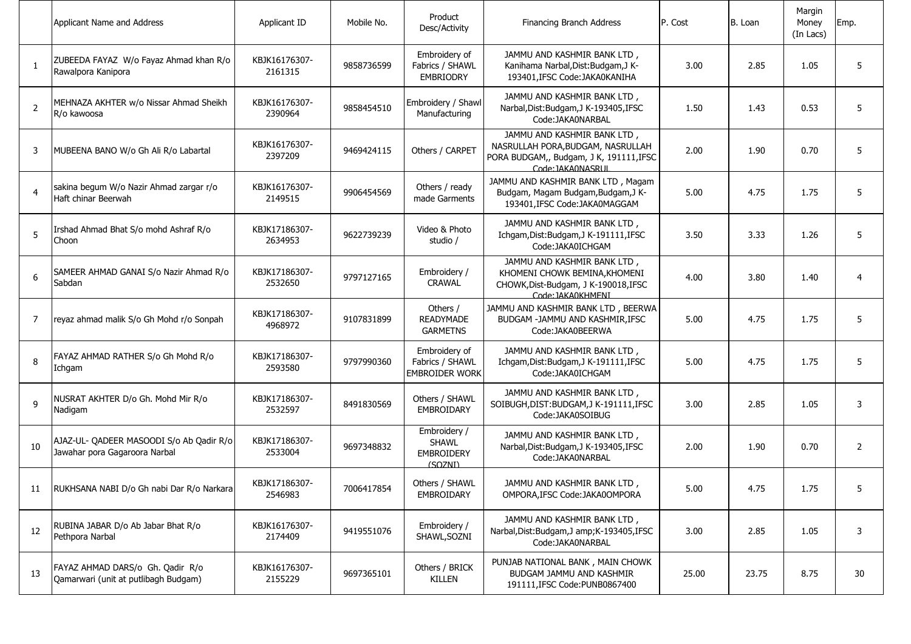|                | Applicant Name and Address                                                | Applicant ID             | Mobile No. | Product<br>Desc/Activity                                     | Financing Branch Address                                                                                                         | P. Cost | B. Loan | Margin<br>Money<br>(In Lacs) | Emp.           |
|----------------|---------------------------------------------------------------------------|--------------------------|------------|--------------------------------------------------------------|----------------------------------------------------------------------------------------------------------------------------------|---------|---------|------------------------------|----------------|
| 1              | ZUBEEDA FAYAZ W/o Fayaz Ahmad khan R/o<br>Rawalpora Kanipora              | KBJK16176307-<br>2161315 | 9858736599 | Embroidery of<br>Fabrics / SHAWL<br>EMBRIODRY                | JAMMU AND KASHMIR BANK LTD,<br>Kanihama Narbal, Dist: Budgam, J K-<br>193401, IFSC Code: JAKA0KANIHA                             | 3.00    | 2.85    | 1.05                         | 5              |
| $\overline{2}$ | MEHNAZA AKHTER w/o Nissar Ahmad Sheikh<br>R/o kawoosa                     | KBJK16176307-<br>2390964 | 9858454510 | Embroidery / Shawl<br>Manufacturing                          | JAMMU AND KASHMIR BANK LTD,<br>Narbal, Dist: Budgam, J K-193405, IFSC<br>Code: JAKA0NARBAL                                       | 1.50    | 1.43    | 0.53                         | 5              |
| 3              | MUBEENA BANO W/o Gh Ali R/o Labartal                                      | KBJK16176307-<br>2397209 | 9469424115 | Others / CARPET                                              | JAMMU AND KASHMIR BANK LTD,<br>NASRULLAH PORA, BUDGAM, NASRULLAH<br>PORA BUDGAM,, Budgam, J K, 191111, IFSC<br>Code: JAKA0NASRUI | 2.00    | 1.90    | 0.70                         | 5              |
| $\overline{4}$ | sakina begum W/o Nazir Ahmad zargar r/o<br>Haft chinar Beerwah            | KBJK16176307-<br>2149515 | 9906454569 | Others / ready<br>made Garments                              | JAMMU AND KASHMIR BANK LTD, Magam<br>Budgam, Magam Budgam, Budgam, J K-<br>193401, IFSC Code: JAKA0MAGGAM                        | 5.00    | 4.75    | 1.75                         | 5              |
| 5              | Irshad Ahmad Bhat S/o mohd Ashraf R/o<br>Choon                            | KBJK17186307-<br>2634953 | 9622739239 | Video & Photo<br>studio /                                    | JAMMU AND KASHMIR BANK LTD,<br>Ichgam, Dist: Budgam, J K-191111, IFSC<br>Code:JAKA0ICHGAM                                        | 3.50    | 3.33    | 1.26                         | 5              |
| 6              | SAMEER AHMAD GANAI S/o Nazir Ahmad R/o<br>Sabdan                          | KBJK17186307-<br>2532650 | 9797127165 | Embroidery /<br><b>CRAWAL</b>                                | JAMMU AND KASHMIR BANK LTD,<br>KHOMENI CHOWK BEMINA, KHOMENI<br>CHOWK, Dist-Budgam, J K-190018, IFSC<br>Code: IAKA0KHMENI        | 4.00    | 3.80    | 1.40                         | $\overline{4}$ |
| $\overline{7}$ | reyaz ahmad malik S/o Gh Mohd r/o Sonpah                                  | KBJK17186307-<br>4968972 | 9107831899 | Others /<br><b>READYMADE</b><br><b>GARMETNS</b>              | JAMMU AND KASHMIR BANK LTD, BEERWA<br>BUDGAM -JAMMU AND KASHMIR, IFSC<br>Code:JAKA0BEERWA                                        | 5.00    | 4.75    | 1.75                         | 5              |
| 8              | FAYAZ AHMAD RATHER S/o Gh Mohd R/o<br>Ichgam                              | KBJK17186307-<br>2593580 | 9797990360 | Embroidery of<br>Fabrics / SHAWL<br><b>EMBROIDER WORK</b>    | JAMMU AND KASHMIR BANK LTD,<br>Ichgam, Dist: Budgam, J K-191111, IFSC<br>Code:JAKA0ICHGAM                                        | 5.00    | 4.75    | 1.75                         | 5              |
| 9              | NUSRAT AKHTER D/o Gh. Mohd Mir R/o<br>Nadigam                             | KBJK17186307-<br>2532597 | 8491830569 | Others / SHAWL<br><b>EMBROIDARY</b>                          | JAMMU AND KASHMIR BANK LTD,<br>SOIBUGH, DIST: BUDGAM, J K-191111, IFSC<br>Code:JAKA0SOIBUG                                       | 3.00    | 2.85    | 1.05                         | 3              |
| 10             | AJAZ-UL- QADEER MASOODI S/o Ab Qadir R/o<br>Jawahar pora Gagaroora Narbal | KBJK17186307-<br>2533004 | 9697348832 | Embroidery /<br><b>SHAWL</b><br><b>EMBROIDERY</b><br>(SOZNI) | JAMMU AND KASHMIR BANK LTD,<br>Narbal, Dist: Budgam, J K-193405, IFSC<br>Code: JAKA0NARBAL                                       | 2.00    | 1.90    | 0.70                         | $\overline{2}$ |
| 11             | RUKHSANA NABI D/o Gh nabi Dar R/o Narkara                                 | KBJK17186307-<br>2546983 | 7006417854 | Others / SHAWL<br>EMBROIDARY                                 | JAMMU AND KASHMIR BANK LTD<br>OMPORA, IFSC Code: JAKA0OMPORA                                                                     | 5.00    | 4.75    | 1.75                         | 5              |
| 12             | RUBINA JABAR D/o Ab Jabar Bhat R/o<br>Pethpora Narbal                     | KBJK16176307-<br>2174409 | 9419551076 | Embroidery /<br>SHAWL, SOZNI                                 | JAMMU AND KASHMIR BANK LTD,<br>Narbal, Dist: Budgam, J amp; K-193405, IFSC<br>Code:JAKA0NARBAL                                   | 3.00    | 2.85    | 1.05                         | 3              |
| 13             | FAYAZ AHMAD DARS/o Gh. Qadir R/o<br>Qamarwari (unit at putlibagh Budgam)  | KBJK16176307-<br>2155229 | 9697365101 | Others / BRICK<br>KILLEN                                     | PUNJAB NATIONAL BANK, MAIN CHOWK<br>BUDGAM JAMMU AND KASHMIR<br>191111, IFSC Code: PUNB0867400                                   | 25.00   | 23.75   | 8.75                         | 30             |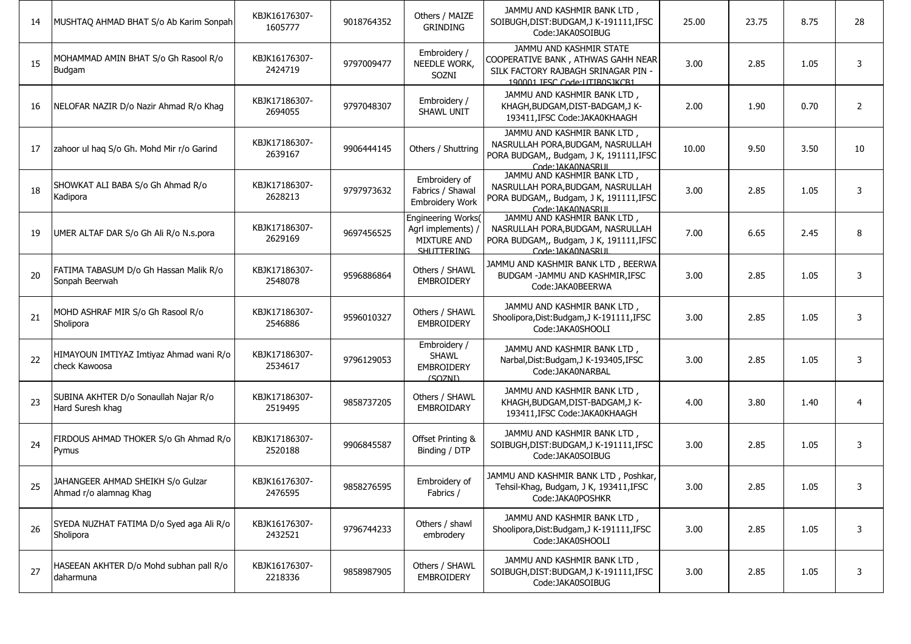| 14 | MUSHTAQ AHMAD BHAT S/o Ab Karim Sonpah                      | KBJK16176307-<br>1605777 | 9018764352 | Others / MAIZE<br><b>GRINDING</b>                                                   | JAMMU AND KASHMIR BANK LTD,<br>SOIBUGH, DIST: BUDGAM, JK-191111, IFSC<br>Code:JAKA0SOIBUG                                            | 25.00 | 23.75 | 8.75 | 28             |
|----|-------------------------------------------------------------|--------------------------|------------|-------------------------------------------------------------------------------------|--------------------------------------------------------------------------------------------------------------------------------------|-------|-------|------|----------------|
| 15 | MOHAMMAD AMIN BHAT S/o Gh Rasool R/o<br>Budgam              | KBJK16176307-<br>2424719 | 9797009477 | Embroidery /<br>NEEDLE WORK,<br>SOZNI                                               | JAMMU AND KASHMIR STATE<br>COOPERATIVE BANK, ATHWAS GAHH NEAR<br>SILK FACTORY RAJBAGH SRINAGAR PIN -<br>190001.JFSC Code:UTIB0SJKCB1 | 3.00  | 2.85  | 1.05 | 3              |
| 16 | NELOFAR NAZIR D/o Nazir Ahmad R/o Khag                      | KBJK17186307-<br>2694055 | 9797048307 | Embroidery /<br>SHAWL UNIT                                                          | JAMMU AND KASHMIR BANK LTD,<br>KHAGH, BUDGAM, DIST-BADGAM, JK-<br>193411, IFSC Code: JAKA0KHAAGH                                     | 2.00  | 1.90  | 0.70 | 2              |
| 17 | zahoor ul haq S/o Gh. Mohd Mir r/o Garind                   | KBJK17186307-<br>2639167 | 9906444145 | Others / Shuttring                                                                  | JAMMU AND KASHMIR BANK LTD,<br>NASRULLAH PORA, BUDGAM, NASRULLAH<br>PORA BUDGAM,, Budgam, J K, 191111, IFSC<br>Code: IAKA0NASRLIL    | 10.00 | 9.50  | 3.50 | 10             |
| 18 | SHOWKAT ALI BABA S/o Gh Ahmad R/o<br>Kadipora               | KBJK17186307-<br>2628213 | 9797973632 | Embroidery of<br>Fabrics / Shawal<br>Embroidery Work                                | JAMMU AND KASHMIR BANK LTD,<br>NASRULLAH PORA, BUDGAM, NASRULLAH<br>PORA BUDGAM,, Budgam, J K, 191111, IFSC<br>Code: JAKA0NASRUL     | 3.00  | 2.85  | 1.05 | 3              |
| 19 | UMER ALTAF DAR S/o Gh Ali R/o N.s.pora                      | KBJK17186307-<br>2629169 | 9697456525 | Engineering Works(<br>Agrl implements) /<br><b>MIXTURE AND</b><br><b>SHITTFRING</b> | JAMMU AND KASHMIR BANK LTD,<br>NASRULLAH PORA, BUDGAM, NASRULLAH<br>PORA BUDGAM,, Budgam, J K, 191111, IFSC<br>Code: IAKA0NASRLIL    | 7.00  | 6.65  | 2.45 | 8              |
| 20 | FATIMA TABASUM D/o Gh Hassan Malik R/o<br>Sonpah Beerwah    | KBJK17186307-<br>2548078 | 9596886864 | Others / SHAWL<br><b>EMBROIDERY</b>                                                 | JAMMU AND KASHMIR BANK LTD , BEERWA<br>BUDGAM -JAMMU AND KASHMIR, IFSC<br>Code:JAKA0BEERWA                                           | 3.00  | 2.85  | 1.05 | 3              |
| 21 | MOHD ASHRAF MIR S/o Gh Rasool R/o<br>Sholipora              | KBJK17186307-<br>2546886 | 9596010327 | Others / SHAWL<br><b>EMBROIDERY</b>                                                 | JAMMU AND KASHMIR BANK LTD,<br>Shoolipora, Dist: Budgam, J K-191111, IFSC<br>Code:JAKA0SHOOLI                                        | 3.00  | 2.85  | 1.05 | 3              |
| 22 | HIMAYOUN IMTIYAZ Imtiyaz Ahmad wani R/o<br>check Kawoosa    | KBJK17186307-<br>2534617 | 9796129053 | Embroidery /<br><b>SHAWL</b><br><b>EMBROIDERY</b><br>(SOZNI)                        | JAMMU AND KASHMIR BANK LTD,<br>Narbal, Dist: Budgam, J K-193405, IFSC<br>Code: JAKA0NARBAL                                           | 3.00  | 2.85  | 1.05 | 3              |
| 23 | SUBINA AKHTER D/o Sonaullah Najar R/o<br>Hard Suresh khag   | KBJK17186307-<br>2519495 | 9858737205 | Others / SHAWL<br><b>EMBROIDARY</b>                                                 | JAMMU AND KASHMIR BANK LTD,<br>KHAGH, BUDGAM, DIST-BADGAM, JK-<br>193411, IFSC Code: JAKA0KHAAGH                                     | 4.00  | 3.80  | 1.40 | $\overline{4}$ |
| 24 | FIRDOUS AHMAD THOKER S/o Gh Ahmad R/o<br>Pymus              | KBJK17186307-<br>2520188 | 9906845587 | Offset Printing &<br>Binding / DTP                                                  | JAMMU AND KASHMIR BANK LTD,<br>SOIBUGH, DIST: BUDGAM, JK-191111, IFSC<br>Code:JAKA0SOIBUG                                            | 3.00  | 2.85  | 1.05 | 3              |
| 25 | JAHANGEER AHMAD SHEIKH S/o Gulzar<br>Ahmad r/o alamnag Khag | KBJK16176307-<br>2476595 | 9858276595 | Embroidery of<br>Fabrics /                                                          | JAMMU AND KASHMIR BANK LTD, Poshkar,<br>Tehsil-Khag, Budgam, J K, 193411, IFSC<br>Code:JAKA0POSHKR                                   | 3.00  | 2.85  | 1.05 |                |
| 26 | SYEDA NUZHAT FATIMA D/o Syed aga Ali R/o<br>Sholipora       | KBJK16176307-<br>2432521 | 9796744233 | Others / shawl<br>embrodery                                                         | JAMMU AND KASHMIR BANK LTD,<br>Shoolipora, Dist: Budgam, J K-191111, IFSC<br>Code:JAKA0SHOOLI                                        | 3.00  | 2.85  | 1.05 | 3              |
| 27 | HASEEAN AKHTER D/o Mohd subhan pall R/o<br>daharmuna        | KBJK16176307-<br>2218336 | 9858987905 | Others / SHAWL<br><b>EMBROIDERY</b>                                                 | JAMMU AND KASHMIR BANK LTD,<br>SOIBUGH, DIST: BUDGAM, JK-191111, IFSC<br>Code:JAKA0SOIBUG                                            | 3.00  | 2.85  | 1.05 | 3              |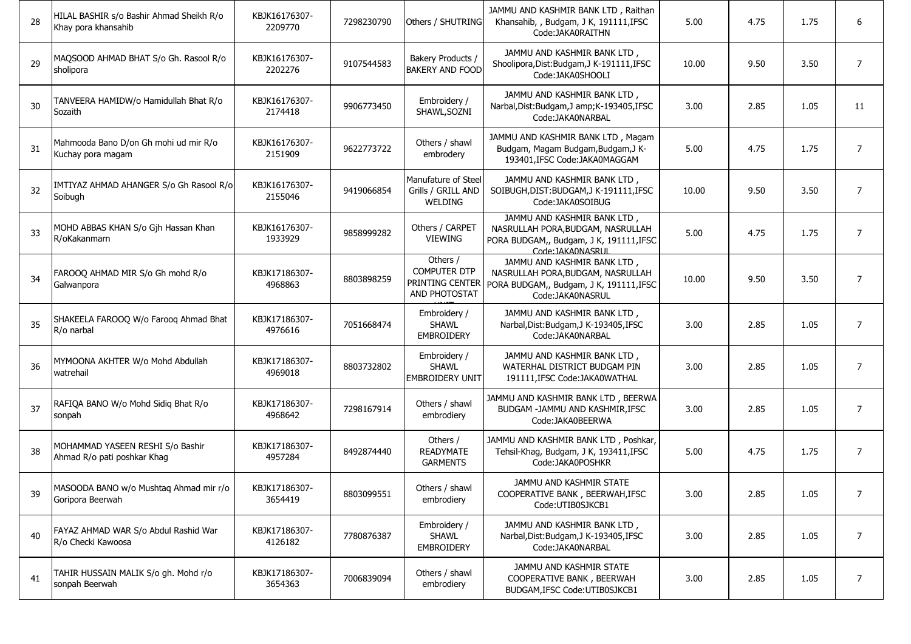| 28 | HILAL BASHIR s/o Bashir Ahmad Sheikh R/o<br>Khay pora khansahib | KBJK16176307-<br>2209770 | 7298230790 | Others / SHUTRING                                                   | JAMMU AND KASHMIR BANK LTD, Raithan<br>Khansahib, , Budgam, J K, 191111, IFSC<br>Code: JAKA0RAITHN                                | 5.00  | 4.75 | 1.75 | 6              |
|----|-----------------------------------------------------------------|--------------------------|------------|---------------------------------------------------------------------|-----------------------------------------------------------------------------------------------------------------------------------|-------|------|------|----------------|
| 29 | MAQSOOD AHMAD BHAT S/o Gh. Rasool R/o<br>sholipora              | KBJK16176307-<br>2202276 | 9107544583 | Bakery Products /<br><b>BAKERY AND FOOD</b>                         | JAMMU AND KASHMIR BANK LTD,<br>Shoolipora, Dist: Budgam, J K-191111, IFSC<br>Code:JAKA0SHOOLI                                     | 10.00 | 9.50 | 3.50 | $\overline{7}$ |
| 30 | TANVEERA HAMIDW/o Hamidullah Bhat R/o<br>Sozaith                | KBJK16176307-<br>2174418 | 9906773450 | Embroidery /<br>SHAWL, SOZNI                                        | JAMMU AND KASHMIR BANK LTD,<br>Narbal, Dist: Budgam, J amp; K-193405, IFSC<br>Code:JAKA0NARBAL                                    | 3.00  | 2.85 | 1.05 | 11             |
| 31 | Mahmooda Bano D/on Gh mohi ud mir R/o<br>Kuchay pora magam      | KBJK16176307-<br>2151909 | 9622773722 | Others / shawl<br>embroderv                                         | JAMMU AND KASHMIR BANK LTD, Magam<br>Budgam, Magam Budgam, Budgam, J K-<br>193401, IFSC Code: JAKA0MAGGAM                         | 5.00  | 4.75 | 1.75 | 7              |
| 32 | IMTIYAZ AHMAD AHANGER S/o Gh Rasool R/o<br>Soibugh              | KBJK16176307-<br>2155046 | 9419066854 | Manufature of Steel<br>Grills / GRILL AND<br><b>WELDING</b>         | JAMMU AND KASHMIR BANK LTD,<br>SOIBUGH, DIST: BUDGAM, J K-191111, IFSC<br>Code:JAKA0SOIBUG                                        | 10.00 | 9.50 | 3.50 | $\overline{7}$ |
| 33 | MOHD ABBAS KHAN S/o Gjh Hassan Khan<br>R/oKakanmarn             | KBJK16176307-<br>1933929 | 9858999282 | Others / CARPET<br><b>VIEWING</b>                                   | JAMMU AND KASHMIR BANK LTD,<br>NASRULLAH PORA, BUDGAM, NASRULLAH<br>PORA BUDGAM,, Budgam, J K, 191111, IFSC<br>Code: IAKA0NASRLII | 5.00  | 4.75 | 1.75 | 7              |
| 34 | FAROOQ AHMAD MIR S/o Gh mohd R/o<br>Galwanpora                  | KBJK17186307-<br>4968863 | 8803898259 | Others /<br><b>COMPUTER DTP</b><br>PRINTING CENTER<br>AND PHOTOSTAT | JAMMU AND KASHMIR BANK LTD,<br>NASRULLAH PORA, BUDGAM, NASRULLAH<br>PORA BUDGAM,, Budgam, J K, 191111, IFSC<br>Code:JAKA0NASRUL   | 10.00 | 9.50 | 3.50 | $\overline{7}$ |
| 35 | SHAKEELA FAROOQ W/o Farooq Ahmad Bhat<br>R/o narbal             | KBJK17186307-<br>4976616 | 7051668474 | Embroidery /<br><b>SHAWL</b><br><b>EMBROIDERY</b>                   | JAMMU AND KASHMIR BANK LTD,<br>Narbal, Dist: Budgam, J K-193405, IFSC<br>Code:JAKA0NARBAL                                         | 3.00  | 2.85 | 1.05 | $\overline{7}$ |
| 36 | MYMOONA AKHTER W/o Mohd Abdullah<br>watrehail                   | KBJK17186307-<br>4969018 | 8803732802 | Embroidery /<br><b>SHAWL</b><br><b>EMBROIDERY UNIT</b>              | JAMMU AND KASHMIR BANK LTD,<br>WATERHAL DISTRICT BUDGAM PIN<br>191111, IFSC Code: JAKA0WATHAL                                     | 3.00  | 2.85 | 1.05 | $\overline{7}$ |
| 37 | RAFIQA BANO W/o Mohd Sidiq Bhat R/o<br>sonpah                   | KBJK17186307-<br>4968642 | 7298167914 | Others / shawl<br>embrodiery                                        | JAMMU AND KASHMIR BANK LTD, BEERWA<br>BUDGAM -JAMMU AND KASHMIR, IFSC<br>Code:JAKA0BEERWA                                         | 3.00  | 2.85 | 1.05 | $\overline{7}$ |
| 38 | MOHAMMAD YASEEN RESHI S/o Bashir<br>Ahmad R/o pati poshkar Khag | KBJK17186307-<br>4957284 | 8492874440 | Others /<br><b>READYMATE</b><br><b>GARMENTS</b>                     | JAMMU AND KASHMIR BANK LTD, Poshkar,<br>Tehsil-Khag, Budgam, J K, 193411, IFSC<br>Code:JAKA0POSHKR                                | 5.00  | 4.75 | 1.75 | $\overline{7}$ |
| 39 | MASOODA BANO w/o Mushtaq Ahmad mir r/o<br>Goripora Beerwah      | KBJK17186307-<br>3654419 | 8803099551 | Others / shawl<br>embrodiery                                        | JAMMU AND KASHMIR STATE<br>COOPERATIVE BANK, BEERWAH, IFSC<br>Code:UTIB0SJKCB1                                                    | 3.00  | 2.85 | 1.05 | $\overline{7}$ |
| 40 | FAYAZ AHMAD WAR S/o Abdul Rashid War<br>R/o Checki Kawoosa      | KBJK17186307-<br>4126182 | 7780876387 | Embroidery /<br>SHAWL<br>EMBROIDERY                                 | JAMMU AND KASHMIR BANK LTD,<br>Narbal, Dist: Budgam, J K-193405, IFSC<br>Code:JAKA0NARBAL                                         | 3.00  | 2.85 | 1.05 | 7              |
| 41 | TAHIR HUSSAIN MALIK S/o gh. Mohd r/o<br>sonpah Beerwah          | KBJK17186307-<br>3654363 | 7006839094 | Others / shawl<br>embrodiery                                        | JAMMU AND KASHMIR STATE<br>COOPERATIVE BANK, BEERWAH<br>BUDGAM, IFSC Code: UTIB0SJKCB1                                            | 3.00  | 2.85 | 1.05 | 7              |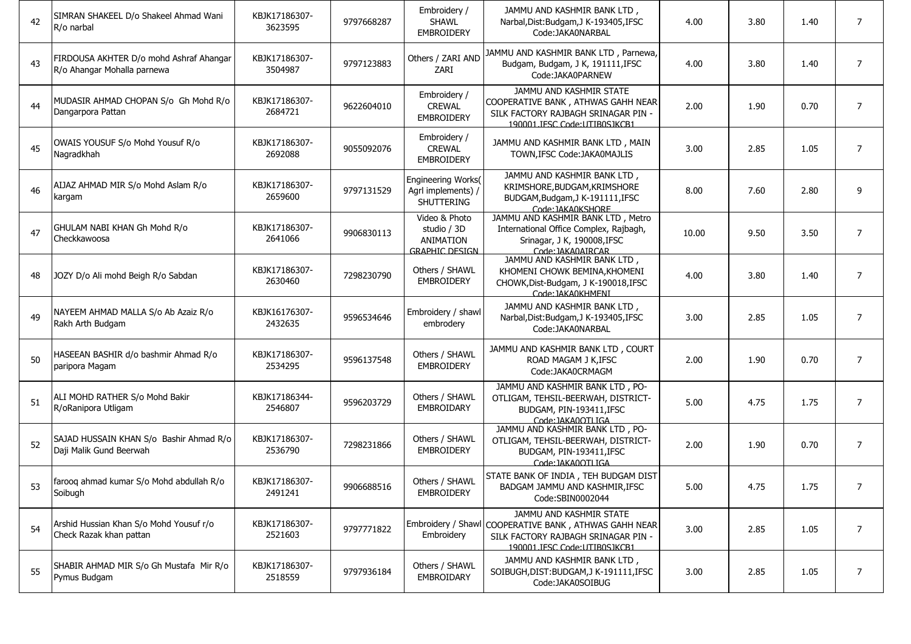| 42 | SIMRAN SHAKEEL D/o Shakeel Ahmad Wani<br>R/o narbal                    | KBJK17186307-<br>3623595 | 9797668287 | Embroidery /<br><b>SHAWL</b><br><b>EMBROIDERY</b>                  | JAMMU AND KASHMIR BANK LTD,<br>Narbal, Dist: Budgam, J K-193405, IFSC<br>Code: JAKA0NARBAL                                                              | 4.00  | 3.80 | 1.40 | $\overline{7}$ |
|----|------------------------------------------------------------------------|--------------------------|------------|--------------------------------------------------------------------|---------------------------------------------------------------------------------------------------------------------------------------------------------|-------|------|------|----------------|
| 43 | FIRDOUSA AKHTER D/o mohd Ashraf Ahangar<br>R/o Ahangar Mohalla parnewa | KBJK17186307-<br>3504987 | 9797123883 | Others / ZARI AND<br>ZARI                                          | JAMMU AND KASHMIR BANK LTD, Parnewa,<br>Budgam, Budgam, J K, 191111, IFSC<br>Code:JAKA0PARNEW                                                           | 4.00  | 3.80 | 1.40 | $\overline{7}$ |
| 44 | MUDASIR AHMAD CHOPAN S/o Gh Mohd R/o<br>Dangarpora Pattan              | KBJK17186307-<br>2684721 | 9622604010 | Embroidery /<br><b>CREWAL</b><br><b>EMBROIDERY</b>                 | JAMMU AND KASHMIR STATE<br>COOPERATIVE BANK, ATHWAS GAHH NEAR<br>SILK FACTORY RAJBAGH SRINAGAR PIN -<br>190001 IFSC Code:UTIB0S1KCB1                    | 2.00  | 1.90 | 0.70 | $\overline{7}$ |
| 45 | OWAIS YOUSUF S/o Mohd Yousuf R/o<br>Nagradkhah                         | KBJK17186307-<br>2692088 | 9055092076 | Embroidery /<br><b>CREWAL</b><br><b>EMBROIDERY</b>                 | JAMMU AND KASHMIR BANK LTD, MAIN<br>TOWN, IFSC Code: JAKA0MAJLIS                                                                                        | 3.00  | 2.85 | 1.05 | $\overline{7}$ |
| 46 | AIJAZ AHMAD MIR S/o Mohd Aslam R/o<br>kargam                           | KBJK17186307-<br>2659600 | 9797131529 | Engineering Works(<br>Agrl implements) /<br>SHUTTERING             | JAMMU AND KASHMIR BANK LTD,<br>KRIMSHORE, BUDGAM, KRIMSHORE<br>BUDGAM, Budgam, J K-191111, IFSC<br>Code: IAKA0KSHORF                                    | 8.00  | 7.60 | 2.80 | 9              |
| 47 | GHULAM NABI KHAN Gh Mohd R/o<br>Checkkawoosa                           | KBJK17186307-<br>2641066 | 9906830113 | Video & Photo<br>studio / 3D<br>ANIMATION<br><b>GRAPHIC DESIGN</b> | JAMMU AND KASHMIR BANK LTD, Metro<br>International Office Complex, Rajbagh,<br>Srinagar, J K, 190008, IFSC<br>Code: IAKA0AIRCAR                         | 10.00 | 9.50 | 3.50 | $\overline{7}$ |
| 48 | JOZY D/o Ali mohd Beigh R/o Sabdan                                     | KBJK17186307-<br>2630460 | 7298230790 | Others / SHAWL<br><b>EMBROIDERY</b>                                | JAMMU AND KASHMIR BANK LTD,<br>KHOMENI CHOWK BEMINA, KHOMENI<br>CHOWK, Dist-Budgam, J K-190018, IFSC<br>Code: IAKA0KHMENI                               | 4.00  | 3.80 | 1.40 | $\overline{7}$ |
| 49 | NAYEEM AHMAD MALLA S/o Ab Azaiz R/o<br>Rakh Arth Budgam                | KBJK16176307-<br>2432635 | 9596534646 | Embroidery / shawl<br>embrodery                                    | JAMMU AND KASHMIR BANK LTD.<br>Narbal, Dist: Budgam, J K-193405, IFSC<br>Code: JAKA0NARBAL                                                              | 3.00  | 2.85 | 1.05 | $\overline{7}$ |
| 50 | HASEEAN BASHIR d/o bashmir Ahmad R/o<br>paripora Magam                 | KBJK17186307-<br>2534295 | 9596137548 | Others / SHAWL<br><b>EMBROIDERY</b>                                | JAMMU AND KASHMIR BANK LTD, COURT<br>ROAD MAGAM J K, IFSC<br>Code: JAKA0CRMAGM                                                                          | 2.00  | 1.90 | 0.70 | $\overline{7}$ |
| 51 | ALI MOHD RATHER S/o Mohd Bakir<br>R/oRanipora Utligam                  | KBJK17186344-<br>2546807 | 9596203729 | Others / SHAWL<br>EMBROIDARY                                       | JAMMU AND KASHMIR BANK LTD, PO-<br>OTLIGAM, TEHSIL-BEERWAH, DISTRICT-<br>BUDGAM, PIN-193411, IFSC<br>Code: IAKA0OTI IGA                                 | 5.00  | 4.75 | 1.75 | $\overline{7}$ |
| 52 | SAJAD HUSSAIN KHAN S/o Bashir Ahmad R/o<br>Daji Malik Gund Beerwah     | KBJK17186307-<br>2536790 | 7298231866 | Others / SHAWL<br><b>EMBROIDERY</b>                                | JAMMU AND KASHMIR BANK LTD, PO-<br>OTLIGAM, TEHSIL-BEERWAH, DISTRICT-<br>BUDGAM, PIN-193411, IFSC<br>Code: IAKA0OTI IGA                                 | 2.00  | 1.90 | 0.70 | $\overline{7}$ |
| 53 | farooq ahmad kumar S/o Mohd abdullah R/o<br>Soibugh                    | KBJK17186307-<br>2491241 | 9906688516 | Others / SHAWL<br><b>EMBROIDERY</b>                                | STATE BANK OF INDIA, TEH BUDGAM DIST<br>BADGAM JAMMU AND KASHMIR, IFSC<br>Code:SBIN0002044                                                              | 5.00  | 4.75 | 1.75 |                |
| 54 | Arshid Hussian Khan S/o Mohd Yousuf r/o<br>Check Razak khan pattan     | KBJK17186307-<br>2521603 | 9797771822 | Embroidery                                                         | JAMMU AND KASHMIR STATE<br>Embroidery / Shawl COOPERATIVE BANK, ATHWAS GAHH NEAR<br>SILK FACTORY RAJBAGH SRINAGAR PIN -<br>190001.IESC Code:UTIB0S1KCB1 | 3.00  | 2.85 | 1.05 | $\overline{7}$ |
| 55 | SHABIR AHMAD MIR S/o Gh Mustafa Mir R/o<br>Pymus Budgam                | KBJK17186307-<br>2518559 | 9797936184 | Others / SHAWL<br>EMBROIDARY                                       | JAMMU AND KASHMIR BANK LTD,<br>SOIBUGH, DIST: BUDGAM, JK-191111, IFSC<br>Code:JAKA0SOIBUG                                                               | 3.00  | 2.85 | 1.05 | $\overline{7}$ |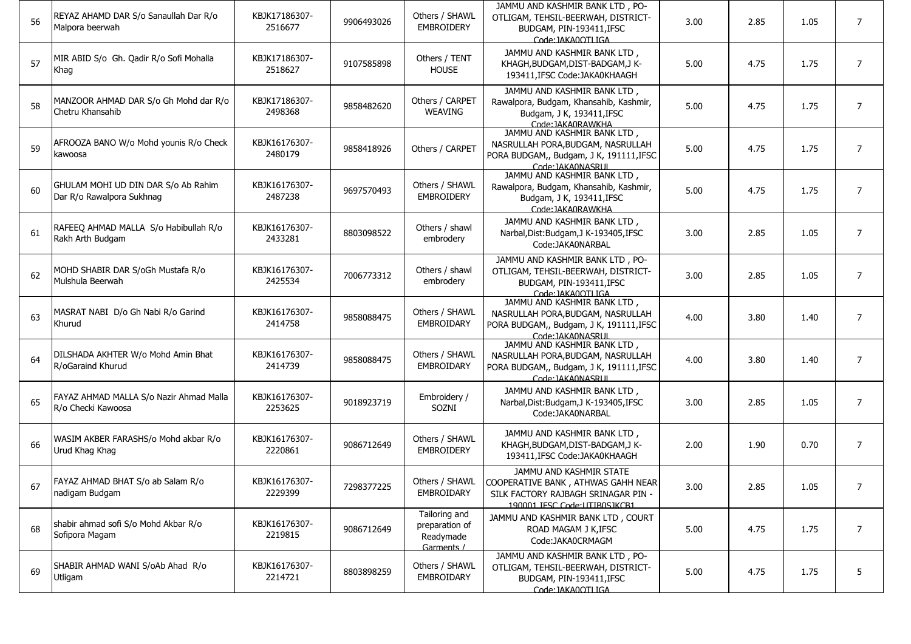| 56 | REYAZ AHAMD DAR S/o Sanaullah Dar R/o<br>Malpora beerwah         | KBJK17186307-<br>2516677 | 9906493026 | Others / SHAWL<br><b>EMBROIDERY</b>                        | JAMMU AND KASHMIR BANK LTD, PO-<br>OTLIGAM, TEHSIL-BEERWAH, DISTRICT-<br>BUDGAM, PIN-193411, IFSC<br>Code: IAKA0OTI IGA               | 3.00 | 2.85 | 1.05 | $\overline{7}$ |
|----|------------------------------------------------------------------|--------------------------|------------|------------------------------------------------------------|---------------------------------------------------------------------------------------------------------------------------------------|------|------|------|----------------|
| 57 | MIR ABID S/o Gh. Qadir R/o Sofi Mohalla<br>Khag                  | KBJK17186307-<br>2518627 | 9107585898 | Others / TENT<br><b>HOUSE</b>                              | JAMMU AND KASHMIR BANK LTD,<br>KHAGH, BUDGAM, DIST-BADGAM, JK-<br>193411, IFSC Code: JAKA0KHAAGH                                      | 5.00 | 4.75 | 1.75 | $\overline{7}$ |
| 58 | MANZOOR AHMAD DAR S/o Gh Mohd dar R/o<br>Chetru Khansahib        | KBJK17186307-<br>2498368 | 9858482620 | Others / CARPET<br><b>WEAVING</b>                          | JAMMU AND KASHMIR BANK LTD,<br>Rawalpora, Budgam, Khansahib, Kashmir,<br>Budgam, J K, 193411, IFSC<br>Code: IAKA0RAWKHA               | 5.00 | 4.75 | 1.75 | $\overline{7}$ |
| 59 | AFROOZA BANO W/o Mohd younis R/o Check<br>kawoosa                | KBJK16176307-<br>2480179 | 9858418926 | Others / CARPET                                            | JAMMU AND KASHMIR BANK LTD,<br>NASRULLAH PORA, BUDGAM, NASRULLAH<br>PORA BUDGAM,, Budgam, J K, 191111, IFSC<br>Code: IAKA0NASRLIL     | 5.00 | 4.75 | 1.75 | $\overline{7}$ |
| 60 | GHULAM MOHI UD DIN DAR S/o Ab Rahim<br>Dar R/o Rawalpora Sukhnag | KBJK16176307-<br>2487238 | 9697570493 | Others / SHAWL<br><b>EMBROIDERY</b>                        | JAMMU AND KASHMIR BANK LTD,<br>Rawalpora, Budgam, Khansahib, Kashmir,<br>Budgam, J K, 193411, IFSC<br>Code: IAKA0RAWKHA               | 5.00 | 4.75 | 1.75 | $\overline{7}$ |
| 61 | RAFEEQ AHMAD MALLA S/o Habibullah R/o<br>Rakh Arth Budgam        | KBJK16176307-<br>2433281 | 8803098522 | Others / shawl<br>embrodery                                | JAMMU AND KASHMIR BANK LTD,<br>Narbal, Dist: Budgam, J K-193405, IFSC<br>Code: JAKA0NARBAL                                            | 3.00 | 2.85 | 1.05 | $\overline{7}$ |
| 62 | MOHD SHABIR DAR S/oGh Mustafa R/o<br>Mulshula Beerwah            | KBJK16176307-<br>2425534 | 7006773312 | Others / shawl<br>embrodery                                | JAMMU AND KASHMIR BANK LTD, PO-<br>OTLIGAM, TEHSIL-BEERWAH, DISTRICT-<br>BUDGAM, PIN-193411, IFSC<br>Code: IAKA0OTI IGA               | 3.00 | 2.85 | 1.05 | $\overline{7}$ |
| 63 | MASRAT NABI D/o Gh Nabi R/o Garind<br>Khurud                     | KBJK16176307-<br>2414758 | 9858088475 | Others / SHAWL<br><b>EMBROIDARY</b>                        | JAMMU AND KASHMIR BANK LTD,<br>NASRULLAH PORA, BUDGAM, NASRULLAH<br>PORA BUDGAM,, Budgam, J K, 191111, IFSC<br>Code: IAKA0NASRUL      | 4.00 | 3.80 | 1.40 | $\overline{7}$ |
| 64 | DILSHADA AKHTER W/o Mohd Amin Bhat<br>R/oGaraind Khurud          | KBJK16176307-<br>2414739 | 9858088475 | Others / SHAWL<br>EMBROIDARY                               | JAMMU AND KASHMIR BANK LTD,<br>NASRULLAH PORA, BUDGAM, NASRULLAH<br>PORA BUDGAM,, Budgam, J K, 191111, IFSC<br>Code: IAKA0NASRLIL     | 4.00 | 3.80 | 1.40 | $\overline{7}$ |
| 65 | FAYAZ AHMAD MALLA S/o Nazir Ahmad Malla<br>R/o Checki Kawoosa    | KBJK16176307-<br>2253625 | 9018923719 | Embroidery /<br>SOZNI                                      | JAMMU AND KASHMIR BANK LTD,<br>Narbal, Dist: Budgam, J K-193405, IFSC<br>Code:JAKA0NARBAL                                             | 3.00 | 2.85 | 1.05 | $\overline{7}$ |
| 66 | WASIM AKBER FARASHS/o Mohd akbar R/o<br>Urud Khag Khag           | KBJK16176307-<br>2220861 | 9086712649 | Others / SHAWL<br><b>EMBROIDERY</b>                        | JAMMU AND KASHMIR BANK LTD.<br>KHAGH, BUDGAM, DIST-BADGAM, JK-<br>193411.IFSC Code:JAKA0KHAAGH                                        | 2.00 | 1.90 | 0.70 | $\overline{7}$ |
| 67 | FAYAZ AHMAD BHAT S/o ab Salam R/o<br>nadigam Budgam              | KBJK16176307-<br>2229399 | 7298377225 | Others / SHAWL<br>EMBROIDARY                               | JAMMU AND KASHMIR STATE<br>COOPERATIVE BANK, ATHWAS GAHH NEAR<br>SILK FACTORY RAJBAGH SRINAGAR PIN -<br>190001 IFSC Code: UTIB0S1KCB1 | 3.00 | 2.85 | 1.05 |                |
| 68 | shabir ahmad sofi S/o Mohd Akbar R/o<br>Sofipora Magam           | KBJK16176307-<br>2219815 | 9086712649 | Tailoring and<br>preparation of<br>Readymade<br>Garments / | JAMMU AND KASHMIR BANK LTD, COURT<br>ROAD MAGAM J K, IFSC<br>Code:JAKA0CRMAGM                                                         | 5.00 | 4.75 | 1.75 | $\overline{7}$ |
| 69 | SHABIR AHMAD WANI S/oAb Ahad R/o<br>Utligam                      | KBJK16176307-<br>2214721 | 8803898259 | Others / SHAWL<br>EMBROIDARY                               | JAMMU AND KASHMIR BANK LTD, PO-<br>OTLIGAM, TEHSIL-BEERWAH, DISTRICT-<br>BUDGAM, PIN-193411, IFSC<br>Code: IAKA0OTI IGA               | 5.00 | 4.75 | 1.75 | 5              |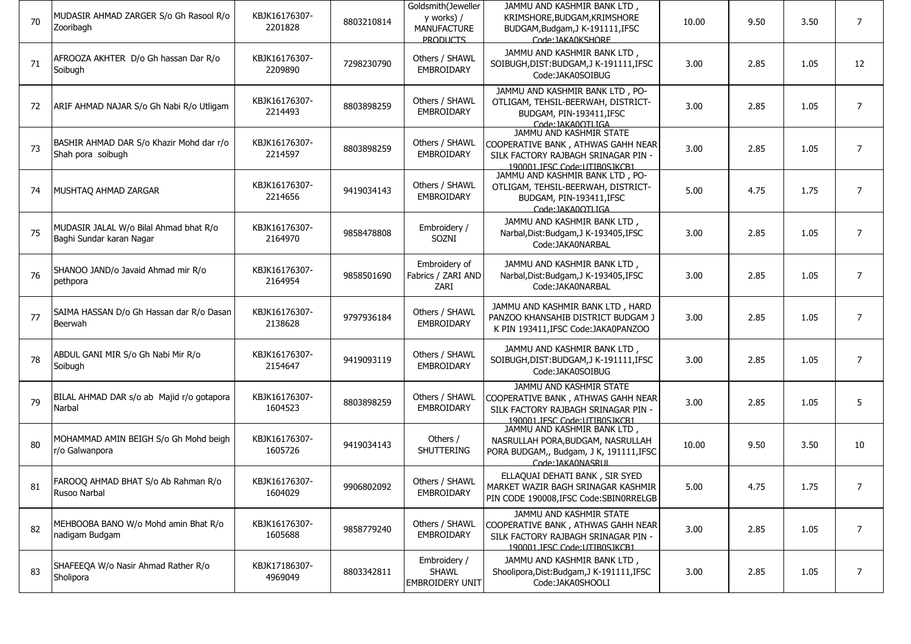| 70 | MUDASIR AHMAD ZARGER S/o Gh Rasool R/o<br>Zooribagh                | KBJK16176307-<br>2201828 | 8803210814 | Goldsmith(Jeweller<br>y works) /<br><b>MANUFACTURE</b><br>PRODUCTS | JAMMU AND KASHMIR BANK LTD,<br>KRIMSHORE, BUDGAM, KRIMSHORE<br>BUDGAM, Budgam, J K-191111, IFSC<br>Code: IAKA0KSHORE                  | 10.00 | 9.50 | 3.50 | $\overline{7}$ |
|----|--------------------------------------------------------------------|--------------------------|------------|--------------------------------------------------------------------|---------------------------------------------------------------------------------------------------------------------------------------|-------|------|------|----------------|
| 71 | AFROOZA AKHTER D/o Gh hassan Dar R/o<br>Soibugh                    | KBJK16176307-<br>2209890 | 7298230790 | Others / SHAWL<br>EMBROIDARY                                       | JAMMU AND KASHMIR BANK LTD,<br>SOIBUGH, DIST: BUDGAM, JK-191111, IFSC<br>Code:JAKA0SOIBUG                                             | 3.00  | 2.85 | 1.05 | 12             |
| 72 | ARIF AHMAD NAJAR S/o Gh Nabi R/o Utligam                           | KBJK16176307-<br>2214493 | 8803898259 | Others / SHAWL<br>EMBROIDARY                                       | JAMMU AND KASHMIR BANK LTD, PO-<br>OTLIGAM, TEHSIL-BEERWAH, DISTRICT-<br>BUDGAM, PIN-193411, IFSC<br>Code: IAKA0OTLIGA                | 3.00  | 2.85 | 1.05 | $\overline{7}$ |
| 73 | BASHIR AHMAD DAR S/o Khazir Mohd dar r/o<br>Shah pora soibugh      | KBJK16176307-<br>2214597 | 8803898259 | Others / SHAWL<br>EMBROIDARY                                       | JAMMU AND KASHMIR STATE<br>COOPERATIVE BANK, ATHWAS GAHH NEAR<br>SILK FACTORY RAJBAGH SRINAGAR PIN -<br>190001 IFSC Code: UTIB0S1KCB1 | 3.00  | 2.85 | 1.05 | $\overline{7}$ |
| 74 | MUSHTAQ AHMAD ZARGAR                                               | KBJK16176307-<br>2214656 | 9419034143 | Others / SHAWL<br><b>EMBROIDARY</b>                                | JAMMU AND KASHMIR BANK LTD, PO-<br>OTLIGAM, TEHSIL-BEERWAH, DISTRICT-<br>BUDGAM, PIN-193411, IFSC<br>Code: IAKA0OTI IGA               | 5.00  | 4.75 | 1.75 | $\overline{7}$ |
| 75 | MUDASIR JALAL W/o Bilal Ahmad bhat R/o<br>Baghi Sundar karan Nagar | KBJK16176307-<br>2164970 | 9858478808 | Embroidery /<br>SOZNI                                              | JAMMU AND KASHMIR BANK LTD,<br>Narbal, Dist: Budgam, J K-193405, IFSC<br>Code: JAKA0NARBAL                                            | 3.00  | 2.85 | 1.05 | $\overline{7}$ |
| 76 | SHANOO JAND/o Javaid Ahmad mir R/o<br>pethpora                     | KBJK16176307-<br>2164954 | 9858501690 | Embroidery of<br>Fabrics / ZARI AND<br>ZARI                        | JAMMU AND KASHMIR BANK LTD,<br>Narbal, Dist: Budgam, J K-193405, IFSC<br>Code: JAKA0NARBAL                                            | 3.00  | 2.85 | 1.05 | $\overline{7}$ |
| 77 | SAIMA HASSAN D/o Gh Hassan dar R/o Dasan<br>Beerwah                | KBJK16176307-<br>2138628 | 9797936184 | Others / SHAWL<br><b>EMBROIDARY</b>                                | JAMMU AND KASHMIR BANK LTD, HARD<br>PANZOO KHANSAHIB DISTRICT BUDGAM J<br>K PIN 193411, IFSC Code: JAKA0PANZOO                        | 3.00  | 2.85 | 1.05 | $\overline{7}$ |
| 78 | ABDUL GANI MIR S/o Gh Nabi Mir R/o<br>Soibugh                      | KBJK16176307-<br>2154647 | 9419093119 | Others / SHAWL<br>EMBROIDARY                                       | JAMMU AND KASHMIR BANK LTD,<br>SOIBUGH, DIST: BUDGAM, J K-191111, IFSC<br>Code:JAKA0SOIBUG                                            | 3.00  | 2.85 | 1.05 | $\overline{7}$ |
| 79 | BILAL AHMAD DAR s/o ab Majid r/o gotapora<br>Narbal                | KBJK16176307-<br>1604523 | 8803898259 | Others / SHAWL<br>EMBROIDARY                                       | JAMMU AND KASHMIR STATE<br>COOPERATIVE BANK, ATHWAS GAHH NEAR<br>SILK FACTORY RAJBAGH SRINAGAR PIN -<br>190001.JFSC Code:UTIB0SJKCB1  | 3.00  | 2.85 | 1.05 | 5              |
| 80 | MOHAMMAD AMIN BEIGH S/o Gh Mohd beigh<br>r/o Galwanpora            | KBJK16176307-<br>1605726 | 9419034143 | Others /<br>SHUTTERING                                             | JAMMU AND KASHMIR BANK LTD,<br>NASRULLAH PORA, BUDGAM, NASRULLAH<br>PORA BUDGAM,, Budgam, J K, 191111, IFSC<br>Code: IAKA0NASRUL      | 10.00 | 9.50 | 3.50 | 10             |
| 81 | FAROOQ AHMAD BHAT S/o Ab Rahman R/o<br>Rusoo Narbal                | KBJK16176307-<br>1604029 | 9906802092 | Others / SHAWL<br>EMBROIDARY                                       | ELLAQUAI DEHATI BANK, SIR SYED<br>MARKET WAZIR BAGH SRINAGAR KASHMIR<br>PIN CODE 190008, IFSC Code: SBIN0RRELGB                       | 5.00  | 4.75 | 1.75 |                |
| 82 | MEHBOOBA BANO W/o Mohd amin Bhat R/o<br>nadigam Budgam             | KBJK16176307-<br>1605688 | 9858779240 | Others / SHAWL<br>EMBROIDARY                                       | JAMMU AND KASHMIR STATE<br>COOPERATIVE BANK, ATHWAS GAHH NEAR<br>SILK FACTORY RAJBAGH SRINAGAR PIN -<br>190001.JESC Code:UTIB0SJKCB1  | 3.00  | 2.85 | 1.05 | 7              |
| 83 | SHAFEEQA W/o Nasir Ahmad Rather R/o<br>Sholipora                   | KBJK17186307-<br>4969049 | 8803342811 | Embroidery /<br><b>SHAWL</b><br><b>EMBROIDERY UNIT</b>             | JAMMU AND KASHMIR BANK LTD,<br>Shoolipora, Dist: Budgam, J K-191111, IFSC<br>Code: JAKA0SHOOLI                                        | 3.00  | 2.85 | 1.05 | 7              |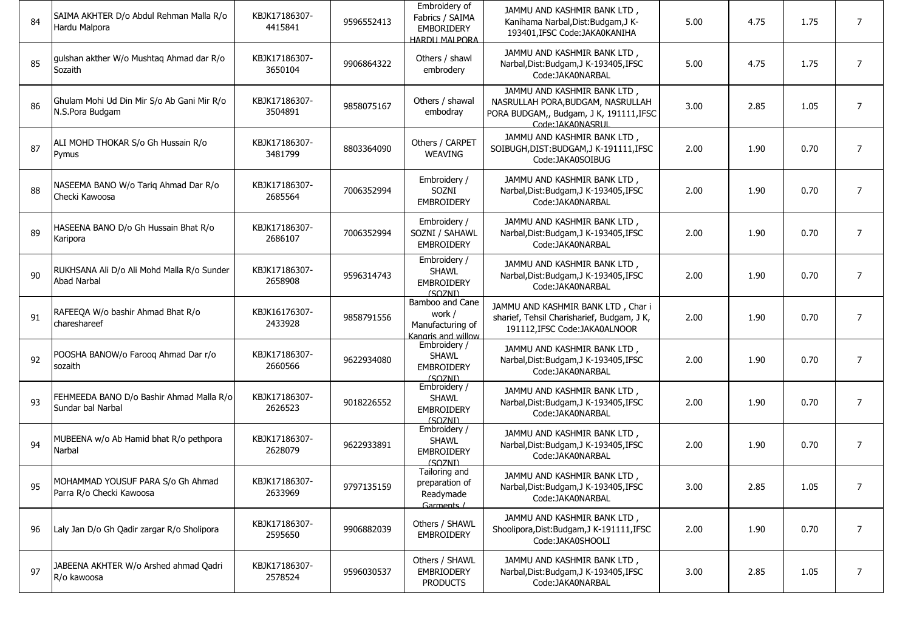| 84 | SAIMA AKHTER D/o Abdul Rehman Malla R/o<br>Hardu Malpora      | KBJK17186307-<br>4415841 | 9596552413 | Embroidery of<br>Fabrics / SAIMA<br><b>EMBORIDERY</b><br><b>HARDIJ MAI PORA</b> | JAMMU AND KASHMIR BANK LTD,<br>Kanihama Narbal, Dist: Budgam, J K-<br>193401, IFSC Code: JAKA0KANIHA                              | 5.00 | 4.75 | 1.75 | $\overline{7}$ |
|----|---------------------------------------------------------------|--------------------------|------------|---------------------------------------------------------------------------------|-----------------------------------------------------------------------------------------------------------------------------------|------|------|------|----------------|
| 85 | gulshan akther W/o Mushtag Ahmad dar R/o<br>Sozaith           | KBJK17186307-<br>3650104 | 9906864322 | Others / shawl<br>embrodery                                                     | JAMMU AND KASHMIR BANK LTD,<br>Narbal, Dist: Budgam, J K-193405, IFSC<br>Code: JAKA0NARBAL                                        | 5.00 | 4.75 | 1.75 | $\overline{7}$ |
| 86 | Ghulam Mohi Ud Din Mir S/o Ab Gani Mir R/o<br>N.S.Pora Budgam | KBJK17186307-<br>3504891 | 9858075167 | Others / shawal<br>embodray                                                     | JAMMU AND KASHMIR BANK LTD,<br>NASRULLAH PORA, BUDGAM, NASRULLAH<br>PORA BUDGAM,, Budgam, J K, 191111, IFSC<br>Code: IAKA0NASRLIL | 3.00 | 2.85 | 1.05 | $\overline{7}$ |
| 87 | ALI MOHD THOKAR S/o Gh Hussain R/o<br>Pymus                   | KBJK17186307-<br>3481799 | 8803364090 | Others / CARPET<br><b>WEAVING</b>                                               | JAMMU AND KASHMIR BANK LTD,<br>SOIBUGH, DIST: BUDGAM, JK-191111, IFSC<br>Code:JAKA0SOIBUG                                         | 2.00 | 1.90 | 0.70 | $\overline{7}$ |
| 88 | NASEEMA BANO W/o Tarig Ahmad Dar R/o<br>Checki Kawoosa        | KBJK17186307-<br>2685564 | 7006352994 | Embroidery /<br>SOZNI<br><b>EMBROIDERY</b>                                      | JAMMU AND KASHMIR BANK LTD,<br>Narbal, Dist: Budgam, J K-193405, IFSC<br>Code: JAKA0NARBAL                                        | 2.00 | 1.90 | 0.70 | $\overline{7}$ |
| 89 | HASEENA BANO D/o Gh Hussain Bhat R/o<br>Karipora              | KBJK17186307-<br>2686107 | 7006352994 | Embroidery /<br>SOZNI / SAHAWL<br><b>EMBROIDERY</b>                             | JAMMU AND KASHMIR BANK LTD,<br>Narbal, Dist: Budgam, J K-193405, IFSC<br>Code: JAKA0NARBAL                                        | 2.00 | 1.90 | 0.70 | $\overline{7}$ |
| 90 | RUKHSANA Ali D/o Ali Mohd Malla R/o Sunder<br>Abad Narbal     | KBJK17186307-<br>2658908 | 9596314743 | Embroidery /<br><b>SHAWL</b><br><b>EMBROIDERY</b><br>(SOZNI)                    | JAMMU AND KASHMIR BANK LTD,<br>Narbal, Dist: Budgam, J K-193405, IFSC<br>Code:JAKA0NARBAL                                         | 2.00 | 1.90 | 0.70 | $\overline{7}$ |
| 91 | RAFEEQA W/o bashir Ahmad Bhat R/o<br>chareshareef             | KBJK16176307-<br>2433928 | 9858791556 | Bamboo and Cane<br>work /<br>Manufacturing of<br>Kangris and willow             | JAMMU AND KASHMIR BANK LTD, Char i<br>sharief, Tehsil Charisharief, Budgam, J K,<br>191112, IFSC Code: JAKA0ALNOOR                | 2.00 | 1.90 | 0.70 | $\overline{7}$ |
| 92 | POOSHA BANOW/o Faroog Ahmad Dar r/o<br>sozaith                | KBJK17186307-<br>2660566 | 9622934080 | Embroidery /<br><b>SHAWL</b><br><b>EMBROIDERY</b><br>(SOZNI)                    | JAMMU AND KASHMIR BANK LTD,<br>Narbal, Dist: Budgam, J K-193405, IFSC<br>Code: JAKA0NARBAL                                        | 2.00 | 1.90 | 0.70 | $\overline{7}$ |
| 93 | FEHMEEDA BANO D/o Bashir Ahmad Malla R/o<br>Sundar bal Narbal | KBJK17186307-<br>2626523 | 9018226552 | Embroidery /<br><b>SHAWL</b><br><b>EMBROIDERY</b><br>(SOZNI)                    | JAMMU AND KASHMIR BANK LTD,<br>Narbal, Dist: Budgam, J K-193405, IFSC<br>Code:JAKA0NARBAL                                         | 2.00 | 1.90 | 0.70 | $\overline{7}$ |
| 94 | MUBEENA w/o Ab Hamid bhat R/o pethpora<br>Narbal              | KBJK17186307-<br>2628079 | 9622933891 | Embroidery /<br><b>SHAWL</b><br><b>EMBROIDERY</b><br>(SOZNI)                    | JAMMU AND KASHMIR BANK LTD,<br>Narbal, Dist: Budgam, J K-193405, IFSC<br>Code:JAKA0NARBAL                                         | 2.00 | 1.90 | 0.70 | $\overline{7}$ |
| 95 | MOHAMMAD YOUSUF PARA S/o Gh Ahmad<br>Parra R/o Checki Kawoosa | KBJK17186307-<br>2633969 | 9797135159 | Tailoring and<br>preparation of<br>Readymade<br>Garments /                      | JAMMU AND KASHMIR BANK LTD,<br>Narbal, Dist: Budgam, J K-193405, IFSC<br>Code:JAKA0NARBAL                                         | 3.00 | 2.85 | 1.05 |                |
| 96 | Laly Jan D/o Gh Qadir zargar R/o Sholipora                    | KBJK17186307-<br>2595650 | 9906882039 | Others / SHAWL<br><b>EMBROIDERY</b>                                             | JAMMU AND KASHMIR BANK LTD,<br>Shoolipora, Dist: Budgam, J K-191111, IFSC<br>Code:JAKA0SHOOLI                                     | 2.00 | 1.90 | 0.70 | $\overline{7}$ |
| 97 | JABEENA AKHTER W/o Arshed ahmad Qadri<br>R/o kawoosa          | KBJK17186307-<br>2578524 | 9596030537 | Others / SHAWL<br>EMBRIODERY<br><b>PRODUCTS</b>                                 | JAMMU AND KASHMIR BANK LTD,<br>Narbal, Dist: Budgam, J K-193405, IFSC<br>Code: JAKA0NARBAL                                        | 3.00 | 2.85 | 1.05 | 7              |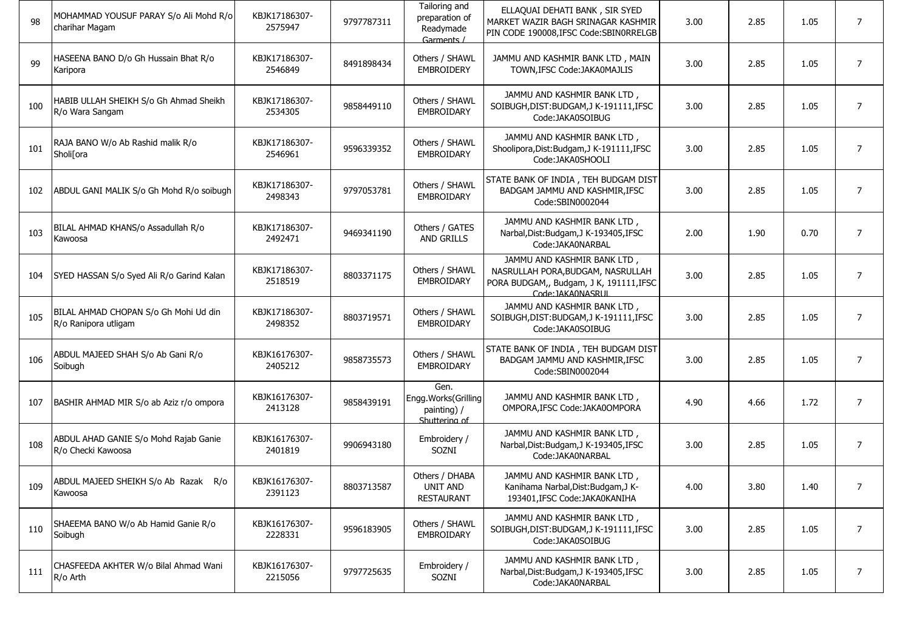| 98  | MOHAMMAD YOUSUF PARAY S/o Ali Mohd R/o<br>charihar Magam      | KBJK17186307-<br>2575947 | 9797787311 | Tailoring and<br>preparation of<br>Readymade<br>Garments /  | ELLAQUAI DEHATI BANK, SIR SYED<br>MARKET WAZIR BAGH SRINAGAR KASHMIR<br>PIN CODE 190008, IFSC Code: SBIN0RRELGB                  | 3.00 | 2.85 | 1.05 | 7              |
|-----|---------------------------------------------------------------|--------------------------|------------|-------------------------------------------------------------|----------------------------------------------------------------------------------------------------------------------------------|------|------|------|----------------|
| 99  | HASEENA BANO D/o Gh Hussain Bhat R/o<br>Karipora              | KBJK17186307-<br>2546849 | 8491898434 | Others / SHAWL<br><b>EMBROIDERY</b>                         | JAMMU AND KASHMIR BANK LTD, MAIN<br>TOWN, IFSC Code: JAKA0MAJLIS                                                                 | 3.00 | 2.85 | 1.05 | 7              |
| 100 | HABIB ULLAH SHEIKH S/o Gh Ahmad Sheikh<br>R/o Wara Sangam     | KBJK17186307-<br>2534305 | 9858449110 | Others / SHAWL<br>EMBROIDARY                                | JAMMU AND KASHMIR BANK LTD,<br>SOIBUGH, DIST: BUDGAM, J K-191111, IFSC<br>Code:JAKA0SOIBUG                                       | 3.00 | 2.85 | 1.05 | 7              |
| 101 | RAJA BANO W/o Ab Rashid malik R/o<br>Sholi[ora                | KBJK17186307-<br>2546961 | 9596339352 | Others / SHAWL<br>EMBROIDARY                                | JAMMU AND KASHMIR BANK LTD,<br>Shoolipora, Dist: Budgam, J K-191111, IFSC<br>Code:JAKA0SHOOLI                                    | 3.00 | 2.85 | 1.05 | 7              |
| 102 | ABDUL GANI MALIK S/o Gh Mohd R/o soibugh                      | KBJK17186307-<br>2498343 | 9797053781 | Others / SHAWL<br>EMBROIDARY                                | STATE BANK OF INDIA, TEH BUDGAM DIST<br>BADGAM JAMMU AND KASHMIR, IFSC<br>Code:SBIN0002044                                       | 3.00 | 2.85 | 1.05 | 7              |
| 103 | BILAL AHMAD KHANS/o Assadullah R/o<br>Kawoosa                 | KBJK17186307-<br>2492471 | 9469341190 | Others / GATES<br><b>AND GRILLS</b>                         | JAMMU AND KASHMIR BANK LTD,<br>Narbal, Dist: Budgam, J K-193405, IFSC<br>Code: JAKA0NARBAL                                       | 2.00 | 1.90 | 0.70 | $\overline{7}$ |
| 104 | SYED HASSAN S/o Syed Ali R/o Garind Kalan                     | KBJK17186307-<br>2518519 | 8803371175 | Others / SHAWL<br>EMBROIDARY                                | JAMMU AND KASHMIR BANK LTD,<br>NASRULLAH PORA, BUDGAM, NASRULLAH<br>PORA BUDGAM,, Budgam, J K, 191111,IFSC<br>Code: IAKA0NASRLIL | 3.00 | 2.85 | 1.05 | $\overline{7}$ |
| 105 | BILAL AHMAD CHOPAN S/o Gh Mohi Ud din<br>R/o Ranipora utligam | KBJK17186307-<br>2498352 | 8803719571 | Others / SHAWL<br>EMBROIDARY                                | JAMMU AND KASHMIR BANK LTD,<br>SOIBUGH, DIST: BUDGAM, J K-191111, IFSC<br>Code:JAKA0SOIBUG                                       | 3.00 | 2.85 | 1.05 | $\overline{7}$ |
| 106 | ABDUL MAJEED SHAH S/o Ab Gani R/o<br>Soibugh                  | KBJK16176307-<br>2405212 | 9858735573 | Others / SHAWL<br>EMBROIDARY                                | STATE BANK OF INDIA, TEH BUDGAM DIST<br>BADGAM JAMMU AND KASHMIR, IFSC<br>Code:SBIN0002044                                       | 3.00 | 2.85 | 1.05 | $\overline{7}$ |
| 107 | BASHIR AHMAD MIR S/o ab Aziz r/o ompora                       | KBJK16176307-<br>2413128 | 9858439191 | Gen.<br>Engg.Works(Grilling<br>painting) /<br>Shuttering of | JAMMU AND KASHMIR BANK LTD,<br>OMPORA, IFSC Code: JAKA0OMPORA                                                                    | 4.90 | 4.66 | 1.72 | $\overline{7}$ |
| 108 | ABDUL AHAD GANIE S/o Mohd Rajab Ganie<br>R/o Checki Kawoosa   | KBJK16176307-<br>2401819 | 9906943180 | Embroidery /<br>SOZNI                                       | JAMMU AND KASHMIR BANK LTD,<br>Narbal, Dist: Budgam, J K-193405, IFSC<br>Code: JAKA0NARBAL                                       | 3.00 | 2.85 | 1.05 | $\overline{7}$ |
| 109 | ABDUL MAJEED SHEIKH S/o Ab Razak R/o<br>Kawoosa               | KBJK16176307-<br>2391123 | 8803713587 | Others / DHABA<br><b>UNIT AND</b><br><b>RESTAURANT</b>      | JAMMU AND KASHMIR BANK LTD,<br>Kanihama Narbal, Dist: Budgam, J K-<br>193401.IFSC Code:JAKA0KANIHA                               | 4.00 | 3.80 | 1.40 |                |
| 110 | SHAEEMA BANO W/o Ab Hamid Ganie R/o<br>Soibugh                | KBJK16176307-<br>2228331 | 9596183905 | Others / SHAWL<br>EMBROIDARY                                | JAMMU AND KASHMIR BANK LTD,<br>SOIBUGH, DIST: BUDGAM, JK-191111, IFSC<br>Code:JAKA0SOIBUG                                        | 3.00 | 2.85 | 1.05 | 7              |
| 111 | CHASFEEDA AKHTER W/o Bilal Ahmad Wani<br>R/o Arth             | KBJK16176307-<br>2215056 | 9797725635 | Embroidery /<br>SOZNI                                       | JAMMU AND KASHMIR BANK LTD,<br>Narbal, Dist: Budgam, J K-193405, IFSC<br>Code: JAKA0NARBAL                                       | 3.00 | 2.85 | 1.05 | $\overline{7}$ |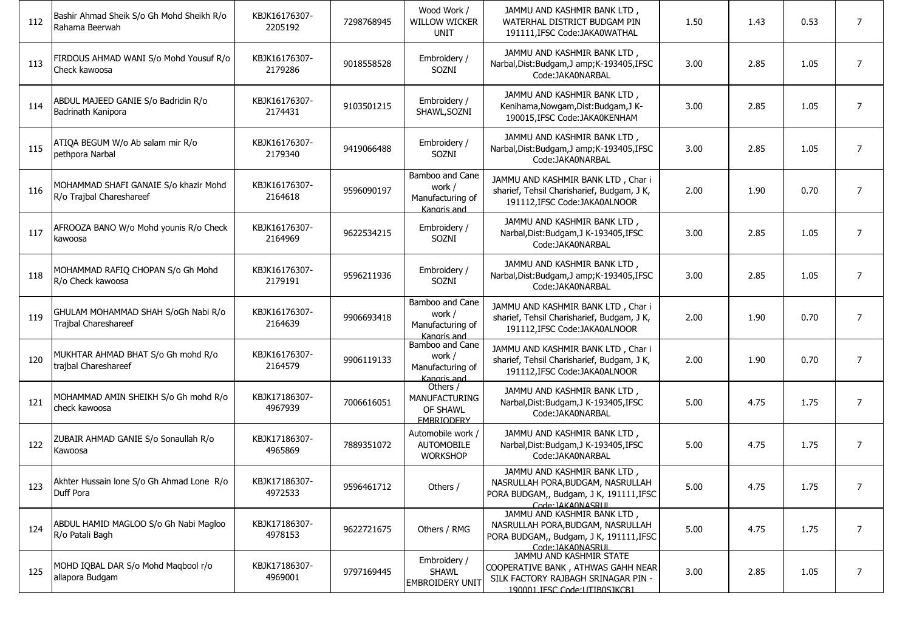| 112 | Bashir Ahmad Sheik S/o Gh Mohd Sheikh R/o<br>Rahama Beerwah       | KBJK16176307-<br>2205192 | 7298768945 | Wood Work /<br><b>WILLOW WICKER</b><br><b>UNIT</b>           | JAMMU AND KASHMIR BANK LTD,<br>WATERHAL DISTRICT BUDGAM PIN<br>191111, IFSC Code: JAKA0WATHAL                                         | 1.50 | 1.43 | 0.53 | $\overline{7}$ |
|-----|-------------------------------------------------------------------|--------------------------|------------|--------------------------------------------------------------|---------------------------------------------------------------------------------------------------------------------------------------|------|------|------|----------------|
| 113 | FIRDOUS AHMAD WANI S/o Mohd Yousuf R/o<br>Check kawoosa           | KBJK16176307-<br>2179286 | 9018558528 | Embroidery /<br>SOZNI                                        | JAMMU AND KASHMIR BANK LTD,<br>Narbal, Dist: Budgam, J amp; K-193405, IFSC<br>Code:JAKA0NARBAL                                        | 3.00 | 2.85 | 1.05 | 7              |
| 114 | ABDUL MAJEED GANIE S/o Badridin R/o<br>Badrinath Kanipora         | KBJK16176307-<br>2174431 | 9103501215 | Embroidery /<br>SHAWL, SOZNI                                 | JAMMU AND KASHMIR BANK LTD,<br>Kenihama, Nowgam, Dist: Budgam, J K-<br>190015, IFSC Code: JAKA0KENHAM                                 | 3.00 | 2.85 | 1.05 | $\overline{7}$ |
| 115 | ATIQA BEGUM W/o Ab salam mir R/o<br>pethpora Narbal               | KBJK16176307-<br>2179340 | 9419066488 | Embroidery /<br>SOZNI                                        | JAMMU AND KASHMIR BANK LTD,<br>Narbal, Dist: Budgam, J amp; K-193405, IFSC<br>Code: JAKA0NARBAL                                       | 3.00 | 2.85 | 1.05 | $\overline{7}$ |
| 116 | MOHAMMAD SHAFI GANAIE S/o khazir Mohd<br>R/o Trajbal Chareshareef | KBJK16176307-<br>2164618 | 9596090197 | Bamboo and Cane<br>work /<br>Manufacturing of<br>Kangris and | JAMMU AND KASHMIR BANK LTD, Char i<br>sharief, Tehsil Charisharief, Budgam, J K,<br>191112, IFSC Code: JAKA0ALNOOR                    | 2.00 | 1.90 | 0.70 | $\overline{7}$ |
| 117 | AFROOZA BANO W/o Mohd younis R/o Check<br>kawoosa                 | KBJK16176307-<br>2164969 | 9622534215 | Embroidery /<br>SOZNI                                        | JAMMU AND KASHMIR BANK LTD,<br>Narbal, Dist: Budgam, J K-193405, IFSC<br>Code:JAKA0NARBAL                                             | 3.00 | 2.85 | 1.05 | $\overline{7}$ |
| 118 | MOHAMMAD RAFIQ CHOPAN S/o Gh Mohd<br>R/o Check kawoosa            | KBJK16176307-<br>2179191 | 9596211936 | Embroidery /<br>SOZNI                                        | JAMMU AND KASHMIR BANK LTD,<br>Narbal, Dist: Budgam, J amp; K-193405, IFSC<br>Code:JAKA0NARBAL                                        | 3.00 | 2.85 | 1.05 | $\overline{7}$ |
| 119 | GHULAM MOHAMMAD SHAH S/oGh Nabi R/o<br>Trajbal Chareshareef       | KBJK16176307-<br>2164639 | 9906693418 | Bamboo and Cane<br>work /<br>Manufacturing of<br>Kangris and | JAMMU AND KASHMIR BANK LTD, Char i<br>sharief, Tehsil Charisharief, Budgam, J K,<br>191112, IFSC Code: JAKA0ALNOOR                    | 2.00 | 1.90 | 0.70 | $\overline{7}$ |
| 120 | MUKHTAR AHMAD BHAT S/o Gh mohd R/o<br>trajbal Chareshareef        | KBJK16176307-<br>2164579 | 9906119133 | Bamboo and Cane<br>work /<br>Manufacturing of<br>Kangris and | JAMMU AND KASHMIR BANK LTD, Char i<br>sharief, Tehsil Charisharief, Budgam, J K,<br>191112, IFSC Code: JAKA0ALNOOR                    | 2.00 | 1.90 | 0.70 | $\overline{7}$ |
| 121 | MOHAMMAD AMIN SHEIKH S/o Gh mohd R/o<br>check kawoosa             | KBJK17186307-<br>4967939 | 7006616051 | Others /<br>MANUFACTURING<br>OF SHAWL<br><b>FMBRIODERY</b>   | JAMMU AND KASHMIR BANK LTD,<br>Narbal, Dist: Budgam, J K-193405, IFSC<br>Code: JAKA0NARBAL                                            | 5.00 | 4.75 | 1.75 | $\overline{7}$ |
| 122 | ZUBAIR AHMAD GANIE S/o Sonaullah R/o<br>Kawoosa                   | KBJK17186307-<br>4965869 | 7889351072 | Automobile work /<br><b>AUTOMOBILE</b><br><b>WORKSHOP</b>    | JAMMU AND KASHMIR BANK LTD,<br>Narbal, Dist: Budgam, J K-193405, IFSC<br>Code: JAKA0NARBAL                                            | 5.00 | 4.75 | 1.75 | $\overline{7}$ |
| 123 | Akhter Hussain lone S/o Gh Ahmad Lone R/o<br>Duff Pora            | KBJK17186307-<br>4972533 | 9596461712 | Others /                                                     | JAMMU AND KASHMIR BANK LTD,<br>NASRULLAH PORA, BUDGAM, NASRULLAH<br>PORA BUDGAM,, Budgam, J K, 191111, IFSC<br>Code: IAKA0NASRUL      | 5.00 | 4.75 | 1.75 |                |
| 124 | ABDUL HAMID MAGLOO S/o Gh Nabi Magloo<br>R/o Patali Bagh          | KBJK17186307-<br>4978153 | 9622721675 | Others / RMG                                                 | JAMMU AND KASHMIR BANK LTD,<br>NASRULLAH PORA, BUDGAM, NASRULLAH<br>PORA BUDGAM,, Budgam, J K, 191111, IFSC<br>Code: IAKA0NASRUL      | 5.00 | 4.75 | 1.75 | 7              |
| 125 | MOHD IQBAL DAR S/o Mohd Magbool r/o<br>allapora Budgam            | KBJK17186307-<br>4969001 | 9797169445 | Embroidery /<br>SHAWL<br><b>EMBROIDERY UNIT</b>              | JAMMU AND KASHMIR STATE<br>COOPERATIVE BANK, ATHWAS GAHH NEAR<br>SILK FACTORY RAJBAGH SRINAGAR PIN -<br>190001 IFSC Code: UTIB0S1KCB1 | 3.00 | 2.85 | 1.05 | $\overline{7}$ |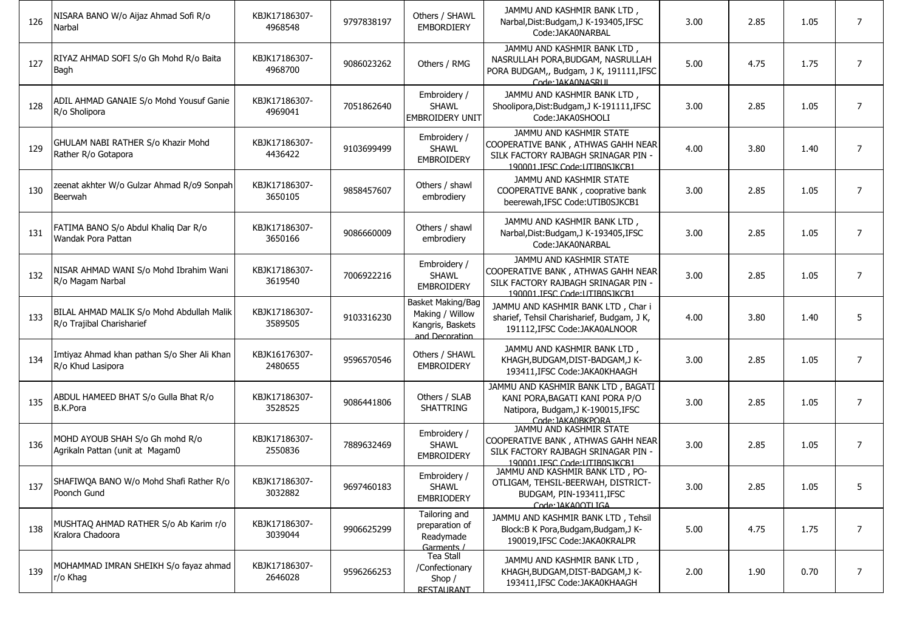| 126 | NISARA BANO W/o Aijaz Ahmad Sofi R/o<br>Narbal                         | KBJK17186307-<br>4968548 | 9797838197 | Others / SHAWL<br><b>EMBORDIERY</b>                                        | JAMMU AND KASHMIR BANK LTD,<br>Narbal, Dist: Budgam, J K-193405, IFSC<br>Code: JAKA0NARBAL                                              | 3.00 | 2.85 | 1.05 | $\overline{7}$ |
|-----|------------------------------------------------------------------------|--------------------------|------------|----------------------------------------------------------------------------|-----------------------------------------------------------------------------------------------------------------------------------------|------|------|------|----------------|
| 127 | RIYAZ AHMAD SOFI S/o Gh Mohd R/o Baita<br>Bagh                         | KBJK17186307-<br>4968700 | 9086023262 | Others / RMG                                                               | JAMMU AND KASHMIR BANK LTD,<br>NASRULLAH PORA, BUDGAM, NASRULLAH<br>PORA BUDGAM,, Budgam, J K, 191111, IFSC<br>Code: IAKA0NASRUI        | 5.00 | 4.75 | 1.75 | $\overline{7}$ |
| 128 | ADIL AHMAD GANAIE S/o Mohd Yousuf Ganie<br>R/o Sholipora               | KBJK17186307-<br>4969041 | 7051862640 | Embroidery /<br><b>SHAWL</b><br><b>EMBROIDERY UNIT</b>                     | JAMMU AND KASHMIR BANK LTD,<br>Shoolipora, Dist: Budgam, J K-191111, IFSC<br>Code: JAKA0SHOOLI                                          | 3.00 | 2.85 | 1.05 | $\overline{7}$ |
| 129 | GHULAM NABI RATHER S/o Khazir Mohd<br>Rather R/o Gotapora              | KBJK17186307-<br>4436422 | 9103699499 | Embroidery /<br><b>SHAWL</b><br><b>EMBROIDERY</b>                          | JAMMU AND KASHMIR STATE<br>COOPERATIVE BANK, ATHWAS GAHH NEAR<br>SILK FACTORY RAJBAGH SRINAGAR PIN -<br>190001 IFSC Code: UTIBOSIKCB1   | 4.00 | 3.80 | 1.40 | $\overline{7}$ |
| 130 | zeenat akhter W/o Gulzar Ahmad R/o9 Sonpah<br>Beerwah                  | KBJK17186307-<br>3650105 | 9858457607 | Others / shawl<br>embrodiery                                               | JAMMU AND KASHMIR STATE<br>COOPERATIVE BANK, cooprative bank<br>beerewah, IFSC Code: UTIB0SJKCB1                                        | 3.00 | 2.85 | 1.05 | 7              |
| 131 | FATIMA BANO S/o Abdul Khaliq Dar R/o<br>Wandak Pora Pattan             | KBJK17186307-<br>3650166 | 9086660009 | Others / shawl<br>embrodiery                                               | JAMMU AND KASHMIR BANK LTD,<br>Narbal, Dist: Budgam, J K-193405, IFSC<br>Code: JAKA0NARBAL                                              | 3.00 | 2.85 | 1.05 | 7              |
| 132 | NISAR AHMAD WANI S/o Mohd Ibrahim Wani<br>R/o Magam Narbal             | KBJK17186307-<br>3619540 | 7006922216 | Embroidery /<br><b>SHAWL</b><br><b>EMBROIDERY</b>                          | JAMMU AND KASHMIR STATE<br>COOPERATIVE BANK, ATHWAS GAHH NEAR<br>SILK FACTORY RAJBAGH SRINAGAR PIN -<br>190001 JFSC Code: LITIBOS JKCB1 | 3.00 | 2.85 | 1.05 | $\overline{7}$ |
| 133 | BILAL AHMAD MALIK S/o Mohd Abdullah Malik<br>R/o Trajibal Charisharief | KBJK17186307-<br>3589505 | 9103316230 | Basket Making/Bag<br>Making / Willow<br>Kangris, Baskets<br>and Decoration | JAMMU AND KASHMIR BANK LTD, Char i<br>sharief, Tehsil Charisharief, Budgam, J K,<br>191112, IFSC Code: JAKA0ALNOOR                      | 4.00 | 3.80 | 1.40 | 5              |
| 134 | Imtiyaz Ahmad khan pathan S/o Sher Ali Khan<br>R/o Khud Lasipora       | KBJK16176307-<br>2480655 | 9596570546 | Others / SHAWL<br><b>EMBROIDERY</b>                                        | JAMMU AND KASHMIR BANK LTD,<br>KHAGH, BUDGAM, DIST-BADGAM, JK-<br>193411, IFSC Code: JAKA0KHAAGH                                        | 3.00 | 2.85 | 1.05 | $\overline{7}$ |
| 135 | ABDUL HAMEED BHAT S/o Gulla Bhat R/o<br><b>B.K.Pora</b>                | KBJK17186307-<br>3528525 | 9086441806 | Others / SLAB<br><b>SHATTRING</b>                                          | JAMMU AND KASHMIR BANK LTD, BAGATI<br>KANI PORA, BAGATI KANI PORA P/O<br>Natipora, Budgam, J K-190015, IFSC<br>Code: JAKA0BKPORA        | 3.00 | 2.85 | 1.05 | $\overline{7}$ |
| 136 | MOHD AYOUB SHAH S/o Gh mohd R/o<br>Agrikaln Pattan (unit at Magam0     | KBJK17186307-<br>2550836 | 7889632469 | Embroidery /<br><b>SHAWL</b><br><b>EMBROIDERY</b>                          | JAMMU AND KASHMIR STATE<br>COOPERATIVE BANK, ATHWAS GAHH NEAR<br>SILK FACTORY RAJBAGH SRINAGAR PIN -<br>190001 JFSC Code: UTIB0SJKCB1   | 3.00 | 2.85 | 1.05 | $\overline{7}$ |
|     | 137 SHAFIWQA BANO W/o Mohd Shafi Rather R/o<br>Poonch Gund             | KBJK17186307-<br>3032882 | 9697460183 | Embroidery /<br>SHAWL<br><b>EMBRIODERY</b>                                 | JAMMU AND KASHMIR BANK LTD, PO-<br>OTLIGAM, TEHSIL-BEERWAH, DISTRICT-<br>BUDGAM, PIN-193411, IFSC<br>Code: IAKA0OTI IGA                 | 3.00 | 2.85 | 1.05 |                |
| 138 | MUSHTAQ AHMAD RATHER S/o Ab Karim r/o<br>Kralora Chadoora              | KBJK17186307-<br>3039044 | 9906625299 | Tailoring and<br>preparation of<br>Readymade<br>Garments /                 | JAMMU AND KASHMIR BANK LTD, Tehsil<br>Block: B K Pora, Budgam, Budgam, J K-<br>190019.IFSC Code:JAKA0KRALPR                             | 5.00 | 4.75 | 1.75 | $\overline{7}$ |
| 139 | MOHAMMAD IMRAN SHEIKH S/o fayaz ahmad<br>r/o Khag                      | KBJK17186307-<br>2646028 | 9596266253 | Tea Stall<br>/Confectionary<br>Shop $/$<br><b>RESTAURANT</b>               | JAMMU AND KASHMIR BANK LTD,<br>KHAGH, BUDGAM, DIST-BADGAM, JK-<br>193411, IFSC Code: JAKA0KHAAGH                                        | 2.00 | 1.90 | 0.70 | $\overline{7}$ |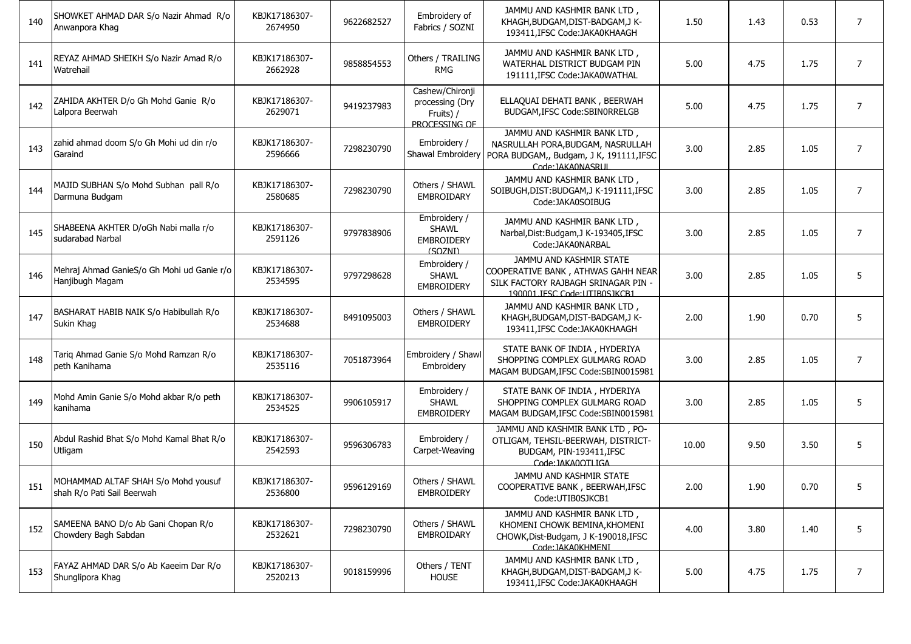| 140 | SHOWKET AHMAD DAR S/o Nazir Ahmad R/o<br>Anwanpora Khag           | KBJK17186307-<br>2674950 | 9622682527 | Embroidery of<br>Fabrics / SOZNI                                 | JAMMU AND KASHMIR BANK LTD,<br>KHAGH, BUDGAM, DIST-BADGAM, JK-<br>193411, IFSC Code: JAKA0KHAAGH                                        | 1.50  | 1.43 | 0.53 | $\overline{7}$ |
|-----|-------------------------------------------------------------------|--------------------------|------------|------------------------------------------------------------------|-----------------------------------------------------------------------------------------------------------------------------------------|-------|------|------|----------------|
| 141 | REYAZ AHMAD SHEIKH S/o Nazir Amad R/o<br>Watrehail                | KBJK17186307-<br>2662928 | 9858854553 | Others / TRAILING<br><b>RMG</b>                                  | JAMMU AND KASHMIR BANK LTD,<br>WATERHAL DISTRICT BUDGAM PIN<br>191111, IFSC Code: JAKA0WATHAL                                           | 5.00  | 4.75 | 1.75 | $\overline{7}$ |
| 142 | ZAHIDA AKHTER D/o Gh Mohd Ganie R/o<br>Lalpora Beerwah            | KBJK17186307-<br>2629071 | 9419237983 | Cashew/Chironji<br>processing (Dry<br>Fruits) /<br>PROCESSING OF | ELLAQUAI DEHATI BANK, BEERWAH<br>BUDGAM, IFSC Code: SBIN0RRELGB                                                                         | 5.00  | 4.75 | 1.75 | $\overline{7}$ |
| 143 | zahid ahmad doom S/o Gh Mohi ud din r/o<br>Garaind                | KBJK17186307-<br>2596666 | 7298230790 | Embroidery /<br>Shawal Embroidery                                | JAMMU AND KASHMIR BANK LTD,<br>NASRULLAH PORA, BUDGAM, NASRULLAH<br>PORA BUDGAM,, Budgam, J K, 191111, IFSC<br>Code: IAKA0NASRLII       | 3.00  | 2.85 | 1.05 | 7              |
| 144 | MAJID SUBHAN S/o Mohd Subhan pall R/o<br>Darmuna Budgam           | KBJK17186307-<br>2580685 | 7298230790 | Others / SHAWL<br><b>EMBROIDARY</b>                              | JAMMU AND KASHMIR BANK LTD,<br>SOIBUGH, DIST: BUDGAM, J K-191111, IFSC<br>Code:JAKA0SOIBUG                                              | 3.00  | 2.85 | 1.05 | $\overline{7}$ |
| 145 | SHABEENA AKHTER D/oGh Nabi malla r/o<br>sudarabad Narbal          | KBJK17186307-<br>2591126 | 9797838906 | Embroidery /<br><b>SHAWL</b><br><b>EMBROIDERY</b><br>(SOZNI)     | JAMMU AND KASHMIR BANK LTD,<br>Narbal, Dist: Budgam, J K-193405, IFSC<br>Code: JAKA0NARBAL                                              | 3.00  | 2.85 | 1.05 | $\overline{7}$ |
| 146 | Mehraj Ahmad GanieS/o Gh Mohi ud Ganie r/o<br>Hanjibugh Magam     | KBJK17186307-<br>2534595 | 9797298628 | Embroidery /<br><b>SHAWL</b><br><b>EMBROIDERY</b>                | JAMMU AND KASHMIR STATE<br>COOPERATIVE BANK, ATHWAS GAHH NEAR<br>SILK FACTORY RAJBAGH SRINAGAR PIN -<br>190001 IFSC Code: LITIBOS IKCB1 | 3.00  | 2.85 | 1.05 | 5              |
| 147 | BASHARAT HABIB NAIK S/o Habibullah R/o<br>Sukin Khag              | KBJK17186307-<br>2534688 | 8491095003 | Others / SHAWL<br><b>EMBROIDERY</b>                              | JAMMU AND KASHMIR BANK LTD.<br>KHAGH, BUDGAM, DIST-BADGAM, JK-<br>193411, IFSC Code: JAKA0KHAAGH                                        | 2.00  | 1.90 | 0.70 | 5              |
| 148 | Tariq Ahmad Ganie S/o Mohd Ramzan R/o<br>peth Kanihama            | KBJK17186307-<br>2535116 | 7051873964 | Embroidery / Shawl<br>Embroidery                                 | STATE BANK OF INDIA, HYDERIYA<br>SHOPPING COMPLEX GULMARG ROAD<br>MAGAM BUDGAM, IFSC Code: SBIN0015981                                  | 3.00  | 2.85 | 1.05 | $\overline{7}$ |
| 149 | Mohd Amin Ganie S/o Mohd akbar R/o peth<br>kanihama               | KBJK17186307-<br>2534525 | 9906105917 | Embroidery /<br><b>SHAWL</b><br><b>EMBROIDERY</b>                | STATE BANK OF INDIA, HYDERIYA<br>SHOPPING COMPLEX GULMARG ROAD<br>MAGAM BUDGAM, IFSC Code: SBIN0015981                                  | 3.00  | 2.85 | 1.05 | 5              |
| 150 | Abdul Rashid Bhat S/o Mohd Kamal Bhat R/o<br>Utligam              | KBJK17186307-<br>2542593 | 9596306783 | Embroidery /<br>Carpet-Weaving                                   | JAMMU AND KASHMIR BANK LTD, PO-<br>OTLIGAM, TEHSIL-BEERWAH, DISTRICT-<br>BUDGAM, PIN-193411, IFSC<br>Code: IAKA0OTLIGA                  | 10.00 | 9.50 | 3.50 | 5              |
| 151 | MOHAMMAD ALTAF SHAH S/o Mohd yousuf<br>shah R/o Pati Sail Beerwah | KBJK17186307-<br>2536800 | 9596129169 | Others / SHAWL<br><b>EMBROIDERY</b>                              | JAMMU AND KASHMIR STATE<br>COOPERATIVE BANK, BEERWAH, IFSC<br>Code:UTIB0SJKCB1                                                          | 2.00  | 1.90 | 0.70 |                |
| 152 | SAMEENA BANO D/o Ab Gani Chopan R/o<br>Chowdery Bagh Sabdan       | KBJK17186307-<br>2532621 | 7298230790 | Others / SHAWL<br>EMBROIDARY                                     | JAMMU AND KASHMIR BANK LTD,<br>KHOMENI CHOWK BEMINA, KHOMENI<br>CHOWK, Dist-Budgam, J K-190018, IFSC<br>Code: IAKA0KHMENI               | 4.00  | 3.80 | 1.40 | 5              |
| 153 | FAYAZ AHMAD DAR S/o Ab Kaeeim Dar R/o<br>Shunglipora Khag         | KBJK17186307-<br>2520213 | 9018159996 | Others / TENT<br><b>HOUSE</b>                                    | JAMMU AND KASHMIR BANK LTD,<br>KHAGH, BUDGAM, DIST-BADGAM, JK-<br>193411, IFSC Code: JAKA0KHAAGH                                        | 5.00  | 4.75 | 1.75 | $\overline{7}$ |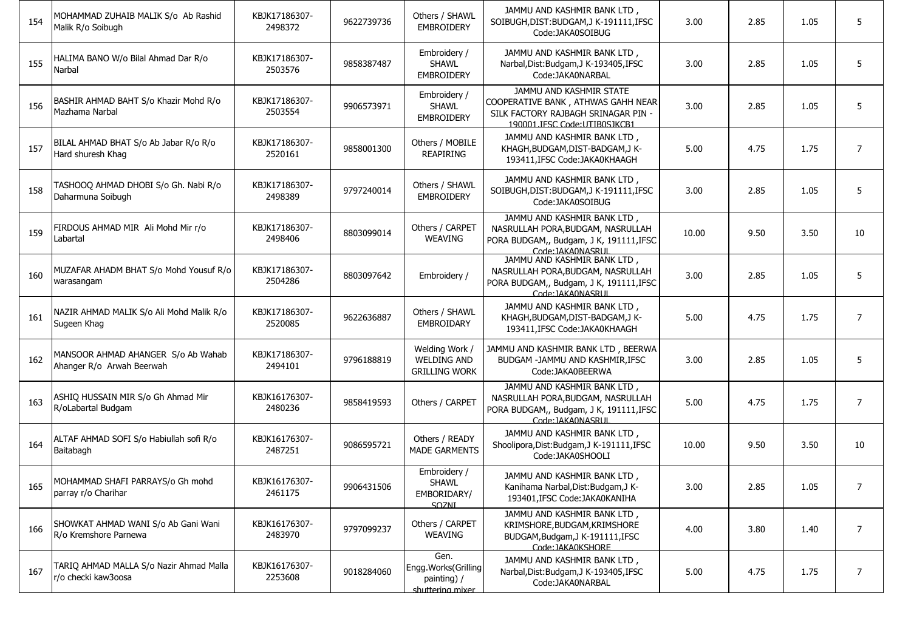| 154 | MOHAMMAD ZUHAIB MALIK S/o Ab Rashid<br>Malik R/o Soibugh        | KBJK17186307-<br>2498372 | 9622739736 | Others / SHAWL<br><b>EMBROIDERY</b>                            | JAMMU AND KASHMIR BANK LTD,<br>SOIBUGH, DIST: BUDGAM, J K-191111, IFSC<br>Code:JAKA0SOIBUG                                             | 3.00  | 2.85 | 1.05 | 5              |
|-----|-----------------------------------------------------------------|--------------------------|------------|----------------------------------------------------------------|----------------------------------------------------------------------------------------------------------------------------------------|-------|------|------|----------------|
| 155 | HALIMA BANO W/o Bilal Ahmad Dar R/o<br>Narbal                   | KBJK17186307-<br>2503576 | 9858387487 | Embroidery /<br><b>SHAWL</b><br><b>EMBROIDERY</b>              | JAMMU AND KASHMIR BANK LTD,<br>Narbal, Dist: Budgam, J K-193405, IFSC<br>Code: JAKA0NARBAL                                             | 3.00  | 2.85 | 1.05 | 5              |
| 156 | BASHIR AHMAD BAHT S/o Khazir Mohd R/o<br>Mazhama Narbal         | KBJK17186307-<br>2503554 | 9906573971 | Embroidery /<br><b>SHAWL</b><br><b>EMBROIDERY</b>              | JAMMU AND KASHMIR STATE<br>COOPERATIVE BANK , ATHWAS GAHH NEAR<br>SILK FACTORY RAJBAGH SRINAGAR PIN -<br>190001 IFSC Code: UTIB0S1KCB1 | 3.00  | 2.85 | 1.05 | 5              |
| 157 | BILAL AHMAD BHAT S/o Ab Jabar R/o R/o<br>Hard shuresh Khag      | KBJK17186307-<br>2520161 | 9858001300 | Others / MOBILE<br><b>REAPIRING</b>                            | JAMMU AND KASHMIR BANK LTD,<br>KHAGH, BUDGAM, DIST-BADGAM, JK-<br>193411.IFSC Code:JAKA0KHAAGH                                         | 5.00  | 4.75 | 1.75 | $\overline{7}$ |
| 158 | TASHOOQ AHMAD DHOBI S/o Gh. Nabi R/o<br>Daharmuna Soibugh       | KBJK17186307-<br>2498389 | 9797240014 | Others / SHAWL<br><b>EMBROIDERY</b>                            | JAMMU AND KASHMIR BANK LTD,<br>SOIBUGH, DIST: BUDGAM, JK-191111, IFSC<br>Code:JAKA0SOIBUG                                              | 3.00  | 2.85 | 1.05 | 5              |
| 159 | FIRDOUS AHMAD MIR Ali Mohd Mir r/o<br>Labartal                  | KBJK17186307-<br>2498406 | 8803099014 | Others / CARPET<br><b>WEAVING</b>                              | JAMMU AND KASHMIR BANK LTD,<br>NASRULLAH PORA, BUDGAM, NASRULLAH<br>PORA BUDGAM,, Budgam, J K, 191111, IFSC<br>Code: IAKA0NASRLIL      | 10.00 | 9.50 | 3.50 | 10             |
| 160 | MUZAFAR AHADM BHAT S/o Mohd Yousuf R/o<br>warasangam            | KBJK17186307-<br>2504286 | 8803097642 | Embroidery /                                                   | JAMMU AND KASHMIR BANK LTD,<br>NASRULLAH PORA, BUDGAM, NASRULLAH<br>PORA BUDGAM,, Budgam, J K, 191111, IFSC<br>Code: IAKA0NASRLIL      | 3.00  | 2.85 | 1.05 | 5              |
| 161 | NAZIR AHMAD MALIK S/o Ali Mohd Malik R/o<br>Sugeen Khag         | KBJK17186307-<br>2520085 | 9622636887 | Others / SHAWL<br>EMBROIDARY                                   | JAMMU AND KASHMIR BANK LTD,<br>KHAGH, BUDGAM, DIST-BADGAM, JK-<br>193411, IFSC Code: JAKA0KHAAGH                                       | 5.00  | 4.75 | 1.75 | $\overline{7}$ |
| 162 | MANSOOR AHMAD AHANGER S/o Ab Wahab<br>Ahanger R/o Arwah Beerwah | KBJK17186307-<br>2494101 | 9796188819 | Welding Work /<br><b>WELDING AND</b><br><b>GRILLING WORK</b>   | JAMMU AND KASHMIR BANK LTD, BEERWA<br>BUDGAM -JAMMU AND KASHMIR, IFSC<br>Code:JAKA0BEERWA                                              | 3.00  | 2.85 | 1.05 | 5              |
| 163 | ASHIQ HUSSAIN MIR S/o Gh Ahmad Mir<br>R/oLabartal Budgam        | KBJK16176307-<br>2480236 | 9858419593 | Others / CARPET                                                | JAMMU AND KASHMIR BANK LTD,<br>NASRULLAH PORA, BUDGAM, NASRULLAH<br>PORA BUDGAM,, Budgam, J K, 191111, IFSC<br>Code: JAKA0NASRUI       | 5.00  | 4.75 | 1.75 | $\overline{7}$ |
| 164 | ALTAF AHMAD SOFI S/o Habiullah sofi R/o<br>Baitabagh            | KBJK16176307-<br>2487251 | 9086595721 | Others / READY<br><b>MADE GARMENTS</b>                         | JAMMU AND KASHMIR BANK LTD,<br>Shoolipora, Dist: Budgam, J K-191111, IFSC<br>Code:JAKA0SHOOLI                                          | 10.00 | 9.50 | 3.50 | 10             |
| 165 | MOHAMMAD SHAFI PARRAYS/o Gh mohd<br>parray r/o Charihar         | KBJK16176307-<br>2461175 | 9906431506 | Embroidery /<br><b>SHAWL</b><br>EMBORIDARY/<br><b>SOZNI</b>    | JAMMU AND KASHMIR BANK LTD,<br>Kanihama Narbal, Dist: Budgam, J K-<br>193401, IFSC Code: JAKA0KANIHA                                   | 3.00  | 2.85 | 1.05 | 7              |
| 166 | SHOWKAT AHMAD WANI S/o Ab Gani Wani<br>R/o Kremshore Parnewa    | KBJK16176307-<br>2483970 | 9797099237 | Others / CARPET<br><b>WEAVING</b>                              | JAMMU AND KASHMIR BANK LTD,<br>KRIMSHORE, BUDGAM, KRIMSHORE<br>BUDGAM, Budgam, J K-191111, IFSC<br>Code: JAKA0KSHORF                   | 4.00  | 3.80 | 1.40 | $\overline{7}$ |
| 167 | TARIQ AHMAD MALLA S/o Nazir Ahmad Malla<br>r/o checki kaw3oosa  | KBJK16176307-<br>2253608 | 9018284060 | Gen.<br>Engg.Works(Grilling<br>painting) /<br>shuttering mixer | JAMMU AND KASHMIR BANK LTD,<br>Narbal, Dist: Budgam, J K-193405, IFSC<br>Code: JAKA0NARBAL                                             | 5.00  | 4.75 | 1.75 | $\overline{7}$ |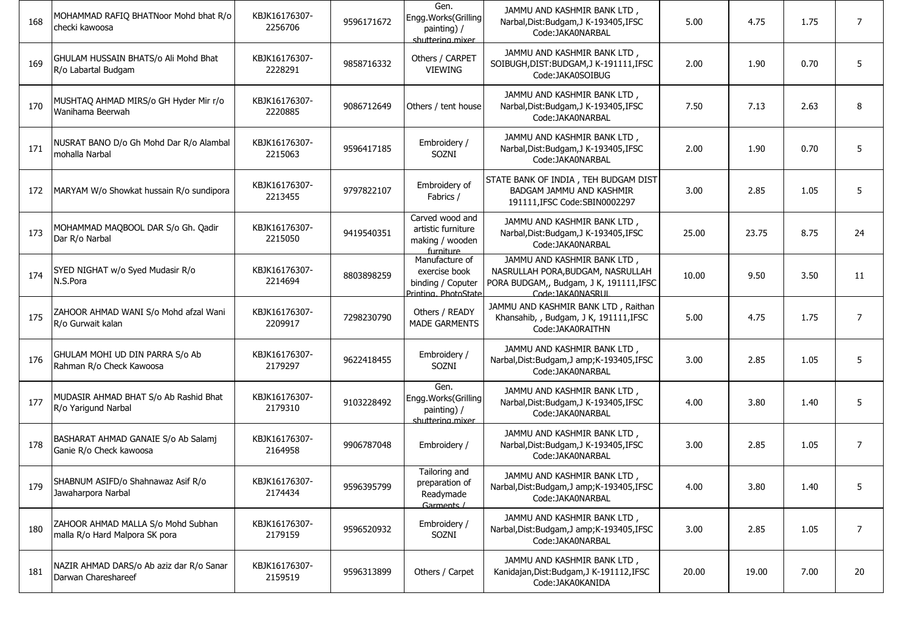| 168 | MOHAMMAD RAFIQ BHATNoor Mohd bhat R/o<br>checki kawoosa              | KBJK16176307-<br>2256706 | 9596171672 | Gen.<br>Engg.Works(Grilling<br>painting) /<br>shuttering mixer              | JAMMU AND KASHMIR BANK LTD,<br>Narbal, Dist: Budgam, J K-193405, IFSC<br>Code: JAKA0NARBAL                                        | 5.00  | 4.75  | 1.75 | $\overline{7}$ |
|-----|----------------------------------------------------------------------|--------------------------|------------|-----------------------------------------------------------------------------|-----------------------------------------------------------------------------------------------------------------------------------|-------|-------|------|----------------|
| 169 | GHULAM HUSSAIN BHATS/o Ali Mohd Bhat<br>R/o Labartal Budgam          | KBJK16176307-<br>2228291 | 9858716332 | Others / CARPET<br>VIEWING                                                  | JAMMU AND KASHMIR BANK LTD,<br>SOIBUGH, DIST: BUDGAM, JK-191111, IFSC<br>Code:JAKA0SOIBUG                                         | 2.00  | 1.90  | 0.70 | 5              |
| 170 | MUSHTAQ AHMAD MIRS/o GH Hyder Mir r/o<br>Wanihama Beerwah            | KBJK16176307-<br>2220885 | 9086712649 | Others / tent house                                                         | JAMMU AND KASHMIR BANK LTD,<br>Narbal, Dist: Budgam, J K-193405, IFSC<br>Code: JAKA0NARBAL                                        | 7.50  | 7.13  | 2.63 | 8              |
| 171 | NUSRAT BANO D/o Gh Mohd Dar R/o Alambal<br>mohalla Narbal            | KBJK16176307-<br>2215063 | 9596417185 | Embroidery /<br>SOZNI                                                       | JAMMU AND KASHMIR BANK LTD,<br>Narbal, Dist: Budgam, J K-193405, IFSC<br>Code:JAKA0NARBAL                                         | 2.00  | 1.90  | 0.70 | 5              |
| 172 | MARYAM W/o Showkat hussain R/o sundipora                             | KBJK16176307-<br>2213455 | 9797822107 | Embroidery of<br>Fabrics /                                                  | STATE BANK OF INDIA, TEH BUDGAM DIST<br>BADGAM JAMMU AND KASHMIR<br>191111, IFSC Code: SBIN0002297                                | 3.00  | 2.85  | 1.05 | 5              |
| 173 | MOHAMMAD MAQBOOL DAR S/o Gh. Qadir<br>Dar R/o Narbal                 | KBJK16176307-<br>2215050 | 9419540351 | Carved wood and<br>artistic furniture<br>making / wooden<br>furniture       | JAMMU AND KASHMIR BANK LTD,<br>Narbal, Dist: Budgam, J K-193405, IFSC<br>Code: JAKA0NARBAL                                        | 25.00 | 23.75 | 8.75 | 24             |
| 174 | SYED NIGHAT w/o Syed Mudasir R/o<br>N.S.Pora                         | KBJK16176307-<br>2214694 | 8803898259 | Manufacture of<br>exercise book<br>binding / Coputer<br>Printing PhotoState | JAMMU AND KASHMIR BANK LTD,<br>NASRULLAH PORA, BUDGAM, NASRULLAH<br>PORA BUDGAM,, Budgam, J K, 191111, IFSC<br>Code: IAKA0NASRLIL | 10.00 | 9.50  | 3.50 | 11             |
| 175 | ZAHOOR AHMAD WANI S/o Mohd afzal Wani<br>R/o Gurwait kalan           | KBJK16176307-<br>2209917 | 7298230790 | Others / READY<br><b>MADE GARMENTS</b>                                      | JAMMU AND KASHMIR BANK LTD, Raithan<br>Khansahib, , Budgam, J K, 191111, IFSC<br>Code: JAKA0RAITHN                                | 5.00  | 4.75  | 1.75 | $\overline{7}$ |
| 176 | GHULAM MOHI UD DIN PARRA S/o Ab<br>Rahman R/o Check Kawoosa          | KBJK16176307-<br>2179297 | 9622418455 | Embroidery /<br>SOZNI                                                       | JAMMU AND KASHMIR BANK LTD,<br>Narbal, Dist: Budgam, J amp; K-193405, IFSC<br>Code: JAKA0NARBAL                                   | 3.00  | 2.85  | 1.05 | 5              |
| 177 | MUDASIR AHMAD BHAT S/o Ab Rashid Bhat<br>R/o Yarigund Narbal         | KBJK16176307-<br>2179310 | 9103228492 | Gen.<br>Engg.Works(Grilling<br>painting) /<br>shuttering mixer              | JAMMU AND KASHMIR BANK LTD,<br>Narbal, Dist: Budgam, J K-193405, IFSC<br>Code:JAKA0NARBAL                                         | 4.00  | 3.80  | 1.40 | 5              |
| 178 | BASHARAT AHMAD GANAIE S/o Ab Salamj<br>Ganie R/o Check kawoosa       | KBJK16176307-<br>2164958 | 9906787048 | Embroidery /                                                                | JAMMU AND KASHMIR BANK LTD,<br>Narbal, Dist: Budgam, J K-193405, IFSC<br>Code:JAKA0NARBAL                                         | 3.00  | 2.85  | 1.05 | $\overline{7}$ |
| 179 | SHABNUM ASIFD/o Shahnawaz Asif R/o<br>Jawaharpora Narbal             | KBJK16176307-<br>2174434 | 9596395799 | Tailoring and<br>preparation of<br>Readymade<br>Garments /                  | JAMMU AND KASHMIR BANK LTD,<br>Narbal, Dist: Budgam, J amp; K-193405, IFSC<br>Code:JAKA0NARBAL                                    | 4.00  | 3.80  | 1.40 |                |
| 180 | ZAHOOR AHMAD MALLA S/o Mohd Subhan<br>malla R/o Hard Malpora SK pora | KBJK16176307-<br>2179159 | 9596520932 | Embroidery /<br>SOZNI                                                       | JAMMU AND KASHMIR BANK LTD,<br>Narbal, Dist: Budgam, J amp; K-193405, IFSC<br>Code:JAKA0NARBAL                                    | 3.00  | 2.85  | 1.05 | $\overline{7}$ |
| 181 | NAZIR AHMAD DARS/o Ab aziz dar R/o Sanar<br>Darwan Chareshareef      | KBJK16176307-<br>2159519 | 9596313899 | Others / Carpet                                                             | JAMMU AND KASHMIR BANK LTD,<br>Kanidajan, Dist: Budgam, J K-191112, IFSC<br>Code: JAKA0KANIDA                                     | 20.00 | 19.00 | 7.00 | 20             |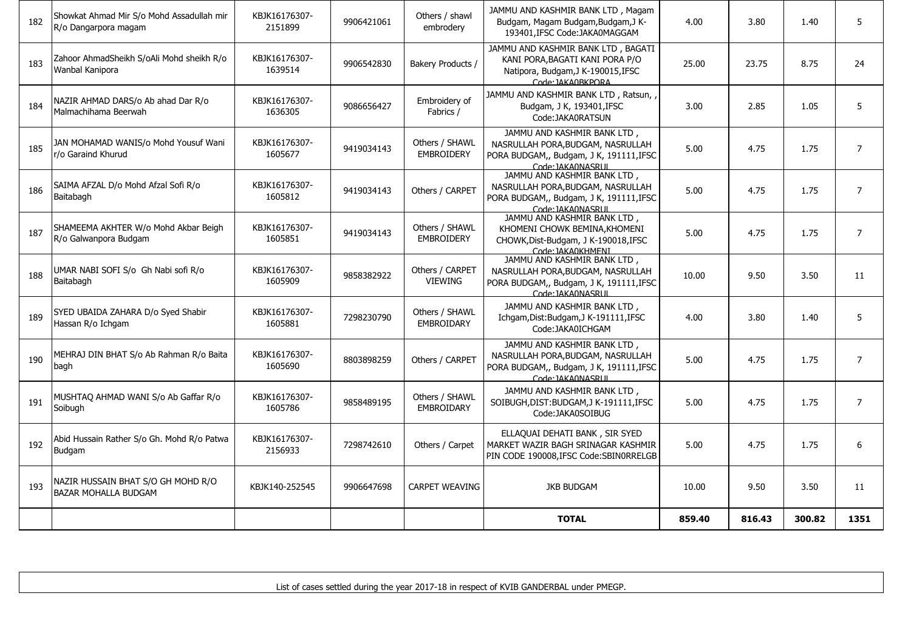|     |                                                                   |                          |            |                                     | <b>TOTAL</b>                                                                                                                     | 859.40 | 816.43 | 300.82 | 1351           |
|-----|-------------------------------------------------------------------|--------------------------|------------|-------------------------------------|----------------------------------------------------------------------------------------------------------------------------------|--------|--------|--------|----------------|
| 193 | NAZIR HUSSAIN BHAT S/O GH MOHD R/O<br><b>BAZAR MOHALLA BUDGAM</b> | KBJK140-252545           | 9906647698 | <b>CARPET WEAVING</b>               | <b>JKB BUDGAM</b>                                                                                                                | 10.00  | 9.50   | 3.50   | 11             |
| 192 | Abid Hussain Rather S/o Gh. Mohd R/o Patwa<br>Budgam              | KBJK16176307-<br>2156933 | 7298742610 | Others / Carpet                     | ELLAQUAI DEHATI BANK, SIR SYED<br>MARKET WAZIR BAGH SRINAGAR KASHMIR<br>PIN CODE 190008, IFSC Code: SBIN0RRELGB                  | 5.00   | 4.75   | 1.75   | 6              |
| 191 | MUSHTAQ AHMAD WANI S/o Ab Gaffar R/o<br>Soibugh                   | KBJK16176307-<br>1605786 | 9858489195 | Others / SHAWL<br><b>EMBROIDARY</b> | JAMMU AND KASHMIR BANK LTD,<br>SOIBUGH, DIST: BUDGAM, J K-191111, IFSC<br>Code:JAKA0SOIBUG                                       | 5.00   | 4.75   | 1.75   | $\overline{7}$ |
| 190 | MEHRAJ DIN BHAT S/o Ab Rahman R/o Baita<br>bagh                   | KBJK16176307-<br>1605690 | 8803898259 | Others / CARPET                     | JAMMU AND KASHMIR BANK LTD,<br>NASRULLAH PORA, BUDGAM, NASRULLAH<br>PORA BUDGAM,, Budgam, J K, 191111, IFSC<br>Code: IAKA0NASRUL | 5.00   | 4.75   | 1.75   | $\overline{7}$ |
| 189 | SYED UBAIDA ZAHARA D/o Syed Shabir<br>Hassan R/o Ichgam           | KBJK16176307-<br>1605881 | 7298230790 | Others / SHAWL<br><b>EMBROIDARY</b> | JAMMU AND KASHMIR BANK LTD.<br>Ichgam, Dist: Budgam, J K-191111, IFSC<br>Code:JAKA0ICHGAM                                        | 4.00   | 3.80   | 1.40   | 5              |
| 188 | UMAR NABI SOFI S/o Gh Nabi sofi R/o<br>Baitabagh                  | KBJK16176307-<br>1605909 | 9858382922 | Others / CARPET<br><b>VIEWING</b>   | JAMMU AND KASHMIR BANK LTD,<br>NASRULLAH PORA, BUDGAM, NASRULLAH<br>PORA BUDGAM,, Budgam, J K, 191111, IFSC<br>Code: IAKA0NASRUL | 10.00  | 9.50   | 3.50   | 11             |
| 187 | SHAMEEMA AKHTER W/o Mohd Akbar Beigh<br>R/o Galwanpora Budgam     | KBJK16176307-<br>1605851 | 9419034143 | Others / SHAWL<br><b>EMBROIDERY</b> | JAMMU AND KASHMIR BANK LTD,<br>KHOMENI CHOWK BEMINA, KHOMENI<br>CHOWK, Dist-Budgam, J K-190018, IFSC<br>Code: IAKA0KHMENI        | 5.00   | 4.75   | 1.75   | $\overline{7}$ |
| 186 | SAIMA AFZAL D/o Mohd Afzal Sofi R/o<br>Baitabagh                  | KBJK16176307-<br>1605812 | 9419034143 | Others / CARPET                     | JAMMU AND KASHMIR BANK LTD,<br>NASRULLAH PORA, BUDGAM, NASRULLAH<br>PORA BUDGAM,, Budgam, J K, 191111, IFSC<br>Code: IAKA0NASRUL | 5.00   | 4.75   | 1.75   | $\overline{7}$ |
| 185 | JAN MOHAMAD WANIS/o Mohd Yousuf Wani<br>r/o Garaind Khurud        | KBJK16176307-<br>1605677 | 9419034143 | Others / SHAWL<br><b>EMBROIDERY</b> | JAMMU AND KASHMIR BANK LTD,<br>NASRULLAH PORA, BUDGAM, NASRULLAH<br>PORA BUDGAM,, Budgam, J K, 191111, IFSC<br>Code: JAKA0NASRUL | 5.00   | 4.75   | 1.75   | $\overline{7}$ |
| 184 | NAZIR AHMAD DARS/o Ab ahad Dar R/o<br>Malmachihama Beerwah        | KBJK16176307-<br>1636305 | 9086656427 | Embroidery of<br>Fabrics /          | JAMMU AND KASHMIR BANK LTD, Ratsun,<br>Budgam, J K, 193401, IFSC<br>Code:JAKA0RATSUN                                             | 3.00   | 2.85   | 1.05   | 5              |
| 183 | Zahoor AhmadSheikh S/oAli Mohd sheikh R/o<br>Wanbal Kanipora      | KBJK16176307-<br>1639514 | 9906542830 | Bakery Products /                   | JAMMU AND KASHMIR BANK LTD, BAGATI<br>KANI PORA, BAGATI KANI PORA P/O<br>Natipora, Budgam, J K-190015, IFSC<br>Code: IAKA0BKPORA | 25.00  | 23.75  | 8.75   | 24             |
| 182 | Showkat Ahmad Mir S/o Mohd Assadullah mir<br>R/o Dangarpora magam | KBJK16176307-<br>2151899 | 9906421061 | Others / shawl<br>embrodery         | JAMMU AND KASHMIR BANK LTD, Magam<br>Budgam, Magam Budgam, Budgam, J K-<br>193401.IFSC Code:JAKA0MAGGAM                          | 4.00   | 3.80   | 1.40   | 5              |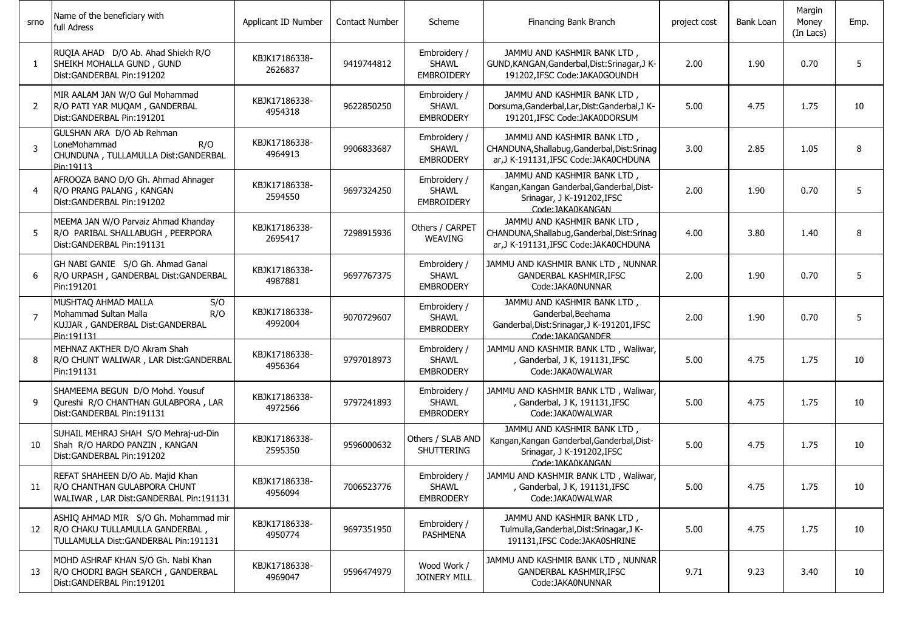| srno           | Name of the beneficiary with<br>full Adress                                                                       | Applicant ID Number      | <b>Contact Number</b> | Scheme                                            | Financing Bank Branch                                                                                                        | project cost | Bank Loan | Margin<br>Money<br>(In Lacs) | Emp. |
|----------------|-------------------------------------------------------------------------------------------------------------------|--------------------------|-----------------------|---------------------------------------------------|------------------------------------------------------------------------------------------------------------------------------|--------------|-----------|------------------------------|------|
| $\mathbf{1}$   | RUQIA AHAD D/O Ab. Ahad Shiekh R/O<br>SHEIKH MOHALLA GUND, GUND<br>Dist:GANDERBAL Pin:191202                      | KBJK17186338-<br>2626837 | 9419744812            | Embroidery /<br><b>SHAWL</b><br><b>EMBROIDERY</b> | JAMMU AND KASHMIR BANK LTD,<br>GUND, KANGAN, Ganderbal, Dist: Srinagar, J K-<br>191202, IFSC Code: JAKA0GOUNDH               | 2.00         | 1.90      | 0.70                         | 5    |
| 2              | MIR AALAM JAN W/O Gul Mohammad<br>R/O PATI YAR MUQAM, GANDERBAL<br>Dist:GANDERBAL Pin:191201                      | KBJK17186338-<br>4954318 | 9622850250            | Embroidery /<br><b>SHAWL</b><br><b>EMBRODERY</b>  | JAMMU AND KASHMIR BANK LTD,<br>Dorsuma, Ganderbal, Lar, Dist: Ganderbal, J K-<br>191201, IFSC Code: JAKA0DORSUM              | 5.00         | 4.75      | 1.75                         | 10   |
| 3              | GULSHAN ARA D/O Ab Rehman<br>LoneMohammad<br>R/O<br>CHUNDUNA, TULLAMULLA Dist:GANDERBAL<br>Pin:19113              | KBJK17186338-<br>4964913 | 9906833687            | Embroidery /<br><b>SHAWL</b><br><b>EMBRODERY</b>  | JAMMU AND KASHMIR BANK LTD,<br>CHANDUNA, Shallabug, Ganderbal, Dist: Srinag<br>ar, J K-191131, IFSC Code: JAKA0CHDUNA        | 3.00         | 2.85      | 1.05                         | 8    |
| 4              | AFROOZA BANO D/O Gh. Ahmad Ahnager<br>R/O PRANG PALANG, KANGAN<br>Dist: GANDERBAL Pin: 191202                     | KBJK17186338-<br>2594550 | 9697324250            | Embroidery /<br><b>SHAWL</b><br><b>EMBROIDERY</b> | JAMMU AND KASHMIR BANK LTD,<br>Kangan, Kangan Ganderbal, Ganderbal, Dist-<br>Srinagar, J K-191202, IFSC<br>Code: JAKA0KANGAN | 2.00         | 1.90      | 0.70                         | 5    |
| 5              | MEEMA JAN W/O Parvaiz Ahmad Khanday<br>R/O PARIBAL SHALLABUGH, PEERPORA<br>Dist: GANDERBAL Pin: 191131            | KBJK17186338-<br>2695417 | 7298915936            | Others / CARPET<br><b>WEAVING</b>                 | JAMMU AND KASHMIR BANK LTD,<br>CHANDUNA, Shallabug, Ganderbal, Dist: Srinag<br>ar, J K-191131, IFSC Code: JAKA0CHDUNA        | 4.00         | 3.80      | 1.40                         | 8    |
| 6              | GH NABI GANIE S/O Gh. Ahmad Ganai<br>R/O URPASH, GANDERBAL Dist: GANDERBAL<br>Pin:191201                          | KBJK17186338-<br>4987881 | 9697767375            | Embroidery /<br><b>SHAWL</b><br><b>EMBRODERY</b>  | JAMMU AND KASHMIR BANK LTD, NUNNAR<br>GANDERBAL KASHMIR, IFSC<br>Code: JAKA0NUNNAR                                           | 2.00         | 1.90      | 0.70                         | 5    |
| $\overline{7}$ | MUSHTAQ AHMAD MALLA<br>S/O<br>Mohammad Sultan Malla<br>R/O<br>KUJJAR, GANDERBAL Dist:GANDERBAL<br>Pin:191131      | KBJK17186338-<br>4992004 | 9070729607            | Embroidery /<br><b>SHAWL</b><br><b>EMBRODERY</b>  | JAMMU AND KASHMIR BANK LTD,<br>Ganderbal, Beehama<br>Ganderbal, Dist: Srinagar, J K-191201, IFSC<br>Code: JAKA0GANDER        | 2.00         | 1.90      | 0.70                         | 5    |
| 8              | MEHNAZ AKTHER D/O Akram Shah<br>R/O CHUNT WALIWAR, LAR Dist: GANDERBAL<br>Pin:191131                              | KBJK17186338-<br>4956364 | 9797018973            | Embroidery /<br><b>SHAWL</b><br><b>EMBRODERY</b>  | JAMMU AND KASHMIR BANK LTD, Waliwar,<br>, Ganderbal, J K, 191131, IFSC<br>Code:JAKA0WALWAR                                   | 5.00         | 4.75      | 1.75                         | 10   |
| 9              | SHAMEEMA BEGUN D/O Mohd. Yousuf<br>Qureshi R/O CHANTHAN GULABPORA, LAR<br>Dist:GANDERBAL Pin:191131               | KBJK17186338-<br>4972566 | 9797241893            | Embroidery /<br><b>SHAWL</b><br><b>EMBRODERY</b>  | JAMMU AND KASHMIR BANK LTD, Waliwar,<br>, Ganderbal, J K, 191131, IFSC<br>Code:JAKA0WALWAR                                   | 5.00         | 4.75      | 1.75                         | 10   |
| 10             | SUHAIL MEHRAJ SHAH S/O Mehraj-ud-Din<br>Shah R/O HARDO PANZIN, KANGAN<br>Dist:GANDERBAL Pin:191202                | KBJK17186338-<br>2595350 | 9596000632            | Others / SLAB AND<br>SHUTTERING                   | JAMMU AND KASHMIR BANK LTD,<br>Kangan, Kangan Ganderbal, Ganderbal, Dist-<br>Srinagar, J K-191202, IFSC<br>Code: IAKA0KANGAN | 5.00         | 4.75      | 1.75                         | 10   |
| 11             | REFAT SHAHEEN D/O Ab. Majid Khan<br>R/O CHANTHAN GULABPORA CHUNT<br>WALIWAR, LAR Dist: GANDERBAL Pin: 191131      | KBJK17186338-<br>4956094 | 7006523776            | Embroidery /<br><b>SHAWL</b><br><b>EMBRODERY</b>  | JAMMU AND KASHMIR BANK LTD, Waliwar,<br>Ganderbal, J K, 191131,IFSC<br>Code:JAKA0WALWAR                                      | 5.00         | 4.75      | 1.75                         | 10   |
| 12             | ASHIQ AHMAD MIR S/O Gh. Mohammad mir<br>R/O CHAKU TULLAMULLA GANDERBAL,<br>TULLAMULLA Dist: GANDERBAL Pin: 191131 | KBJK17186338-<br>4950774 | 9697351950            | Embroidery /<br><b>PASHMENA</b>                   | JAMMU AND KASHMIR BANK LTD,<br>Tulmulla, Ganderbal, Dist: Srinagar, J K-<br>191131, IFSC Code: JAKA0SHRINE                   | 5.00         | 4.75      | 1.75                         | 10   |
| 13             | MOHD ASHRAF KHAN S/O Gh. Nabi Khan<br>R/O CHODRI BAGH SEARCH, GANDERBAL<br>Dist: GANDERBAL Pin: 191201            | KBJK17186338-<br>4969047 | 9596474979            | Wood Work /<br>JOINERY MILL                       | JAMMU AND KASHMIR BANK LTD, NUNNAR<br>GANDERBAL KASHMIR, IFSC<br>Code:JAKA0NUNNAR                                            | 9.71         | 9.23      | 3.40                         | 10   |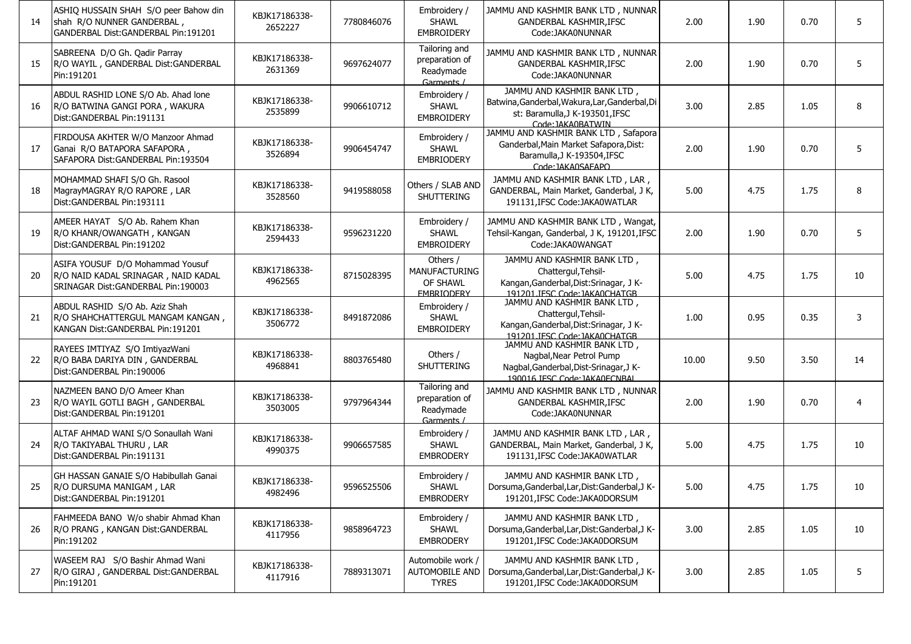| 14 | ASHIO HUSSAIN SHAH S/O peer Bahow din<br>shah R/O NUNNER GANDERBAL,<br>GANDERBAL Dist:GANDERBAL Pin:191201    | KBJK17186338-<br>2652227 | 7780846076 | Embroidery /<br><b>SHAWL</b><br><b>EMBROIDERY</b>                 | JAMMU AND KASHMIR BANK LTD, NUNNAR<br>GANDERBAL KASHMIR, IFSC<br>Code:JAKA0NUNNAR                                                     | 2.00  | 1.90 | 0.70 | 5              |
|----|---------------------------------------------------------------------------------------------------------------|--------------------------|------------|-------------------------------------------------------------------|---------------------------------------------------------------------------------------------------------------------------------------|-------|------|------|----------------|
| 15 | SABREENA D/O Gh. Qadir Parray<br>R/O WAYIL, GANDERBAL Dist: GANDERBAL<br>Pin:191201                           | KBJK17186338-<br>2631369 | 9697624077 | Tailoring and<br>preparation of<br>Readymade<br>Garments /        | JAMMU AND KASHMIR BANK LTD, NUNNAR<br><b>GANDERBAL KASHMIR.IFSC</b><br>Code: JAKA0NUNNAR                                              | 2.00  | 1.90 | 0.70 | 5              |
| 16 | ABDUL RASHID LONE S/O Ab. Ahad lone<br>R/O BATWINA GANGI PORA, WAKURA<br>Dist:GANDERBAL Pin:191131            | KBJK17186338-<br>2535899 | 9906610712 | Embroidery /<br><b>SHAWL</b><br><b>EMBROIDERY</b>                 | JAMMU AND KASHMIR BANK LTD,<br>Batwina, Ganderbal, Wakura, Lar, Ganderbal, Di<br>st: Baramulla, J K-193501, IFSC<br>Code: IAKA0BATWIN | 3.00  | 2.85 | 1.05 | 8              |
| 17 | FIRDOUSA AKHTER W/O Manzoor Ahmad<br>Ganai R/O BATAPORA SAFAPORA,<br>SAFAPORA Dist: GANDERBAL Pin: 193504     | KBJK17186338-<br>3526894 | 9906454747 | Embroidery /<br><b>SHAWL</b><br><b>EMBRIODERY</b>                 | JAMMU AND KASHMIR BANK LTD, Safapora<br>Ganderbal, Main Market Safapora, Dist:<br>Baramulla, J K-193504, IFSC<br>Code: IAKA0SAFAPO    | 2.00  | 1.90 | 0.70 | 5              |
| 18 | MOHAMMAD SHAFI S/O Gh. Rasool<br>MagrayMAGRAY R/O RAPORE, LAR<br>Dist:GANDERBAL Pin:193111                    | KBJK17186338-<br>3528560 | 9419588058 | Others / SLAB AND<br>SHUTTERING                                   | JAMMU AND KASHMIR BANK LTD, LAR,<br>GANDERBAL, Main Market, Ganderbal, J K,<br>191131, IFSC Code: JAKA0WATLAR                         | 5.00  | 4.75 | 1.75 | 8              |
| 19 | AMEER HAYAT S/O Ab. Rahem Khan<br>R/O KHANR/OWANGATH, KANGAN<br>Dist: GANDERBAL Pin: 191202                   | KBJK17186338-<br>2594433 | 9596231220 | Embroidery /<br><b>SHAWL</b><br><b>EMBROIDERY</b>                 | JAMMU AND KASHMIR BANK LTD, Wangat,<br>Tehsil-Kangan, Ganderbal, J K, 191201, IFSC<br>Code:JAKA0WANGAT                                | 2.00  | 1.90 | 0.70 | 5              |
| 20 | ASIFA YOUSUF D/O Mohammad Yousuf<br>R/O NAID KADAL SRINAGAR, NAID KADAL<br>SRINAGAR Dist:GANDERBAL Pin:190003 | KBJK17186338-<br>4962565 | 8715028395 | Others /<br><b>MANUFACTURING</b><br>OF SHAWL<br><b>FMBRIODERY</b> | JAMMU AND KASHMIR BANK LTD,<br>Chattergul, Tehsil-<br>Kangan, Ganderbal, Dist: Srinagar, J K-<br>191201 IFSC Code: IAKA0CHATGB        | 5.00  | 4.75 | 1.75 | 10             |
| 21 | ABDUL RASHID S/O Ab. Aziz Shah<br>R/O SHAHCHATTERGUL MANGAM KANGAN,<br>KANGAN Dist: GANDERBAL Pin: 191201     | KBJK17186338-<br>3506772 | 8491872086 | Embroidery /<br><b>SHAWL</b><br><b>EMBROIDERY</b>                 | JAMMU AND KASHMIR BANK LTD,<br>Chattergul, Tehsil-<br>Kangan, Ganderbal, Dist: Srinagar, J K-<br>191201.JESC Code: JAKA0CHATGB        | 1.00  | 0.95 | 0.35 | 3              |
| 22 | RAYEES IMTIYAZ S/O ImtiyazWani<br>R/O BABA DARIYA DIN, GANDERBAL<br>Dist:GANDERBAL Pin:190006                 | KBJK17186338-<br>4968841 | 8803765480 | Others /<br><b>SHUTTERING</b>                                     | JAMMU AND KASHMIR BANK LTD,<br>Nagbal, Near Petrol Pump<br>Nagbal, Ganderbal, Dist-Srinagar, J K-<br>190016 IFSC Code: IAKA0FCNBAL    | 10.00 | 9.50 | 3.50 | 14             |
| 23 | NAZMEEN BANO D/O Ameer Khan<br>R/O WAYIL GOTLI BAGH, GANDERBAL<br>Dist:GANDERBAL Pin:191201                   | KBJK17186338-<br>3503005 | 9797964344 | Tailoring and<br>preparation of<br>Readymade<br>Garments /        | JAMMU AND KASHMIR BANK LTD, NUNNAR<br>GANDERBAL KASHMIR, IFSC<br>Code:JAKA0NUNNAR                                                     | 2.00  | 1.90 | 0.70 | $\overline{4}$ |
| 24 | ALTAF AHMAD WANI S/O Sonaullah Wani<br>R/O TAKIYABAL THURU, LAR<br>Dist:GANDERBAL Pin:191131                  | KBJK17186338-<br>4990375 | 9906657585 | Embroiderv /<br>SHAWL<br><b>EMBRODERY</b>                         | JAMMU AND KASHMIR BANK LTD, LAR,<br>GANDERBAL, Main Market, Ganderbal, J K,<br>191131.IFSC Code:JAKA0WATLAR                           | 5.00  | 4.75 | 1.75 | 10             |
| 25 | GH HASSAN GANAIE S/O Habibullah Ganai<br>R/O DURSUMA MANIGAM, LAR<br>Dist:GANDERBAL Pin:191201                | KBJK17186338-<br>4982496 | 9596525506 | Embroidery /<br><b>SHAWL</b><br><b>EMBRODERY</b>                  | JAMMU AND KASHMIR BANK LTD,<br>Dorsuma, Ganderbal, Lar, Dist: Ganderbal, JK-<br>191201, IFSC Code: JAKA0DORSUM                        | 5.00  | 4.75 | 1.75 | 10             |
| 26 | FAHMEEDA BANO W/o shabir Ahmad Khan<br>R/O PRANG, KANGAN Dist: GANDERBAL<br>Pin:191202                        | KBJK17186338-<br>4117956 | 9858964723 | Embroidery /<br>SHAWL<br><b>EMBRODERY</b>                         | JAMMU AND KASHMIR BANK LTD,<br>Dorsuma, Ganderbal, Lar, Dist: Ganderbal, JK-<br>191201, IFSC Code: JAKA0DORSUM                        | 3.00  | 2.85 | 1.05 | 10             |
| 27 | WASEEM RAJ S/O Bashir Ahmad Wani<br>R/O GIRAJ, GANDERBAL Dist: GANDERBAL<br>Pin:191201                        | KBJK17186338-<br>4117916 | 7889313071 | Automobile work /<br>AUTOMOBILE AND<br><b>TYRES</b>               | JAMMU AND KASHMIR BANK LTD,<br>Dorsuma, Ganderbal, Lar, Dist: Ganderbal, JK-<br>191201, IFSC Code: JAKA0DORSUM                        | 3.00  | 2.85 | 1.05 | 5              |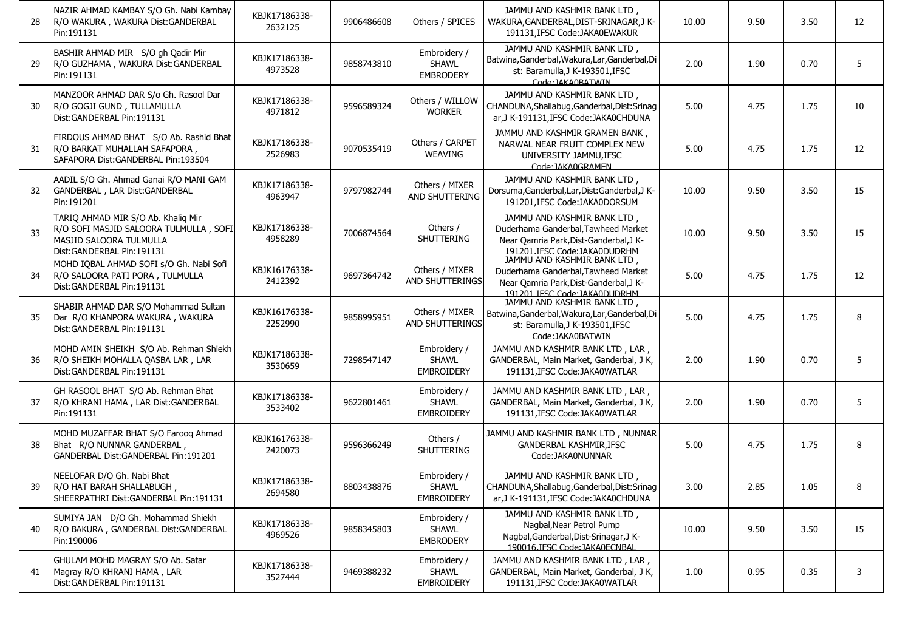| 28 | NAZIR AHMAD KAMBAY S/O Gh. Nabi Kambay<br>R/O WAKURA, WAKURA Dist: GANDERBAL<br>Pin:191131                                             | KBJK17186338-<br>2632125 | 9906486608 | Others / SPICES                                   | JAMMU AND KASHMIR BANK LTD.<br>WAKURA, GANDERBAL, DIST-SRINAGAR, JK-<br>191131.IFSC Code:JAKA0EWAKUR                                          | 10.00 | 9.50 | 3.50 | 12 |
|----|----------------------------------------------------------------------------------------------------------------------------------------|--------------------------|------------|---------------------------------------------------|-----------------------------------------------------------------------------------------------------------------------------------------------|-------|------|------|----|
| 29 | BASHIR AHMAD MIR S/O gh Qadir Mir<br>R/O GUZHAMA, WAKURA Dist:GANDERBAL<br>Pin:191131                                                  | KBJK17186338-<br>4973528 | 9858743810 | Embroidery /<br>SHAWL<br><b>EMBRODERY</b>         | JAMMU AND KASHMIR BANK LTD,<br>Batwina, Ganderbal, Wakura, Lar, Ganderbal, Di<br>st: Baramulla.J K-193501.IFSC<br>Code: IAKA0BATWIN           | 2.00  | 1.90 | 0.70 | 5  |
| 30 | MANZOOR AHMAD DAR S/o Gh. Rasool Dar<br>R/O GOGJI GUND, TULLAMULLA<br>Dist:GANDERBAL Pin:191131                                        | KBJK17186338-<br>4971812 | 9596589324 | Others / WILLOW<br><b>WORKER</b>                  | JAMMU AND KASHMIR BANK LTD,<br>CHANDUNA, Shallabug, Ganderbal, Dist: Srinag<br>ar, J K-191131, IFSC Code: JAKA0CHDUNA                         | 5.00  | 4.75 | 1.75 | 10 |
| 31 | FIRDOUS AHMAD BHAT S/O Ab. Rashid Bhat<br>R/O BARKAT MUHALLAH SAFAPORA,<br>SAFAPORA Dist: GANDERBAL Pin: 193504                        | KBJK17186338-<br>2526983 | 9070535419 | Others / CARPET<br><b>WEAVING</b>                 | JAMMU AND KASHMIR GRAMEN BANK,<br>NARWAL NEAR FRUIT COMPLEX NEW<br>UNIVERSITY JAMMU, IFSC<br>Code: IAKA0GRAMEN                                | 5.00  | 4.75 | 1.75 | 12 |
| 32 | AADIL S/O Gh. Ahmad Ganai R/O MANI GAM<br>GANDERBAL, LAR Dist: GANDERBAL<br>Pin:191201                                                 | KBJK17186338-<br>4963947 | 9797982744 | Others / MIXER<br>AND SHUTTERING                  | JAMMU AND KASHMIR BANK LTD,<br>Dorsuma, Ganderbal, Lar, Dist: Ganderbal, JK-<br>191201, IFSC Code: JAKA0DORSUM                                | 10.00 | 9.50 | 3.50 | 15 |
| 33 | TARIQ AHMAD MIR S/O Ab. Khaliq Mir<br>R/O SOFI MASJID SALOORA TULMULLA, SOFI<br>MASJID SALOORA TULMULLA<br>Dist: GANDERBAL Pin: 191131 | KBJK17186338-<br>4958289 | 7006874564 | Others /<br><b>SHUTTERING</b>                     | JAMMU AND KASHMIR BANK LTD,<br>Duderhama Ganderbal, Tawheed Market<br>Near Qamria Park, Dist-Ganderbal, J K-<br>191201 IFSC Code: IAKA0DUDRHM | 10.00 | 9.50 | 3.50 | 15 |
| 34 | MOHD IQBAL AHMAD SOFI s/O Gh. Nabi Sofi<br>R/O SALOORA PATI PORA, TULMULLA<br>Dist:GANDERBAL Pin:191131                                | KBJK16176338-<br>2412392 | 9697364742 | Others / MIXER<br>AND SHUTTERINGS                 | JAMMU AND KASHMIR BANK LTD,<br>Duderhama Ganderbal, Tawheed Market<br>Near Qamria Park, Dist-Ganderbal, J K-<br>191201 TESC Code: TAKA0DUDRHM | 5.00  | 4.75 | 1.75 | 12 |
| 35 | SHABIR AHMAD DAR S/O Mohammad Sultan<br>Dar R/O KHANPORA WAKURA, WAKURA<br>Dist: GANDERBAL Pin: 191131                                 | KBJK16176338-<br>2252990 | 9858995951 | Others / MIXER<br>AND SHUTTERINGS                 | JAMMU AND KASHMIR BANK LTD,<br>Batwina, Ganderbal, Wakura, Lar, Ganderbal, Di<br>st: Baramulla, J K-193501, IFSC<br>Code: IAKA0BATWIN         | 5.00  | 4.75 | 1.75 | 8  |
| 36 | MOHD AMIN SHEIKH S/O Ab. Rehman Shiekh<br>R/O SHEIKH MOHALLA QASBA LAR, LAR<br>Dist: GANDERBAL Pin: 191131                             | KBJK17186338-<br>3530659 | 7298547147 | Embroidery /<br><b>SHAWL</b><br><b>EMBROIDERY</b> | JAMMU AND KASHMIR BANK LTD, LAR,<br>GANDERBAL, Main Market, Ganderbal, J K,<br>191131, IFSC Code: JAKA0WATLAR                                 | 2.00  | 1.90 | 0.70 | 5  |
| 37 | GH RASOOL BHAT S/O Ab. Rehman Bhat<br>R/O KHRANI HAMA, LAR Dist: GANDERBAL<br>Pin:191131                                               | KBJK17186338-<br>3533402 | 9622801461 | Embroidery /<br><b>SHAWL</b><br><b>EMBROIDERY</b> | JAMMU AND KASHMIR BANK LTD, LAR,<br>GANDERBAL, Main Market, Ganderbal, J K,<br>191131, IFSC Code: JAKA0WATLAR                                 | 2.00  | 1.90 | 0.70 | 5  |
| 38 | MOHD MUZAFFAR BHAT S/O Faroog Ahmad<br>Bhat R/O NUNNAR GANDERBAL,<br>GANDERBAL Dist:GANDERBAL Pin:191201                               | KBJK16176338-<br>2420073 | 9596366249 | Others /<br>SHUTTERING                            | JAMMU AND KASHMIR BANK LTD, NUNNAR<br>GANDERBAL KASHMIR, IFSC<br>Code:JAKA0NUNNAR                                                             | 5.00  | 4.75 | 1.75 | 8  |
| 39 | NEELOFAR D/O Gh. Nabi Bhat<br>R/O HAT BARAH SHALLABUGH,<br>SHEERPATHRI Dist: GANDERBAL Pin: 191131                                     | KBJK17186338-<br>2694580 | 8803438876 | Embroidery /<br>SHAWL<br><b>EMBROIDERY</b>        | JAMMU AND KASHMIR BANK LTD,<br>CHANDUNA, Shallabug, Ganderbal, Dist: Srinag<br>ar, J K-191131, IFSC Code: JAKA0CHDUNA                         | 3.00  | 2.85 | 1.05 |    |
| 40 | SUMIYA JAN D/O Gh. Mohammad Shiekh<br>R/O BAKURA, GANDERBAL Dist: GANDERBAL<br>Pin:190006                                              | KBJK17186338-<br>4969526 | 9858345803 | Embroidery /<br>SHAWL<br><b>EMBRODERY</b>         | JAMMU AND KASHMIR BANK LTD,<br>Nagbal, Near Petrol Pump<br>Nagbal, Ganderbal, Dist-Srinagar, J K-<br>190016.JESC Code: JAKA0ECNBAL            | 10.00 | 9.50 | 3.50 | 15 |
| 41 | GHULAM MOHD MAGRAY S/O Ab. Satar<br>Magray R/O KHRANI HAMA, LAR<br>Dist:GANDERBAL Pin:191131                                           | KBJK17186338-<br>3527444 | 9469388232 | Embroidery /<br>SHAWL<br>EMBROIDERY               | JAMMU AND KASHMIR BANK LTD, LAR,<br>GANDERBAL, Main Market, Ganderbal, J K,<br>191131, IFSC Code: JAKA0WATLAR                                 | 1.00  | 0.95 | 0.35 | 3  |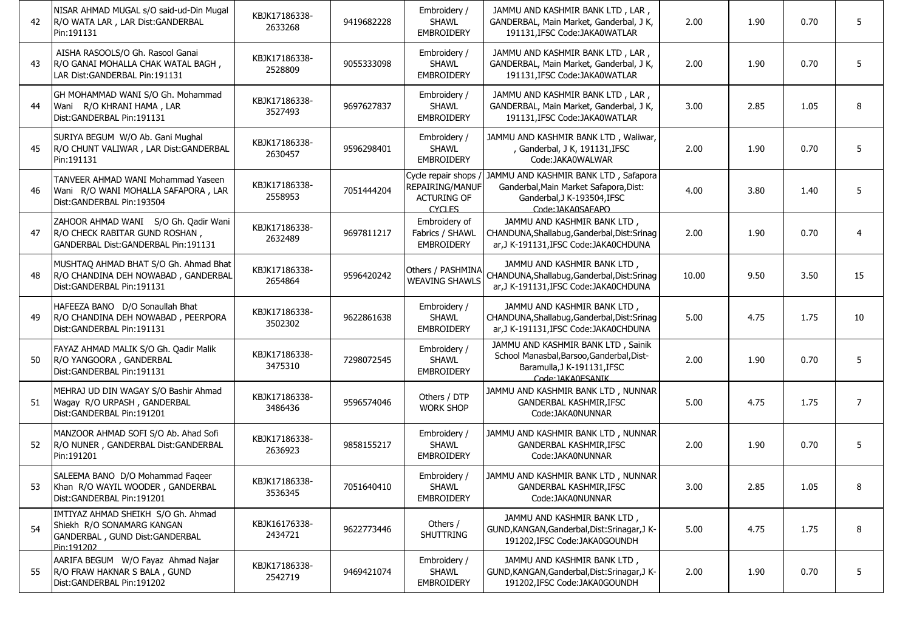| 42 | NISAR AHMAD MUGAL s/O said-ud-Din Mugal<br>R/O WATA LAR, LAR Dist: GANDERBAL<br>Pin:191131                       | KBJK17186338-<br>2633268 | 9419682228 | Embroidery /<br><b>SHAWL</b><br><b>EMBROIDERY</b>                       | JAMMU AND KASHMIR BANK LTD, LAR,<br>GANDERBAL, Main Market, Ganderbal, J K,<br>191131, IFSC Code: JAKA0WATLAR                       | 2.00  | 1.90 | 0.70 | 5              |
|----|------------------------------------------------------------------------------------------------------------------|--------------------------|------------|-------------------------------------------------------------------------|-------------------------------------------------------------------------------------------------------------------------------------|-------|------|------|----------------|
| 43 | AISHA RASOOLS/O Gh. Rasool Ganai<br>R/O GANAI MOHALLA CHAK WATAL BAGH,<br>LAR Dist: GANDERBAL Pin: 191131        | KBJK17186338-<br>2528809 | 9055333098 | Embroidery /<br><b>SHAWL</b><br><b>EMBROIDERY</b>                       | JAMMU AND KASHMIR BANK LTD, LAR,<br>GANDERBAL, Main Market, Ganderbal, J K,<br>191131, IFSC Code: JAKA0WATLAR                       | 2.00  | 1.90 | 0.70 | 5              |
| 44 | GH MOHAMMAD WANI S/O Gh. Mohammad<br>Wani R/O KHRANI HAMA, LAR<br>Dist: GANDERBAL Pin: 191131                    | KBJK17186338-<br>3527493 | 9697627837 | Embroidery /<br><b>SHAWL</b><br><b>EMBROIDERY</b>                       | JAMMU AND KASHMIR BANK LTD, LAR,<br>GANDERBAL, Main Market, Ganderbal, J K,<br>191131, IFSC Code: JAKA0WATLAR                       | 3.00  | 2.85 | 1.05 | 8              |
| 45 | SURIYA BEGUM W/O Ab. Gani Mughal<br>R/O CHUNT VALIWAR, LAR Dist: GANDERBAL<br>Pin:191131                         | KBJK17186338-<br>2630457 | 9596298401 | Embroidery /<br><b>SHAWL</b><br><b>EMBROIDERY</b>                       | JAMMU AND KASHMIR BANK LTD, Waliwar,<br>, Ganderbal, J K, 191131, IFSC<br>Code:JAKA0WALWAR                                          | 2.00  | 1.90 | 0.70 | 5              |
| 46 | TANVEER AHMAD WANI Mohammad Yaseen<br>Wani R/O WANI MOHALLA SAFAPORA, LAR<br>Dist: GANDERBAL Pin: 193504         | KBJK17186338-<br>2558953 | 7051444204 | Cycle repair shops /<br>REPAIRING/MANUF<br><b>ACTURING OF</b><br>CYCLES | JAMMU AND KASHMIR BANK LTD, Safapora<br>Ganderbal, Main Market Safapora, Dist:<br>Ganderbal, J K-193504, IFSC<br>Code: IAKA0SAFAPO  | 4.00  | 3.80 | 1.40 | 5              |
| 47 | ZAHOOR AHMAD WANI S/O Gh. Qadir Wani<br>R/O CHECK RABITAR GUND ROSHAN,<br>GANDERBAL Dist: GANDERBAL Pin: 191131  | KBJK17186338-<br>2632489 | 9697811217 | Embroidery of<br>Fabrics / SHAWL<br><b>EMBROIDERY</b>                   | JAMMU AND KASHMIR BANK LTD,<br>CHANDUNA, Shallabug, Ganderbal, Dist: Srinag<br>ar, J K-191131, IFSC Code: JAKA0CHDUNA               | 2.00  | 1.90 | 0.70 | $\overline{4}$ |
| 48 | MUSHTAQ AHMAD BHAT S/O Gh. Ahmad Bhat<br>R/O CHANDINA DEH NOWABAD, GANDERBAL<br>Dist: GANDERBAL Pin: 191131      | KBJK17186338-<br>2654864 | 9596420242 | Others / PASHMINA<br><b>WEAVING SHAWLS</b>                              | JAMMU AND KASHMIR BANK LTD,<br>CHANDUNA, Shallabug, Ganderbal, Dist: Srinag<br>ar, J K-191131, IFSC Code: JAKA0CHDUNA               | 10.00 | 9.50 | 3.50 | 15             |
| 49 | HAFEEZA BANO D/O Sonaullah Bhat<br>R/O CHANDINA DEH NOWABAD, PEERPORA<br>Dist:GANDERBAL Pin:191131               | KBJK17186338-<br>3502302 | 9622861638 | Embroidery /<br><b>SHAWL</b><br><b>EMBROIDERY</b>                       | JAMMU AND KASHMIR BANK LTD,<br>CHANDUNA, Shallabug, Ganderbal, Dist: Srinag<br>ar, J K-191131, IFSC Code: JAKA0CHDUNA               | 5.00  | 4.75 | 1.75 | 10             |
| 50 | FAYAZ AHMAD MALIK S/O Gh. Qadir Malik<br>R/O YANGOORA, GANDERBAL<br>Dist: GANDERBAL Pin: 191131                  | KBJK17186338-<br>3475310 | 7298072545 | Embroidery /<br><b>SHAWL</b><br><b>EMBROIDERY</b>                       | JAMMU AND KASHMIR BANK LTD, Sainik<br>School Manasbal, Barsoo, Ganderbal, Dist-<br>Baramulla, J K-191131, IFSC<br>Code: IAKA0ESANIK | 2.00  | 1.90 | 0.70 | 5              |
| 51 | MEHRAJ UD DIN WAGAY S/O Bashir Ahmad<br>Wagay R/O URPASH, GANDERBAL<br>Dist: GANDERBAL Pin: 191201               | KBJK17186338-<br>3486436 | 9596574046 | Others / DTP<br><b>WORK SHOP</b>                                        | JAMMU AND KASHMIR BANK LTD, NUNNAR<br>GANDERBAL KASHMIR, IFSC<br>Code:JAKA0NUNNAR                                                   | 5.00  | 4.75 | 1.75 | 7              |
| 52 | MANZOOR AHMAD SOFI S/O Ab. Ahad Sofi<br>R/O NUNER, GANDERBAL Dist: GANDERBAL<br>Pin:191201                       | KBJK17186338-<br>2636923 | 9858155217 | Embroidery /<br><b>SHAWL</b><br><b>EMBROIDERY</b>                       | JAMMU AND KASHMIR BANK LTD, NUNNAR<br><b>GANDERBAL KASHMIR, IFSC</b><br>Code:JAKA0NUNNAR                                            | 2.00  | 1.90 | 0.70 | 5              |
|    | SALEEMA BANO D/O Mohammad Faqeer<br>Khan R/O WAYIL WOODER, GANDERBAL<br>Dist:GANDERBAL Pin:191201                | KBJK17186338-<br>3536345 | 7051640410 | Embroidery /<br><b>SHAWL</b><br><b>EMBROIDERY</b>                       | JAMMU AND KASHMIR BANK LTD, NUNNAR<br>GANDERBAL KASHMIR, IFSC<br>Code:JAKA0NUNNAR                                                   | 3.00  | 2.85 | 1.05 | 8              |
| 54 | IMTIYAZ AHMAD SHEIKH S/O Gh. Ahmad<br>Shiekh R/O SONAMARG KANGAN<br>GANDERBAL, GUND Dist:GANDERBAL<br>Pin:191202 | KBJK16176338-<br>2434721 | 9622773446 | Others /<br>SHUTTRING                                                   | JAMMU AND KASHMIR BANK LTD,<br>GUND, KANGAN, Ganderbal, Dist: Srinagar, J K-<br>191202, IFSC Code: JAKA0GOUNDH                      | 5.00  | 4.75 | 1.75 | 8              |
| 55 | AARIFA BEGUM W/O Fayaz Ahmad Najar<br>R/O FRAW HAKNAR S BALA, GUND<br>Dist: GANDERBAL Pin: 191202                | KBJK17186338-<br>2542719 | 9469421074 | Embroidery /<br><b>SHAWL</b><br><b>EMBROIDERY</b>                       | JAMMU AND KASHMIR BANK LTD,<br>GUND, KANGAN, Ganderbal, Dist: Srinagar, J K-<br>191202, IFSC Code: JAKA0GOUNDH                      | 2.00  | 1.90 | 0.70 | 5              |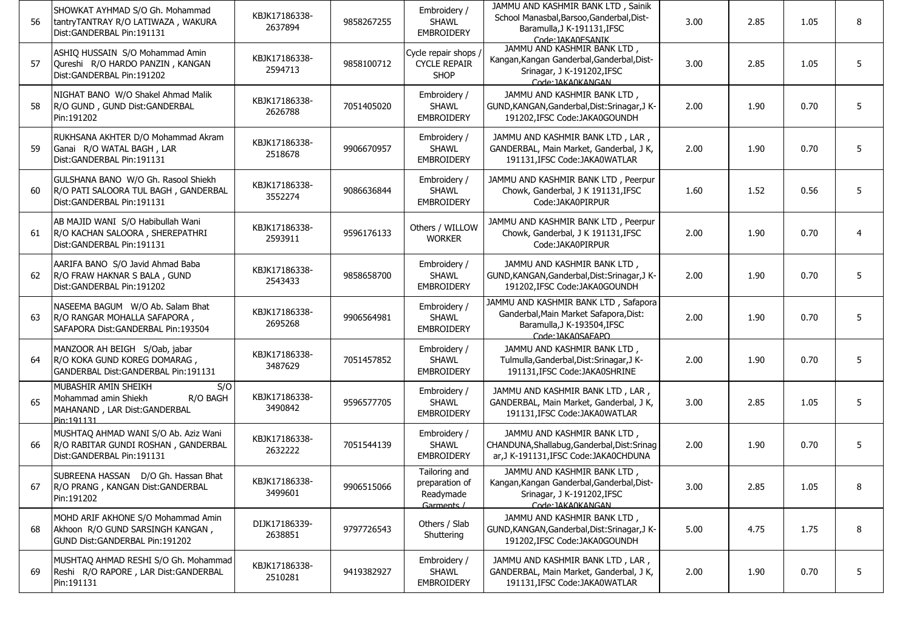| 56 | SHOWKAT AYHMAD S/O Gh. Mohammad<br>tantryTANTRAY R/O LATIWAZA, WAKURA<br>Dist:GANDERBAL Pin:191131             | KBJK17186338-<br>2637894 | 9858267255 | Embroidery /<br><b>SHAWL</b><br><b>EMBROIDERY</b>          | JAMMU AND KASHMIR BANK LTD, Sainik<br>School Manasbal, Barsoo, Ganderbal, Dist-<br>Baramulla, J K-191131, IFSC<br>Code: IAKA0ESANIK | 3.00 | 2.85 | 1.05 | 8 |
|----|----------------------------------------------------------------------------------------------------------------|--------------------------|------------|------------------------------------------------------------|-------------------------------------------------------------------------------------------------------------------------------------|------|------|------|---|
| 57 | ASHIQ HUSSAIN S/O Mohammad Amin<br>Qureshi R/O HARDO PANZIN, KANGAN<br>Dist:GANDERBAL Pin:191202               | KBJK17186338-<br>2594713 | 9858100712 | Cycle repair shops /<br><b>CYCLE REPAIR</b><br><b>SHOP</b> | JAMMU AND KASHMIR BANK LTD,<br>Kangan, Kangan Ganderbal, Ganderbal, Dist-<br>Srinagar, J K-191202, IFSC<br>Code: JAKA0KANGAN        | 3.00 | 2.85 | 1.05 | 5 |
| 58 | NIGHAT BANO W/O Shakel Ahmad Malik<br>R/O GUND, GUND Dist: GANDERBAL<br>Pin:191202                             | KBJK17186338-<br>2626788 | 7051405020 | Embroidery /<br><b>SHAWL</b><br><b>EMBROIDERY</b>          | JAMMU AND KASHMIR BANK LTD,<br>GUND, KANGAN, Ganderbal, Dist: Srinagar, J K-<br>191202, IFSC Code: JAKA0GOUNDH                      | 2.00 | 1.90 | 0.70 | 5 |
| 59 | RUKHSANA AKHTER D/O Mohammad Akram<br>Ganai R/O WATAL BAGH, LAR<br>Dist:GANDERBAL Pin:191131                   | KBJK17186338-<br>2518678 | 9906670957 | Embroidery /<br><b>SHAWL</b><br><b>EMBROIDERY</b>          | JAMMU AND KASHMIR BANK LTD, LAR,<br>GANDERBAL, Main Market, Ganderbal, J K,<br>191131.IFSC Code: JAKA0WATLAR                        | 2.00 | 1.90 | 0.70 | 5 |
| 60 | GULSHANA BANO W/O Gh. Rasool Shiekh<br>R/O PATI SALOORA TUL BAGH, GANDERBAL<br>Dist:GANDERBAL Pin:191131       | KBJK17186338-<br>3552274 | 9086636844 | Embroidery /<br><b>SHAWL</b><br><b>EMBROIDERY</b>          | JAMMU AND KASHMIR BANK LTD, Peerpur<br>Chowk, Ganderbal, J K 191131, IFSC<br>Code: JAKA0PIRPUR                                      | 1.60 | 1.52 | 0.56 | 5 |
| 61 | AB MAJID WANI S/O Habibullah Wani<br>R/O KACHAN SALOORA, SHEREPATHRI<br>Dist: GANDERBAL Pin: 191131            | KBJK17186338-<br>2593911 | 9596176133 | Others / WILLOW<br><b>WORKER</b>                           | JAMMU AND KASHMIR BANK LTD, Peerpur<br>Chowk, Ganderbal, J K 191131, IFSC<br>Code:JAKA0PIRPUR                                       | 2.00 | 1.90 | 0.70 | 4 |
| 62 | AARIFA BANO S/O Javid Ahmad Baba<br>R/O FRAW HAKNAR S BALA, GUND<br>Dist:GANDERBAL Pin:191202                  | KBJK17186338-<br>2543433 | 9858658700 | Embroidery /<br><b>SHAWL</b><br><b>EMBROIDERY</b>          | JAMMU AND KASHMIR BANK LTD,<br>GUND, KANGAN, Ganderbal, Dist: Srinagar, J K-<br>191202, IFSC Code: JAKA0GOUNDH                      | 2.00 | 1.90 | 0.70 | 5 |
| 63 | NASEEMA BAGUM W/O Ab. Salam Bhat<br>R/O RANGAR MOHALLA SAFAPORA,<br>SAFAPORA Dist: GANDERBAL Pin: 193504       | KBJK17186338-<br>2695268 | 9906564981 | Embroidery /<br><b>SHAWL</b><br><b>EMBROIDERY</b>          | JAMMU AND KASHMIR BANK LTD, Safapora<br>Ganderbal, Main Market Safapora, Dist:<br>Baramulla, J K-193504, IFSC<br>Code: JAKA0SAEAPO  | 2.00 | 1.90 | 0.70 | 5 |
| 64 | MANZOOR AH BEIGH S/Oab, jabar<br>R/O KOKA GUND KOREG DOMARAG,<br>GANDERBAL Dist: GANDERBAL Pin: 191131         | KBJK17186338-<br>3487629 | 7051457852 | Embroidery /<br><b>SHAWL</b><br><b>EMBROIDERY</b>          | JAMMU AND KASHMIR BANK LTD,<br>Tulmulla, Ganderbal, Dist: Srinagar, J K-<br>191131, IFSC Code: JAKA0SHRINE                          | 2.00 | 1.90 | 0.70 | 5 |
| 65 | MUBASHIR AMIN SHEIKH<br>S/O<br>Mohammad amin Shiekh<br>R/O BAGH<br>MAHANAND, LAR Dist: GANDERBAL<br>Pin:191131 | KBJK17186338-<br>3490842 | 9596577705 | Embroidery /<br><b>SHAWL</b><br><b>EMBROIDERY</b>          | JAMMU AND KASHMIR BANK LTD, LAR,<br>GANDERBAL, Main Market, Ganderbal, J K,<br>191131, IFSC Code: JAKA0WATLAR                       | 3.00 | 2.85 | 1.05 | 5 |
| 66 | MUSHTAQ AHMAD WANI S/O Ab. Aziz Wani<br>R/O RABITAR GUNDI ROSHAN, GANDERBAL<br>Dist:GANDERBAL Pin:191131       | KBJK17186338-<br>2632222 | 7051544139 | Embroidery /<br><b>SHAWL</b><br><b>EMBROIDERY</b>          | JAMMU AND KASHMIR BANK LTD.<br>CHANDUNA, Shallabug, Ganderbal, Dist: Srinag<br>ar, J K-191131, IFSC Code: JAKA0CHDUNA               | 2.00 | 1.90 | 0.70 | 5 |
| 67 | SUBREENA HASSAN D/O Gh. Hassan Bhat<br>R/O PRANG, KANGAN Dist:GANDERBAL<br>Pin:191202                          | KBJK17186338-<br>3499601 | 9906515066 | Tailoring and<br>preparation of<br>Readymade<br>Garments / | JAMMU AND KASHMIR BANK LTD,<br>Kangan, Kangan Ganderbal, Ganderbal, Dist-<br>Srinagar, J K-191202, IFSC<br>Code: IAKA0KANGAN        | 3.00 | 2.85 | 1.05 |   |
| 68 | MOHD ARIF AKHONE S/O Mohammad Amin<br>Akhoon R/O GUND SARSINGH KANGAN,<br>GUND Dist:GANDERBAL Pin:191202       | DIJK17186339-<br>2638851 | 9797726543 | Others / Slab<br>Shuttering                                | JAMMU AND KASHMIR BANK LTD,<br>GUND, KANGAN, Ganderbal, Dist: Srinagar, J K-<br>191202, IFSC Code: JAKA0GOUNDH                      | 5.00 | 4.75 | 1.75 | 8 |
| 69 | MUSHTAQ AHMAD RESHI S/O Gh. Mohammad<br>Reshi R/O RAPORE, LAR Dist:GANDERBAL<br>Pin:191131                     | KBJK17186338-<br>2510281 | 9419382927 | Embroidery /<br>SHAWL<br><b>EMBROIDERY</b>                 | JAMMU AND KASHMIR BANK LTD, LAR,<br>GANDERBAL, Main Market, Ganderbal, J K,<br>191131, IFSC Code: JAKA0WATLAR                       | 2.00 | 1.90 | 0.70 | 5 |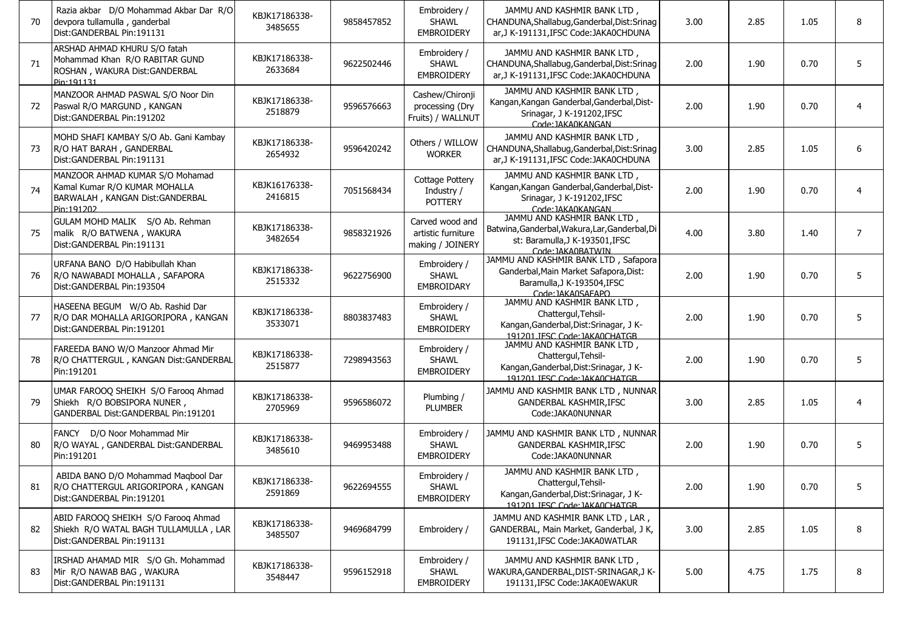| 70 | Razia akbar D/O Mohammad Akbar Dar R/O<br>devpora tullamulla, ganderbal<br>Dist:GANDERBAL Pin:191131              | KBJK17186338-<br>3485655 | 9858457852 | Embroidery /<br><b>SHAWL</b><br><b>EMBROIDERY</b>         | JAMMU AND KASHMIR BANK LTD,<br>CHANDUNA, Shallabug, Ganderbal, Dist: Srinag<br>ar.J K-191131.IFSC Code:JAKA0CHDUNA                    | 3.00 | 2.85 | 1.05 | 8              |
|----|-------------------------------------------------------------------------------------------------------------------|--------------------------|------------|-----------------------------------------------------------|---------------------------------------------------------------------------------------------------------------------------------------|------|------|------|----------------|
| 71 | ARSHAD AHMAD KHURU S/O fatah<br>Mohammad Khan R/O RABITAR GUND<br>ROSHAN, WAKURA Dist: GANDERBAL<br>Pin:191131    | KBJK17186338-<br>2633684 | 9622502446 | Embroidery /<br><b>SHAWL</b><br><b>EMBROIDERY</b>         | JAMMU AND KASHMIR BANK LTD,<br>CHANDUNA, Shallabug, Ganderbal, Dist: Srinag<br>ar, J K-191131, IFSC Code: JAKA0CHDUNA                 | 2.00 | 1.90 | 0.70 | 5              |
| 72 | MANZOOR AHMAD PASWAL S/O Noor Din<br>Paswal R/O MARGUND, KANGAN<br>Dist: GANDERBAL Pin: 191202                    | KBJK17186338-<br>2518879 | 9596576663 | Cashew/Chironji<br>processing (Dry<br>Fruits) / WALLNUT   | JAMMU AND KASHMIR BANK LTD,<br>Kangan, Kangan Ganderbal, Ganderbal, Dist-<br>Srinagar, J K-191202, IFSC<br>Code: IAKA0KANGAN          | 2.00 | 1.90 | 0.70 | $\overline{4}$ |
| 73 | MOHD SHAFI KAMBAY S/O Ab. Gani Kambay<br>R/O HAT BARAH, GANDERBAL<br>Dist: GANDERBAL Pin: 191131                  | KBJK17186338-<br>2654932 | 9596420242 | Others / WILLOW<br><b>WORKER</b>                          | JAMMU AND KASHMIR BANK LTD.<br>CHANDUNA, Shallabug, Ganderbal, Dist: Srinag<br>ar, J K-191131, IFSC Code: JAKA0CHDUNA                 | 3.00 | 2.85 | 1.05 | 6              |
| 74 | MANZOOR AHMAD KUMAR S/O Mohamad<br>Kamal Kumar R/O KUMAR MOHALLA<br>BARWALAH, KANGAN Dist:GANDERBAL<br>Pin:191202 | KBJK16176338-<br>2416815 | 7051568434 | Cottage Pottery<br>Industry /<br><b>POTTERY</b>           | JAMMU AND KASHMIR BANK LTD,<br>Kangan, Kangan Ganderbal, Ganderbal, Dist-<br>Srinagar, J K-191202, IFSC<br>Code: JAKA0KANGAN          | 2.00 | 1.90 | 0.70 | $\overline{4}$ |
| 75 | GULAM MOHD MALIK S/O Ab. Rehman<br>malik R/O BATWENA, WAKURA<br>Dist: GANDERBAL Pin: 191131                       | KBJK17186338-<br>3482654 | 9858321926 | Carved wood and<br>artistic furniture<br>making / JOINERY | JAMMU AND KASHMIR BANK LTD,<br>Batwina, Ganderbal, Wakura, Lar, Ganderbal, Di<br>st: Baramulla, J K-193501, IFSC<br>Code: IAKA0BATWIN | 4.00 | 3.80 | 1.40 | $\overline{7}$ |
| 76 | URFANA BANO D/O Habibullah Khan<br>R/O NAWABADI MOHALLA, SAFAPORA<br>Dist:GANDERBAL Pin:193504                    | KBJK17186338-<br>2515332 | 9622756900 | Embroidery /<br><b>SHAWL</b><br>EMBROIDARY                | JAMMU AND KASHMIR BANK LTD, Safapora<br>Ganderbal, Main Market Safapora, Dist:<br>Baramulla.J K-193504.IFSC<br>Code: IAKA0SAEAPO      | 2.00 | 1.90 | 0.70 | 5              |
| 77 | HASEENA BEGUM W/O Ab. Rashid Dar<br>R/O DAR MOHALLA ARIGORIPORA, KANGAN<br>Dist:GANDERBAL Pin:191201              | KBJK17186338-<br>3533071 | 8803837483 | Embroidery /<br><b>SHAWL</b><br><b>EMBROIDERY</b>         | JAMMU AND KASHMIR BANK LTD,<br>Chattergul, Tehsil-<br>Kangan, Ganderbal, Dist: Srinagar, J K-<br>191201. IFSC Code: IAKA0CHATGB       | 2.00 | 1.90 | 0.70 | 5              |
| 78 | FAREEDA BANO W/O Manzoor Ahmad Mir<br>R/O CHATTERGUL, KANGAN Dist:GANDERBAL<br>Pin:191201                         | KBJK17186338-<br>2515877 | 7298943563 | Embroidery /<br><b>SHAWL</b><br><b>EMBROIDERY</b>         | JAMMU AND KASHMIR BANK LTD,<br>Chattergul, Tehsil-<br>Kangan, Ganderbal, Dist: Srinagar, J K-<br>191201 IFSC Code: IAKA0CHATGB        | 2.00 | 1.90 | 0.70 | 5              |
| 79 | UMAR FAROOQ SHEIKH S/O Farooq Ahmad<br>Shiekh R/O BOBSIPORA NUNER,<br>GANDERBAL Dist:GANDERBAL Pin:191201         | KBJK17186338-<br>2705969 | 9596586072 | Plumbing /<br><b>PLUMBER</b>                              | JAMMU AND KASHMIR BANK LTD, NUNNAR<br><b>GANDERBAL KASHMIR, IFSC</b><br>Code:JAKA0NUNNAR                                              | 3.00 | 2.85 | 1.05 | $\overline{4}$ |
| 80 | FANCY D/O Noor Mohammad Mir<br>R/O WAYAL, GANDERBAL Dist: GANDERBAL<br>Pin:191201                                 | KBJK17186338-<br>3485610 | 9469953488 | Embroiderv /<br><b>SHAWL</b><br><b>EMBROIDERY</b>         | JAMMU AND KASHMIR BANK LTD, NUNNAR<br><b>GANDERBAL KASHMIR, IFSC</b><br>Code: JAKA0NUNNAR                                             | 2.00 | 1.90 | 0.70 | 5              |
| 81 | ABIDA BANO D/O Mohammad Maqbool Dar<br>R/O CHATTERGUL ARIGORIPORA, KANGAN<br>Dist:GANDERBAL Pin:191201            | KBJK17186338-<br>2591869 | 9622694555 | Embroidery /<br>SHAWL<br><b>EMBROIDERY</b>                | JAMMU AND KASHMIR BANK LTD,<br>Chattergul, Tehsil-<br>Kangan, Ganderbal, Dist: Srinagar, J K-<br>191201 IFSC Code: IAKA0CHATGB        | 2.00 | 1.90 | 0.70 |                |
| 82 | ABID FAROOQ SHEIKH S/O Farooq Ahmad<br>Shiekh R/O WATAL BAGH TULLAMULLA, LAR<br>Dist: GANDERBAL Pin: 191131       | KBJK17186338-<br>3485507 | 9469684799 | Embroidery /                                              | JAMMU AND KASHMIR BANK LTD, LAR,<br>GANDERBAL, Main Market, Ganderbal, J K,<br>191131, IFSC Code: JAKA0WATLAR                         | 3.00 | 2.85 | 1.05 | 8              |
| 83 | IRSHAD AHAMAD MIR S/O Gh. Mohammad<br>Mir R/O NAWAB BAG, WAKURA<br>Dist: GANDERBAL Pin: 191131                    | KBJK17186338-<br>3548447 | 9596152918 | Embroidery /<br><b>SHAWL</b><br>EMBROIDERY                | JAMMU AND KASHMIR BANK LTD,<br>WAKURA, GANDERBAL, DIST-SRINAGAR, JK-<br>191131, IFSC Code: JAKA0EWAKUR                                | 5.00 | 4.75 | 1.75 | 8              |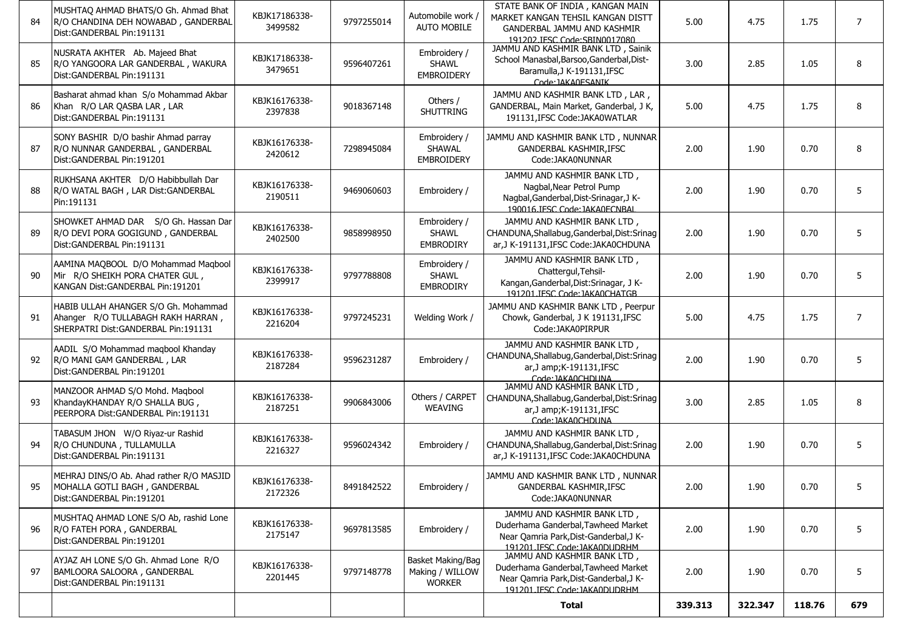|    |                                                                                                                     |                          |            |                                                       | Total                                                                                                                                         | 339.313 | 322.347 | 118.76 | 679            |
|----|---------------------------------------------------------------------------------------------------------------------|--------------------------|------------|-------------------------------------------------------|-----------------------------------------------------------------------------------------------------------------------------------------------|---------|---------|--------|----------------|
| 97 | AYJAZ AH LONE S/O Gh. Ahmad Lone R/O<br>BAMLOORA SALOORA, GANDERBAL<br>Dist: GANDERBAL Pin: 191131                  | KBJK16176338-<br>2201445 | 9797148778 | Basket Making/Bag<br>Making / WILLOW<br><b>WORKER</b> | JAMMU AND KASHMIR BANK LTD,<br>Duderhama Ganderbal, Tawheed Market<br>Near Qamria Park, Dist-Ganderbal, J K-<br>191201 TESC Code: TAKA0DUDRHM | 2.00    | 1.90    | 0.70   | 5              |
| 96 | MUSHTAQ AHMAD LONE S/O Ab, rashid Lone<br>R/O FATEH PORA, GANDERBAL<br>Dist: GANDERBAL Pin: 191201                  | KBJK16176338-<br>2175147 | 9697813585 | Embroidery /                                          | JAMMU AND KASHMIR BANK LTD,<br>Duderhama Ganderbal, Tawheed Market<br>Near Qamria Park, Dist-Ganderbal, J K-<br>191201.JESC Code: JAKA0DUDRHM | 2.00    | 1.90    | 0.70   | $\sqrt{5}$     |
| 95 | MEHRAJ DINS/O Ab. Ahad rather R/O MASJID<br>MOHALLA GOTLI BAGH, GANDERBAL<br>Dist:GANDERBAL Pin:191201              | KBJK16176338-<br>2172326 | 8491842522 | Embroidery /                                          | JAMMU AND KASHMIR BANK LTD, NUNNAR<br>GANDERBAL KASHMIR, IFSC<br>Code:JAKA0NUNNAR                                                             | 2.00    | 1.90    | 0.70   |                |
| 94 | TABASUM JHON W/O Riyaz-ur Rashid<br>R/O CHUNDUNA, TULLAMULLA<br>Dist: GANDERBAL Pin: 191131                         | KBJK16176338-<br>2216327 | 9596024342 | Embroidery /                                          | JAMMU AND KASHMIR BANK LTD,<br>CHANDUNA, Shallabug, Ganderbal, Dist: Srinag<br>ar, J K-191131, IFSC Code: JAKA0CHDUNA                         | 2.00    | 1.90    | 0.70   | 5              |
| 93 | MANZOOR AHMAD S/O Mohd. Maqbool<br>KhandayKHANDAY R/O SHALLA BUG,<br>PEERPORA Dist: GANDERBAL Pin: 191131           | KBJK16176338-<br>2187251 | 9906843006 | Others / CARPET<br><b>WEAVING</b>                     | JAMMU AND KASHMIR BANK LTD,<br>CHANDUNA, Shallabug, Ganderbal, Dist: Srinag<br>ar, J amp; K-191131, IFSC<br>Code: IAKA0CHDUNA                 | 3.00    | 2.85    | 1.05   | 8              |
| 92 | AADIL S/O Mohammad maqbool Khanday<br>R/O MANI GAM GANDERBAL, LAR<br>Dist: GANDERBAL Pin: 191201                    | KBJK16176338-<br>2187284 | 9596231287 | Embroidery /                                          | JAMMU AND KASHMIR BANK LTD,<br>CHANDUNA, Shallabug, Ganderbal, Dist: Srinag<br>ar, J amp; K-191131, IFSC<br>Code: IAKA0CHDUNA                 | 2.00    | 1.90    | 0.70   | 5              |
| 91 | HABIB ULLAH AHANGER S/O Gh. Mohammad<br>Ahanger R/O TULLABAGH RAKH HARRAN,<br>SHERPATRI Dist: GANDERBAL Pin: 191131 | KBJK16176338-<br>2216204 | 9797245231 | Welding Work /                                        | JAMMU AND KASHMIR BANK LTD, Peerpur<br>Chowk, Ganderbal, J K 191131, IFSC<br>Code:JAKA0PIRPUR                                                 | 5.00    | 4.75    | 1.75   | $\overline{7}$ |
| 90 | AAMINA MAQBOOL D/O Mohammad Maqbool<br>Mir R/O SHEIKH PORA CHATER GUL,<br>KANGAN Dist: GANDERBAL Pin: 191201        | KBJK16176338-<br>2399917 | 9797788808 | Embroidery /<br><b>SHAWL</b><br><b>EMBRODIRY</b>      | JAMMU AND KASHMIR BANK LTD,<br>Chattergul, Tehsil-<br>Kangan, Ganderbal, Dist: Srinagar, J K-<br>191201 IFSC Code: IAKA0CHATGB                | 2.00    | 1.90    | 0.70   | 5              |
| 89 | SHOWKET AHMAD DAR S/O Gh. Hassan Dar<br>R/O DEVI PORA GOGIGUND, GANDERBAL<br>Dist:GANDERBAL Pin:191131              | KBJK16176338-<br>2402500 | 9858998950 | Embroidery /<br><b>SHAWL</b><br><b>EMBRODIRY</b>      | JAMMU AND KASHMIR BANK LTD,<br>CHANDUNA, Shallabug, Ganderbal, Dist: Srinag<br>ar, J K-191131, IFSC Code: JAKA0CHDUNA                         | 2.00    | 1.90    | 0.70   | 5              |
| 88 | RUKHSANA AKHTER D/O Habibbullah Dar<br>R/O WATAL BAGH, LAR Dist: GANDERBAL<br>Pin:191131                            | KBJK16176338-<br>2190511 | 9469060603 | Embroidery /                                          | JAMMU AND KASHMIR BANK LTD,<br>Nagbal, Near Petrol Pump<br>Nagbal, Ganderbal, Dist-Srinagar, JK-<br>190016.IFSC Code: IAKA0FCNBAL             | 2.00    | 1.90    | 0.70   | 5              |
| 87 | SONY BASHIR D/O bashir Ahmad parray<br>R/O NUNNAR GANDERBAL, GANDERBAL<br>Dist: GANDERBAL Pin: 191201               | KBJK16176338-<br>2420612 | 7298945084 | Embroidery /<br><b>SHAWAL</b><br><b>EMBROIDERY</b>    | JAMMU AND KASHMIR BANK LTD, NUNNAR<br><b>GANDERBAL KASHMIR, IFSC</b><br>Code:JAKA0NUNNAR                                                      | 2.00    | 1.90    | 0.70   | 8              |
| 86 | Basharat ahmad khan S/o Mohammad Akbar<br>Khan R/O LAR QASBA LAR, LAR<br>Dist: GANDERBAL Pin: 191131                | KBJK16176338-<br>2397838 | 9018367148 | Others /<br><b>SHUTTRING</b>                          | JAMMU AND KASHMIR BANK LTD, LAR,<br>GANDERBAL, Main Market, Ganderbal, J K,<br>191131.IFSC Code:JAKA0WATLAR                                   | 5.00    | 4.75    | 1.75   | 8              |
| 85 | NUSRATA AKHTER Ab. Majeed Bhat<br>R/O YANGOORA LAR GANDERBAL, WAKURA<br>Dist: GANDERBAL Pin: 191131                 | KBJK17186338-<br>3479651 | 9596407261 | Embroidery /<br><b>SHAWL</b><br><b>EMBROIDERY</b>     | JAMMU AND KASHMIR BANK LTD, Sainik<br>School Manasbal, Barsoo, Ganderbal, Dist-<br>Baramulla, J K-191131, IFSC<br>Code: JAKA0ESANIK           | 3.00    | 2.85    | 1.05   | 8              |
| 84 | MUSHTAQ AHMAD BHATS/O Gh. Ahmad Bhat<br>R/O CHANDINA DEH NOWABAD, GANDERBAL<br>Dist: GANDERBAL Pin: 191131          | KBJK17186338-<br>3499582 | 9797255014 | Automobile work /<br><b>AUTO MOBILE</b>               | STATE BANK OF INDIA, KANGAN MAIN<br>MARKET KANGAN TEHSIL KANGAN DISTT<br>GANDERBAL JAMMU AND KASHMIR<br>191202 IESC Code: SBIN0017080         | 5.00    | 4.75    | 1.75   | $\overline{7}$ |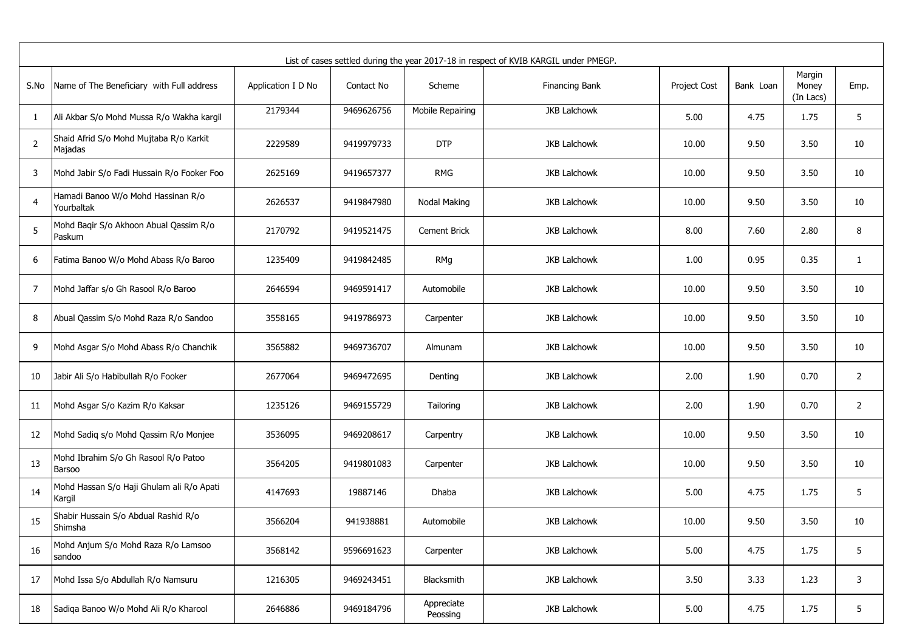|                | List of cases settled during the year 2017-18 in respect of KVIB KARGIL under PMEGP. |                    |            |                        |                     |              |           |                              |                |  |  |  |
|----------------|--------------------------------------------------------------------------------------|--------------------|------------|------------------------|---------------------|--------------|-----------|------------------------------|----------------|--|--|--|
| S.No           | Name of The Beneficiary with Full address                                            | Application I D No | Contact No | Scheme                 | Financing Bank      | Project Cost | Bank Loan | Margin<br>Money<br>(In Lacs) | Emp.           |  |  |  |
| 1              | Ali Akbar S/o Mohd Mussa R/o Wakha kargil                                            | 2179344            | 9469626756 | Mobile Repairing       | <b>JKB Lalchowk</b> | 5.00         | 4.75      | 1.75                         | 5              |  |  |  |
| $\overline{2}$ | Shaid Afrid S/o Mohd Mujtaba R/o Karkit<br>Majadas                                   | 2229589            | 9419979733 | <b>DTP</b>             | <b>JKB Lalchowk</b> | 10.00        | 9.50      | 3.50                         | 10             |  |  |  |
| 3              | Mohd Jabir S/o Fadi Hussain R/o Fooker Foo                                           | 2625169            | 9419657377 | <b>RMG</b>             | <b>JKB Lalchowk</b> | 10.00        | 9.50      | 3.50                         | 10             |  |  |  |
| 4              | Hamadi Banoo W/o Mohd Hassinan R/o<br>Yourbaltak                                     | 2626537            | 9419847980 | Nodal Making           | <b>JKB Lalchowk</b> | 10.00        | 9.50      | 3.50                         | 10             |  |  |  |
| 5              | Mohd Baqir S/o Akhoon Abual Qassim R/o<br>Paskum                                     | 2170792            | 9419521475 | <b>Cement Brick</b>    | <b>JKB Lalchowk</b> | 8.00         | 7.60      | 2.80                         | 8              |  |  |  |
| 6              | Fatima Banoo W/o Mohd Abass R/o Baroo                                                | 1235409            | 9419842485 | RMg                    | <b>JKB Lalchowk</b> | 1.00         | 0.95      | 0.35                         | $\mathbf{1}$   |  |  |  |
| 7              | Mohd Jaffar s/o Gh Rasool R/o Baroo                                                  | 2646594            | 9469591417 | Automobile             | <b>JKB Lalchowk</b> | 10.00        | 9.50      | 3.50                         | 10             |  |  |  |
| 8              | Abual Qassim S/o Mohd Raza R/o Sandoo                                                | 3558165            | 9419786973 | Carpenter              | <b>JKB Lalchowk</b> | 10.00        | 9.50      | 3.50                         | 10             |  |  |  |
| 9              | Mohd Asgar S/o Mohd Abass R/o Chanchik                                               | 3565882            | 9469736707 | Almunam                | <b>JKB Lalchowk</b> | 10.00        | 9.50      | 3.50                         | 10             |  |  |  |
| 10             | Jabir Ali S/o Habibullah R/o Fooker                                                  | 2677064            | 9469472695 | Denting                | <b>JKB Lalchowk</b> | 2.00         | 1.90      | 0.70                         | $\overline{2}$ |  |  |  |
| 11             | Mohd Asgar S/o Kazim R/o Kaksar                                                      | 1235126            | 9469155729 | Tailoring              | <b>JKB Lalchowk</b> | 2.00         | 1.90      | 0.70                         | $\overline{2}$ |  |  |  |
| 12             | Mohd Sadiq s/o Mohd Qassim R/o Monjee                                                | 3536095            | 9469208617 | Carpentry              | JKB Lalchowk        | 10.00        | 9.50      | 3.50                         | 10             |  |  |  |
| 13             | Mohd Ibrahim S/o Gh Rasool R/o Patoo<br>Barsoo                                       | 3564205            | 9419801083 | Carpenter              | <b>JKB Lalchowk</b> | 10.00        | 9.50      | 3.50                         | 10             |  |  |  |
| 14             | Mohd Hassan S/o Haji Ghulam ali R/o Apati<br>Kargil                                  | 4147693            | 19887146   | Dhaba                  | <b>JKB Lalchowk</b> | 5.00         | 4.75      | 1.75                         | 5              |  |  |  |
| 15             | Shabir Hussain S/o Abdual Rashid R/o<br>Shimsha                                      | 3566204            | 941938881  | Automobile             | <b>JKB Lalchowk</b> | 10.00        | 9.50      | 3.50                         | 10             |  |  |  |
| 16             | Mohd Anjum S/o Mohd Raza R/o Lamsoo<br>sandoo                                        | 3568142            | 9596691623 | Carpenter              | JKB Lalchowk        | 5.00         | 4.75      | 1.75                         | 5              |  |  |  |
| 17             | Mohd Issa S/o Abdullah R/o Namsuru                                                   | 1216305            | 9469243451 | Blacksmith             | <b>JKB Lalchowk</b> | 3.50         | 3.33      | 1.23                         | 3              |  |  |  |
| 18             | Sadiqa Banoo W/o Mohd Ali R/o Kharool                                                | 2646886            | 9469184796 | Appreciate<br>Peossing | JKB Lalchowk        | 5.00         | 4.75      | 1.75                         | 5              |  |  |  |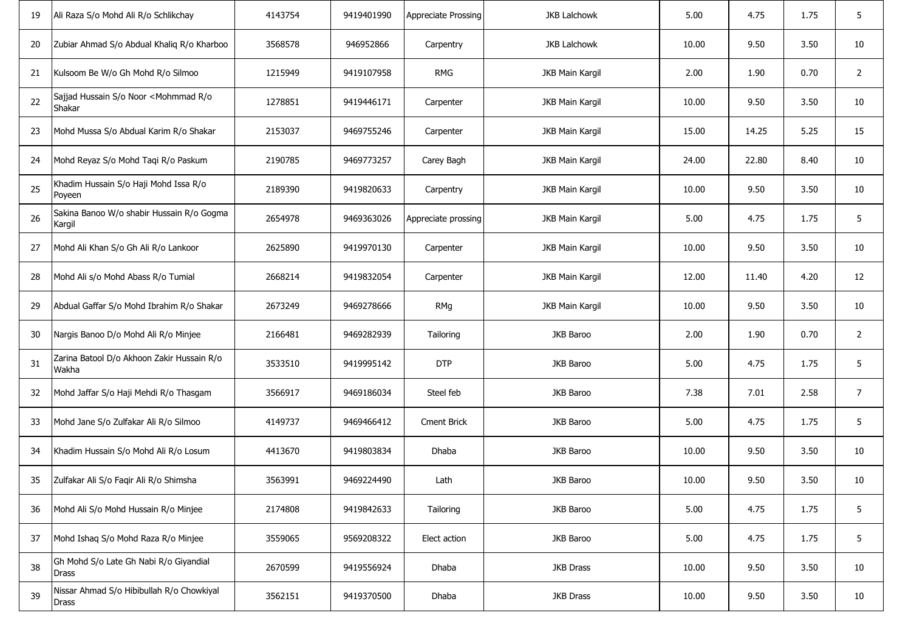| 19 | Ali Raza S/o Mohd Ali R/o Schlikchay                           | 4143754 | 9419401990 | Appreciate Prossing | <b>JKB Lalchowk</b>    | 5.00  | 4.75  | 1.75 | 5                |
|----|----------------------------------------------------------------|---------|------------|---------------------|------------------------|-------|-------|------|------------------|
| 20 | Zubiar Ahmad S/o Abdual Khaliq R/o Kharboo                     | 3568578 | 946952866  | Carpentry           | <b>JKB Lalchowk</b>    | 10.00 | 9.50  | 3.50 | 10               |
| 21 | Kulsoom Be W/o Gh Mohd R/o Silmoo                              | 1215949 | 9419107958 | <b>RMG</b>          | JKB Main Kargil        | 2.00  | 1.90  | 0.70 | $\overline{2}$   |
| 22 | Sajjad Hussain S/o Noor <mohmmad o<br="" r="">Shakar</mohmmad> | 1278851 | 9419446171 | Carpenter           | JKB Main Kargil        | 10.00 | 9.50  | 3.50 | 10               |
| 23 | Mohd Mussa S/o Abdual Karim R/o Shakar                         | 2153037 | 9469755246 | Carpenter           | JKB Main Kargil        | 15.00 | 14.25 | 5.25 | 15               |
| 24 | Mohd Reyaz S/o Mohd Taqi R/o Paskum                            | 2190785 | 9469773257 | Carey Bagh          | JKB Main Kargil        | 24.00 | 22.80 | 8.40 | 10               |
| 25 | Khadim Hussain S/o Haji Mohd Issa R/o<br>Poyeen                | 2189390 | 9419820633 | Carpentry           | JKB Main Kargil        | 10.00 | 9.50  | 3.50 | 10               |
| 26 | Sakina Banoo W/o shabir Hussain R/o Gogma<br>Kargil            | 2654978 | 9469363026 | Appreciate prossing | <b>JKB Main Kargil</b> | 5.00  | 4.75  | 1.75 | 5                |
| 27 | Mohd Ali Khan S/o Gh Ali R/o Lankoor                           | 2625890 | 9419970130 | Carpenter           | JKB Main Kargil        | 10.00 | 9.50  | 3.50 | 10               |
| 28 | Mohd Ali s/o Mohd Abass R/o Tumial                             | 2668214 | 9419832054 | Carpenter           | <b>JKB Main Kargil</b> | 12.00 | 11.40 | 4.20 | 12               |
| 29 | Abdual Gaffar S/o Mohd Ibrahim R/o Shakar                      | 2673249 | 9469278666 | RMg                 | <b>JKB Main Kargil</b> | 10.00 | 9.50  | 3.50 | 10               |
| 30 | Nargis Banoo D/o Mohd Ali R/o Minjee                           | 2166481 | 9469282939 | Tailoring           | JKB Baroo              | 2.00  | 1.90  | 0.70 | $\overline{2}$   |
| 31 | Zarina Batool D/o Akhoon Zakir Hussain R/o<br>Wakha            | 3533510 | 9419995142 | <b>DTP</b>          | JKB Baroo              | 5.00  | 4.75  | 1.75 | 5                |
| 32 | Mohd Jaffar S/o Haji Mehdi R/o Thasgam                         | 3566917 | 9469186034 | Steel feb           | JKB Baroo              | 7.38  | 7.01  | 2.58 | $\boldsymbol{7}$ |
| 33 | Mohd Jane S/o Zulfakar Ali R/o Silmoo                          | 4149737 | 9469466412 | <b>Cment Brick</b>  | JKB Baroo              | 5.00  | 4.75  | 1.75 | 5                |
| 34 | Khadim Hussain S/o Mohd Ali R/o Losum                          | 4413670 | 9419803834 | Dhaba               | JKB Baroo              | 10.00 | 9.50  | 3.50 | $10\,$           |
| 35 | Zulfakar Ali S/o Faqir Ali R/o Shimsha                         | 3563991 | 9469224490 | Lath                | JKB Baroo              | 10.00 | 9.50  | 3.50 | 10               |
| 36 | Mohd Ali S/o Mohd Hussain R/o Minjee                           | 2174808 | 9419842633 | Tailoring           | JKB Baroo              | 5.00  | 4.75  | 1.75 | 5                |
| 37 | Mohd Ishaq S/o Mohd Raza R/o Minjee                            | 3559065 | 9569208322 | Elect action        | JKB Baroo              | 5.00  | 4.75  | 1.75 | 5                |
| 38 | Gh Mohd S/o Late Gh Nabi R/o Giyandial<br>Drass                | 2670599 | 9419556924 | Dhaba               | <b>JKB Drass</b>       | 10.00 | 9.50  | 3.50 | 10               |
| 39 | Nissar Ahmad S/o Hibibullah R/o Chowkiyal<br><b>Drass</b>      | 3562151 | 9419370500 | Dhaba               | JKB Drass              | 10.00 | 9.50  | 3.50 | 10               |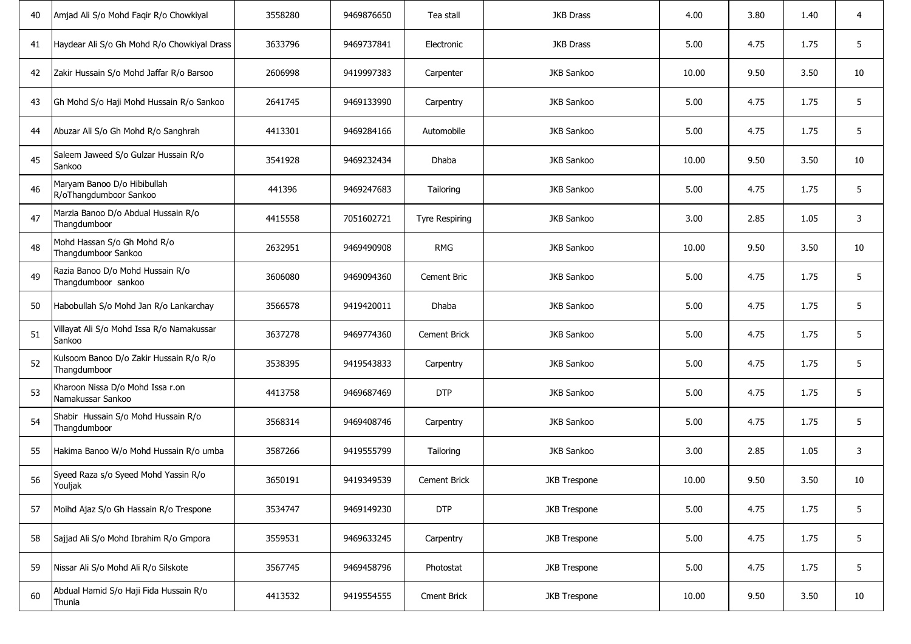| 40 | Amjad Ali S/o Mohd Faqir R/o Chowkiyal                  | 3558280 | 9469876650 | Tea stall             | <b>JKB Drass</b>    | 4.00  | 3.80 | 1.40 | 4  |
|----|---------------------------------------------------------|---------|------------|-----------------------|---------------------|-------|------|------|----|
| 41 | Haydear Ali S/o Gh Mohd R/o Chowkiyal Drass             | 3633796 | 9469737841 | Electronic            | <b>JKB Drass</b>    | 5.00  | 4.75 | 1.75 | 5  |
| 42 | Zakir Hussain S/o Mohd Jaffar R/o Barsoo                | 2606998 | 9419997383 | Carpenter             | JKB Sankoo          | 10.00 | 9.50 | 3.50 | 10 |
| 43 | Gh Mohd S/o Haji Mohd Hussain R/o Sankoo                | 2641745 | 9469133990 | Carpentry             | JKB Sankoo          | 5.00  | 4.75 | 1.75 | 5  |
| 44 | Abuzar Ali S/o Gh Mohd R/o Sanghrah                     | 4413301 | 9469284166 | Automobile            | JKB Sankoo          | 5.00  | 4.75 | 1.75 | 5  |
| 45 | Saleem Jaweed S/o Gulzar Hussain R/o<br>Sankoo          | 3541928 | 9469232434 | Dhaba                 | JKB Sankoo          | 10.00 | 9.50 | 3.50 | 10 |
| 46 | Maryam Banoo D/o Hibibullah<br>R/oThangdumboor Sankoo   | 441396  | 9469247683 | Tailoring             | JKB Sankoo          | 5.00  | 4.75 | 1.75 | 5  |
| 47 | Marzia Banoo D/o Abdual Hussain R/o<br>Thangdumboor     | 4415558 | 7051602721 | <b>Tyre Respiring</b> | JKB Sankoo          | 3.00  | 2.85 | 1.05 | 3  |
| 48 | Mohd Hassan S/o Gh Mohd R/o<br>Thangdumboor Sankoo      | 2632951 | 9469490908 | <b>RMG</b>            | JKB Sankoo          | 10.00 | 9.50 | 3.50 | 10 |
| 49 | Razia Banoo D/o Mohd Hussain R/o<br>Thangdumboor sankoo | 3606080 | 9469094360 | Cement Bric           | JKB Sankoo          | 5.00  | 4.75 | 1.75 | 5  |
| 50 | Habobullah S/o Mohd Jan R/o Lankarchay                  | 3566578 | 9419420011 | Dhaba                 | JKB Sankoo          | 5.00  | 4.75 | 1.75 | 5  |
| 51 | Villayat Ali S/o Mohd Issa R/o Namakussar<br>Sankoo     | 3637278 | 9469774360 | <b>Cement Brick</b>   | JKB Sankoo          | 5.00  | 4.75 | 1.75 | 5  |
| 52 | Kulsoom Banoo D/o Zakir Hussain R/o R/o<br>Thangdumboor | 3538395 | 9419543833 | Carpentry             | JKB Sankoo          | 5.00  | 4.75 | 1.75 | 5  |
| 53 | Kharoon Nissa D/o Mohd Issa r.on<br>Namakussar Sankoo   | 4413758 | 9469687469 | <b>DTP</b>            | JKB Sankoo          | 5.00  | 4.75 | 1.75 | 5  |
| 54 | Shabir Hussain S/o Mohd Hussain R/o<br>Thangdumboor     | 3568314 | 9469408746 | Carpentry             | JKB Sankoo          | 5.00  | 4.75 | 1.75 | 5  |
| 55 | Hakima Banoo W/o Mohd Hussain R/o umba                  | 3587266 | 9419555799 | Tailoring             | JKB Sankoo          | 3.00  | 2.85 | 1.05 | 3  |
| 56 | Syeed Raza s/o Syeed Mohd Yassin R/o<br>Youljak         | 3650191 | 9419349539 | <b>Cement Brick</b>   | <b>JKB Trespone</b> | 10.00 | 9.50 | 3.50 | 10 |
| 57 | Moihd Ajaz S/o Gh Hassain R/o Trespone                  | 3534747 | 9469149230 | <b>DTP</b>            | <b>JKB Trespone</b> | 5.00  | 4.75 | 1.75 | 5  |
| 58 | Sajjad Ali S/o Mohd Ibrahim R/o Gmpora                  | 3559531 | 9469633245 | Carpentry             | <b>JKB Trespone</b> | 5.00  | 4.75 | 1.75 | 5  |
| 59 | Nissar Ali S/o Mohd Ali R/o Silskote                    | 3567745 | 9469458796 | Photostat             | <b>JKB Trespone</b> | 5.00  | 4.75 | 1.75 | 5  |
| 60 | Abdual Hamid S/o Haji Fida Hussain R/o<br>Thunia        | 4413532 | 9419554555 | <b>Cment Brick</b>    | <b>JKB Trespone</b> | 10.00 | 9.50 | 3.50 | 10 |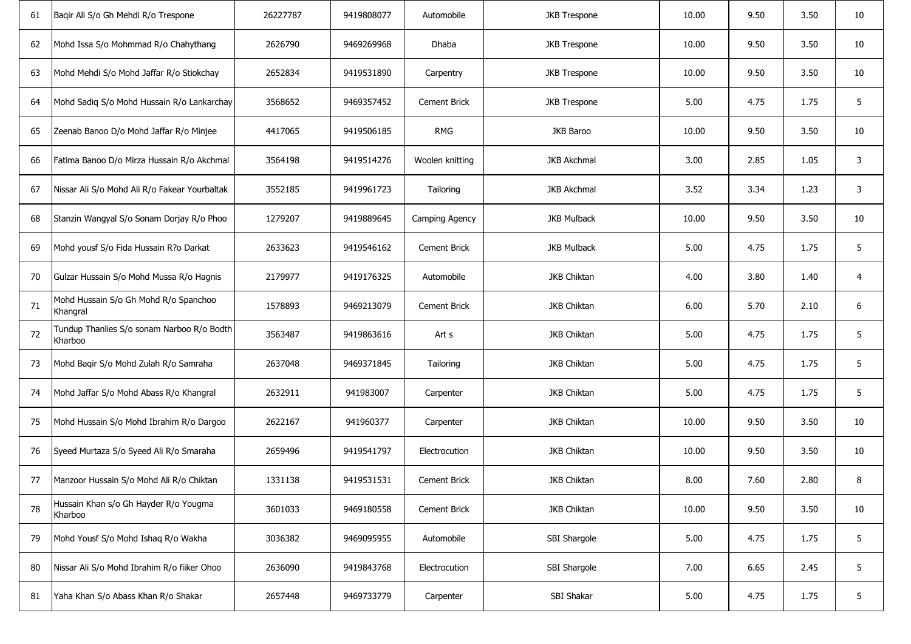| 61 | Baqir Ali S/o Gh Mehdi R/o Trespone                   | 26227787 | 9419808077 | Automobile          | <b>JKB Trespone</b> | 10.00 | 9.50 | 3.50 | 10 |
|----|-------------------------------------------------------|----------|------------|---------------------|---------------------|-------|------|------|----|
| 62 | Mohd Issa S/o Mohmmad R/o Chahythang                  | 2626790  | 9469269968 | Dhaba               | <b>JKB Trespone</b> | 10.00 | 9.50 | 3.50 | 10 |
| 63 | Mohd Mehdi S/o Mohd Jaffar R/o Stiokchay              | 2652834  | 9419531890 | Carpentry           | <b>JKB Trespone</b> | 10.00 | 9.50 | 3.50 | 10 |
| 64 | Mohd Sadiq S/o Mohd Hussain R/o Lankarchay            | 3568652  | 9469357452 | <b>Cement Brick</b> | <b>JKB Trespone</b> | 5.00  | 4.75 | 1.75 | 5  |
| 65 | Zeenab Banoo D/o Mohd Jaffar R/o Minjee               | 4417065  | 9419506185 | <b>RMG</b>          | JKB Baroo           | 10.00 | 9.50 | 3.50 | 10 |
| 66 | Fatima Banoo D/o Mirza Hussain R/o Akchmal            | 3564198  | 9419514276 | Woolen knitting     | <b>JKB Akchmal</b>  | 3.00  | 2.85 | 1.05 | 3  |
| 67 | Nissar Ali S/o Mohd Ali R/o Fakear Yourbaltak         | 3552185  | 9419961723 | Tailoring           | <b>JKB Akchmal</b>  | 3.52  | 3.34 | 1.23 | 3  |
| 68 | Stanzin Wangyal S/o Sonam Dorjay R/o Phoo             | 1279207  | 9419889645 | Camping Agency      | <b>JKB Mulback</b>  | 10.00 | 9.50 | 3.50 | 10 |
| 69 | Mohd yousf S/o Fida Hussain R?o Darkat                | 2633623  | 9419546162 | <b>Cement Brick</b> | <b>JKB Mulback</b>  | 5.00  | 4.75 | 1.75 | 5  |
| 70 | Gulzar Hussain S/o Mohd Mussa R/o Hagnis              | 2179977  | 9419176325 | Automobile          | <b>JKB Chiktan</b>  | 4.00  | 3.80 | 1.40 | 4  |
| 71 | Mohd Hussain S/o Gh Mohd R/o Spanchoo<br>Khangral     | 1578893  | 9469213079 | <b>Cement Brick</b> | <b>JKB Chiktan</b>  | 6.00  | 5.70 | 2.10 | 6  |
| 72 | Tundup Thanlies S/o sonam Narboo R/o Bodth<br>Kharboo | 3563487  | 9419863616 | Art s               | JKB Chiktan         | 5.00  | 4.75 | 1.75 | 5  |
| 73 | Mohd Baqir S/o Mohd Zulah R/o Samraha                 | 2637048  | 9469371845 | Tailoring           | JKB Chiktan         | 5.00  | 4.75 | 1.75 | 5  |
| 74 | Mohd Jaffar S/o Mohd Abass R/o Khangral               | 2632911  | 941983007  | Carpenter           | JKB Chiktan         | 5.00  | 4.75 | 1.75 | 5  |
| 75 | Mohd Hussain S/o Mohd Ibrahim R/o Dargoo              | 2622167  | 941960377  | Carpenter           | <b>JKB Chiktan</b>  | 10.00 | 9.50 | 3.50 | 10 |
| 76 | Syeed Murtaza S/o Syeed Ali R/o Smaraha               | 2659496  | 9419541797 | Electrocution       | JKB Chiktan         | 10.00 | 9.50 | 3.50 | 10 |
| 77 | Manzoor Hussain S/o Mohd Ali R/o Chiktan              | 1331138  | 9419531531 | Cement Brick        | JKB Chiktan         | 8.00  | 7.60 | 2.80 | 8  |
| 78 | Hussain Khan s/o Gh Hayder R/o Yougma<br>Kharboo      | 3601033  | 9469180558 | Cement Brick        | JKB Chiktan         | 10.00 | 9.50 | 3.50 | 10 |
| 79 | Mohd Yousf S/o Mohd Ishaq R/o Wakha                   | 3036382  | 9469095955 | Automobile          | SBI Shargole        | 5.00  | 4.75 | 1.75 | 5  |
| 80 | Nissar Ali S/o Mohd Ibrahim R/o fiiker Ohoo           | 2636090  | 9419843768 | Electrocution       | SBI Shargole        | 7.00  | 6.65 | 2.45 | 5  |
| 81 | Yaha Khan S/o Abass Khan R/o Shakar                   | 2657448  | 9469733779 | Carpenter           | SBI Shakar          | 5.00  | 4.75 | 1.75 | 5  |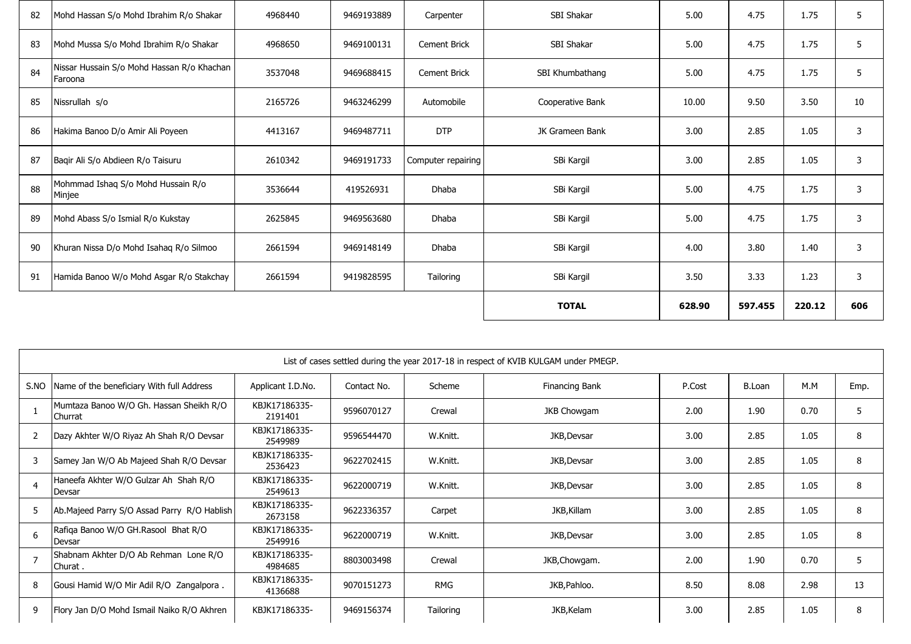| 82 | Mohd Hassan S/o Mohd Ibrahim R/o Shakar               | 4968440 | 9469193889 | Carpenter           | SBI Shakar       | 5.00   | 4.75    | 1.75   | 5   |
|----|-------------------------------------------------------|---------|------------|---------------------|------------------|--------|---------|--------|-----|
| 83 | Mohd Mussa S/o Mohd Ibrahim R/o Shakar                | 4968650 | 9469100131 | <b>Cement Brick</b> | SBI Shakar       | 5.00   | 4.75    | 1.75   | 5   |
| 84 | Nissar Hussain S/o Mohd Hassan R/o Khachan<br>Faroona | 3537048 | 9469688415 | <b>Cement Brick</b> | SBI Khumbathang  | 5.00   | 4.75    | 1.75   | 5   |
| 85 | Nissrullah s/o                                        | 2165726 | 9463246299 | Automobile          | Cooperative Bank | 10.00  | 9.50    | 3.50   | 10  |
| 86 | Hakima Banoo D/o Amir Ali Poyeen                      | 4413167 | 9469487711 | <b>DTP</b>          | JK Grameen Bank  | 3.00   | 2.85    | 1.05   | 3   |
| 87 | Bagir Ali S/o Abdieen R/o Taisuru                     | 2610342 | 9469191733 | Computer repairing  | SBi Kargil       | 3.00   | 2.85    | 1.05   | 3   |
| 88 | Mohmmad Ishaq S/o Mohd Hussain R/o<br>Minjee          | 3536644 | 419526931  | Dhaba               | SBi Kargil       | 5.00   | 4.75    | 1.75   | 3   |
| 89 | Mohd Abass S/o Ismial R/o Kukstay                     | 2625845 | 9469563680 | Dhaba               | SBi Kargil       | 5.00   | 4.75    | 1.75   | 3   |
| 90 | Khuran Nissa D/o Mohd Isahaq R/o Silmoo               | 2661594 | 9469148149 | Dhaba               | SBi Kargil       | 4.00   | 3.80    | 1.40   | 3   |
| 91 | Hamida Banoo W/o Mohd Asgar R/o Stakchay              | 2661594 | 9419828595 | Tailoring           | SBi Kargil       | 3.50   | 3.33    | 1.23   | 3   |
|    |                                                       |         |            |                     | <b>TOTAL</b>     | 628.90 | 597.455 | 220.12 | 606 |

|      | List of cases settled during the year 2017-18 in respect of KVIB KULGAM under PMEGP. |                          |             |            |                |        |               |      |      |  |  |
|------|--------------------------------------------------------------------------------------|--------------------------|-------------|------------|----------------|--------|---------------|------|------|--|--|
| S.NO | Name of the beneficiary With full Address                                            | Applicant I.D.No.        | Contact No. | Scheme     | Financing Bank | P.Cost | <b>B.Loan</b> | M.M  | Emp. |  |  |
|      | Mumtaza Banoo W/O Gh. Hassan Sheikh R/O<br>Churrat                                   | KBJK17186335-<br>2191401 | 9596070127  | Crewal     | JKB Chowgam    | 2.00   | 1.90          | 0.70 | 5    |  |  |
| 2    | Dazy Akhter W/O Riyaz Ah Shah R/O Devsar                                             | KBJK17186335-<br>2549989 | 9596544470  | W.Knitt.   | JKB, Devsar    | 3.00   | 2.85          | 1.05 | 8    |  |  |
| 3    | Samey Jan W/O Ab Majeed Shah R/O Devsar                                              | KBJK17186335-<br>2536423 | 9622702415  | W.Knitt.   | JKB, Devsar    | 3.00   | 2.85          | 1.05 | 8    |  |  |
|      | Haneefa Akhter W/O Gulzar Ah Shah R/O<br>Devsar                                      | KBJK17186335-<br>2549613 | 9622000719  | W.Knitt.   | JKB, Devsar    | 3.00   | 2.85          | 1.05 | 8    |  |  |
| 5    | Ab.Majeed Parry S/O Assad Parry R/O Hablish                                          | KBJK17186335-<br>2673158 | 9622336357  | Carpet     | JKB, Killam    | 3.00   | 2.85          | 1.05 | 8    |  |  |
| 6    | Rafiqa Banoo W/O GH.Rasool Bhat R/O<br>Devsar                                        | KBJK17186335-<br>2549916 | 9622000719  | W.Knitt.   | JKB, Devsar    | 3.00   | 2.85          | 1.05 | 8    |  |  |
|      | Shabnam Akhter D/O Ab Rehman Lone R/O<br>Churat.                                     | KBJK17186335-<br>4984685 | 8803003498  | Crewal     | JKB, Chowgam.  | 2.00   | 1.90          | 0.70 | 5    |  |  |
| 8    | Gousi Hamid W/O Mir Adil R/O Zangalpora.                                             | KBJK17186335-<br>4136688 | 9070151273  | <b>RMG</b> | JKB, Pahloo.   | 8.50   | 8.08          | 2.98 | 13   |  |  |
| 9    | Flory Jan D/O Mohd Ismail Naiko R/O Akhren                                           | KBJK17186335-            | 9469156374  | Tailoring  | JKB, Kelam     | 3.00   | 2.85          | 1.05 | 8    |  |  |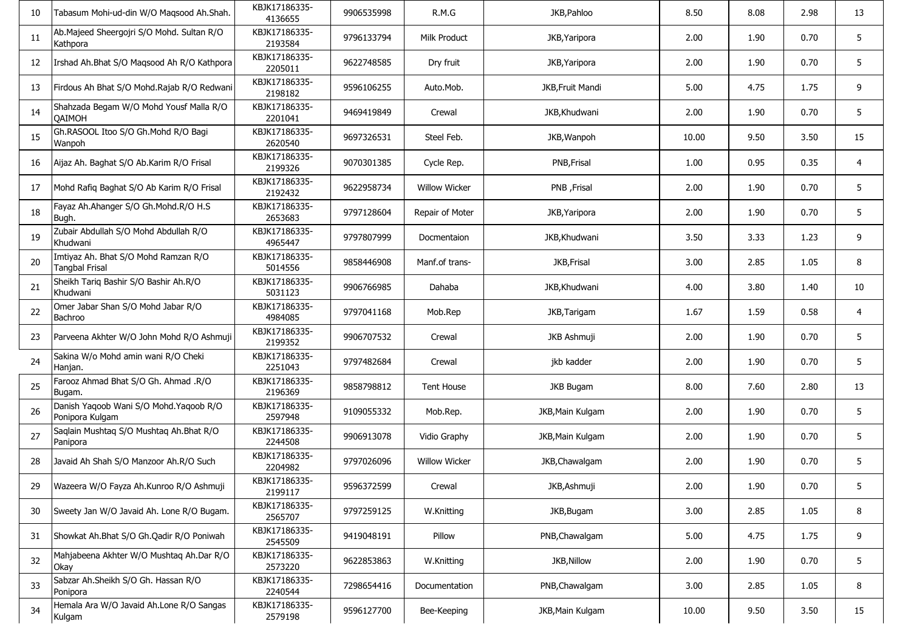| 10 | Tabasum Mohi-ud-din W/O Maqsood Ah.Shah.                      | KBJK17186335-<br>4136655 | 9906535998 | R.M.G                | JKB, Pahloo             | 8.50  | 8.08 | 2.98 | 13             |
|----|---------------------------------------------------------------|--------------------------|------------|----------------------|-------------------------|-------|------|------|----------------|
| 11 | Ab.Majeed Sheergojri S/O Mohd. Sultan R/O<br>Kathpora         | KBJK17186335-<br>2193584 | 9796133794 | Milk Product         | JKB, Yaripora           | 2.00  | 1.90 | 0.70 | 5              |
| 12 | Irshad Ah.Bhat S/O Maqsood Ah R/O Kathpora                    | KBJK17186335-<br>2205011 | 9622748585 | Dry fruit            | JKB, Yaripora           | 2.00  | 1.90 | 0.70 | 5              |
| 13 | Firdous Ah Bhat S/O Mohd.Rajab R/O Redwani                    | KBJK17186335-<br>2198182 | 9596106255 | Auto.Mob.            | <b>JKB, Fruit Mandi</b> | 5.00  | 4.75 | 1.75 | 9              |
| 14 | Shahzada Begam W/O Mohd Yousf Malla R/O<br>QAIMOH             | KBJK17186335-<br>2201041 | 9469419849 | Crewal               | JKB, Khudwani           | 2.00  | 1.90 | 0.70 | 5              |
| 15 | Gh.RASOOL Itoo S/O Gh.Mohd R/O Bagi<br>Wanpoh                 | KBJK17186335-<br>2620540 | 9697326531 | Steel Feb.           | JKB, Wanpoh             | 10.00 | 9.50 | 3.50 | 15             |
| 16 | Aijaz Ah. Baghat S/O Ab.Karim R/O Frisal                      | KBJK17186335-<br>2199326 | 9070301385 | Cycle Rep.           | PNB, Frisal             | 1.00  | 0.95 | 0.35 | $\overline{4}$ |
| 17 | Mohd Rafiq Baghat S/O Ab Karim R/O Frisal                     | KBJK17186335-<br>2192432 | 9622958734 | <b>Willow Wicker</b> | PNB, Frisal             | 2.00  | 1.90 | 0.70 | 5              |
| 18 | Fayaz Ah.Ahanger S/O Gh.Mohd.R/O H.S<br>Bugh.                 | KBJK17186335-<br>2653683 | 9797128604 | Repair of Moter      | JKB, Yaripora           | 2.00  | 1.90 | 0.70 | 5              |
| 19 | Zubair Abdullah S/O Mohd Abdullah R/O<br>Khudwani             | KBJK17186335-<br>4965447 | 9797807999 | Docmentaion          | JKB, Khudwani           | 3.50  | 3.33 | 1.23 | 9              |
| 20 | Imtiyaz Ah. Bhat S/O Mohd Ramzan R/O<br><b>Tangbal Frisal</b> | KBJK17186335-<br>5014556 | 9858446908 | Manf.of trans-       | JKB, Frisal             | 3.00  | 2.85 | 1.05 | 8              |
| 21 | Sheikh Tariq Bashir S/O Bashir Ah.R/O<br>Khudwani             | KBJK17186335-<br>5031123 | 9906766985 | Dahaba               | JKB, Khudwani           | 4.00  | 3.80 | 1.40 | 10             |
| 22 | Omer Jabar Shan S/O Mohd Jabar R/O<br>Bachroo                 | KBJK17186335-<br>4984085 | 9797041168 | Mob.Rep              | JKB, Tarigam            | 1.67  | 1.59 | 0.58 | 4              |
| 23 | Parveena Akhter W/O John Mohd R/O Ashmuji                     | KBJK17186335-<br>2199352 | 9906707532 | Crewal               | JKB Ashmuji             | 2.00  | 1.90 | 0.70 | 5              |
| 24 | Sakina W/o Mohd amin wani R/O Cheki<br>Hanjan.                | KBJK17186335-<br>2251043 | 9797482684 | Crewal               | jkb kadder              | 2.00  | 1.90 | 0.70 | 5              |
| 25 | Farooz Ahmad Bhat S/O Gh. Ahmad .R/O<br>Bugam.                | KBJK17186335-<br>2196369 | 9858798812 | <b>Tent House</b>    | JKB Bugam               | 8.00  | 7.60 | 2.80 | 13             |
| 26 | Danish Yaqoob Wani S/O Mohd. Yaqoob R/O<br>Ponipora Kulgam    | KBJK17186335-<br>2597948 | 9109055332 | Mob.Rep.             | JKB, Main Kulgam        | 2.00  | 1.90 | 0.70 | 5              |
| 27 | Saglain Mushtag S/O Mushtag Ah.Bhat R/O<br>Panipora           | KBJK17186335-<br>2244508 | 9906913078 | Vidio Graphy         | JKB, Main Kulgam        | 2.00  | 1.90 | 0.70 | 5              |
| 28 | Javaid Ah Shah S/O Manzoor Ah.R/O Such                        | KBJK17186335-<br>2204982 | 9797026096 | <b>Willow Wicker</b> | JKB, Chawalgam          | 2.00  | 1.90 | 0.70 | 5              |
| 29 | Wazeera W/O Fayza Ah.Kunroo R/O Ashmuji                       | KBJK17186335-<br>2199117 | 9596372599 | Crewal               | JKB, Ashmuji            | 2.00  | 1.90 | 0.70 | 5              |
| 30 | Sweety Jan W/O Javaid Ah. Lone R/O Bugam.                     | KBJK17186335-<br>2565707 | 9797259125 | W.Knitting           | JKB, Bugam              | 3.00  | 2.85 | 1.05 | 8              |
| 31 | Showkat Ah.Bhat S/O Gh.Qadir R/O Poniwah                      | KBJK17186335-<br>2545509 | 9419048191 | Pillow               | PNB, Chawalgam          | 5.00  | 4.75 | 1.75 | 9              |
| 32 | Mahjabeena Akhter W/O Mushtaq Ah.Dar R/O<br>Okay              | KBJK17186335-<br>2573220 | 9622853863 | W.Knitting           | JKB, Nillow             | 2.00  | 1.90 | 0.70 | 5              |
| 33 | Sabzar Ah.Sheikh S/O Gh. Hassan R/O<br>Ponipora               | KBJK17186335-<br>2240544 | 7298654416 | Documentation        | PNB, Chawalgam          | 3.00  | 2.85 | 1.05 | 8              |
| 34 | Hemala Ara W/O Javaid Ah.Lone R/O Sangas<br>Kulgam            | KBJK17186335-<br>2579198 | 9596127700 | Bee-Keeping          | JKB, Main Kulgam        | 10.00 | 9.50 | 3.50 | 15             |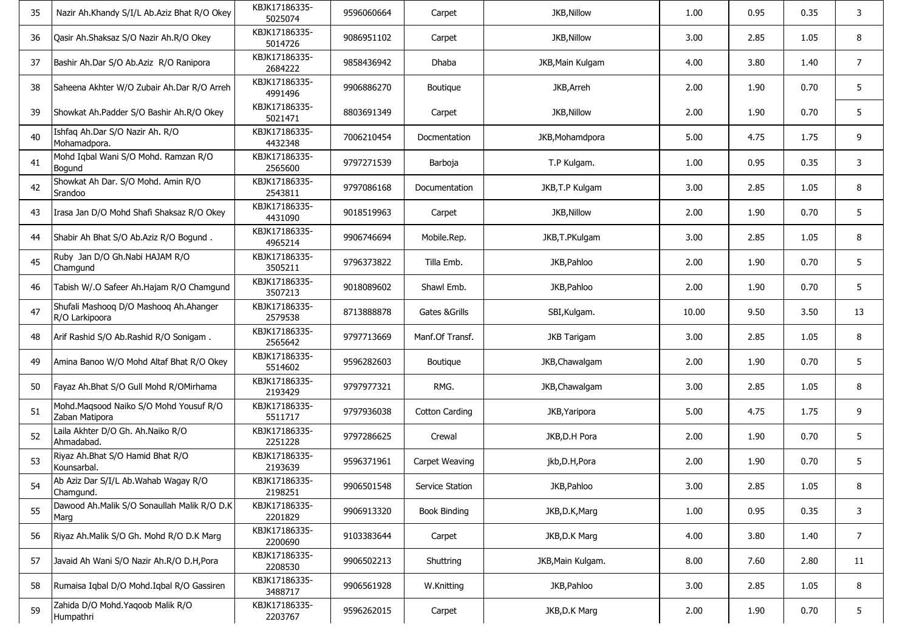| 35 | Nazir Ah.Khandy S/I/L Ab.Aziz Bhat R/O Okey              | KBJK17186335-<br>5025074 | 9596060664 | Carpet                | JKB, Nillow        | 1.00  | 0.95 | 0.35 | 3              |
|----|----------------------------------------------------------|--------------------------|------------|-----------------------|--------------------|-------|------|------|----------------|
| 36 | Qasir Ah.Shaksaz S/O Nazir Ah.R/O Okey                   | KBJK17186335-<br>5014726 | 9086951102 | Carpet                | JKB, Nillow        | 3.00  | 2.85 | 1.05 | 8              |
| 37 | Bashir Ah.Dar S/O Ab.Aziz R/O Ranipora                   | KBJK17186335-<br>2684222 | 9858436942 | Dhaba                 | JKB, Main Kulgam   | 4.00  | 3.80 | 1.40 | $\overline{7}$ |
| 38 | Saheena Akhter W/O Zubair Ah.Dar R/O Arreh               | KBJK17186335-<br>4991496 | 9906886270 | Boutique              | JKB, Arreh         | 2.00  | 1.90 | 0.70 | 5              |
| 39 | Showkat Ah.Padder S/O Bashir Ah.R/O Okey                 | KBJK17186335-<br>5021471 | 8803691349 | Carpet                | JKB, Nillow        | 2.00  | 1.90 | 0.70 | 5              |
| 40 | Ishfaq Ah.Dar S/O Nazir Ah. R/O<br>Mohamadpora.          | KBJK17186335-<br>4432348 | 7006210454 | Docmentation          | JKB, Mohamdpora    | 5.00  | 4.75 | 1.75 | 9              |
| 41 | Mohd Iqbal Wani S/O Mohd. Ramzan R/O<br>Bogund           | KBJK17186335-<br>2565600 | 9797271539 | Barboja               | T.P Kulgam.        | 1.00  | 0.95 | 0.35 | 3              |
| 42 | Showkat Ah Dar. S/O Mohd. Amin R/O<br>Srandoo            | KBJK17186335-<br>2543811 | 9797086168 | Documentation         | JKB, T.P Kulgam    | 3.00  | 2.85 | 1.05 | 8              |
| 43 | Irasa Jan D/O Mohd Shafi Shaksaz R/O Okey                | KBJK17186335-<br>4431090 | 9018519963 | Carpet                | <b>JKB, Nillow</b> | 2.00  | 1.90 | 0.70 | 5              |
| 44 | Shabir Ah Bhat S/O Ab.Aziz R/O Bogund.                   | KBJK17186335-<br>4965214 | 9906746694 | Mobile.Rep.           | JKB, T.PKulgam     | 3.00  | 2.85 | 1.05 | 8              |
| 45 | Ruby Jan D/O Gh.Nabi HAJAM R/O<br>Chamgund               | KBJK17186335-<br>3505211 | 9796373822 | Tilla Emb.            | JKB, Pahloo        | 2.00  | 1.90 | 0.70 | 5              |
| 46 | Tabish W/.O Safeer Ah.Hajam R/O Chamgund                 | KBJK17186335-<br>3507213 | 9018089602 | Shawl Emb.            | JKB, Pahloo        | 2.00  | 1.90 | 0.70 | 5              |
| 47 | Shufali Mashoog D/O Mashoog Ah.Ahanger<br>R/O Larkipoora | KBJK17186335-<br>2579538 | 8713888878 | Gates & Grills        | SBI, Kulgam.       | 10.00 | 9.50 | 3.50 | 13             |
| 48 | Arif Rashid S/O Ab.Rashid R/O Sonigam.                   | KBJK17186335-<br>2565642 | 9797713669 | Manf.Of Transf.       | <b>JKB Tarigam</b> | 3.00  | 2.85 | 1.05 | 8              |
| 49 | Amina Banoo W/O Mohd Altaf Bhat R/O Okey                 | KBJK17186335-<br>5514602 | 9596282603 | Boutique              | JKB, Chawalgam     | 2.00  | 1.90 | 0.70 | 5              |
| 50 | Fayaz Ah.Bhat S/O Gull Mohd R/OMirhama                   | KBJK17186335-<br>2193429 | 9797977321 | RMG.                  | JKB, Chawalgam     | 3.00  | 2.85 | 1.05 | 8              |
| 51 | Mohd.Maqsood Naiko S/O Mohd Yousuf R/O<br>Zaban Matipora | KBJK17186335-<br>5511717 | 9797936038 | <b>Cotton Carding</b> | JKB, Yaripora      | 5.00  | 4.75 | 1.75 | 9              |
| 52 | Laila Akhter D/O Gh. Ah.Naiko R/O<br>Ahmadabad.          | KBJK17186335-<br>2251228 | 9797286625 | Crewal                | JKB, D.H Pora      | 2.00  | 1.90 | 0.70 | 5              |
| 53 | Riyaz Ah.Bhat S/O Hamid Bhat R/O<br>Kounsarbal.          | KBJK17186335-<br>2193639 | 9596371961 | Carpet Weaving        | jkb,D.H,Pora       | 2.00  | 1.90 | 0.70 | 5              |
| 54 | Ab Aziz Dar S/I/L Ab. Wahab Wagay R/O<br>Chamgund.       | KBJK17186335-<br>2198251 | 9906501548 | Service Station       | JKB, Pahloo        | 3.00  | 2.85 | 1.05 | 8              |
| 55 | Dawood Ah.Malik S/O Sonaullah Malik R/O D.K<br>Marg      | KBJK17186335-<br>2201829 | 9906913320 | <b>Book Binding</b>   | JKB, D.K, Marg     | 1.00  | 0.95 | 0.35 | 3              |
| 56 | Riyaz Ah.Malik S/O Gh. Mohd R/O D.K Marg                 | KBJK17186335-<br>2200690 | 9103383644 | Carpet                | JKB, D.K Marg      | 4.00  | 3.80 | 1.40 | $\overline{7}$ |
| 57 | Javaid Ah Wani S/O Nazir Ah.R/O D.H, Pora                | KBJK17186335-<br>2208530 | 9906502213 | Shuttring             | JKB, Main Kulgam.  | 8.00  | 7.60 | 2.80 | 11             |
| 58 | Rumaisa Iqbal D/O Mohd.Iqbal R/O Gassiren                | KBJK17186335-<br>3488717 | 9906561928 | W.Knitting            | JKB, Pahloo        | 3.00  | 2.85 | 1.05 | 8              |
| 59 | Zahida D/O Mohd. Yaqoob Malik R/O<br>Humpathri           | KBJK17186335-<br>2203767 | 9596262015 | Carpet                | JKB, D.K Marg      | 2.00  | 1.90 | 0.70 | 5              |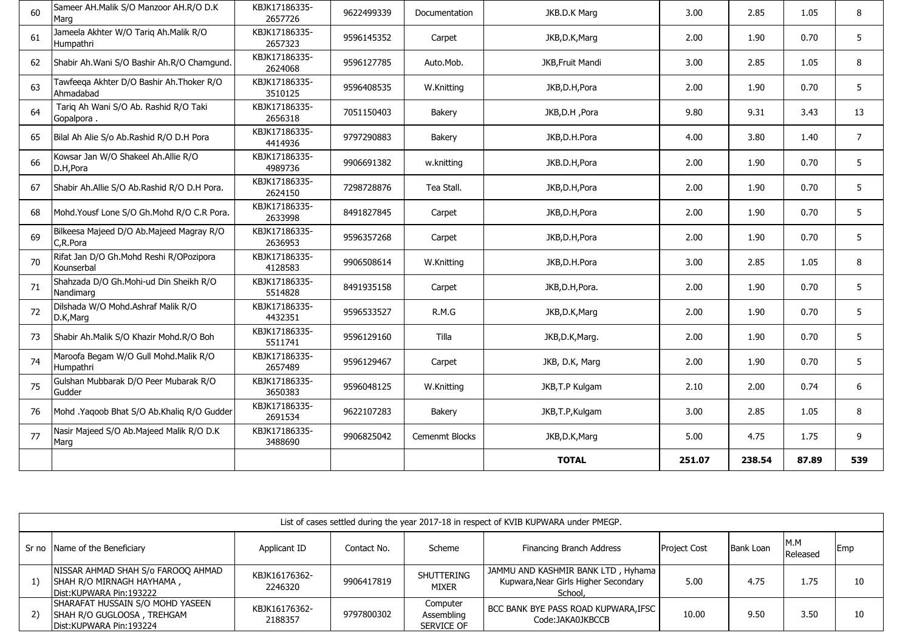| 60 | Sameer AH.Malik S/O Manzoor AH.R/O D.K<br>Marg        | KBJK17186335-<br>2657726 | 9622499339 | Documentation  | JKB.D.K Marg     | 3.00   | 2.85   | 1.05  | 8              |
|----|-------------------------------------------------------|--------------------------|------------|----------------|------------------|--------|--------|-------|----------------|
| 61 | Jameela Akhter W/O Tariq Ah.Malik R/O<br>Humpathri    | KBJK17186335-<br>2657323 | 9596145352 | Carpet         | JKB, D.K, Marg   | 2.00   | 1.90   | 0.70  | 5              |
| 62 | Shabir Ah.Wani S/O Bashir Ah.R/O Chamgund.            | KBJK17186335-<br>2624068 | 9596127785 | Auto.Mob.      | JKB, Fruit Mandi | 3.00   | 2.85   | 1.05  | 8              |
| 63 | Tawfeeqa Akhter D/O Bashir Ah.Thoker R/O<br>Ahmadabad | KBJK17186335-<br>3510125 | 9596408535 | W.Knitting     | JKB,D.H,Pora     | 2.00   | 1.90   | 0.70  | 5              |
| 64 | Tariq Ah Wani S/O Ab. Rashid R/O Taki<br>Gopalpora.   | KBJK17186335-<br>2656318 | 7051150403 | Bakery         | JKB, D.H, Pora   | 9.80   | 9.31   | 3.43  | 13             |
| 65 | Bilal Ah Alie S/o Ab.Rashid R/O D.H Pora              | KBJK17186335-<br>4414936 | 9797290883 | Bakery         | JKB, D.H. Pora   | 4.00   | 3.80   | 1.40  | $\overline{7}$ |
| 66 | Kowsar Jan W/O Shakeel Ah.Allie R/O<br>D.H, Pora      | KBJK17186335-<br>4989736 | 9906691382 | w.knitting     | JKB.D.H,Pora     | 2.00   | 1.90   | 0.70  | 5              |
| 67 | Shabir Ah.Allie S/O Ab.Rashid R/O D.H Pora.           | KBJK17186335-<br>2624150 | 7298728876 | Tea Stall.     | JKB, D.H, Pora   | 2.00   | 1.90   | 0.70  | 5              |
| 68 | Mohd. Yousf Lone S/O Gh. Mohd R/O C.R Pora.           | KBJK17186335-<br>2633998 | 8491827845 | Carpet         | JKB, D.H, Pora   | 2.00   | 1.90   | 0.70  | 5              |
| 69 | Bilkeesa Majeed D/O Ab.Majeed Magray R/O<br>C,R.Pora  | KBJK17186335-<br>2636953 | 9596357268 | Carpet         | JKB,D.H,Pora     | 2.00   | 1.90   | 0.70  | 5              |
| 70 | Rifat Jan D/O Gh.Mohd Reshi R/OPozipora<br>Kounserbal | KBJK17186335-<br>4128583 | 9906508614 | W.Knitting     | JKB,D.H.Pora     | 3.00   | 2.85   | 1.05  | 8              |
| 71 | Shahzada D/O Gh.Mohi-ud Din Sheikh R/O<br>Nandimarg   | KBJK17186335-<br>5514828 | 8491935158 | Carpet         | JKB, D.H, Pora.  | 2.00   | 1.90   | 0.70  | 5              |
| 72 | Dilshada W/O Mohd.Ashraf Malik R/O<br>D.K, Marg       | KBJK17186335-<br>4432351 | 9596533527 | R.M.G          | JKB, D.K, Marg   | 2.00   | 1.90   | 0.70  | 5              |
| 73 | Shabir Ah.Malik S/O Khazir Mohd.R/O Boh               | KBJK17186335-<br>5511741 | 9596129160 | Tilla          | JKB, D.K, Marg.  | 2.00   | 1.90   | 0.70  | 5              |
| 74 | Maroofa Begam W/O Gull Mohd.Malik R/O<br>Humpathri    | KBJK17186335-<br>2657489 | 9596129467 | Carpet         | JKB, D.K, Marg   | 2.00   | 1.90   | 0.70  | 5              |
| 75 | Gulshan Mubbarak D/O Peer Mubarak R/O<br>Gudder       | KBJK17186335-<br>3650383 | 9596048125 | W.Knitting     | JKB, T.P Kulgam  | 2.10   | 2.00   | 0.74  | 6              |
| 76 | Mohd .Yaqoob Bhat S/O Ab.Khaliq R/O Gudder            | KBJK17186335-<br>2691534 | 9622107283 | Bakery         | JKB, T.P, Kulgam | 3.00   | 2.85   | 1.05  | 8              |
| 77 | Nasir Majeed S/O Ab. Majeed Malik R/O D.K<br>Marg     | KBJK17186335-<br>3488690 | 9906825042 | Cemenmt Blocks | JKB, D.K, Marg   | 5.00   | 4.75   | 1.75  | 9              |
|    |                                                       |                          |            |                | <b>TOTAL</b>     | 251.07 | 238.54 | 87.89 | 539            |

|       | List of cases settled during the year 2017-18 in respect of KVIB KUPWARA under PMEGP.        |                          |             |                                      |                                                                                       |                     |                  |                 |     |  |  |  |  |
|-------|----------------------------------------------------------------------------------------------|--------------------------|-------------|--------------------------------------|---------------------------------------------------------------------------------------|---------------------|------------------|-----------------|-----|--|--|--|--|
| Sr no | Name of the Beneficiary                                                                      | Applicant ID             | Contact No. | Scheme                               | Financing Branch Address                                                              | <b>Project Cost</b> | <b>Bank Loan</b> | M.M<br>Released | Emp |  |  |  |  |
| 1)    | NISSAR AHMAD SHAH S/o FAROOQ AHMAD<br>SHAH R/O MIRNAGH HAYHAMA,<br>Dist: KUPWARA Pin: 193222 | KBJK16176362-<br>2246320 | 9906417819  | <b>SHUTTERING</b><br><b>MIXER</b>    | JAMMU AND KASHMIR BANK LTD, Hyhama<br>Kupwara, Near Girls Higher Secondary<br>School, | 5.00                | 4.75             | 1.75            | 10  |  |  |  |  |
| 2)    | SHARAFAT HUSSAIN S/O MOHD YASEEN<br>SHAH R/O GUGLOOSA, TREHGAM<br>Dist:KUPWARA Pin:193224    | KBJK16176362-<br>2188357 | 9797800302  | Computer<br>Assembling<br>SERVICE OF | BCC BANK BYE PASS ROAD KUPWARA, IFSC<br>Code:JAKA0JKBCCB                              | 10.00               | 9.50             | 3.50            | 10  |  |  |  |  |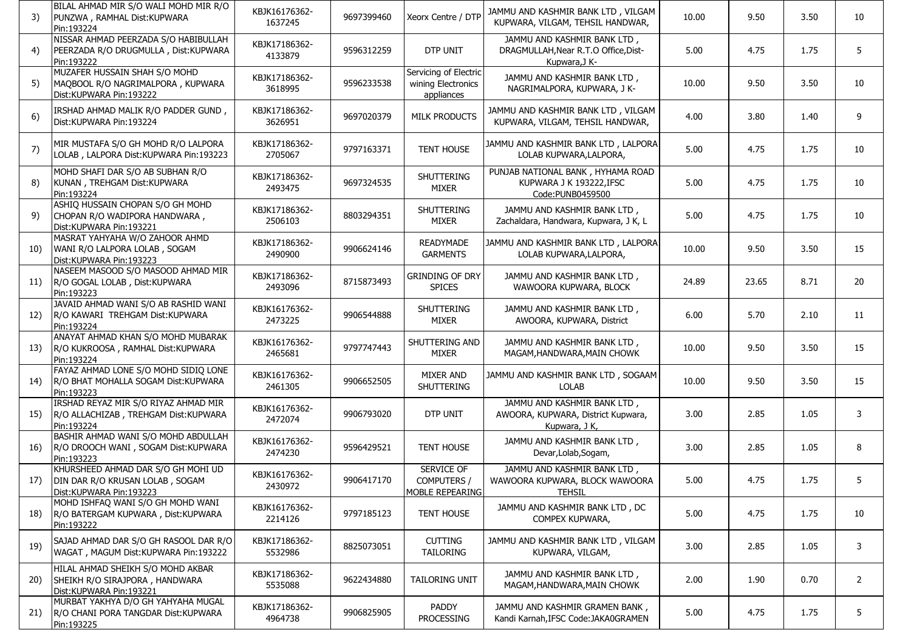| 3)          | BILAL AHMAD MIR S/O WALI MOHD MIR R/O<br>PUNZWA, RAMHAL Dist: KUPWARA<br>Pin:193224              | KBJK16176362-<br>1637245 | 9697399460 | Xeorx Centre / DTP                                        | JAMMU AND KASHMIR BANK LTD, VILGAM<br>KUPWARA, VILGAM, TEHSIL HANDWAR,               | 10.00 | 9.50  | 3.50 | 10             |
|-------------|--------------------------------------------------------------------------------------------------|--------------------------|------------|-----------------------------------------------------------|--------------------------------------------------------------------------------------|-------|-------|------|----------------|
| 4)          | NISSAR AHMAD PEERZADA S/O HABIBULLAH<br>PEERZADA R/O DRUGMULLA, Dist:KUPWARA<br>Pin:193222       | KBJK17186362-<br>4133879 | 9596312259 | DTP UNIT                                                  | JAMMU AND KASHMIR BANK LTD,<br>DRAGMULLAH, Near R.T.O Office, Dist-<br>Kupwara, J K- | 5.00  | 4.75  | 1.75 | 5              |
| 5)          | MUZAFER HUSSAIN SHAH S/O MOHD<br>MAQBOOL R/O NAGRIMALPORA, KUPWARA<br>Dist:KUPWARA Pin:193222    | KBJK17186362-<br>3618995 | 9596233538 | Servicing of Electric<br>wining Electronics<br>appliances | JAMMU AND KASHMIR BANK LTD,<br>NAGRIMALPORA, KUPWARA, J K-                           | 10.00 | 9.50  | 3.50 | 10             |
| 6)          | IRSHAD AHMAD MALIK R/O PADDER GUND,<br>Dist:KUPWARA Pin:193224                                   | KBJK17186362-<br>3626951 | 9697020379 | <b>MILK PRODUCTS</b>                                      | JAMMU AND KASHMIR BANK LTD, VILGAM<br>KUPWARA, VILGAM, TEHSIL HANDWAR,               | 4.00  | 3.80  | 1.40 | 9              |
| 7)          | MIR MUSTAFA S/O GH MOHD R/O LALPORA<br>LOLAB, LALPORA Dist: KUPWARA Pin: 193223                  | KBJK17186362-<br>2705067 | 9797163371 | <b>TENT HOUSE</b>                                         | JAMMU AND KASHMIR BANK LTD, LALPORA<br>LOLAB KUPWARA, LALPORA,                       | 5.00  | 4.75  | 1.75 | 10             |
| 8)          | MOHD SHAFI DAR S/O AB SUBHAN R/O<br>KUNAN, TREHGAM Dist: KUPWARA<br>Pin:193224                   | KBJK17186362-<br>2493475 | 9697324535 | <b>SHUTTERING</b><br><b>MIXER</b>                         | PUNJAB NATIONAL BANK, HYHAMA ROAD<br>KUPWARA J K 193222, IFSC<br>Code: PUNB0459500   | 5.00  | 4.75  | 1.75 | 10             |
| 9)          | ASHIQ HUSSAIN CHOPAN S/O GH MOHD<br>CHOPAN R/O WADIPORA HANDWARA,<br>Dist:KUPWARA Pin:193221     | KBJK17186362-<br>2506103 | 8803294351 | <b>SHUTTERING</b><br><b>MIXER</b>                         | JAMMU AND KASHMIR BANK LTD,<br>Zachaldara, Handwara, Kupwara, J K, L                 | 5.00  | 4.75  | 1.75 | 10             |
| 10)         | MASRAT YAHYAHA W/O ZAHOOR AHMD<br>WANI R/O LALPORA LOLAB, SOGAM<br>Dist:KUPWARA Pin:193223       | KBJK17186362-<br>2490900 | 9906624146 | READYMADE<br><b>GARMENTS</b>                              | JAMMU AND KASHMIR BANK LTD, LALPORA<br>LOLAB KUPWARA, LALPORA,                       | 10.00 | 9.50  | 3.50 | 15             |
| 11)         | NASEEM MASOOD S/O MASOOD AHMAD MIR<br>R/O GOGAL LOLAB, Dist:KUPWARA<br>Pin:193223                | KBJK17186362-<br>2493096 | 8715873493 | <b>GRINDING OF DRY</b><br><b>SPICES</b>                   | JAMMU AND KASHMIR BANK LTD,<br>WAWOORA KUPWARA, BLOCK                                | 24.89 | 23.65 | 8.71 | 20             |
| 12)         | JAVAID AHMAD WANI S/O AB RASHID WANI<br>R/O KAWARI TREHGAM Dist: KUPWARA<br>Pin:193224           | KBJK16176362-<br>2473225 | 9906544888 | <b>SHUTTERING</b><br><b>MIXER</b>                         | JAMMU AND KASHMIR BANK LTD,<br>AWOORA, KUPWARA, District                             | 6.00  | 5.70  | 2.10 | 11             |
| 13)         | ANAYAT AHMAD KHAN S/O MOHD MUBARAK<br>R/O KUKROOSA, RAMHAL Dist: KUPWARA<br>Pin:193224           | KBJK16176362-<br>2465681 | 9797747443 | SHUTTERING AND<br><b>MIXER</b>                            | JAMMU AND KASHMIR BANK LTD,<br>MAGAM, HANDWARA, MAIN CHOWK                           | 10.00 | 9.50  | 3.50 | 15             |
| 14)         | FAYAZ AHMAD LONE S/O MOHD SIDIQ LONE<br>R/O BHAT MOHALLA SOGAM Dist: KUPWARA<br>Pin:193223       | KBJK16176362-<br>2461305 | 9906652505 | MIXER AND<br><b>SHUTTERING</b>                            | JAMMU AND KASHMIR BANK LTD, SOGAAM<br><b>LOLAB</b>                                   | 10.00 | 9.50  | 3.50 | 15             |
| 15)         | IRSHAD REYAZ MIR S/O RIYAZ AHMAD MIR<br>R/O ALLACHIZAB, TREHGAM Dist: KUPWARA<br>Pin:193224      | KBJK16176362-<br>2472074 | 9906793020 | DTP UNIT                                                  | JAMMU AND KASHMIR BANK LTD,<br>AWOORA, KUPWARA, District Kupwara,<br>Kupwara, J K,   | 3.00  | 2.85  | 1.05 | 3              |
| 16)         | BASHIR AHMAD WANI S/O MOHD ABDULLAH<br>R/O DROOCH WANI, SOGAM Dist: KUPWARA<br>Pin:193223        | KBJK16176362-<br>2474230 | 9596429521 | <b>TENT HOUSE</b>                                         | JAMMU AND KASHMIR BANK LTD,<br>Devar, Lolab, Sogam,                                  | 3.00  | 2.85  | 1.05 | 8              |
| 17)         | KHURSHEED AHMAD DAR S/O GH MOHI UD<br>DIN DAR R/O KRUSAN LOLAB, SOGAM<br>Dist:KUPWARA Pin:193223 | KBJK16176362-<br>2430972 | 9906417170 | SERVICE OF<br>COMPUTERS /<br>MOBLE REPEARING              | JAMMU AND KASHMIR BANK LTD,<br>WAWOORA KUPWARA, BLOCK WAWOORA<br><b>TEHSIL</b>       | 5.00  | 4.75  | 1.75 | 5              |
| 18)         | MOHD ISHFAQ WANI S/O GH MOHD WANI<br>R/O BATERGAM KUPWARA, Dist:KUPWARA<br>Pin:193222            | KBJK16176362-<br>2214126 | 9797185123 | TENT HOUSE                                                | JAMMU AND KASHMIR BANK LTD, DC<br>COMPEX KUPWARA,                                    | 5.00  | 4.75  | 1.75 | 10             |
| 19)         | SAJAD AHMAD DAR S/O GH RASOOL DAR R/O<br>WAGAT, MAGUM Dist:KUPWARA Pin:193222                    | KBJK17186362-<br>5532986 | 8825073051 | <b>CUTTING</b><br>TAILORING                               | JAMMU AND KASHMIR BANK LTD, VILGAM<br>KUPWARA, VILGAM,                               | 3.00  | 2.85  | 1.05 | 3              |
| <b>20</b> ) | HILAL AHMAD SHEIKH S/O MOHD AKBAR<br>SHEIKH R/O SIRAJPORA, HANDWARA<br>Dist:KUPWARA Pin:193221   | KBJK17186362-<br>5535088 | 9622434880 | TAILORING UNIT                                            | JAMMU AND KASHMIR BANK LTD,<br>MAGAM, HANDWARA, MAIN CHOWK                           | 2.00  | 1.90  | 0.70 | $\overline{2}$ |
| 21)         | MURBAT YAKHYA D/O GH YAHYAHA MUGAL<br>R/O CHANI PORA TANGDAR Dist: KUPWARA<br>Pin:193225         | KBJK17186362-<br>4964738 | 9906825905 | PADDY<br>PROCESSING                                       | JAMMU AND KASHMIR GRAMEN BANK,<br>Kandi Karnah, IFSC Code: JAKA0GRAMEN               | 5.00  | 4.75  | 1.75 | 5              |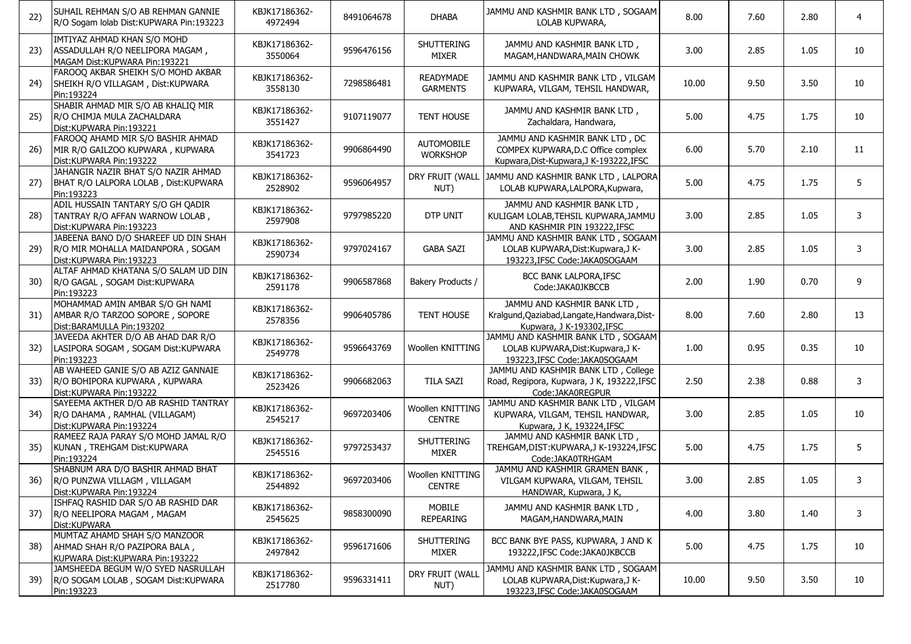| 22) | SUHAIL REHMAN S/O AB REHMAN GANNIE<br>R/O Sogam lolab Dist: KUPWARA Pin: 193223                        | KBJK17186362-<br>4972494 | 8491064678 | <b>DHABA</b>                         | JAMMU AND KASHMIR BANK LTD, SOGAAM<br>LOLAB KUPWARA,                                                            | 8.00  | 7.60 | 2.80 | 4  |
|-----|--------------------------------------------------------------------------------------------------------|--------------------------|------------|--------------------------------------|-----------------------------------------------------------------------------------------------------------------|-------|------|------|----|
| 23) | IMTIYAZ AHMAD KHAN S/O MOHD<br>ASSADULLAH R/O NEELIPORA MAGAM,<br>MAGAM Dist: KUPWARA Pin: 193221      | KBJK17186362-<br>3550064 | 9596476156 | <b>SHUTTERING</b><br><b>MIXER</b>    | JAMMU AND KASHMIR BANK LTD,<br>MAGAM, HANDWARA, MAIN CHOWK                                                      | 3.00  | 2.85 | 1.05 | 10 |
| 24) | FAROOQ AKBAR SHEIKH S/O MOHD AKBAR<br>SHEIKH R/O VILLAGAM, Dist:KUPWARA<br>Pin:193224                  | KBJK17186362-<br>3558130 | 7298586481 | <b>READYMADE</b><br><b>GARMENTS</b>  | JAMMU AND KASHMIR BANK LTD, VILGAM<br>KUPWARA, VILGAM, TEHSIL HANDWAR,                                          | 10.00 | 9.50 | 3.50 | 10 |
| 25) | SHABIR AHMAD MIR S/O AB KHALIQ MIR<br>R/O CHIMJA MULA ZACHALDARA<br>Dist:KUPWARA Pin:193221            | KBJK17186362-<br>3551427 | 9107119077 | <b>TENT HOUSE</b>                    | JAMMU AND KASHMIR BANK LTD,<br>Zachaldara, Handwara,                                                            | 5.00  | 4.75 | 1.75 | 10 |
| 26) | FAROOQ AHAMD MIR S/O BASHIR AHMAD<br>MIR R/O GAILZOO KUPWARA, KUPWARA<br>Dist: KUPWARA Pin: 193222     | KBJK17186362-<br>3541723 | 9906864490 | <b>AUTOMOBILE</b><br><b>WORKSHOP</b> | JAMMU AND KASHMIR BANK LTD, DC<br>COMPEX KUPWARA, D.C Office complex<br>Kupwara, Dist-Kupwara, J K-193222, IFSC | 6.00  | 5.70 | 2.10 | 11 |
| 27) | JAHANGIR NAZIR BHAT S/O NAZIR AHMAD<br>BHAT R/O LALPORA LOLAB, Dist: KUPWARA<br>Pin:193223             | KBJK17186362-<br>2528902 | 9596064957 | NUT)                                 | DRY FRUIT (WALL JAMMU AND KASHMIR BANK LTD, LALPORA<br>LOLAB KUPWARA, LALPORA, Kupwara,                         | 5.00  | 4.75 | 1.75 | 5  |
| 28) | ADIL HUSSAIN TANTARY S/O GH QADIR<br>TANTRAY R/O AFFAN WARNOW LOLAB,<br>Dist: KUPWARA Pin: 193223      | KBJK17186362-<br>2597908 | 9797985220 | DTP UNIT                             | JAMMU AND KASHMIR BANK LTD,<br>KULIGAM LOLAB, TEHSIL KUPWARA, JAMMU<br>AND KASHMIR PIN 193222, IFSC             | 3.00  | 2.85 | 1.05 | 3  |
| 29) | JABEENA BANO D/O SHAREEF UD DIN SHAH<br>R/O MIR MOHALLA MAIDANPORA, SOGAM<br>Dist: KUPWARA Pin: 193223 | KBJK17186362-<br>2590734 | 9797024167 | <b>GABA SAZI</b>                     | JAMMU AND KASHMIR BANK LTD, SOGAAM<br>LOLAB KUPWARA, Dist: Kupwara, J K-<br>193223, IFSC Code: JAKA0SOGAAM      | 3.00  | 2.85 | 1.05 | 3  |
| 30) | ALTAF AHMAD KHATANA S/O SALAM UD DIN<br>R/O GAGAL, SOGAM Dist: KUPWARA<br>Pin:193223                   | KBJK17186362-<br>2591178 | 9906587868 | Bakery Products /                    | BCC BANK LALPORA, IFSC<br>Code: JAKA0JKBCCB                                                                     | 2.00  | 1.90 | 0.70 | 9  |
| 31) | MOHAMMAD AMIN AMBAR S/O GH NAMI<br>AMBAR R/O TARZOO SOPORE, SOPORE<br>Dist: BARAMULLA Pin: 193202      | KBJK17186362-<br>2578356 | 9906405786 | <b>TENT HOUSE</b>                    | JAMMU AND KASHMIR BANK LTD,<br>Kralgund, Qaziabad, Langate, Handwara, Dist-<br>Kupwara, J K-193302, IFSC        | 8.00  | 7.60 | 2.80 | 13 |
| 32) | JAVEEDA AKHTER D/O AB AHAD DAR R/O<br>LASIPORA SOGAM, SOGAM Dist: KUPWARA<br>Pin:193223                | KBJK17186362-<br>2549778 | 9596643769 | Woollen KNITTING                     | JAMMU AND KASHMIR BANK LTD, SOGAAM<br>LOLAB KUPWARA, Dist: Kupwara, J K-<br>193223, IFSC Code: JAKA0SOGAAM      | 1.00  | 0.95 | 0.35 | 10 |
| 33) | AB WAHEED GANIE S/O AB AZIZ GANNAIE<br>R/O BOHIPORA KUPWARA, KUPWARA<br>Dist:KUPWARA Pin:193222        | KBJK17186362-<br>2523426 | 9906682063 | <b>TILA SAZI</b>                     | JAMMU AND KASHMIR BANK LTD, College<br>Road, Regipora, Kupwara, J K, 193222, IFSC<br>Code:JAKA0REGPUR           | 2.50  | 2.38 | 0.88 | 3  |
| 34) | SAYEEMA AKTHER D/O AB RASHID TANTRAY<br>R/O DAHAMA, RAMHAL (VILLAGAM)<br>Dist: KUPWARA Pin: 193224     | KBJK17186362-<br>2545217 | 9697203406 | Woollen KNITTING<br><b>CENTRE</b>    | JAMMU AND KASHMIR BANK LTD, VILGAM<br>KUPWARA, VILGAM, TEHSIL HANDWAR,<br>Kupwara, J K, 193224, IFSC            | 3.00  | 2.85 | 1.05 | 10 |
| 35) | RAMEEZ RAJA PARAY S/O MOHD JAMAL R/O<br>KUNAN, TREHGAM Dist: KUPWARA<br>Pin:193224                     | KBJK17186362-<br>2545516 | 9797253437 | <b>SHUTTERING</b><br><b>MIXER</b>    | JAMMU AND KASHMIR BANK LTD,<br>TREHGAM, DIST: KUPWARA, JK-193224, IFSC<br>Code: JAKA0TRHGAM                     | 5.00  | 4.75 | 1.75 | 5  |
| 36) | SHABNUM ARA D/O BASHIR AHMAD BHAT<br>R/O PUNZWA VILLAGM, VILLAGAM<br>Dist: KUPWARA Pin: 193224         | KBJK17186362-<br>2544892 | 9697203406 | Woollen KNITTING<br><b>CENTRE</b>    | JAMMU AND KASHMIR GRAMEN BANK,<br>VILGAM KUPWARA, VILGAM, TEHSIL<br>HANDWAR, Kupwara, J K,                      | 3.00  | 2.85 | 1.05 | 3  |
| 37) | ISHFAQ RASHID DAR S/O AB RASHID DAR<br>R/O NEELIPORA MAGAM, MAGAM<br>Dist:KUPWARA                      | KBJK17186362-<br>2545625 | 9858300090 | MOBILE<br><b>REPEARING</b>           | JAMMU AND KASHMIR BANK LTD,<br>MAGAM, HANDWARA, MAIN                                                            | 4.00  | 3.80 | 1.40 | 3  |
| 38) | MUMTAZ AHAMD SHAH S/O MANZOOR<br>AHMAD SHAH R/O PAZIPORA BALA,<br>KUPWARA Dist: KUPWARA Pin: 193222    | KBJK17186362-<br>2497842 | 9596171606 | SHUTTERING<br>MIXER                  | BCC BANK BYE PASS, KUPWARA, J AND K<br>193222, IFSC Code: JAKA0JKBCCB                                           | 5.00  | 4.75 | 1.75 | 10 |
| 39) | JAMSHEEDA BEGUM W/O SYED NASRULLAH<br>R/O SOGAM LOLAB, SOGAM Dist: KUPWARA<br>Pin:193223               | KBJK17186362-<br>2517780 | 9596331411 | DRY FRUIT (WALL<br>NUT)              | JAMMU AND KASHMIR BANK LTD, SOGAAM<br>LOLAB KUPWARA, Dist: Kupwara, J K-<br>193223, IFSC Code: JAKA0SOGAAM      | 10.00 | 9.50 | 3.50 | 10 |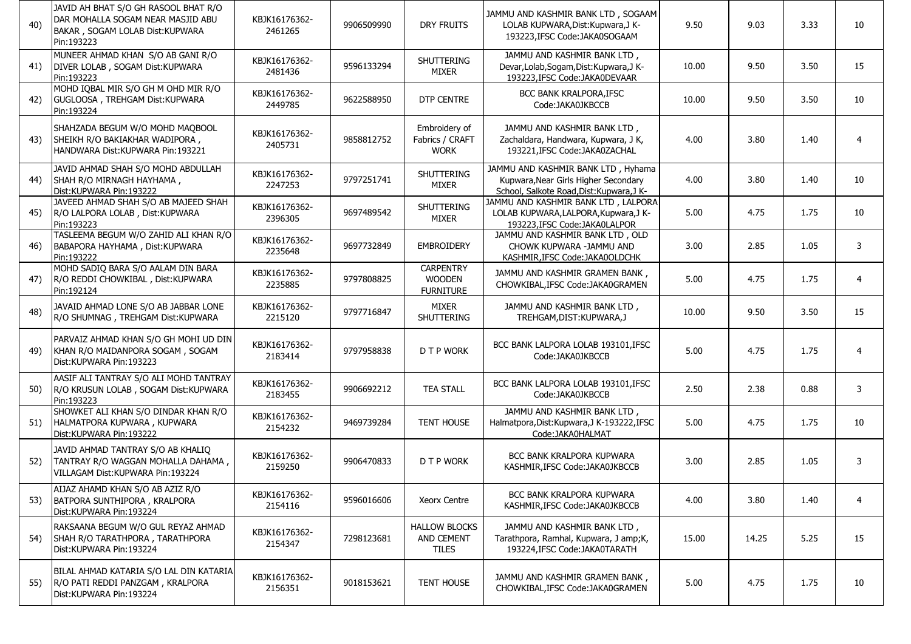| 40) | JAVID AH BHAT S/O GH RASOOL BHAT R/O<br>DAR MOHALLA SOGAM NEAR MASJID ABU<br>BAKAR, SOGAM LOLAB Dist: KUPWARA<br>Pin:193223 | KBJK16176362-<br>2461265 | 9906509990 | DRY FRUITS                                            | JAMMU AND KASHMIR BANK LTD, SOGAAM<br>LOLAB KUPWARA, Dist: Kupwara, J K-<br>193223, IFSC Code: JAKA0SOGAAM              | 9.50  | 9.03  | 3.33 | 10             |
|-----|-----------------------------------------------------------------------------------------------------------------------------|--------------------------|------------|-------------------------------------------------------|-------------------------------------------------------------------------------------------------------------------------|-------|-------|------|----------------|
| 41) | MUNEER AHMAD KHAN S/O AB GANI R/O<br>DIVER LOLAB, SOGAM Dist: KUPWARA<br>Pin:193223                                         | KBJK16176362-<br>2481436 | 9596133294 | <b>SHUTTERING</b><br>MIXER                            | JAMMU AND KASHMIR BANK LTD,<br>Devar, Lolab, Sogam, Dist: Kupwara, J K-<br>193223, IFSC Code: JAKA0DEVAAR               | 10.00 | 9.50  | 3.50 | 15             |
| 42) | MOHD IQBAL MIR S/O GH M OHD MIR R/O<br>GUGLOOSA, TREHGAM Dist: KUPWARA<br>Pin:193224                                        | KBJK16176362-<br>2449785 | 9622588950 | <b>DTP CENTRE</b>                                     | BCC BANK KRALPORA, IFSC<br>Code:JAKA0JKBCCB                                                                             | 10.00 | 9.50  | 3.50 | 10             |
| 43) | SHAHZADA BEGUM W/O MOHD MAQBOOL<br>SHEIKH R/O BAKIAKHAR WADIPORA,<br>HANDWARA Dist: KUPWARA Pin: 193221                     | KBJK16176362-<br>2405731 | 9858812752 | Embroidery of<br>Fabrics / CRAFT<br><b>WORK</b>       | JAMMU AND KASHMIR BANK LTD,<br>Zachaldara, Handwara, Kupwara, J K,<br>193221.IFSC Code:JAKA0ZACHAL                      | 4.00  | 3.80  | 1.40 | $\overline{4}$ |
| 44) | JAVID AHMAD SHAH S/O MOHD ABDULLAH<br>SHAH R/O MIRNAGH HAYHAMA,<br>Dist:KUPWARA Pin:193222                                  | KBJK16176362-<br>2247253 | 9797251741 | <b>SHUTTERING</b><br>MIXER                            | JAMMU AND KASHMIR BANK LTD, Hyhama<br>Kupwara, Near Girls Higher Secondary<br>School, Salkote Road, Dist: Kupwara, J K- | 4.00  | 3.80  | 1.40 | 10             |
| 45) | JAVEED AHMAD SHAH S/O AB MAJEED SHAH<br>R/O LALPORA LOLAB, Dist: KUPWARA<br>Pin:193223                                      | KBJK16176362-<br>2396305 | 9697489542 | <b>SHUTTERING</b><br>MIXER                            | JAMMU AND KASHMIR BANK LTD, LALPORA<br>LOLAB KUPWARA, LALPORA, Kupwara, JK-<br>193223, IFSC Code: JAKA0LALPOR           | 5.00  | 4.75  | 1.75 | 10             |
| 46) | TASLEEMA BEGUM W/O ZAHID ALI KHAN R/O<br>BABAPORA HAYHAMA, Dist:KUPWARA<br>Pin:193222                                       | KBJK16176362-<br>2235648 | 9697732849 | <b>EMBROIDERY</b>                                     | JAMMU AND KASHMIR BANK LTD, OLD<br>CHOWK KUPWARA -JAMMU AND<br>KASHMIR, IFSC Code: JAKA0OLDCHK                          | 3.00  | 2.85  | 1.05 | 3              |
| 47) | MOHD SADIQ BARA S/O AALAM DIN BARA<br>R/O REDDI CHOWKIBAL, Dist:KUPWARA<br>Pin:192124                                       | KBJK16176362-<br>2235885 | 9797808825 | <b>CARPENTRY</b><br><b>WOODEN</b><br><b>FURNITURE</b> | JAMMU AND KASHMIR GRAMEN BANK,<br>CHOWKIBAL, IFSC Code: JAKA0GRAMEN                                                     | 5.00  | 4.75  | 1.75 | $\overline{4}$ |
| 48) | JAVAID AHMAD LONE S/O AB JABBAR LONE<br>R/O SHUMNAG, TREHGAM Dist: KUPWARA                                                  | KBJK16176362-<br>2215120 | 9797716847 | MIXER<br><b>SHUTTERING</b>                            | JAMMU AND KASHMIR BANK LTD,<br>TREHGAM, DIST: KUPWARA, J                                                                | 10.00 | 9.50  | 3.50 | 15             |
| 49) | PARVAIZ AHMAD KHAN S/O GH MOHI UD DIN<br>KHAN R/O MAIDANPORA SOGAM, SOGAM<br>Dist:KUPWARA Pin:193223                        | KBJK16176362-<br>2183414 | 9797958838 | D T P WORK                                            | BCC BANK LALPORA LOLAB 193101, IFSC<br>Code:JAKA0JKBCCB                                                                 | 5.00  | 4.75  | 1.75 | $\overline{4}$ |
| 50) | AASIF ALI TANTRAY S/O ALI MOHD TANTRAY<br>R/O KRUSUN LOLAB, SOGAM Dist: KUPWARA<br>Pin:193223                               | KBJK16176362-<br>2183455 | 9906692212 | <b>TEA STALL</b>                                      | BCC BANK LALPORA LOLAB 193101, IFSC<br>Code:JAKA0JKBCCB                                                                 | 2.50  | 2.38  | 0.88 | 3              |
| 51) | SHOWKET ALI KHAN S/O DINDAR KHAN R/O<br>HALMATPORA KUPWARA, KUPWARA<br>Dist:KUPWARA Pin:193222                              | KBJK16176362-<br>2154232 | 9469739284 | TENT HOUSE                                            | JAMMU AND KASHMIR BANK LTD,<br>Halmatpora, Dist: Kupwara, J K-193222, IFSC<br>Code: JAKA0HALMAT                         | 5.00  | 4.75  | 1.75 | 10             |
| 52) | JAVID AHMAD TANTRAY S/O AB KHALIQ<br>TANTRAY R/O WAGGAN MOHALLA DAHAMA,<br>VILLAGAM Dist: KUPWARA Pin: 193224               | KBJK16176362-<br>2159250 | 9906470833 | <b>D T P WORK</b>                                     | <b>BCC BANK KRALPORA KUPWARA</b><br>KASHMIR, IFSC Code: JAKA0JKBCCB                                                     | 3.00  | 2.85  | 1.05 | 3              |
| 53) | AIJAZ AHAMD KHAN S/O AB AZIZ R/O<br>BATPORA SUNTHIPORA, KRALPORA<br>Dist: KUPWARA Pin: 193224                               | KBJK16176362-<br>2154116 | 9596016606 | Xeorx Centre                                          | <b>BCC BANK KRALPORA KUPWARA</b><br>KASHMIR, IFSC Code: JAKA0JKBCCB                                                     | 4.00  | 3.80  | 1.40 | 4              |
| 54) | RAKSAANA BEGUM W/O GUL REYAZ AHMAD<br>SHAH R/O TARATHPORA, TARATHPORA<br>Dist: KUPWARA Pin: 193224                          | KBJK16176362-<br>2154347 | 7298123681 | <b>HALLOW BLOCKS</b><br>AND CEMENT<br><b>TILES</b>    | JAMMU AND KASHMIR BANK LTD,<br>Tarathpora, Ramhal, Kupwara, J amp;K,<br>193224, IFSC Code: JAKA0TARATH                  | 15.00 | 14.25 | 5.25 | 15             |
| 55) | BILAL AHMAD KATARIA S/O LAL DIN KATARIA<br>R/O PATI REDDI PANZGAM, KRALPORA<br>Dist:KUPWARA Pin:193224                      | KBJK16176362-<br>2156351 | 9018153621 | TENT HOUSE                                            | JAMMU AND KASHMIR GRAMEN BANK,<br>CHOWKIBAL, IFSC Code: JAKA0GRAMEN                                                     | 5.00  | 4.75  | 1.75 | 10             |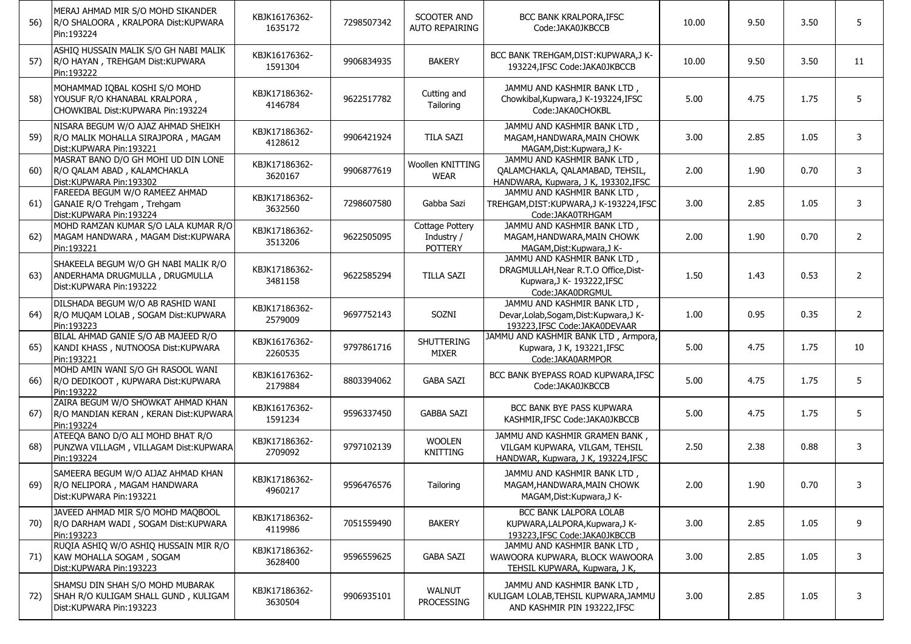| 56) | MERAJ AHMAD MIR S/O MOHD SIKANDER<br>R/O SHALOORA, KRALPORA Dist: KUPWARA<br>Pin:193224               | KBJK16176362-<br>1635172 | 7298507342 | SCOOTER AND<br><b>AUTO REPAIRING</b>                   | <b>BCC BANK KRALPORA, IFSC</b><br>Code:JAKA0JKBCCB                                                                    | 10.00 | 9.50 | 3.50 | 5  |
|-----|-------------------------------------------------------------------------------------------------------|--------------------------|------------|--------------------------------------------------------|-----------------------------------------------------------------------------------------------------------------------|-------|------|------|----|
| 57) | ASHIQ HUSSAIN MALIK S/O GH NABI MALIK<br>R/O HAYAN, TREHGAM Dist: KUPWARA<br>Pin:193222               | KBJK16176362-<br>1591304 | 9906834935 | <b>BAKERY</b>                                          | BCC BANK TREHGAM, DIST: KUPWARA, J K-<br>193224.IFSC Code:JAKA0JKBCCB                                                 | 10.00 | 9.50 | 3.50 | 11 |
| 58) | MOHAMMAD IQBAL KOSHI S/O MOHD<br>YOUSUF R/O KHANABAL KRALPORA,<br>CHOWKIBAL Dist: KUPWARA Pin: 193224 | KBJK17186362-<br>4146784 | 9622517782 | Cutting and<br>Tailoring                               | JAMMU AND KASHMIR BANK LTD,<br>Chowkibal, Kupwara, J K-193224, IFSC<br>Code: JAKA0CHOKBL                              | 5.00  | 4.75 | 1.75 | 5  |
| 59) | NISARA BEGUM W/O AJAZ AHMAD SHEIKH<br>R/O MALIK MOHALLA SIRAJPORA, MAGAM<br>Dist: KUPWARA Pin: 193221 | KBJK17186362-<br>4128612 | 9906421924 | <b>TILA SAZI</b>                                       | JAMMU AND KASHMIR BANK LTD,<br>MAGAM, HANDWARA, MAIN CHOWK<br>MAGAM, Dist: Kupwara, J K-                              | 3.00  | 2.85 | 1.05 | 3  |
| 60) | MASRAT BANO D/O GH MOHI UD DIN LONE<br>R/O QALAM ABAD, KALAMCHAKLA<br>Dist:KUPWARA Pin:193302         | KBJK17186362-<br>3620167 | 9906877619 | Woollen KNITTING<br><b>WEAR</b>                        | JAMMU AND KASHMIR BANK LTD,<br>QALAMCHAKLA, QALAMABAD, TEHSIL,<br>HANDWARA, Kupwara, J K, 193302, IFSC                | 2.00  | 1.90 | 0.70 | 3  |
| 61) | FAREEDA BEGUM W/O RAMEEZ AHMAD<br>GANAIE R/O Trehgam, Trehgam<br>Dist:KUPWARA Pin:193224              | KBJK17186362-<br>3632560 | 7298607580 | Gabba Sazi                                             | JAMMU AND KASHMIR BANK LTD,<br>TREHGAM, DIST: KUPWARA, JK-193224, IFSC<br>Code: JAKA0TRHGAM                           | 3.00  | 2.85 | 1.05 | 3  |
| 62) | MOHD RAMZAN KUMAR S/O LALA KUMAR R/O<br>MAGAM HANDWARA, MAGAM Dist: KUPWARA<br>Pin:193221             | KBJK17186362-<br>3513206 | 9622505095 | <b>Cottage Pottery</b><br>Industry /<br><b>POTTERY</b> | JAMMU AND KASHMIR BANK LTD,<br>MAGAM, HANDWARA, MAIN CHOWK<br>MAGAM, Dist: Kupwara, J K-                              | 2.00  | 1.90 | 0.70 | 2  |
| 63) | SHAKEELA BEGUM W/O GH NABI MALIK R/O<br>ANDERHAMA DRUGMULLA, DRUGMULLA<br>Dist:KUPWARA Pin:193222     | KBJK17186362-<br>3481158 | 9622585294 | <b>TILLA SAZI</b>                                      | JAMMU AND KASHMIR BANK LTD,<br>DRAGMULLAH, Near R.T.O Office, Dist-<br>Kupwara, J K- 193222, IFSC<br>Code:JAKA0DRGMUL | 1.50  | 1.43 | 0.53 | 2  |
| 64) | DILSHADA BEGUM W/O AB RASHID WANI<br>R/O MUQAM LOLAB, SOGAM Dist: KUPWARA<br>Pin:193223               | KBJK17186362-<br>2579009 | 9697752143 | SOZNI                                                  | JAMMU AND KASHMIR BANK LTD,<br>Devar, Lolab, Sogam, Dist: Kupwara, J K-<br>193223, IFSC Code: JAKA0DEVAAR             | 1.00  | 0.95 | 0.35 | 2  |
| 65) | BILAL AHMAD GANIE S/O AB MAJEED R/O<br>KANDI KHASS, NUTNOOSA Dist: KUPWARA<br>Pin:193221              | KBJK16176362-<br>2260535 | 9797861716 | SHUTTERING<br><b>MIXER</b>                             | JAMMU AND KASHMIR BANK LTD, Armpora,<br>Kupwara, J K, 193221, IFSC<br>Code: JAKA0ARMPOR                               | 5.00  | 4.75 | 1.75 | 10 |
| 66) | MOHD AMIN WANI S/O GH RASOOL WANI<br>R/O DEDIKOOT, KUPWARA Dist: KUPWARA<br>Pin:193222                | KBJK16176362-<br>2179884 | 8803394062 | <b>GABA SAZI</b>                                       | BCC BANK BYEPASS ROAD KUPWARA, IFSC<br>Code: JAKA0JKBCCB                                                              | 5.00  | 4.75 | 1.75 | 5  |
| 67) | ZAIRA BEGUM W/O SHOWKAT AHMAD KHAN<br>R/O MANDIAN KERAN, KERAN Dist: KUPWARA<br>Pin:193224            | KBJK16176362-<br>1591234 | 9596337450 | <b>GABBA SAZI</b>                                      | BCC BANK BYE PASS KUPWARA<br>KASHMIR, IFSC Code: JAKA0JKBCCB                                                          | 5.00  | 4.75 | 1.75 | 5  |
| 68) | ATEEQA BANO D/O ALI MOHD BHAT R/O<br>PUNZWA VILLAGM, VILLAGAM Dist: KUPWARA<br>Pin:193224             | KBJK17186362-<br>2709092 | 9797102139 | <b>WOOLEN</b><br>KNITTING                              | JAMMU AND KASHMIR GRAMEN BANK,<br>VILGAM KUPWARA, VILGAM, TEHSIL<br>HANDWAR, Kupwara, J K, 193224, IFSC               | 2.50  | 2.38 | 0.88 | 3  |
| 69) | SAMEERA BEGUM W/O AIJAZ AHMAD KHAN<br>R/O NELIPORA, MAGAM HANDWARA<br>Dist:KUPWARA Pin:193221         | KBJK17186362-<br>4960217 | 9596476576 | Tailoring                                              | JAMMU AND KASHMIR BANK LTD,<br>MAGAM, HANDWARA, MAIN CHOWK<br>MAGAM, Dist: Kupwara, J K-                              | 2.00  | 1.90 | 0.70 |    |
| 70) | JAVEED AHMAD MIR S/O MOHD MAQBOOL<br>R/O DARHAM WADI, SOGAM Dist: KUPWARA<br>Pin:193223               | KBJK17186362-<br>4119986 | 7051559490 | <b>BAKERY</b>                                          | BCC BANK LALPORA LOLAB<br>KUPWARA,LALPORA,Kupwara,J K-<br>193223, IFSC Code: JAKA0JKBCCB                              | 3.00  | 2.85 | 1.05 | 9  |
| 71) | RUQIA ASHIQ W/O ASHIQ HUSSAIN MIR R/O<br>KAW MOHALLA SOGAM, SOGAM<br>Dist:KUPWARA Pin:193223          | KBJK17186362-<br>3628400 | 9596559625 | <b>GABA SAZI</b>                                       | JAMMU AND KASHMIR BANK LTD,<br>WAWOORA KUPWARA, BLOCK WAWOORA<br>TEHSIL KUPWARA, Kupwara, J K,                        | 3.00  | 2.85 | 1.05 | 3  |
| 72) | SHAMSU DIN SHAH S/O MOHD MUBARAK<br>SHAH R/O KULIGAM SHALL GUND, KULIGAM<br>Dist:KUPWARA Pin:193223   | KBJK17186362-<br>3630504 | 9906935101 | WALNUT<br>PROCESSING                                   | JAMMU AND KASHMIR BANK LTD,<br>KULIGAM LOLAB, TEHSIL KUPWARA, JAMMU<br>AND KASHMIR PIN 193222, IFSC                   | 3.00  | 2.85 | 1.05 | 3  |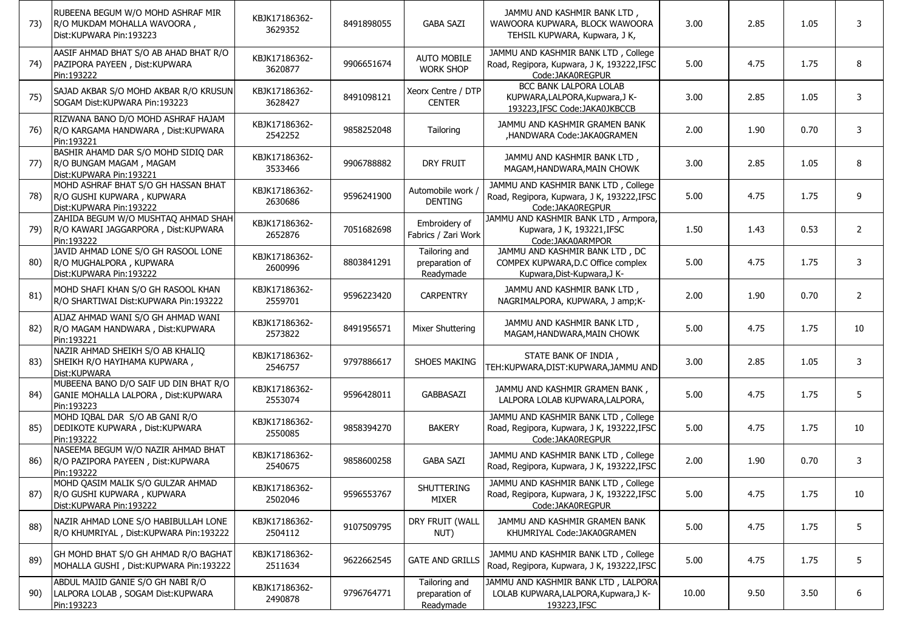| 73) | RUBEENA BEGUM W/O MOHD ASHRAF MIR<br>R/O MUKDAM MOHALLA WAVOORA,<br>Dist:KUPWARA Pin:193223  | KBJK17186362-<br>3629352 | 8491898055 | <b>GABA SAZI</b>                             | JAMMU AND KASHMIR BANK LTD,<br>WAWOORA KUPWARA, BLOCK WAWOORA<br>TEHSIL KUPWARA, Kupwara, J K,        | 3.00  | 2.85 | 1.05 | 3              |
|-----|----------------------------------------------------------------------------------------------|--------------------------|------------|----------------------------------------------|-------------------------------------------------------------------------------------------------------|-------|------|------|----------------|
| 74) | AASIF AHMAD BHAT S/O AB AHAD BHAT R/O<br>PAZIPORA PAYEEN, Dist:KUPWARA<br>Pin:193222         | KBJK17186362-<br>3620877 | 9906651674 | <b>AUTO MOBILE</b><br><b>WORK SHOP</b>       | JAMMU AND KASHMIR BANK LTD, College<br>Road, Regipora, Kupwara, J K, 193222,IFSC<br>Code:JAKA0REGPUR  | 5.00  | 4.75 | 1.75 | 8              |
| 75) | SAJAD AKBAR S/O MOHD AKBAR R/O KRUSUN<br>SOGAM Dist: KUPWARA Pin: 193223                     | KBJK17186362-<br>3628427 | 8491098121 | Xeorx Centre / DTP<br><b>CENTER</b>          | BCC BANK LALPORA LOLAB<br>KUPWARA,LALPORA,Kupwara,J K-<br>193223, IFSC Code: JAKA0JKBCCB              | 3.00  | 2.85 | 1.05 | 3              |
| 76) | RIZWANA BANO D/O MOHD ASHRAF HAJAM<br>R/O KARGAMA HANDWARA, Dist:KUPWARA<br>Pin:193221       | KBJK17186362-<br>2542252 | 9858252048 | Tailoring                                    | JAMMU AND KASHMIR GRAMEN BANK<br>,HANDWARA Code:JAKA0GRAMEN                                           | 2.00  | 1.90 | 0.70 | 3              |
| 77) | BASHIR AHAMD DAR S/O MOHD SIDIQ DAR<br>R/O BUNGAM MAGAM, MAGAM<br>Dist:KUPWARA Pin:193221    | KBJK17186362-<br>3533466 | 9906788882 | <b>DRY FRUIT</b>                             | JAMMU AND KASHMIR BANK LTD,<br>MAGAM, HANDWARA, MAIN CHOWK                                            | 3.00  | 2.85 | 1.05 | 8              |
| 78) | MOHD ASHRAF BHAT S/O GH HASSAN BHAT<br>R/O GUSHI KUPWARA, KUPWARA<br>Dist:KUPWARA Pin:193222 | KBJK17186362-<br>2630686 | 9596241900 | Automobile work<br><b>DENTING</b>            | JAMMU AND KASHMIR BANK LTD, College<br>Road, Regipora, Kupwara, J K, 193222,IFSC<br>Code:JAKA0REGPUR  | 5.00  | 4.75 | 1.75 | 9              |
| 79) | ZAHIDA BEGUM W/O MUSHTAQ AHMAD SHAH<br>R/O KAWARI JAGGARPORA, Dist:KUPWARA<br>Pin:193222     | KBJK17186362-<br>2652876 | 7051682698 | Embroidery of<br>Fabrics / Zari Work         | JAMMU AND KASHMIR BANK LTD, Armpora,<br>Kupwara, J K, 193221, IFSC<br>Code:JAKA0ARMPOR                | 1.50  | 1.43 | 0.53 | $\overline{2}$ |
| 80) | JAVID AHMAD LONE S/O GH RASOOL LONE<br>R/O MUGHALPORA, KUPWARA<br>Dist:KUPWARA Pin:193222    | KBJK17186362-<br>2600996 | 8803841291 | Tailoring and<br>preparation of<br>Readymade | JAMMU AND KASHMIR BANK LTD, DC<br>COMPEX KUPWARA, D.C Office complex<br>Kupwara, Dist-Kupwara, J K-   | 5.00  | 4.75 | 1.75 | 3              |
| 81) | MOHD SHAFI KHAN S/O GH RASOOL KHAN<br>R/O SHARTIWAI Dist: KUPWARA Pin: 193222                | KBJK17186362-<br>2559701 | 9596223420 | <b>CARPENTRY</b>                             | JAMMU AND KASHMIR BANK LTD,<br>NAGRIMALPORA, KUPWARA, J amp;K-                                        | 2.00  | 1.90 | 0.70 | $\overline{2}$ |
| 82) | AIJAZ AHMAD WANI S/O GH AHMAD WANI<br>R/O MAGAM HANDWARA, Dist:KUPWARA<br>Pin:193221         | KBJK17186362-<br>2573822 | 8491956571 | Mixer Shuttering                             | JAMMU AND KASHMIR BANK LTD,<br>MAGAM, HANDWARA, MAIN CHOWK                                            | 5.00  | 4.75 | 1.75 | 10             |
| 83) | NAZIR AHMAD SHEIKH S/O AB KHALIQ<br>SHEIKH R/O HAYIHAMA KUPWARA,<br>Dist:KUPWARA             | KBJK17186362-<br>2546757 | 9797886617 | <b>SHOES MAKING</b>                          | STATE BANK OF INDIA,<br>TEH:KUPWARA,DIST:KUPWARA,JAMMU AND                                            | 3.00  | 2.85 | 1.05 | 3              |
| 84) | MUBEENA BANO D/O SAIF UD DIN BHAT R/O<br>GANIE MOHALLA LALPORA, Dist: KUPWARA<br>Pin:193223  | KBJK17186362-<br>2553074 | 9596428011 | <b>GABBASAZI</b>                             | JAMMU AND KASHMIR GRAMEN BANK,<br>LALPORA LOLAB KUPWARA, LALPORA,                                     | 5.00  | 4.75 | 1.75 | 5              |
| 85) | MOHD IQBAL DAR S/O AB GANI R/O<br>DEDIKOTE KUPWARA, Dist:KUPWARA<br>Pin:193222               | KBJK17186362-<br>2550085 | 9858394270 | <b>BAKERY</b>                                | JAMMU AND KASHMIR BANK LTD, College<br>Road, Regipora, Kupwara, J K, 193222,IFSC<br>Code:JAKA0REGPUR  | 5.00  | 4.75 | 1.75 | 10             |
| 86) | NASEEMA BEGUM W/O NAZIR AHMAD BHAT<br>R/O PAZIPORA PAYEEN, Dist:KUPWARA<br>Pin:193222        | KBJK17186362-<br>2540675 | 9858600258 | <b>GABA SAZI</b>                             | JAMMU AND KASHMIR BANK LTD, College<br>Road, Regipora, Kupwara, J K, 193222,IFSC                      | 2.00  | 1.90 | 0.70 | 3              |
| 87) | MOHD QASIM MALIK S/O GULZAR AHMAD<br>R/O GUSHI KUPWARA, KUPWARA<br>Dist:KUPWARA Pin:193222   | KBJK17186362-<br>2502046 | 9596553767 | SHUTTERING<br>MIXER                          | JAMMU AND KASHMIR BANK LTD, College<br>Road, Regipora, Kupwara, J K, 193222, IFSC<br>Code:JAKA0REGPUR | 5.00  | 4.75 | 1.75 | 10             |
| 88) | NAZIR AHMAD LONE S/O HABIBULLAH LONE<br>R/O KHUMRIYAL, Dist:KUPWARA Pin:193222               | KBJK17186362-<br>2504112 | 9107509795 | DRY FRUIT (WALL<br>NUT)                      | JAMMU AND KASHMIR GRAMEN BANK<br>KHUMRIYAL Code: JAKA0GRAMEN                                          | 5.00  | 4.75 | 1.75 | 5              |
| 89) | GH MOHD BHAT S/O GH AHMAD R/O BAGHAT<br>MOHALLA GUSHI, Dist:KUPWARA Pin:193222               | KBJK17186362-<br>2511634 | 9622662545 | <b>GATE AND GRILLS</b>                       | JAMMU AND KASHMIR BANK LTD, College<br>Road, Regipora, Kupwara, J K, 193222, IFSC                     | 5.00  | 4.75 | 1.75 | 5              |
| 90) | ABDUL MAJID GANIE S/O GH NABI R/O<br>LALPORA LOLAB, SOGAM Dist: KUPWARA<br>Pin:193223        | KBJK17186362-<br>2490878 | 9796764771 | Tailoring and<br>preparation of<br>Readymade | JAMMU AND KASHMIR BANK LTD, LALPORA<br>LOLAB KUPWARA, LALPORA, Kupwara, JK-<br>193223, IFSC           | 10.00 | 9.50 | 3.50 | 6              |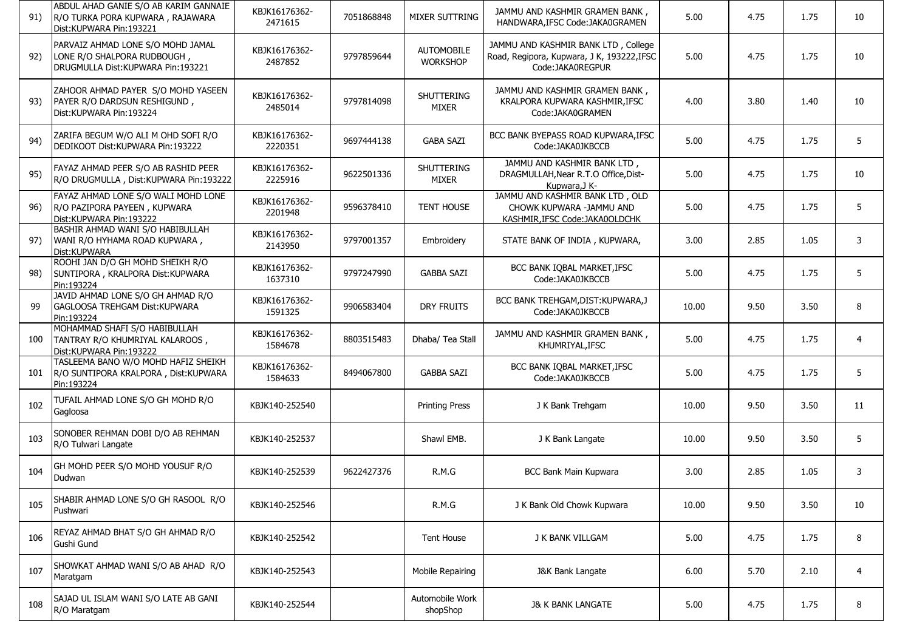| 91) | ABDUL AHAD GANIE S/O AB KARIM GANNAIE<br>R/O TURKA PORA KUPWARA, RAJAWARA<br>Dist:KUPWARA Pin:193221    | KBJK16176362-<br>2471615 | 7051868848 | MIXER SUTTRING                       | JAMMU AND KASHMIR GRAMEN BANK,<br>HANDWARA, IFSC Code: JAKA0GRAMEN                                   | 5.00  | 4.75 | 1.75 | 10             |
|-----|---------------------------------------------------------------------------------------------------------|--------------------------|------------|--------------------------------------|------------------------------------------------------------------------------------------------------|-------|------|------|----------------|
| 92) | PARVAIZ AHMAD LONE S/O MOHD JAMAL<br>LONE R/O SHALPORA RUDBOUGH,<br>DRUGMULLA Dist: KUPWARA Pin: 193221 | KBJK16176362-<br>2487852 | 9797859644 | <b>AUTOMOBILE</b><br><b>WORKSHOP</b> | JAMMU AND KASHMIR BANK LTD, College<br>Road, Regipora, Kupwara, J K, 193222,IFSC<br>Code:JAKA0REGPUR | 5.00  | 4.75 | 1.75 | 10             |
| 93) | ZAHOOR AHMAD PAYER S/O MOHD YASEEN<br>PAYER R/O DARDSUN RESHIGUND,<br>Dist: KUPWARA Pin: 193224         | KBJK16176362-<br>2485014 | 9797814098 | SHUTTERING<br><b>MIXER</b>           | JAMMU AND KASHMIR GRAMEN BANK,<br>KRALPORA KUPWARA KASHMIR, IFSC<br>Code: JAKA0GRAMEN                | 4.00  | 3.80 | 1.40 | 10             |
| 94) | ZARIFA BEGUM W/O ALI M OHD SOFI R/O<br>DEDIKOOT Dist: KUPWARA Pin: 193222                               | KBJK16176362-<br>2220351 | 9697444138 | <b>GABA SAZI</b>                     | BCC BANK BYEPASS ROAD KUPWARA, IFSC<br>Code:JAKA0JKBCCB                                              | 5.00  | 4.75 | 1.75 | 5              |
| 95) | FAYAZ AHMAD PEER S/O AB RASHID PEER<br>R/O DRUGMULLA, Dist:KUPWARA Pin:193222                           | KBJK16176362-<br>2225916 | 9622501336 | SHUTTERING<br>MIXER                  | JAMMU AND KASHMIR BANK LTD,<br>DRAGMULLAH, Near R.T.O Office, Dist-<br>Kupwara, J K-                 | 5.00  | 4.75 | 1.75 | 10             |
| 96) | FAYAZ AHMAD LONE S/O WALI MOHD LONE<br>R/O PAZIPORA PAYEEN, KUPWARA<br>Dist:KUPWARA Pin:193222          | KBJK16176362-<br>2201948 | 9596378410 | TENT HOUSE                           | JAMMU AND KASHMIR BANK LTD, OLD<br>CHOWK KUPWARA -JAMMU AND<br>KASHMIR, IFSC Code: JAKA0OLDCHK       | 5.00  | 4.75 | 1.75 | 5              |
| 97) | BASHIR AHMAD WANI S/O HABIBULLAH<br>WANI R/O HYHAMA ROAD KUPWARA,<br>Dist: KUPWARA                      | KBJK16176362-<br>2143950 | 9797001357 | Embroidery                           | STATE BANK OF INDIA, KUPWARA,                                                                        | 3.00  | 2.85 | 1.05 | 3              |
| 98) | ROOHI JAN D/O GH MOHD SHEIKH R/O<br>SUNTIPORA, KRALPORA Dist: KUPWARA<br>Pin:193224                     | KBJK16176362-<br>1637310 | 9797247990 | <b>GABBA SAZI</b>                    | BCC BANK IQBAL MARKET, IFSC<br>Code:JAKA0JKBCCB                                                      | 5.00  | 4.75 | 1.75 | 5              |
| 99  | JAVID AHMAD LONE S/O GH AHMAD R/O<br><b>GAGLOOSA TREHGAM Dist: KUPWARA</b><br>Pin:193224                | KBJK16176362-<br>1591325 | 9906583404 | <b>DRY FRUITS</b>                    | BCC BANK TREHGAM, DIST: KUPWARA, J<br>Code: JAKA0JKBCCB                                              | 10.00 | 9.50 | 3.50 | 8              |
| 100 | MOHAMMAD SHAFI S/O HABIBULLAH<br>TANTRAY R/O KHUMRIYAL KALAROOS,<br>Dist: KUPWARA Pin: 193222           | KBJK16176362-<br>1584678 | 8803515483 | Dhaba/ Tea Stall                     | JAMMU AND KASHMIR GRAMEN BANK,<br>KHUMRIYAL, IFSC                                                    | 5.00  | 4.75 | 1.75 | $\overline{4}$ |
| 101 | TASLEEMA BANO W/O MOHD HAFIZ SHEIKH<br>R/O SUNTIPORA KRALPORA, Dist: KUPWARA<br>Pin:193224              | KBJK16176362-<br>1584633 | 8494067800 | <b>GABBA SAZI</b>                    | BCC BANK IQBAL MARKET, IFSC<br>Code: JAKA0JKBCCB                                                     | 5.00  | 4.75 | 1.75 | 5              |
| 102 | TUFAIL AHMAD LONE S/O GH MOHD R/O<br>Gagloosa                                                           | KBJK140-252540           |            | <b>Printing Press</b>                | J K Bank Trehgam                                                                                     | 10.00 | 9.50 | 3.50 | 11             |
| 103 | SONOBER REHMAN DOBI D/O AB REHMAN<br>R/O Tulwari Langate                                                | KBJK140-252537           |            | Shawl EMB.                           | J K Bank Langate                                                                                     | 10.00 | 9.50 | 3.50 | 5              |
| 104 | GH MOHD PEER S/O MOHD YOUSUF R/O<br>Dudwan                                                              | KBJK140-252539           | 9622427376 | R.M.G                                | BCC Bank Main Kupwara                                                                                | 3.00  | 2.85 | 1.05 | 3              |
| 105 | SHABIR AHMAD LONE S/O GH RASOOL R/O<br>Pushwari                                                         | KBJK140-252546           |            | R.M.G                                | J K Bank Old Chowk Kupwara                                                                           | 10.00 | 9.50 | 3.50 | 10             |
| 106 | REYAZ AHMAD BHAT S/O GH AHMAD R/O<br>Gushi Gund                                                         | KBJK140-252542           |            | <b>Tent House</b>                    | J K BANK VILLGAM                                                                                     | 5.00  | 4.75 | 1.75 | 8              |
| 107 | SHOWKAT AHMAD WANI S/O AB AHAD R/O<br>Maratgam                                                          | KBJK140-252543           |            | Mobile Repairing                     | J&K Bank Langate                                                                                     | 6.00  | 5.70 | 2.10 | 4              |
| 108 | SAJAD UL ISLAM WANI S/O LATE AB GANI<br>R/O Maratgam                                                    | KBJK140-252544           |            | Automobile Work<br>shopShop          | <b>J&amp; K BANK LANGATE</b>                                                                         | 5.00  | 4.75 | 1.75 | 8              |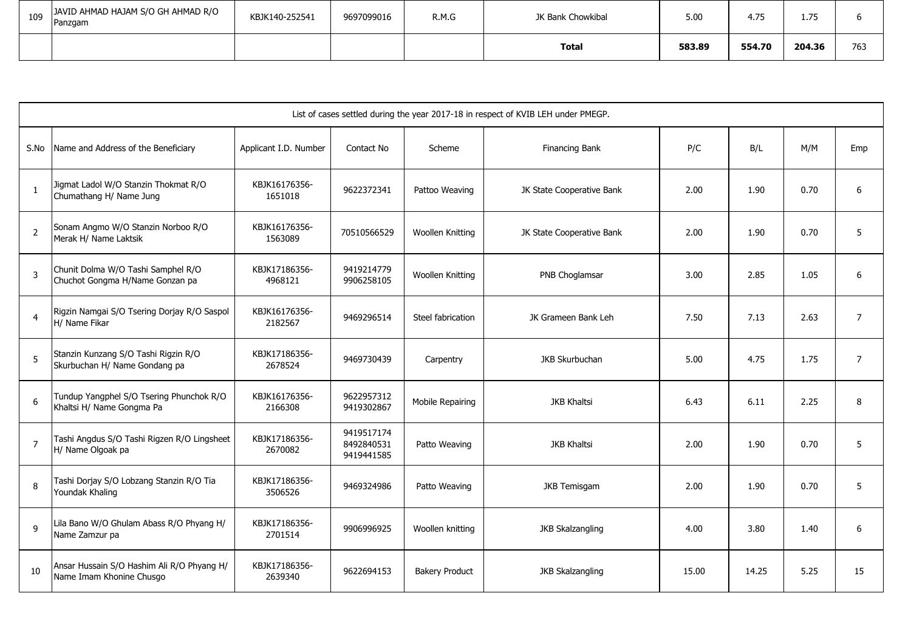| 109 | JAVID AHMAD HAJAM S/O GH AHMAD R/O<br>Panzgam | KBJK140-252541 | 9697099016 | R.M.G | JK Bank Chowkibal | 5.00   | 4.75   | $- -$<br><b></b> |     |
|-----|-----------------------------------------------|----------------|------------|-------|-------------------|--------|--------|------------------|-----|
|     |                                               |                |            |       | <b>Total</b>      | 583.89 | 554.70 | 204.36           | 763 |

|                | List of cases settled during the year 2017-18 in respect of KVIB LEH under PMEGP. |                          |                                        |                       |                           |       |       |      |                |  |  |  |  |
|----------------|-----------------------------------------------------------------------------------|--------------------------|----------------------------------------|-----------------------|---------------------------|-------|-------|------|----------------|--|--|--|--|
| S.No           | Name and Address of the Beneficiary                                               | Applicant I.D. Number    | Contact No                             | Scheme                | Financing Bank            | P/C   | B/L   | M/M  | Emp            |  |  |  |  |
| $\mathbf{1}$   | Jigmat Ladol W/O Stanzin Thokmat R/O<br>Chumathang H/ Name Jung                   | KBJK16176356-<br>1651018 | 9622372341                             | Pattoo Weaving        | JK State Cooperative Bank | 2.00  | 1.90  | 0.70 | 6              |  |  |  |  |
| $\overline{2}$ | Sonam Angmo W/O Stanzin Norboo R/O<br>Merak H/ Name Laktsik                       | KBJK16176356-<br>1563089 | 70510566529                            | Woollen Knitting      | JK State Cooperative Bank | 2.00  | 1.90  | 0.70 | 5              |  |  |  |  |
| $\overline{3}$ | Chunit Dolma W/O Tashi Samphel R/O<br>Chuchot Gongma H/Name Gonzan pa             | KBJK17186356-<br>4968121 | 9419214779<br>9906258105               | Woollen Knitting      | PNB Choglamsar            | 3.00  | 2.85  | 1.05 | 6              |  |  |  |  |
| $\overline{4}$ | Rigzin Namgai S/O Tsering Dorjay R/O Saspol<br>H/ Name Fikar                      | KBJK16176356-<br>2182567 | 9469296514                             | Steel fabrication     | JK Grameen Bank Leh       | 7.50  | 7.13  | 2.63 | $\overline{7}$ |  |  |  |  |
| $\overline{5}$ | Stanzin Kunzang S/O Tashi Rigzin R/O<br>Skurbuchan H/ Name Gondang pa             | KBJK17186356-<br>2678524 | 9469730439                             | Carpentry             | JKB Skurbuchan            | 5.00  | 4.75  | 1.75 | $\overline{7}$ |  |  |  |  |
| 6              | Tundup Yangphel S/O Tsering Phunchok R/O<br>Khaltsi H/ Name Gongma Pa             | KBJK16176356-<br>2166308 | 9622957312<br>9419302867               | Mobile Repairing      | <b>JKB Khaltsi</b>        | 6.43  | 6.11  | 2.25 | 8              |  |  |  |  |
| $\overline{7}$ | Tashi Angdus S/O Tashi Rigzen R/O Lingsheet<br>H/ Name Olgoak pa                  | KBJK17186356-<br>2670082 | 9419517174<br>8492840531<br>9419441585 | Patto Weaving         | <b>JKB Khaltsi</b>        | 2.00  | 1.90  | 0.70 | 5              |  |  |  |  |
| 8              | Tashi Dorjay S/O Lobzang Stanzin R/O Tia<br>Youndak Khaling                       | KBJK17186356-<br>3506526 | 9469324986                             | Patto Weaving         | <b>JKB Temisgam</b>       | 2.00  | 1.90  | 0.70 | 5              |  |  |  |  |
| $\mathsf{q}$   | Lila Bano W/O Ghulam Abass R/O Phyang H/<br>Name Zamzur pa                        | KBJK17186356-<br>2701514 | 9906996925                             | Woollen knitting      | <b>JKB Skalzangling</b>   | 4.00  | 3.80  | 1.40 | 6              |  |  |  |  |
| 10             | Ansar Hussain S/O Hashim Ali R/O Phyang H/<br>Name Imam Khonine Chusgo            | KBJK17186356-<br>2639340 | 9622694153                             | <b>Bakery Product</b> | <b>JKB Skalzangling</b>   | 15.00 | 14.25 | 5.25 | 15             |  |  |  |  |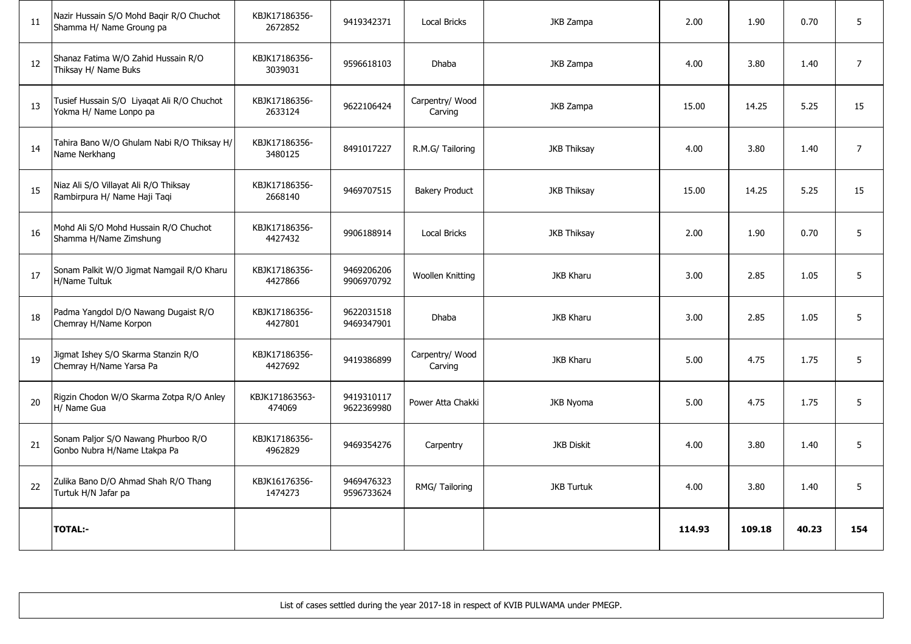| 11 | Nazir Hussain S/O Mohd Baqir R/O Chuchot<br>Shamma H/ Name Groung pa  | KBJK17186356-<br>2672852 | 9419342371               | <b>Local Bricks</b>        | JKB Zampa          | 2.00   | 1.90   | 0.70  | 5              |
|----|-----------------------------------------------------------------------|--------------------------|--------------------------|----------------------------|--------------------|--------|--------|-------|----------------|
| 12 | Shanaz Fatima W/O Zahid Hussain R/O<br>Thiksay H/ Name Buks           | KBJK17186356-<br>3039031 | 9596618103               | Dhaba                      | JKB Zampa          | 4.00   | 3.80   | 1.40  | $\overline{7}$ |
| 13 | Tusief Hussain S/O Liyagat Ali R/O Chuchot<br>Yokma H/ Name Lonpo pa  | KBJK17186356-<br>2633124 | 9622106424               | Carpentry/ Wood<br>Carving | JKB Zampa          | 15.00  | 14.25  | 5.25  | 15             |
| 14 | Tahira Bano W/O Ghulam Nabi R/O Thiksay H/<br>Name Nerkhang           | KBJK17186356-<br>3480125 | 8491017227               | R.M.G/ Tailoring           | <b>JKB Thiksay</b> | 4.00   | 3.80   | 1.40  | $\overline{7}$ |
| 15 | Niaz Ali S/O Villayat Ali R/O Thiksay<br>Rambirpura H/ Name Haji Taqi | KBJK17186356-<br>2668140 | 9469707515               | <b>Bakery Product</b>      | <b>JKB Thiksay</b> | 15.00  | 14.25  | 5.25  | 15             |
| 16 | Mohd Ali S/O Mohd Hussain R/O Chuchot<br>Shamma H/Name Zimshung       | KBJK17186356-<br>4427432 | 9906188914               | <b>Local Bricks</b>        | <b>JKB Thiksay</b> | 2.00   | 1.90   | 0.70  | 5              |
| 17 | Sonam Palkit W/O Jigmat Namgail R/O Kharu<br>H/Name Tultuk            | KBJK17186356-<br>4427866 | 9469206206<br>9906970792 | Woollen Knitting           | <b>JKB Kharu</b>   | 3.00   | 2.85   | 1.05  | 5              |
| 18 | Padma Yangdol D/O Nawang Dugaist R/O<br>Chemray H/Name Korpon         | KBJK17186356-<br>4427801 | 9622031518<br>9469347901 | <b>Dhaba</b>               | <b>JKB Kharu</b>   | 3.00   | 2.85   | 1.05  | $\overline{5}$ |
| 19 | Jigmat Ishey S/O Skarma Stanzin R/O<br>Chemray H/Name Yarsa Pa        | KBJK17186356-<br>4427692 | 9419386899               | Carpentry/ Wood<br>Carving | <b>JKB Kharu</b>   | 5.00   | 4.75   | 1.75  | 5              |
| 20 | Rigzin Chodon W/O Skarma Zotpa R/O Anley<br>H/ Name Gua               | KBJK171863563-<br>474069 | 9419310117<br>9622369980 | Power Atta Chakki          | <b>JKB Nyoma</b>   | 5.00   | 4.75   | 1.75  | 5              |
| 21 | Sonam Paljor S/O Nawang Phurboo R/O<br>Gonbo Nubra H/Name Ltakpa Pa   | KBJK17186356-<br>4962829 | 9469354276               | Carpentry                  | <b>JKB Diskit</b>  | 4.00   | 3.80   | 1.40  | 5              |
| 22 | Zulika Bano D/O Ahmad Shah R/O Thang<br>Turtuk H/N Jafar pa           | KBJK16176356-<br>1474273 | 9469476323<br>9596733624 | RMG/ Tailoring             | <b>JKB Turtuk</b>  | 4.00   | 3.80   | 1.40  | $\overline{5}$ |
|    | <b>TOTAL:-</b>                                                        |                          |                          |                            |                    | 114.93 | 109.18 | 40.23 | 154            |

List of cases settled during the year 2017-18 in respect of KVIB PULWAMA under PMEGP.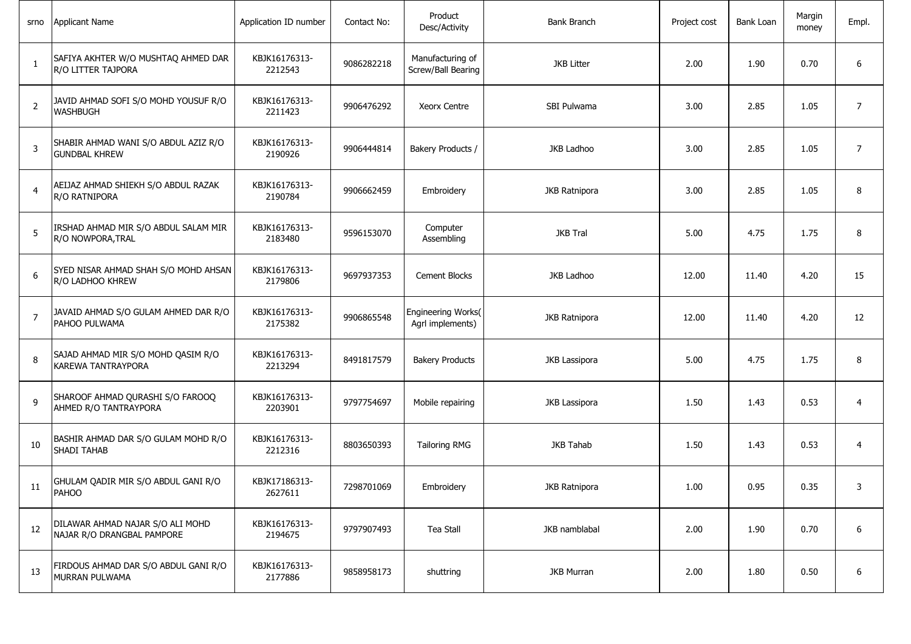| srno           | Applicant Name                                                 | Application ID number    | Contact No: | Product<br>Desc/Activity               | <b>Bank Branch</b> | Project cost | Bank Loan | Margin<br>money | Empl.          |
|----------------|----------------------------------------------------------------|--------------------------|-------------|----------------------------------------|--------------------|--------------|-----------|-----------------|----------------|
| $\mathbf{1}$   | SAFIYA AKHTER W/O MUSHTAQ AHMED DAR<br>R/O LITTER TAJPORA      | KBJK16176313-<br>2212543 | 9086282218  | Manufacturing of<br>Screw/Ball Bearing | <b>JKB Litter</b>  | 2.00         | 1.90      | 0.70            | 6              |
| $\overline{2}$ | JAVID AHMAD SOFI S/O MOHD YOUSUF R/O<br><b>WASHBUGH</b>        | KBJK16176313-<br>2211423 | 9906476292  | <b>Xeorx Centre</b>                    | SBI Pulwama        | 3.00         | 2.85      | 1.05            | $\overline{7}$ |
| 3              | SHABIR AHMAD WANI S/O ABDUL AZIZ R/O<br><b>GUNDBAL KHREW</b>   | KBJK16176313-<br>2190926 | 9906444814  | Bakery Products /                      | JKB Ladhoo         | 3.00         | 2.85      | 1.05            | $\overline{7}$ |
| 4              | AEIJAZ AHMAD SHIEKH S/O ABDUL RAZAK<br>R/O RATNIPORA           | KBJK16176313-<br>2190784 | 9906662459  | Embroidery                             | JKB Ratnipora      | 3.00         | 2.85      | 1.05            | 8              |
| 5              | IRSHAD AHMAD MIR S/O ABDUL SALAM MIR<br>R/O NOWPORA, TRAL      | KBJK16176313-<br>2183480 | 9596153070  | Computer<br>Assembling                 | <b>JKB Tral</b>    | 5.00         | 4.75      | 1.75            | 8              |
| 6              | SYED NISAR AHMAD SHAH S/O MOHD AHSAN<br>R/O LADHOO KHREW       | KBJK16176313-<br>2179806 | 9697937353  | <b>Cement Blocks</b>                   | JKB Ladhoo         | 12.00        | 11.40     | 4.20            | 15             |
| $\overline{7}$ | JAVAID AHMAD S/O GULAM AHMED DAR R/O<br>PAHOO PULWAMA          | KBJK16176313-<br>2175382 | 9906865548  | Engineering Works(<br>Agrl implements) | JKB Ratnipora      | 12.00        | 11.40     | 4.20            | 12             |
| 8              | SAJAD AHMAD MIR S/O MOHD QASIM R/O<br>KAREWA TANTRAYPORA       | KBJK16176313-<br>2213294 | 8491817579  | <b>Bakery Products</b>                 | JKB Lassipora      | 5.00         | 4.75      | 1.75            | 8              |
| 9              | SHAROOF AHMAD QURASHI S/O FAROOQ<br>AHMED R/O TANTRAYPORA      | KBJK16176313-<br>2203901 | 9797754697  | Mobile repairing                       | JKB Lassipora      | 1.50         | 1.43      | 0.53            | $\overline{4}$ |
| 10             | BASHIR AHMAD DAR S/O GULAM MOHD R/O<br><b>SHADI TAHAB</b>      | KBJK16176313-<br>2212316 | 8803650393  | <b>Tailoring RMG</b>                   | <b>JKB Tahab</b>   | 1.50         | 1.43      | 0.53            | $\overline{4}$ |
| 11             | GHULAM QADIR MIR S/O ABDUL GANI R/O<br>PAHOO                   | KBJK17186313-<br>2627611 | 7298701069  | Embroidery                             | JKB Ratnipora      | 1.00         | 0.95      | 0.35            | 3              |
| 12             | DILAWAR AHMAD NAJAR S/O ALI MOHD<br>NAJAR R/O DRANGBAL PAMPORE | KBJK16176313-<br>2194675 | 9797907493  | Tea Stall                              | JKB namblabal      | 2.00         | 1.90      | 0.70            | 6              |
| 13             | FIRDOUS AHMAD DAR S/O ABDUL GANI R/O<br>MURRAN PULWAMA         | KBJK16176313-<br>2177886 | 9858958173  | shuttring                              | <b>JKB Murran</b>  | 2.00         | 1.80      | 0.50            | 6              |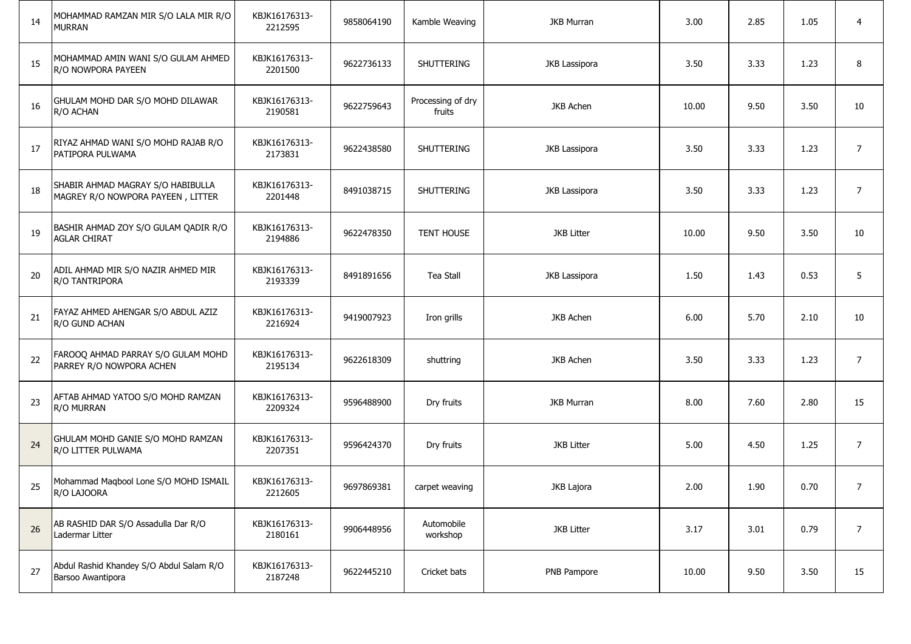| 14 | MOHAMMAD RAMZAN MIR S/O LALA MIR R/O<br><b>MURRAN</b>                  | KBJK16176313-<br>2212595 | 9858064190 | Kamble Weaving              | <b>JKB Murran</b>    | 3.00  | 2.85 | 1.05 | $\overline{4}$ |
|----|------------------------------------------------------------------------|--------------------------|------------|-----------------------------|----------------------|-------|------|------|----------------|
| 15 | MOHAMMAD AMIN WANI S/O GULAM AHMED<br>R/O NOWPORA PAYEEN               | KBJK16176313-<br>2201500 | 9622736133 | <b>SHUTTERING</b>           | JKB Lassipora        | 3.50  | 3.33 | 1.23 | 8              |
| 16 | GHULAM MOHD DAR S/O MOHD DILAWAR<br>R/O ACHAN                          | KBJK16176313-<br>2190581 | 9622759643 | Processing of dry<br>fruits | JKB Achen            | 10.00 | 9.50 | 3.50 | 10             |
| 17 | RIYAZ AHMAD WANI S/O MOHD RAJAB R/O<br>PATIPORA PULWAMA                | KBJK16176313-<br>2173831 | 9622438580 | SHUTTERING                  | <b>JKB Lassipora</b> | 3.50  | 3.33 | 1.23 | $\overline{7}$ |
| 18 | SHABIR AHMAD MAGRAY S/O HABIBULLA<br>MAGREY R/O NOWPORA PAYEEN, LITTER | KBJK16176313-<br>2201448 | 8491038715 | SHUTTERING                  | JKB Lassipora        | 3.50  | 3.33 | 1.23 | $\overline{7}$ |
| 19 | BASHIR AHMAD ZOY S/O GULAM QADIR R/O<br><b>AGLAR CHIRAT</b>            | KBJK16176313-<br>2194886 | 9622478350 | <b>TENT HOUSE</b>           | <b>JKB Litter</b>    | 10.00 | 9.50 | 3.50 | 10             |
| 20 | ADIL AHMAD MIR S/O NAZIR AHMED MIR<br>R/O TANTRIPORA                   | KBJK16176313-<br>2193339 | 8491891656 | Tea Stall                   | JKB Lassipora        | 1.50  | 1.43 | 0.53 | 5              |
| 21 | FAYAZ AHMED AHENGAR S/O ABDUL AZIZ<br>R/O GUND ACHAN                   | KBJK16176313-<br>2216924 | 9419007923 | Iron grills                 | JKB Achen            | 6.00  | 5.70 | 2.10 | 10             |
| 22 | FAROOQ AHMAD PARRAY S/O GULAM MOHD<br>PARREY R/O NOWPORA ACHEN         | KBJK16176313-<br>2195134 | 9622618309 | shuttring                   | JKB Achen            | 3.50  | 3.33 | 1.23 | $\overline{7}$ |
| 23 | AFTAB AHMAD YATOO S/O MOHD RAMZAN<br>R/O MURRAN                        | KBJK16176313-<br>2209324 | 9596488900 | Dry fruits                  | <b>JKB Murran</b>    | 8.00  | 7.60 | 2.80 | 15             |
| 24 | GHULAM MOHD GANIE S/O MOHD RAMZAN<br>R/O LITTER PULWAMA                | KBJK16176313-<br>2207351 | 9596424370 | Dry fruits                  | <b>JKB Litter</b>    | 5.00  | 4.50 | 1.25 | $\overline{7}$ |
| 25 | Mohammad Maqbool Lone S/O MOHD ISMAIL<br>R/O LAJOORA                   | KBJK16176313-<br>2212605 | 9697869381 | carpet weaving              | JKB Lajora           | 2.00  | 1.90 | 0.70 | 7              |
| 26 | AB RASHID DAR S/O Assadulla Dar R/O<br>Ladermar Litter                 | KBJK16176313-<br>2180161 | 9906448956 | Automobile<br>workshop      | <b>JKB Litter</b>    | 3.17  | 3.01 | 0.79 | $\overline{7}$ |
| 27 | Abdul Rashid Khandey S/O Abdul Salam R/O<br>Barsoo Awantipora          | KBJK16176313-<br>2187248 | 9622445210 | Cricket bats                | PNB Pampore          | 10.00 | 9.50 | 3.50 | 15             |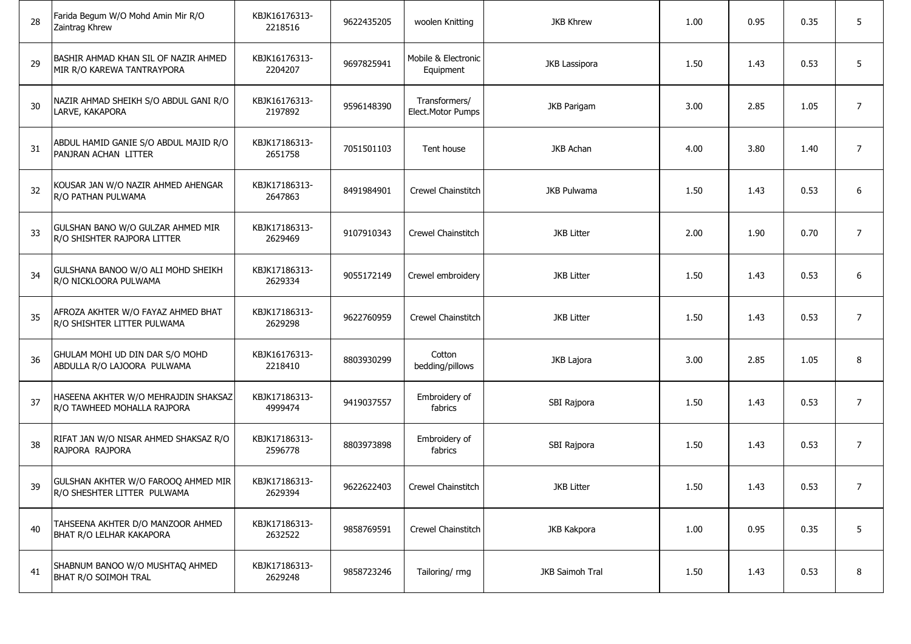| 28 | Farida Begum W/O Mohd Amin Mir R/O<br>Zaintrag Khrew                | KBJK16176313-<br>2218516 | 9622435205 | woolen Knitting                    | <b>JKB Khrew</b>   | 1.00 | 0.95 | 0.35 | 5              |
|----|---------------------------------------------------------------------|--------------------------|------------|------------------------------------|--------------------|------|------|------|----------------|
| 29 | BASHIR AHMAD KHAN SIL OF NAZIR AHMED<br>MIR R/O KAREWA TANTRAYPORA  | KBJK16176313-<br>2204207 | 9697825941 | Mobile & Electronic<br>Equipment   | JKB Lassipora      | 1.50 | 1.43 | 0.53 | 5              |
| 30 | NAZIR AHMAD SHEIKH S/O ABDUL GANI R/O<br>LARVE, KAKAPORA            | KBJK16176313-<br>2197892 | 9596148390 | Transformers/<br>Elect.Motor Pumps | <b>JKB Parigam</b> | 3.00 | 2.85 | 1.05 | 7              |
| 31 | ABDUL HAMID GANIE S/O ABDUL MAJID R/O<br>PANJRAN ACHAN LITTER       | KBJK17186313-<br>2651758 | 7051501103 | Tent house                         | JKB Achan          | 4.00 | 3.80 | 1.40 | $\overline{7}$ |
| 32 | KOUSAR JAN W/O NAZIR AHMED AHENGAR<br>R/O PATHAN PULWAMA            | KBJK17186313-<br>2647863 | 8491984901 | Crewel Chainstitch                 | JKB Pulwama        | 1.50 | 1.43 | 0.53 | 6              |
| 33 | GULSHAN BANO W/O GULZAR AHMED MIR<br>R/O SHISHTER RAJPORA LITTER    | KBJK17186313-<br>2629469 | 9107910343 | Crewel Chainstitch                 | <b>JKB Litter</b>  | 2.00 | 1.90 | 0.70 | $\overline{7}$ |
| 34 | GULSHANA BANOO W/O ALI MOHD SHEIKH<br>R/O NICKLOORA PULWAMA         | KBJK17186313-<br>2629334 | 9055172149 | Crewel embroidery                  | <b>JKB Litter</b>  | 1.50 | 1.43 | 0.53 | 6              |
| 35 | AFROZA AKHTER W/O FAYAZ AHMED BHAT<br>R/O SHISHTER LITTER PULWAMA   | KBJK17186313-<br>2629298 | 9622760959 | Crewel Chainstitch                 | <b>JKB Litter</b>  | 1.50 | 1.43 | 0.53 | $\overline{7}$ |
| 36 | GHULAM MOHI UD DIN DAR S/O MOHD<br>ABDULLA R/O LAJOORA PULWAMA      | KBJK16176313-<br>2218410 | 8803930299 | Cotton<br>bedding/pillows          | JKB Lajora         | 3.00 | 2.85 | 1.05 | 8              |
| 37 | HASEENA AKHTER W/O MEHRAJDIN SHAKSAZ<br>R/O TAWHEED MOHALLA RAJPORA | KBJK17186313-<br>4999474 | 9419037557 | Embroidery of<br>fabrics           | SBI Rajpora        | 1.50 | 1.43 | 0.53 | 7              |
| 38 | RIFAT JAN W/O NISAR AHMED SHAKSAZ R/O<br>RAJPORA RAJPORA            | KBJK17186313-<br>2596778 | 8803973898 | Embroidery of<br>fabrics           | SBI Rajpora        | 1.50 | 1.43 | 0.53 | $\overline{7}$ |
| 39 | GULSHAN AKHTER W/O FAROOQ AHMED MIR<br>R/O SHESHTER LITTER PULWAMA  | KBJK17186313-<br>2629394 | 9622622403 | Crewel Chainstitch                 | <b>JKB Litter</b>  | 1.50 | 1.43 | 0.53 | 7              |
| 40 | TAHSEENA AKHTER D/O MANZOOR AHMED<br>BHAT R/O LELHAR KAKAPORA       | KBJK17186313-<br>2632522 | 9858769591 | Crewel Chainstitch                 | <b>JKB Kakpora</b> | 1.00 | 0.95 | 0.35 | 5              |
| 41 | SHABNUM BANOO W/O MUSHTAQ AHMED<br><b>BHAT R/O SOIMOH TRAL</b>      | KBJK17186313-<br>2629248 | 9858723246 | Tailoring/ rmg                     | JKB Saimoh Tral    | 1.50 | 1.43 | 0.53 | 8              |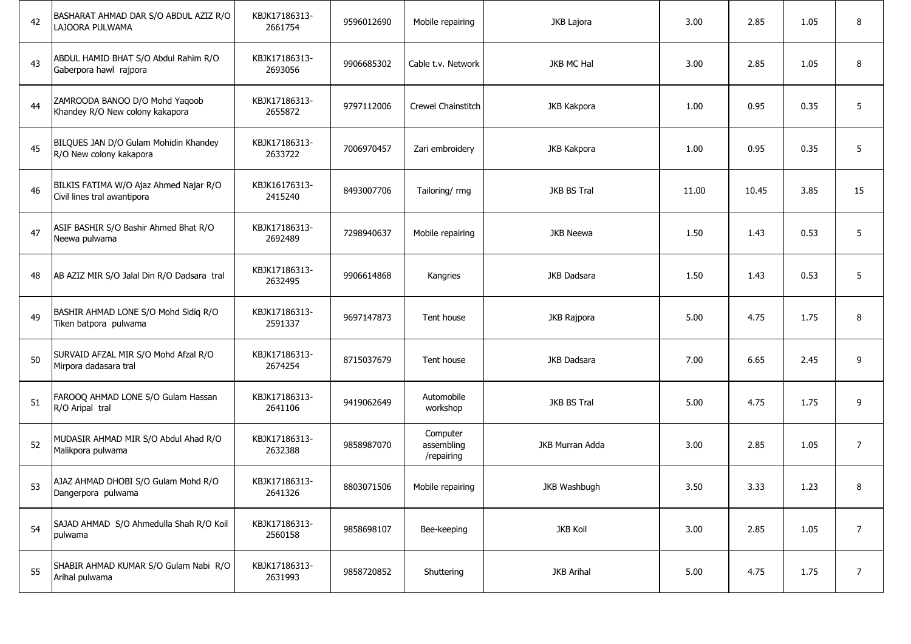| 42 | BASHARAT AHMAD DAR S/O ABDUL AZIZ R/O<br>LAJOORA PULWAMA              | KBJK17186313-<br>2661754 | 9596012690 | Mobile repairing                     | JKB Lajora         | 3.00  | 2.85  | 1.05 | 8              |
|----|-----------------------------------------------------------------------|--------------------------|------------|--------------------------------------|--------------------|-------|-------|------|----------------|
| 43 | ABDUL HAMID BHAT S/O Abdul Rahim R/O<br>Gaberpora hawl rajpora        | KBJK17186313-<br>2693056 | 9906685302 | Cable t.v. Network                   | JKB MC Hal         | 3.00  | 2.85  | 1.05 | 8              |
| 44 | ZAMROODA BANOO D/O Mohd Yaqoob<br>Khandey R/O New colony kakapora     | KBJK17186313-<br>2655872 | 9797112006 | Crewel Chainstitch                   | JKB Kakpora        | 1.00  | 0.95  | 0.35 | 5              |
| 45 | BILQUES JAN D/O Gulam Mohidin Khandey<br>R/O New colony kakapora      | KBJK17186313-<br>2633722 | 7006970457 | Zari embroidery                      | JKB Kakpora        | 1.00  | 0.95  | 0.35 | 5              |
| 46 | BILKIS FATIMA W/O Ajaz Ahmed Najar R/O<br>Civil lines tral awantipora | KBJK16176313-<br>2415240 | 8493007706 | Tailoring/rmg                        | JKB BS Tral        | 11.00 | 10.45 | 3.85 | 15             |
| 47 | ASIF BASHIR S/O Bashir Ahmed Bhat R/O<br>Neewa pulwama                | KBJK17186313-<br>2692489 | 7298940637 | Mobile repairing                     | JKB Neewa          | 1.50  | 1.43  | 0.53 | 5              |
| 48 | AB AZIZ MIR S/O Jalal Din R/O Dadsara tral                            | KBJK17186313-<br>2632495 | 9906614868 | Kangries                             | JKB Dadsara        | 1.50  | 1.43  | 0.53 | 5              |
| 49 | BASHIR AHMAD LONE S/O Mohd Sidiq R/O<br>Tiken batpora pulwama         | KBJK17186313-<br>2591337 | 9697147873 | Tent house                           | JKB Rajpora        | 5.00  | 4.75  | 1.75 | 8              |
| 50 | SURVAID AFZAL MIR S/O Mohd Afzal R/O<br>Mirpora dadasara tral         | KBJK17186313-<br>2674254 | 8715037679 | Tent house                           | <b>JKB Dadsara</b> | 7.00  | 6.65  | 2.45 | 9              |
| 51 | FAROOQ AHMAD LONE S/O Gulam Hassan<br>R/O Aripal tral                 | KBJK17186313-<br>2641106 | 9419062649 | Automobile<br>workshop               | JKB BS Tral        | 5.00  | 4.75  | 1.75 | 9              |
| 52 | MUDASIR AHMAD MIR S/O Abdul Ahad R/O<br>Malikpora pulwama             | KBJK17186313-<br>2632388 | 9858987070 | Computer<br>assembling<br>/repairing | JKB Murran Adda    | 3.00  | 2.85  | 1.05 | $\overline{7}$ |
| 53 | AJAZ AHMAD DHOBI S/O Gulam Mohd R/O<br>Dangerpora pulwama             | KBJK17186313-<br>2641326 | 8803071506 | Mobile repairing                     | JKB Washbugh       | 3.50  | 3.33  | 1.23 | 8              |
| 54 | SAJAD AHMAD S/O Ahmedulla Shah R/O Koil<br>pulwama                    | KBJK17186313-<br>2560158 | 9858698107 | Bee-keeping                          | <b>JKB Koil</b>    | 3.00  | 2.85  | 1.05 | $\overline{7}$ |
| 55 | SHABIR AHMAD KUMAR S/O Gulam Nabi R/O<br>Arihal pulwama               | KBJK17186313-<br>2631993 | 9858720852 | Shuttering                           | <b>JKB Arihal</b>  | 5.00  | 4.75  | 1.75 | $\overline{7}$ |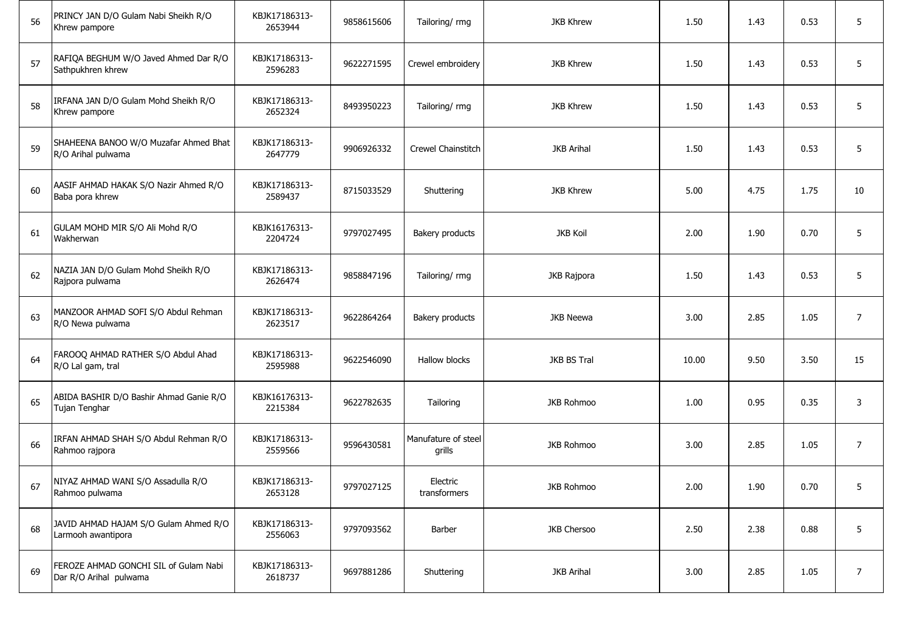| 56 | PRINCY JAN D/O Gulam Nabi Sheikh R/O<br>Khrew pampore           | KBJK17186313-<br>2653944 | 9858615606 | Tailoring/rmg                 | <b>JKB Khrew</b>  | 1.50  | 1.43 | 0.53 | 5              |
|----|-----------------------------------------------------------------|--------------------------|------------|-------------------------------|-------------------|-------|------|------|----------------|
| 57 | RAFIQA BEGHUM W/O Javed Ahmed Dar R/O<br>Sathpukhren khrew      | KBJK17186313-<br>2596283 | 9622271595 | Crewel embroidery             | <b>JKB Khrew</b>  | 1.50  | 1.43 | 0.53 | 5              |
| 58 | IRFANA JAN D/O Gulam Mohd Sheikh R/O<br>Khrew pampore           | KBJK17186313-<br>2652324 | 8493950223 | Tailoring/ rmg                | <b>JKB Khrew</b>  | 1.50  | 1.43 | 0.53 | 5              |
| 59 | SHAHEENA BANOO W/O Muzafar Ahmed Bhat<br>R/O Arihal pulwama     | KBJK17186313-<br>2647779 | 9906926332 | Crewel Chainstitch            | <b>JKB Arihal</b> | 1.50  | 1.43 | 0.53 | 5              |
| 60 | AASIF AHMAD HAKAK S/O Nazir Ahmed R/O<br>Baba pora khrew        | KBJK17186313-<br>2589437 | 8715033529 | Shuttering                    | <b>JKB Khrew</b>  | 5.00  | 4.75 | 1.75 | 10             |
| 61 | GULAM MOHD MIR S/O Ali Mohd R/O<br>Wakherwan                    | KBJK16176313-<br>2204724 | 9797027495 | Bakery products               | <b>JKB Koil</b>   | 2.00  | 1.90 | 0.70 | 5              |
| 62 | NAZIA JAN D/O Gulam Mohd Sheikh R/O<br>Rajpora pulwama          | KBJK17186313-<br>2626474 | 9858847196 | Tailoring/ rmg                | JKB Rajpora       | 1.50  | 1.43 | 0.53 | 5              |
| 63 | MANZOOR AHMAD SOFI S/O Abdul Rehman<br>R/O Newa pulwama         | KBJK17186313-<br>2623517 | 9622864264 | Bakery products               | JKB Neewa         | 3.00  | 2.85 | 1.05 | $\overline{7}$ |
| 64 | FAROOQ AHMAD RATHER S/O Abdul Ahad<br>R/O Lal gam, tral         | KBJK17186313-<br>2595988 | 9622546090 | Hallow blocks                 | JKB BS Tral       | 10.00 | 9.50 | 3.50 | 15             |
| 65 | ABIDA BASHIR D/O Bashir Ahmad Ganie R/O<br>Tujan Tenghar        | KBJK16176313-<br>2215384 | 9622782635 | Tailoring                     | <b>JKB Rohmoo</b> | 1.00  | 0.95 | 0.35 | 3              |
| 66 | IRFAN AHMAD SHAH S/O Abdul Rehman R/O<br>Rahmoo rajpora         | KBJK17186313-<br>2559566 | 9596430581 | Manufature of steel<br>grills | <b>JKB Rohmoo</b> | 3.00  | 2.85 | 1.05 | $\overline{7}$ |
| 67 | NIYAZ AHMAD WANI S/O Assadulla R/O<br>Rahmoo pulwama            | KBJK17186313-<br>2653128 | 9797027125 | Electric<br>transformers      | JKB Rohmoo        | 2.00  | 1.90 | 0.70 | 5.             |
| 68 | JAVID AHMAD HAJAM S/O Gulam Ahmed R/O<br>Larmooh awantipora     | KBJK17186313-<br>2556063 | 9797093562 | Barber                        | JKB Chersoo       | 2.50  | 2.38 | 0.88 | 5              |
| 69 | FEROZE AHMAD GONCHI SIL of Gulam Nabi<br>Dar R/O Arihal pulwama | KBJK17186313-<br>2618737 | 9697881286 | Shuttering                    | <b>JKB Arihal</b> | 3.00  | 2.85 | 1.05 | $\overline{7}$ |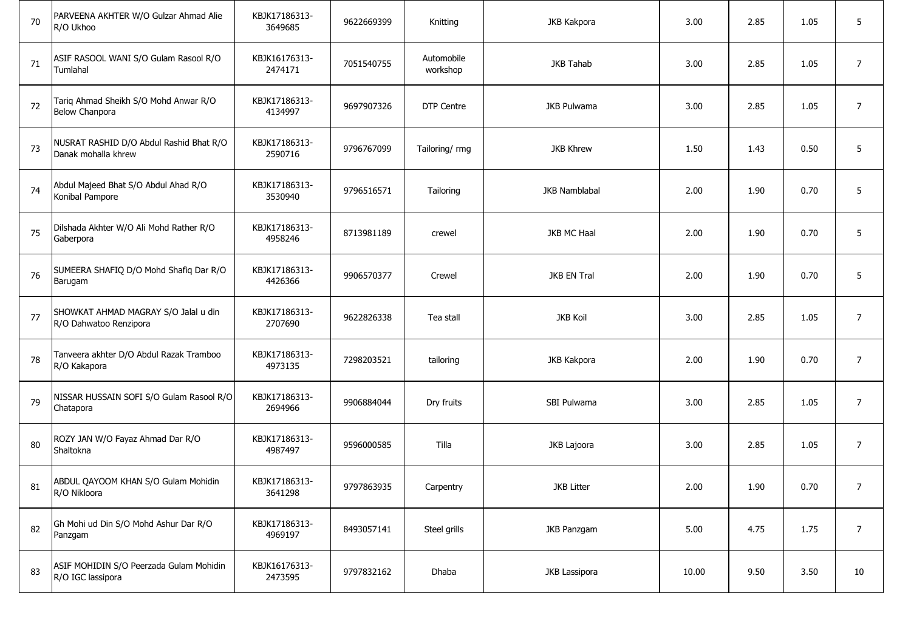| 70 | PARVEENA AKHTER W/O Gulzar Ahmad Alie<br>R/O Ukhoo             | KBJK17186313-<br>3649685 | 9622669399 | Knitting               | JKB Kakpora          | 3.00  | 2.85 | 1.05 | 5              |
|----|----------------------------------------------------------------|--------------------------|------------|------------------------|----------------------|-------|------|------|----------------|
| 71 | ASIF RASOOL WANI S/O Gulam Rasool R/O<br>Tumlahal              | KBJK16176313-<br>2474171 | 7051540755 | Automobile<br>workshop | <b>JKB Tahab</b>     | 3.00  | 2.85 | 1.05 | $\overline{7}$ |
| 72 | Tariq Ahmad Sheikh S/O Mohd Anwar R/O<br><b>Below Chanpora</b> | KBJK17186313-<br>4134997 | 9697907326 | DTP Centre             | <b>JKB Pulwama</b>   | 3.00  | 2.85 | 1.05 | $\overline{7}$ |
| 73 | NUSRAT RASHID D/O Abdul Rashid Bhat R/O<br>Danak mohalla khrew | KBJK17186313-<br>2590716 | 9796767099 | Tailoring/ rmg         | <b>JKB Khrew</b>     | 1.50  | 1.43 | 0.50 | 5              |
| 74 | Abdul Majeed Bhat S/O Abdul Ahad R/O<br>Konibal Pampore        | KBJK17186313-<br>3530940 | 9796516571 | Tailoring              | <b>JKB Namblabal</b> | 2.00  | 1.90 | 0.70 | 5              |
| 75 | Dilshada Akhter W/O Ali Mohd Rather R/O<br>Gaberpora           | KBJK17186313-<br>4958246 | 8713981189 | crewel                 | <b>JKB MC Haal</b>   | 2.00  | 1.90 | 0.70 | 5              |
| 76 | SUMEERA SHAFIQ D/O Mohd Shafiq Dar R/O<br>Barugam              | KBJK17186313-<br>4426366 | 9906570377 | Crewel                 | JKB EN Tral          | 2.00  | 1.90 | 0.70 | 5              |
| 77 | SHOWKAT AHMAD MAGRAY S/O Jalal u din<br>R/O Dahwatoo Renzipora | KBJK17186313-<br>2707690 | 9622826338 | Tea stall              | <b>JKB Koil</b>      | 3.00  | 2.85 | 1.05 | $\overline{7}$ |
| 78 | Tanveera akhter D/O Abdul Razak Tramboo<br>R/O Kakapora        | KBJK17186313-<br>4973135 | 7298203521 | tailoring              | JKB Kakpora          | 2.00  | 1.90 | 0.70 | $\overline{7}$ |
| 79 | NISSAR HUSSAIN SOFI S/O Gulam Rasool R/O<br>Chatapora          | KBJK17186313-<br>2694966 | 9906884044 | Dry fruits             | SBI Pulwama          | 3.00  | 2.85 | 1.05 | $\overline{7}$ |
| 80 | ROZY JAN W/O Fayaz Ahmad Dar R/O<br>Shaltokna                  | KBJK17186313-<br>4987497 | 9596000585 | Tilla                  | JKB Lajoora          | 3.00  | 2.85 | 1.05 | $\overline{7}$ |
| 81 | ABDUL QAYOOM KHAN S/O Gulam Mohidin<br>R/O Nikloora            | KBJK17186313-<br>3641298 | 9797863935 | Carpentry              | <b>JKB Litter</b>    | 2.00  | 1.90 | 0.70 | 7              |
| 82 | Gh Mohi ud Din S/O Mohd Ashur Dar R/O<br>Panzgam               | KBJK17186313-<br>4969197 | 8493057141 | Steel grills           | JKB Panzgam          | 5.00  | 4.75 | 1.75 | $\overline{7}$ |
| 83 | ASIF MOHIDIN S/O Peerzada Gulam Mohidin<br>R/O IGC lassipora   | KBJK16176313-<br>2473595 | 9797832162 | Dhaba                  | JKB Lassipora        | 10.00 | 9.50 | 3.50 | 10             |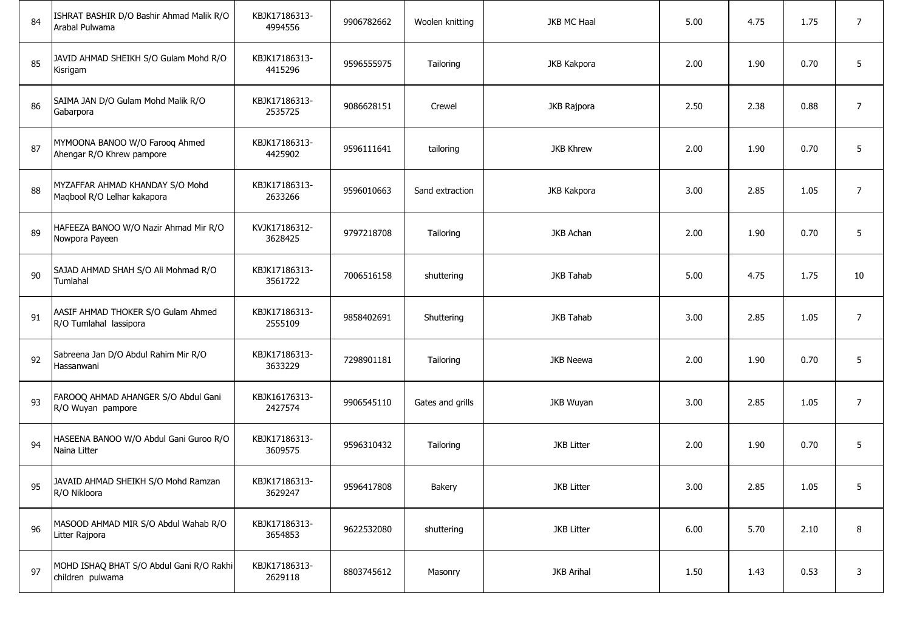| 84 | ISHRAT BASHIR D/O Bashir Ahmad Malik R/O<br>Arabal Pulwama     | KBJK17186313-<br>4994556 | 9906782662 | Woolen knitting  | JKB MC Haal       | 5.00 | 4.75 | 1.75 | $\overline{7}$ |
|----|----------------------------------------------------------------|--------------------------|------------|------------------|-------------------|------|------|------|----------------|
| 85 | JAVID AHMAD SHEIKH S/O Gulam Mohd R/O<br>Kisrigam              | KBJK17186313-<br>4415296 | 9596555975 | Tailoring        | JKB Kakpora       | 2.00 | 1.90 | 0.70 | 5              |
| 86 | SAIMA JAN D/O Gulam Mohd Malik R/O<br>Gabarpora                | KBJK17186313-<br>2535725 | 9086628151 | Crewel           | JKB Rajpora       | 2.50 | 2.38 | 0.88 | $\overline{7}$ |
| 87 | MYMOONA BANOO W/O Farooq Ahmed<br>Ahengar R/O Khrew pampore    | KBJK17186313-<br>4425902 | 9596111641 | tailoring        | <b>JKB Khrew</b>  | 2.00 | 1.90 | 0.70 | 5              |
| 88 | MYZAFFAR AHMAD KHANDAY S/O Mohd<br>Maqbool R/O Lelhar kakapora | KBJK17186313-<br>2633266 | 9596010663 | Sand extraction  | JKB Kakpora       | 3.00 | 2.85 | 1.05 | $\overline{7}$ |
| 89 | HAFEEZA BANOO W/O Nazir Ahmad Mir R/O<br>Nowpora Payeen        | KVJK17186312-<br>3628425 | 9797218708 | Tailoring        | <b>JKB Achan</b>  | 2.00 | 1.90 | 0.70 | 5              |
| 90 | SAJAD AHMAD SHAH S/O Ali Mohmad R/O<br>Tumlahal                | KBJK17186313-<br>3561722 | 7006516158 | shuttering       | <b>JKB Tahab</b>  | 5.00 | 4.75 | 1.75 | 10             |
| 91 | AASIF AHMAD THOKER S/O Gulam Ahmed<br>R/O Tumlahal lassipora   | KBJK17186313-<br>2555109 | 9858402691 | Shuttering       | <b>JKB Tahab</b>  | 3.00 | 2.85 | 1.05 | $\overline{7}$ |
| 92 | Sabreena Jan D/O Abdul Rahim Mir R/O<br>Hassanwani             | KBJK17186313-<br>3633229 | 7298901181 | Tailoring        | JKB Neewa         | 2.00 | 1.90 | 0.70 | 5              |
| 93 | FAROOQ AHMAD AHANGER S/O Abdul Gani<br>R/O Wuyan pampore       | KBJK16176313-<br>2427574 | 9906545110 | Gates and grills | JKB Wuyan         | 3.00 | 2.85 | 1.05 | $\overline{7}$ |
| 94 | HASEENA BANOO W/O Abdul Gani Guroo R/O<br>Naina Litter         | KBJK17186313-<br>3609575 | 9596310432 | Tailoring        | <b>JKB Litter</b> | 2.00 | 1.90 | 0.70 | 5              |
| 95 | JAVAID AHMAD SHEIKH S/O Mohd Ramzan<br>R/O Nikloora            | KBJK17186313-<br>3629247 | 9596417808 | Bakery           | <b>JKB Litter</b> | 3.00 | 2.85 | 1.05 | 5.             |
| 96 | MASOOD AHMAD MIR S/O Abdul Wahab R/O<br>Litter Rajpora         | KBJK17186313-<br>3654853 | 9622532080 | shuttering       | <b>JKB Litter</b> | 6.00 | 5.70 | 2.10 | 8              |
| 97 | MOHD ISHAQ BHAT S/O Abdul Gani R/O Rakhi<br>children pulwama   | KBJK17186313-<br>2629118 | 8803745612 | Masonry          | <b>JKB Arihal</b> | 1.50 | 1.43 | 0.53 | 3              |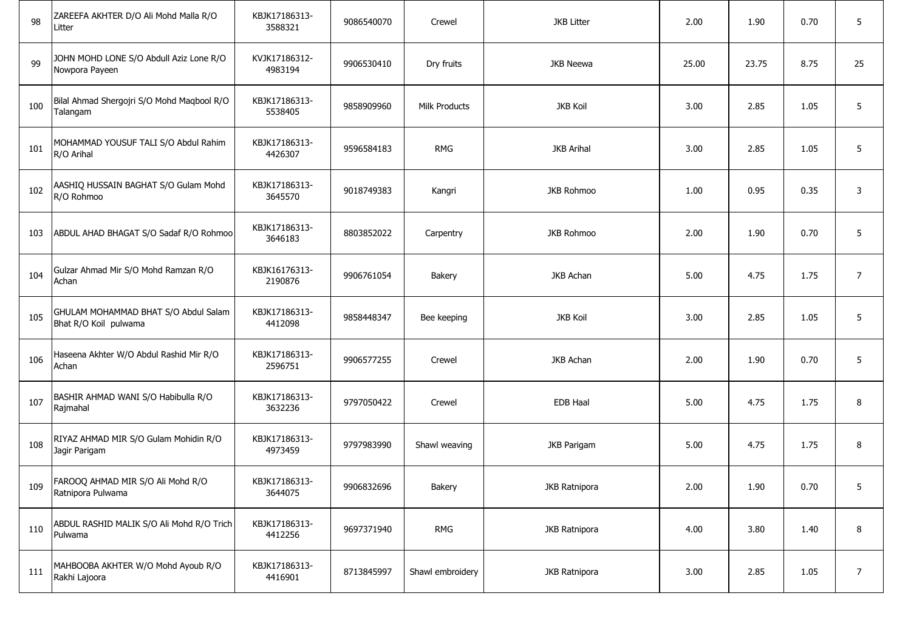| 98  | ZAREEFA AKHTER D/O Ali Mohd Malla R/O<br>Litter               | KBJK17186313-<br>3588321 | 9086540070 | Crewel               | <b>JKB Litter</b> | 2.00  | 1.90  | 0.70 | 5              |
|-----|---------------------------------------------------------------|--------------------------|------------|----------------------|-------------------|-------|-------|------|----------------|
| 99  | JOHN MOHD LONE S/O Abdull Aziz Lone R/O<br>Nowpora Payeen     | KVJK17186312-<br>4983194 | 9906530410 | Dry fruits           | JKB Neewa         | 25.00 | 23.75 | 8.75 | 25             |
| 100 | Bilal Ahmad Shergojri S/O Mohd Maqbool R/O<br>Talangam        | KBJK17186313-<br>5538405 | 9858909960 | <b>Milk Products</b> | <b>JKB Koil</b>   | 3.00  | 2.85  | 1.05 | 5              |
| 101 | MOHAMMAD YOUSUF TALI S/O Abdul Rahim<br>R/O Arihal            | KBJK17186313-<br>4426307 | 9596584183 | <b>RMG</b>           | <b>JKB Arihal</b> | 3.00  | 2.85  | 1.05 | 5              |
| 102 | AASHIQ HUSSAIN BAGHAT S/O Gulam Mohd<br>R/O Rohmoo            | KBJK17186313-<br>3645570 | 9018749383 | Kangri               | <b>JKB Rohmoo</b> | 1.00  | 0.95  | 0.35 | 3              |
| 103 | ABDUL AHAD BHAGAT S/O Sadaf R/O Rohmoo                        | KBJK17186313-<br>3646183 | 8803852022 | Carpentry            | <b>JKB Rohmoo</b> | 2.00  | 1.90  | 0.70 | 5              |
| 104 | Gulzar Ahmad Mir S/O Mohd Ramzan R/O<br>Achan                 | KBJK16176313-<br>2190876 | 9906761054 | Bakery               | <b>JKB Achan</b>  | 5.00  | 4.75  | 1.75 | $\overline{7}$ |
| 105 | GHULAM MOHAMMAD BHAT S/O Abdul Salam<br>Bhat R/O Koil pulwama | KBJK17186313-<br>4412098 | 9858448347 | Bee keeping          | <b>JKB Koil</b>   | 3.00  | 2.85  | 1.05 | 5              |
| 106 | Haseena Akhter W/O Abdul Rashid Mir R/O<br>Achan              | KBJK17186313-<br>2596751 | 9906577255 | Crewel               | <b>JKB Achan</b>  | 2.00  | 1.90  | 0.70 | 5              |
| 107 | BASHIR AHMAD WANI S/O Habibulla R/O<br>Rajmahal               | KBJK17186313-<br>3632236 | 9797050422 | Crewel               | <b>EDB Haal</b>   | 5.00  | 4.75  | 1.75 | 8              |
| 108 | RIYAZ AHMAD MIR S/O Gulam Mohidin R/O<br>Jagir Parigam        | KBJK17186313-<br>4973459 | 9797983990 | Shawl weaving        | JKB Parigam       | 5.00  | 4.75  | 1.75 | 8              |
|     | 109   FAROOQ AHMAD MIR S/O Ali Mohd R/O<br>Ratnipora Pulwama  | KBJK17186313-<br>3644075 | 9906832696 | Bakery               | JKB Ratnipora     | 2.00  | 1.90  | 0.70 | 5.             |
| 110 | ABDUL RASHID MALIK S/O Ali Mohd R/O Trich<br>Pulwama          | KBJK17186313-<br>4412256 | 9697371940 | <b>RMG</b>           | JKB Ratnipora     | 4.00  | 3.80  | 1.40 | 8              |
| 111 | MAHBOOBA AKHTER W/O Mohd Ayoub R/O<br>Rakhi Lajoora           | KBJK17186313-<br>4416901 | 8713845997 | Shawl embroidery     | JKB Ratnipora     | 3.00  | 2.85  | 1.05 | $\overline{7}$ |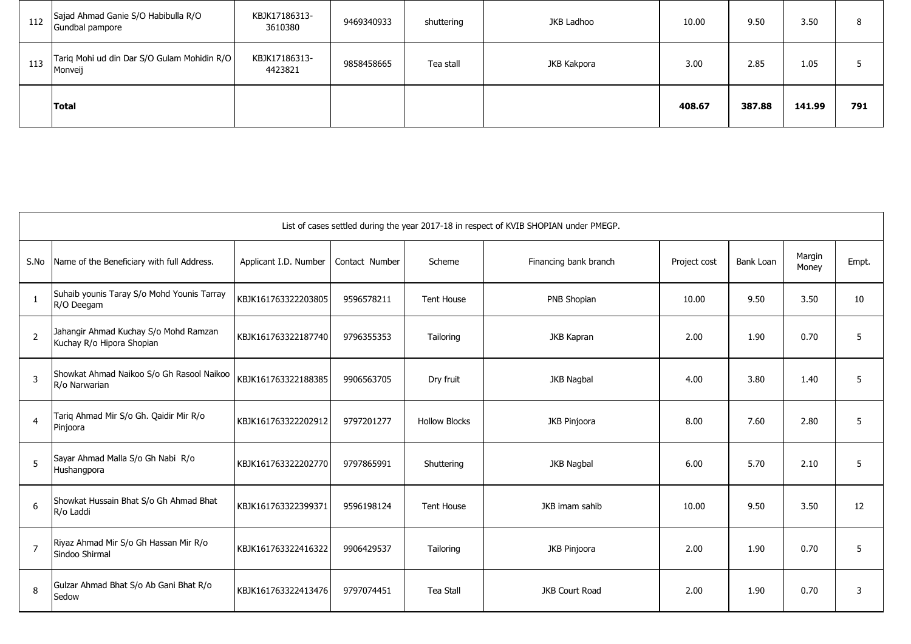| 112 | Sajad Ahmad Ganie S/O Habibulla R/O<br>Gundbal pampore | KBJK17186313-<br>3610380 | 9469340933 | shuttering | JKB Ladhoo  | 10.00  | 9.50   | 3.50   |     |
|-----|--------------------------------------------------------|--------------------------|------------|------------|-------------|--------|--------|--------|-----|
| 113 | Tariq Mohi ud din Dar S/O Gulam Mohidin R/O<br>Monveij | KBJK17186313-<br>4423821 | 9858458665 | Tea stall  | JKB Kakpora | 3.00   | 2.85   | 1.05   |     |
|     | Total                                                  |                          |            |            |             | 408.67 | 387.88 | 141.99 | 791 |

|                | List of cases settled during the year 2017-18 in respect of KVIB SHOPIAN under PMEGP. |                       |                |                      |                       |              |           |                 |       |  |  |  |  |
|----------------|---------------------------------------------------------------------------------------|-----------------------|----------------|----------------------|-----------------------|--------------|-----------|-----------------|-------|--|--|--|--|
| S.No           | Name of the Beneficiary with full Address.                                            | Applicant I.D. Number | Contact Number | Scheme               | Financing bank branch | Project cost | Bank Loan | Margin<br>Money | Empt. |  |  |  |  |
|                | Suhaib younis Taray S/o Mohd Younis Tarray<br>R/O Deegam                              | KBJK161763322203805   | 9596578211     | <b>Tent House</b>    | PNB Shopian           | 10.00        | 9.50      | 3.50            | 10    |  |  |  |  |
| $\overline{2}$ | Jahangir Ahmad Kuchay S/o Mohd Ramzan<br>Kuchay R/o Hipora Shopian                    | KBJK161763322187740   | 9796355353     | Tailoring            | JKB Kapran            | 2.00         | 1.90      | 0.70            | 5     |  |  |  |  |
| 3              | Showkat Ahmad Naikoo S/o Gh Rasool Naikoo<br>R/o Narwarian                            | KBJK161763322188385   | 9906563705     | Dry fruit            | <b>JKB Nagbal</b>     | 4.00         | 3.80      | 1.40            | 5     |  |  |  |  |
| $\overline{4}$ | Tariq Ahmad Mir S/o Gh. Qaidir Mir R/o<br>Pinjoora                                    | KBJK161763322202912   | 9797201277     | <b>Hollow Blocks</b> | <b>JKB Pinjoora</b>   | 8.00         | 7.60      | 2.80            | 5     |  |  |  |  |
| 5              | Sayar Ahmad Malla S/o Gh Nabi R/o<br>Hushangpora                                      | KBJK161763322202770   | 9797865991     | Shuttering           | JKB Nagbal            | 6.00         | 5.70      | 2.10            | 5     |  |  |  |  |
| 6              | Showkat Hussain Bhat S/o Gh Ahmad Bhat<br>R/o Laddi                                   | KBJK161763322399371   | 9596198124     | <b>Tent House</b>    | JKB imam sahib        | 10.00        | 9.50      | 3.50            | 12    |  |  |  |  |
| $\overline{7}$ | Riyaz Ahmad Mir S/o Gh Hassan Mir R/o<br>Sindoo Shirmal                               | KBJK161763322416322   | 9906429537     | Tailoring            | JKB Pinjoora          | 2.00         | 1.90      | 0.70            | 5     |  |  |  |  |
| 8              | Gulzar Ahmad Bhat S/o Ab Gani Bhat R/o<br>Sedow                                       | KBJK161763322413476   | 9797074451     | <b>Tea Stall</b>     | JKB Court Road        | 2.00         | 1.90      | 0.70            | 3     |  |  |  |  |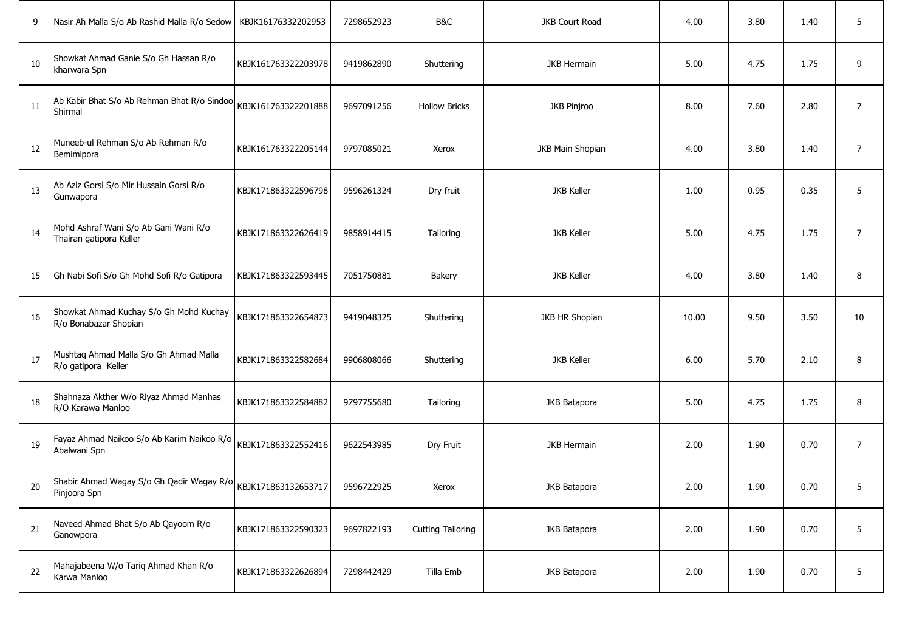| 9  | Nasir Ah Malla S/o Ab Rashid Malla R/o Sedow                                  | KBJK16176332202953  | 7298652923 | B&C                      | JKB Court Road     | 4.00  | 3.80 | 1.40 | 5              |
|----|-------------------------------------------------------------------------------|---------------------|------------|--------------------------|--------------------|-------|------|------|----------------|
| 10 | Showkat Ahmad Ganie S/o Gh Hassan R/o<br>kharwara Spn                         | KBJK161763322203978 | 9419862890 | Shuttering               | <b>JKB Hermain</b> | 5.00  | 4.75 | 1.75 | 9              |
| 11 | Ab Kabir Bhat S/o Ab Rehman Bhat R/o Sindoo<br>Shirmal                        | KBJK161763322201888 | 9697091256 | <b>Hollow Bricks</b>     | JKB Pinjroo        | 8.00  | 7.60 | 2.80 | $\overline{7}$ |
| 12 | Muneeb-ul Rehman S/o Ab Rehman R/o<br>Bemimipora                              | KBJK161763322205144 | 9797085021 | Xerox                    | JKB Main Shopian   | 4.00  | 3.80 | 1.40 | $\overline{7}$ |
| 13 | Ab Aziz Gorsi S/o Mir Hussain Gorsi R/o<br>Gunwapora                          | KBJK171863322596798 | 9596261324 | Dry fruit                | <b>JKB Keller</b>  | 1.00  | 0.95 | 0.35 | 5              |
| 14 | Mohd Ashraf Wani S/o Ab Gani Wani R/o<br>Thairan gatipora Keller              | KBJK171863322626419 | 9858914415 | Tailoring                | <b>JKB Keller</b>  | 5.00  | 4.75 | 1.75 | $\overline{7}$ |
| 15 | Gh Nabi Sofi S/o Gh Mohd Sofi R/o Gatipora                                    | KBJK171863322593445 | 7051750881 | Bakery                   | <b>JKB Keller</b>  | 4.00  | 3.80 | 1.40 | 8              |
| 16 | Showkat Ahmad Kuchay S/o Gh Mohd Kuchay<br>R/o Bonabazar Shopian              | KBJK171863322654873 | 9419048325 | Shuttering               | JKB HR Shopian     | 10.00 | 9.50 | 3.50 | 10             |
| 17 | Mushtaq Ahmad Malla S/o Gh Ahmad Malla<br>R/o gatipora Keller                 | KBJK171863322582684 | 9906808066 | Shuttering               | <b>JKB Keller</b>  | 6.00  | 5.70 | 2.10 | 8              |
| 18 | Shahnaza Akther W/o Riyaz Ahmad Manhas<br>R/O Karawa Manloo                   | KBJK171863322584882 | 9797755680 | Tailoring                | JKB Batapora       | 5.00  | 4.75 | 1.75 | 8              |
| 19 | Fayaz Ahmad Naikoo S/o Ab Karim Naikoo R/o<br>Abalwani Spn                    | KBJK171863322552416 | 9622543985 | Dry Fruit                | <b>JKB Hermain</b> | 2.00  | 1.90 | 0.70 | $\overline{7}$ |
| 20 | Shabir Ahmad Wagay S/o Gh Qadir Wagay R/o KBJK171863132653717<br>Pinjoora Spn |                     | 9596722925 | Xerox                    | JKB Batapora       | 2.00  | 1.90 | 0.70 | 5              |
| 21 | Naveed Ahmad Bhat S/o Ab Qayoom R/o<br>Ganowpora                              | KBJK171863322590323 | 9697822193 | <b>Cutting Tailoring</b> | JKB Batapora       | 2.00  | 1.90 | 0.70 | 5              |
| 22 | Mahajabeena W/o Tariq Ahmad Khan R/o<br>Karwa Manloo                          | KBJK171863322626894 | 7298442429 | Tilla Emb                | JKB Batapora       | 2.00  | 1.90 | 0.70 | 5              |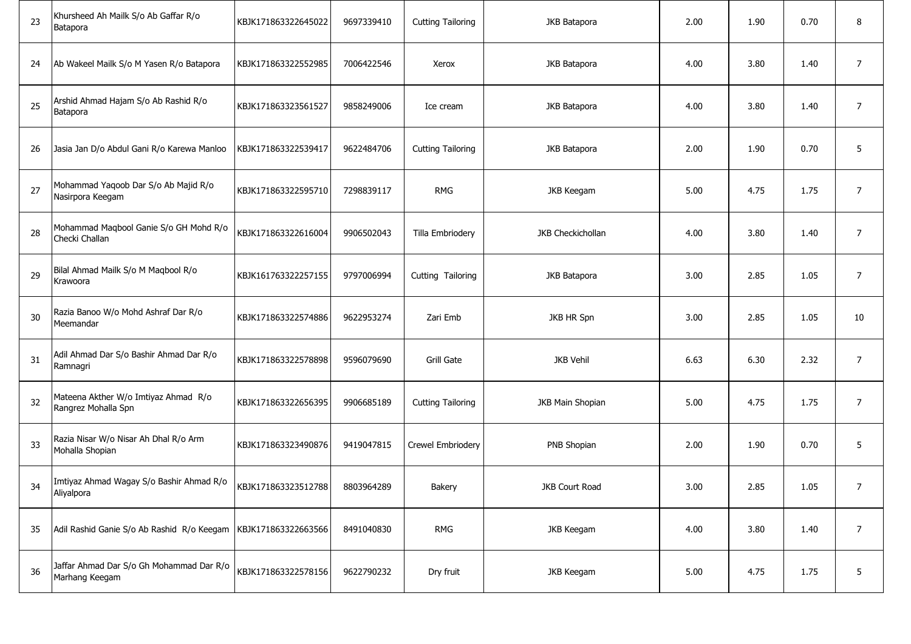| 23 | Khursheed Ah Mailk S/o Ab Gaffar R/o<br>Batapora            | KBJK171863322645022 | 9697339410 | <b>Cutting Tailoring</b> | JKB Batapora      | 2.00 | 1.90 | 0.70 | 8              |
|----|-------------------------------------------------------------|---------------------|------------|--------------------------|-------------------|------|------|------|----------------|
| 24 | Ab Wakeel Mailk S/o M Yasen R/o Batapora                    | KBJK171863322552985 | 7006422546 | Xerox                    | JKB Batapora      | 4.00 | 3.80 | 1.40 | $\overline{7}$ |
| 25 | Arshid Ahmad Hajam S/o Ab Rashid R/o<br>Batapora            | KBJK171863323561527 | 9858249006 | Ice cream                | JKB Batapora      | 4.00 | 3.80 | 1.40 | 7              |
| 26 | Jasia Jan D/o Abdul Gani R/o Karewa Manloo                  | KBJK171863322539417 | 9622484706 | <b>Cutting Tailoring</b> | JKB Batapora      | 2.00 | 1.90 | 0.70 | 5              |
| 27 | Mohammad Yaqoob Dar S/o Ab Majid R/o<br>Nasirpora Keegam    | KBJK171863322595710 | 7298839117 | <b>RMG</b>               | JKB Keegam        | 5.00 | 4.75 | 1.75 | $\overline{7}$ |
| 28 | Mohammad Maqbool Ganie S/o GH Mohd R/o<br>Checki Challan    | KBJK171863322616004 | 9906502043 | Tilla Embriodery         | JKB Checkichollan | 4.00 | 3.80 | 1.40 | $\overline{7}$ |
| 29 | Bilal Ahmad Mailk S/o M Maqbool R/o<br>Krawoora             | KBJK161763322257155 | 9797006994 | Cutting Tailoring        | JKB Batapora      | 3.00 | 2.85 | 1.05 | $\overline{7}$ |
| 30 | Razia Banoo W/o Mohd Ashraf Dar R/o<br>Meemandar            | KBJK171863322574886 | 9622953274 | Zari Emb                 | JKB HR Spn        | 3.00 | 2.85 | 1.05 | 10             |
| 31 | Adil Ahmad Dar S/o Bashir Ahmad Dar R/o<br>Ramnagri         | KBJK171863322578898 | 9596079690 | Grill Gate               | <b>JKB Vehil</b>  | 6.63 | 6.30 | 2.32 | $\overline{7}$ |
| 32 | Mateena Akther W/o Imtiyaz Ahmad R/o<br>Rangrez Mohalla Spn | KBJK171863322656395 | 9906685189 | <b>Cutting Tailoring</b> | JKB Main Shopian  | 5.00 | 4.75 | 1.75 | 7              |
| 33 | Razia Nisar W/o Nisar Ah Dhal R/o Arm<br>Mohalla Shopian    | KBJK171863323490876 | 9419047815 | Crewel Embriodery        | PNB Shopian       | 2.00 | 1.90 | 0.70 | 5              |
| 34 | Imtiyaz Ahmad Wagay S/o Bashir Ahmad R/o<br>Aliyalpora      | KBJK171863323512788 | 8803964289 | Bakery                   | JKB Court Road    | 3.00 | 2.85 | 1.05 | 7              |
| 35 | Adil Rashid Ganie S/o Ab Rashid R/o Keegam                  | KBJK171863322663566 | 8491040830 | <b>RMG</b>               | <b>JKB Keegam</b> | 4.00 | 3.80 | 1.40 | $\overline{7}$ |
| 36 | Jaffar Ahmad Dar S/o Gh Mohammad Dar R/o<br>Marhang Keegam  | KBJK171863322578156 | 9622790232 | Dry fruit                | <b>JKB Keegam</b> | 5.00 | 4.75 | 1.75 | 5              |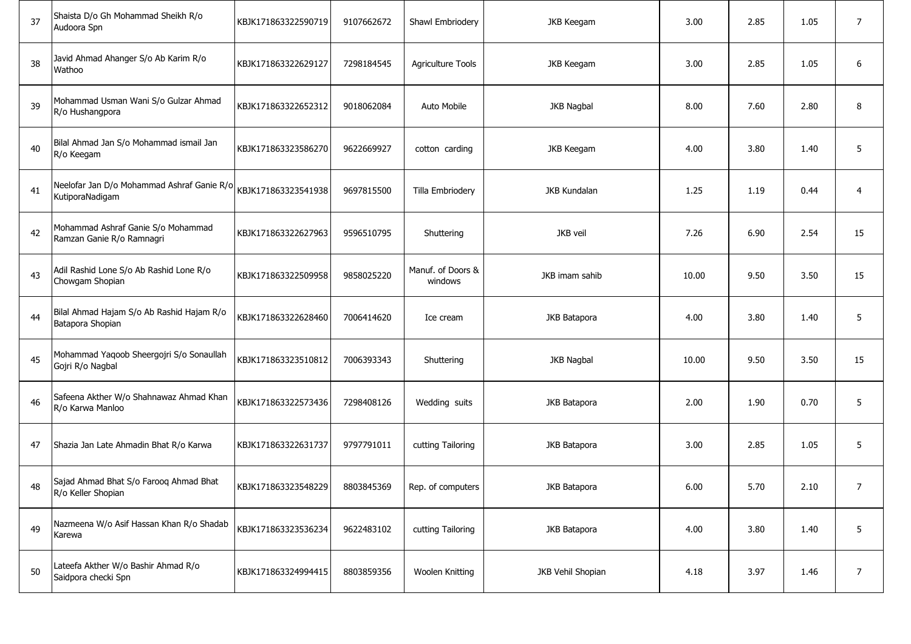| 37 | Shaista D/o Gh Mohammad Sheikh R/o<br>Audoora Spn               | KBJK171863322590719 | 9107662672 | Shawl Embriodery             | <b>JKB Keegam</b>   | 3.00  | 2.85 | 1.05 | $\overline{7}$ |
|----|-----------------------------------------------------------------|---------------------|------------|------------------------------|---------------------|-------|------|------|----------------|
| 38 | Javid Ahmad Ahanger S/o Ab Karim R/o<br>Wathoo                  | KBJK171863322629127 | 7298184545 | <b>Agriculture Tools</b>     | <b>JKB Keegam</b>   | 3.00  | 2.85 | 1.05 | 6              |
| 39 | Mohammad Usman Wani S/o Gulzar Ahmad<br>R/o Hushangpora         | KBJK171863322652312 | 9018062084 | Auto Mobile                  | <b>JKB Nagbal</b>   | 8.00  | 7.60 | 2.80 | 8              |
| 40 | Bilal Ahmad Jan S/o Mohammad ismail Jan<br>R/o Keegam           | KBJK171863323586270 | 9622669927 | cotton carding               | <b>JKB Keegam</b>   | 4.00  | 3.80 | 1.40 | 5              |
| 41 | Neelofar Jan D/o Mohammad Ashraf Ganie R/o<br>KutiporaNadigam   | KBJK171863323541938 | 9697815500 | Tilla Embriodery             | <b>JKB Kundalan</b> | 1.25  | 1.19 | 0.44 | $\overline{4}$ |
| 42 | Mohammad Ashraf Ganie S/o Mohammad<br>Ramzan Ganie R/o Ramnagri | KBJK171863322627963 | 9596510795 | Shuttering                   | JKB veil            | 7.26  | 6.90 | 2.54 | 15             |
| 43 | Adil Rashid Lone S/o Ab Rashid Lone R/o<br>Chowgam Shopian      | KBJK171863322509958 | 9858025220 | Manuf. of Doors &<br>windows | JKB imam sahib      | 10.00 | 9.50 | 3.50 | 15             |
| 44 | Bilal Ahmad Hajam S/o Ab Rashid Hajam R/o<br>Batapora Shopian   | KBJK171863322628460 | 7006414620 | Ice cream                    | JKB Batapora        | 4.00  | 3.80 | 1.40 | 5              |
| 45 | Mohammad Yaqoob Sheergojri S/o Sonaullah<br>Gojri R/o Nagbal    | KBJK171863323510812 | 7006393343 | Shuttering                   | JKB Nagbal          | 10.00 | 9.50 | 3.50 | 15             |
| 46 | Safeena Akther W/o Shahnawaz Ahmad Khan<br>R/o Karwa Manloo     | KBJK171863322573436 | 7298408126 | Wedding suits                | JKB Batapora        | 2.00  | 1.90 | 0.70 | 5              |
| 47 | Shazia Jan Late Ahmadin Bhat R/o Karwa                          | KBJK171863322631737 | 9797791011 | cutting Tailoring            | JKB Batapora        | 3.00  | 2.85 | 1.05 | 5              |
| 48 | Sajad Ahmad Bhat S/o Farooq Ahmad Bhat<br>R/o Keller Shopian    | KB1K171863323548229 | 8803845369 | Rep. of computers            | JKB Batapora        | 6.00  | 5.70 | 2.10 | 7              |
| 49 | Nazmeena W/o Asif Hassan Khan R/o Shadab<br>Karewa              | KBJK171863323536234 | 9622483102 | cutting Tailoring            | JKB Batapora        | 4.00  | 3.80 | 1.40 | 5              |
| 50 | Lateefa Akther W/o Bashir Ahmad R/o<br>Saidpora checki Spn      | KBJK171863324994415 | 8803859356 | Woolen Knitting              | JKB Vehil Shopian   | 4.18  | 3.97 | 1.46 | $\overline{7}$ |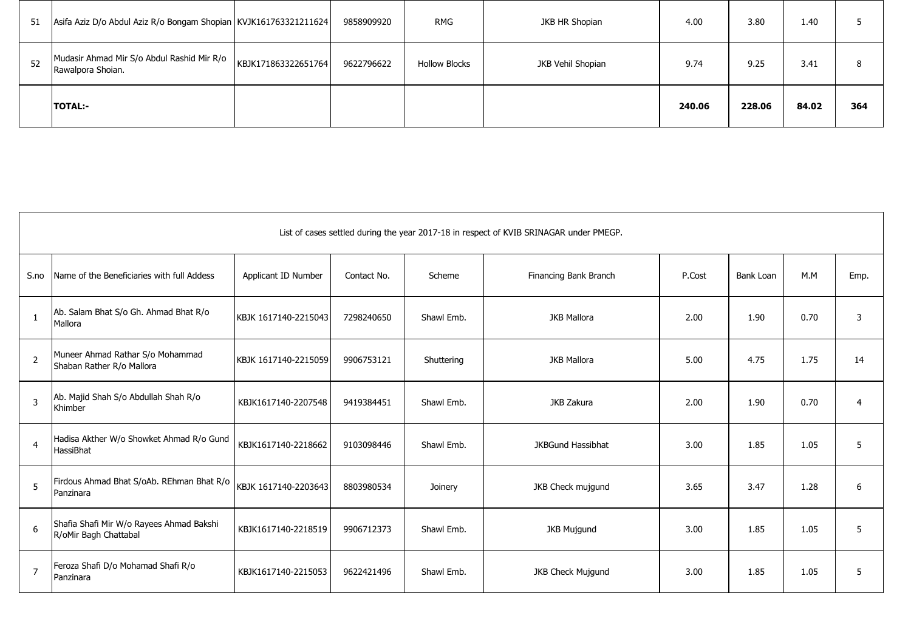| 51 | Asifa Aziz D/o Abdul Aziz R/o Bongam Shopian   KVJK161763321211624 |                     | 9858909920 | <b>RMG</b>           | JKB HR Shopian    | 4.00   | 3.80   | 1.40  |     |
|----|--------------------------------------------------------------------|---------------------|------------|----------------------|-------------------|--------|--------|-------|-----|
| 52 | Mudasir Ahmad Mir S/o Abdul Rashid Mir R/o<br>Rawalpora Shoian.    | KBJK171863322651764 | 9622796622 | <b>Hollow Blocks</b> | JKB Vehil Shopian | 9.74   | 9.25   | 3.41  | 8   |
|    | <b>TOTAL:-</b>                                                     |                     |            |                      |                   | 240.06 | 228.06 | 84.02 | 364 |

|                | List of cases settled during the year 2017-18 in respect of KVIB SRINAGAR under PMEGP. |                      |             |            |                          |        |           |      |                |  |  |
|----------------|----------------------------------------------------------------------------------------|----------------------|-------------|------------|--------------------------|--------|-----------|------|----------------|--|--|
| S.no           | Name of the Beneficiaries with full Addess                                             | Applicant ID Number  | Contact No. | Scheme     | Financing Bank Branch    | P.Cost | Bank Loan | M.M  | Emp.           |  |  |
| $\mathbf{1}$   | Ab. Salam Bhat S/o Gh. Ahmad Bhat R/o<br>Mallora                                       | KBJK 1617140-2215043 | 7298240650  | Shawl Emb. | <b>JKB Mallora</b>       | 2.00   | 1.90      | 0.70 | 3              |  |  |
| $\overline{2}$ | Muneer Ahmad Rathar S/o Mohammad<br>Shaban Rather R/o Mallora                          | KBJK 1617140-2215059 | 9906753121  | Shuttering | <b>JKB Mallora</b>       | 5.00   | 4.75      | 1.75 | 14             |  |  |
| 3              | Ab. Majid Shah S/o Abdullah Shah R/o<br>Khimber                                        | KBJK1617140-2207548  | 9419384451  | Shawl Emb. | JKB Zakura               | 2.00   | 1.90      | 0.70 | $\overline{4}$ |  |  |
| $\overline{4}$ | Hadisa Akther W/o Showket Ahmad R/o Gund<br>HassiBhat                                  | KBJK1617140-2218662  | 9103098446  | Shawl Emb. | <b>JKBGund Hassibhat</b> | 3.00   | 1.85      | 1.05 | 5              |  |  |
| 5              | Firdous Ahmad Bhat S/oAb. REhman Bhat R/o<br>Panzinara                                 | KBJK 1617140-2203643 | 8803980534  | Joinery    | JKB Check mujgund        | 3.65   | 3.47      | 1.28 | 6              |  |  |
| 6              | Shafia Shafi Mir W/o Rayees Ahmad Bakshi<br>R/oMir Bagh Chattabal                      | KBJK1617140-2218519  | 9906712373  | Shawl Emb. | <b>JKB Mujgund</b>       | 3.00   | 1.85      | 1.05 | 5              |  |  |
| $\overline{7}$ | Feroza Shafi D/o Mohamad Shafi R/o<br>Panzinara                                        | KBJK1617140-2215053  | 9622421496  | Shawl Emb. | <b>JKB Check Mujqund</b> | 3.00   | 1.85      | 1.05 | 5              |  |  |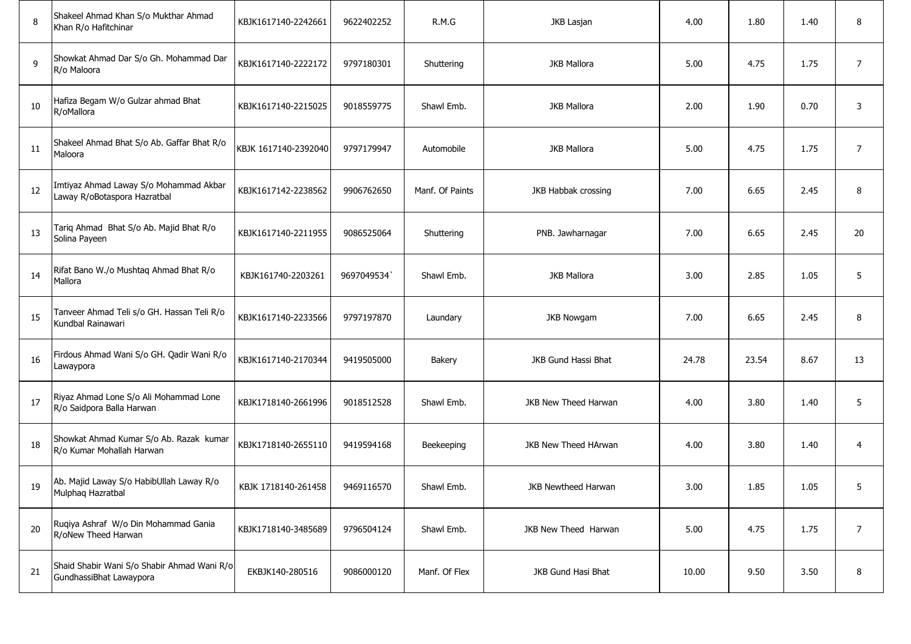| 8  | Shakeel Ahmad Khan S/o Mukthar Ahmad<br>Khan R/o Hafitchinar           | KBJK1617140-2242661  | 9622402252 | R.M.G           | JKB Lasjan           | 4.00  | 1.80  | 1.40 | 8              |
|----|------------------------------------------------------------------------|----------------------|------------|-----------------|----------------------|-------|-------|------|----------------|
| 9  | Showkat Ahmad Dar S/o Gh. Mohammad Dar<br>R/o Maloora                  | KBJK1617140-2222172  | 9797180301 | Shuttering      | <b>JKB Mallora</b>   | 5.00  | 4.75  | 1.75 | $\overline{7}$ |
| 10 | Hafiza Begam W/o Gulzar ahmad Bhat<br>R/oMallora                       | KBJK1617140-2215025  | 9018559775 | Shawl Emb.      | <b>JKB Mallora</b>   | 2.00  | 1.90  | 0.70 | 3              |
| 11 | Shakeel Ahmad Bhat S/o Ab. Gaffar Bhat R/o<br>Maloora                  | KBJK 1617140-2392040 | 9797179947 | Automobile      | <b>JKB Mallora</b>   | 5.00  | 4.75  | 1.75 | $\overline{7}$ |
| 12 | Imtiyaz Ahmad Laway S/o Mohammad Akbar<br>Laway R/oBotaspora Hazratbal | KBJK1617142-2238562  | 9906762650 | Manf. Of Paints | JKB Habbak crossing  | 7.00  | 6.65  | 2.45 | 8              |
| 13 | Tariq Ahmad Bhat S/o Ab. Majid Bhat R/o<br>Solina Payeen               | KBJK1617140-2211955  | 9086525064 | Shuttering      | PNB. Jawharnagar     | 7.00  | 6.65  | 2.45 | 20             |
| 14 | Rifat Bano W./o Mushtaq Ahmad Bhat R/o<br>Mallora                      | KBJK161740-2203261   | 9697049534 | Shawl Emb.      | <b>JKB Mallora</b>   | 3.00  | 2.85  | 1.05 | 5              |
| 15 | Tanveer Ahmad Teli s/o GH. Hassan Teli R/o<br>Kundbal Rainawari        | KBJK1617140-2233566  | 9797197870 | Laundary        | <b>JKB Nowgam</b>    | 7.00  | 6.65  | 2.45 | 8              |
| 16 | Firdous Ahmad Wani S/o GH. Qadir Wani R/o<br>Lawaypora                 | KBJK1617140-2170344  | 9419505000 | Bakery          | JKB Gund Hassi Bhat  | 24.78 | 23.54 | 8.67 | 13             |
| 17 | Riyaz Ahmad Lone S/o Ali Mohammad Lone<br>R/o Saidpora Balla Harwan    | KBJK1718140-2661996  | 9018512528 | Shawl Emb.      | JKB New Theed Harwan | 4.00  | 3.80  | 1.40 | 5              |
| 18 | Showkat Ahmad Kumar S/o Ab. Razak kumar<br>R/o Kumar Mohallah Harwan   | KBJK1718140-2655110  | 9419594168 | Beekeeping      | JKB New Theed HArwan | 4.00  | 3.80  | 1.40 | $\overline{4}$ |
| 19 | Ab. Majid Laway S/o HabibUllah Laway R/o<br>Mulphaq Hazratbal          | KBJK 1718140-261458  | 9469116570 | Shawl Emb.      | JKB Newtheed Harwan  | 3.00  | 1.85  | 1.05 | 5.             |
| 20 | Ruqiya Ashraf W/o Din Mohammad Gania<br>R/oNew Theed Harwan            | KBJK1718140-3485689  | 9796504124 | Shawl Emb.      | JKB New Theed Harwan | 5.00  | 4.75  | 1.75 | $\overline{7}$ |
| 21 | Shaid Shabir Wani S/o Shabir Ahmad Wani R/o<br>GundhassiBhat Lawaypora | EKBJK140-280516      | 9086000120 | Manf. Of Flex   | JKB Gund Hasi Bhat   | 10.00 | 9.50  | 3.50 | 8              |